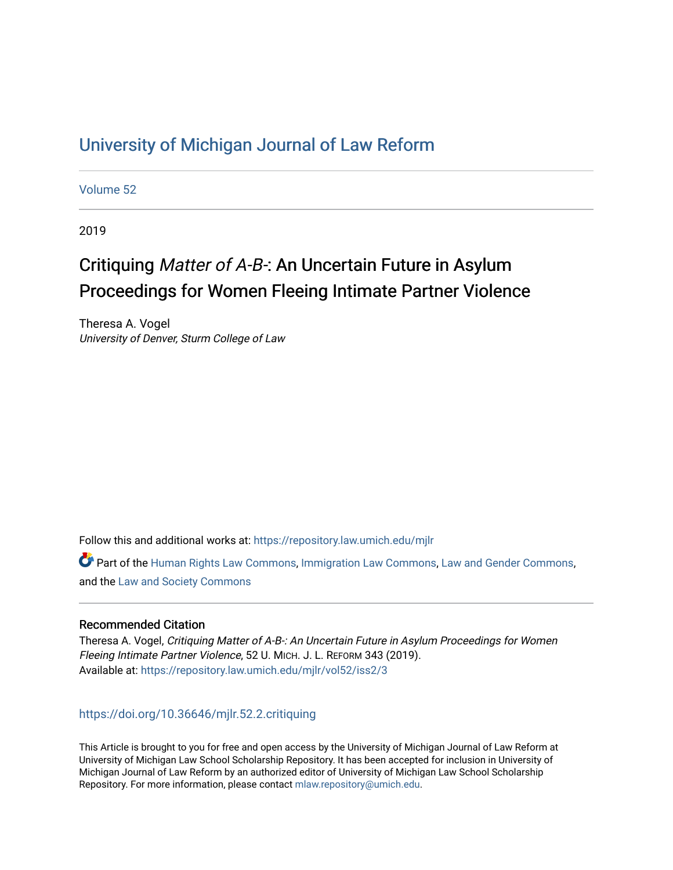## [University of Michigan Journal of Law Reform](https://repository.law.umich.edu/mjlr)

[Volume 52](https://repository.law.umich.edu/mjlr/vol52)

2019

# Critiquing Matter of A-B-: An Uncertain Future in Asylum Proceedings for Women Fleeing Intimate Partner Violence

Theresa A. Vogel University of Denver, Sturm College of Law

Follow this and additional works at: [https://repository.law.umich.edu/mjlr](https://repository.law.umich.edu/mjlr?utm_source=repository.law.umich.edu%2Fmjlr%2Fvol52%2Fiss2%2F3&utm_medium=PDF&utm_campaign=PDFCoverPages) 

Part of the [Human Rights Law Commons,](http://network.bepress.com/hgg/discipline/847?utm_source=repository.law.umich.edu%2Fmjlr%2Fvol52%2Fiss2%2F3&utm_medium=PDF&utm_campaign=PDFCoverPages) [Immigration Law Commons](http://network.bepress.com/hgg/discipline/604?utm_source=repository.law.umich.edu%2Fmjlr%2Fvol52%2Fiss2%2F3&utm_medium=PDF&utm_campaign=PDFCoverPages), [Law and Gender Commons](http://network.bepress.com/hgg/discipline/1298?utm_source=repository.law.umich.edu%2Fmjlr%2Fvol52%2Fiss2%2F3&utm_medium=PDF&utm_campaign=PDFCoverPages), and the [Law and Society Commons](http://network.bepress.com/hgg/discipline/853?utm_source=repository.law.umich.edu%2Fmjlr%2Fvol52%2Fiss2%2F3&utm_medium=PDF&utm_campaign=PDFCoverPages) 

## Recommended Citation

Theresa A. Vogel, Critiquing Matter of A-B-: An Uncertain Future in Asylum Proceedings for Women Fleeing Intimate Partner Violence, 52 U. MICH. J. L. REFORM 343 (2019). Available at: [https://repository.law.umich.edu/mjlr/vol52/iss2/3](https://repository.law.umich.edu/mjlr/vol52/iss2/3?utm_source=repository.law.umich.edu%2Fmjlr%2Fvol52%2Fiss2%2F3&utm_medium=PDF&utm_campaign=PDFCoverPages) 

## <https://doi.org/10.36646/mjlr.52.2.critiquing>

This Article is brought to you for free and open access by the University of Michigan Journal of Law Reform at University of Michigan Law School Scholarship Repository. It has been accepted for inclusion in University of Michigan Journal of Law Reform by an authorized editor of University of Michigan Law School Scholarship Repository. For more information, please contact [mlaw.repository@umich.edu](mailto:mlaw.repository@umich.edu).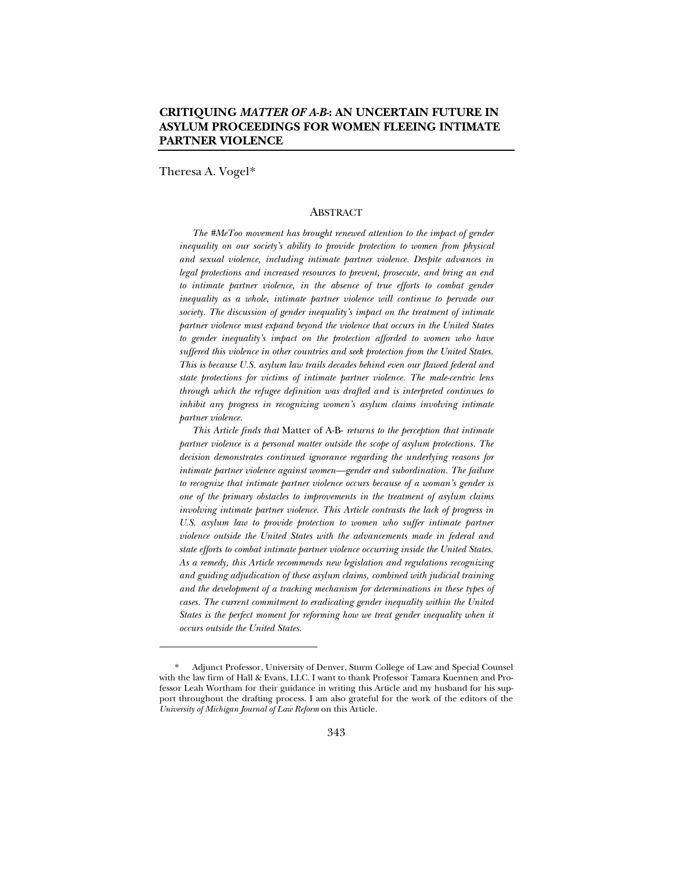## **CRITIQUING** *MATTER OF A-B-***: AN UNCERTAIN FUTURE IN ASYLUM PROCEEDINGS FOR WOMEN FLEEING INTIMATE PARTNER VIOLENCE**

Theresa A. Vogel\*

#### **ABSTRACT**

*The #MeToo movement has brought renewed attention to the impact of gender inequality on our society's ability to provide protection to women from physical and sexual violence, including intimate partner violence. Despite advances in legal protections and increased resources to prevent, prosecute, and bring an end*  to intimate partner violence, in the absence of true efforts to combat gender *inequality as a whole, intimate partner violence will continue to pervade our society. The discussion of gender inequality's impact on the treatment of intimate partner violence must expand beyond the violence that occurs in the United States*  to gender inequality's impact on the protection afforded to women who have *suffered this violence in other countries and seek protection from the United States. This is because U.S. asylum law trails decades behind even our flawed federal and state protections for victims of intimate partner violence. The male-centric lens through which the refugee definition was drafted and is interpreted continues to inhibit any progress in recognizing women's asylum claims involving intimate partner violence.*

*This Article finds that* Matter of A-B- *returns to the perception that intimate partner violence is a personal matter outside the scope of asylum protections. The decision demonstrates continued ignorance regarding the underlying reasons for intimate partner violence against women—gender and subordination. The failure to recognize that intimate partner violence occurs because of a woman's gender is one of the primary obstacles to improvements in the treatment of asylum claims involving intimate partner violence. This Article contrasts the lack of progress in*  U.S. asylum law to provide protection to women who suffer intimate partner *violence outside the United States with the advancements made in federal and state efforts to combat intimate partner violence occurring inside the United States. As a remedy, this Article recommends new legislation and regulations recognizing and guiding adjudication of these asylum claims, combined with judicial training and the development of a tracking mechanism for determinations in these types of cases. The current commitment to eradicating gender inequality within the United States is the perfect moment for reforming how we treat gender inequality when it occurs outside the United States.*

<sup>\*</sup> Adjunct Professor, University of Denver, Sturm College of Law and Special Counsel with the law firm of Hall & Evans, LLC. I want to thank Professor Tamara Kuennen and Professor Leah Wortham for their guidance in writing this Article and my husband for his support throughout the drafting process. I am also grateful for the work of the editors of the *University of Michigan Journal of Law Reform* on this Article.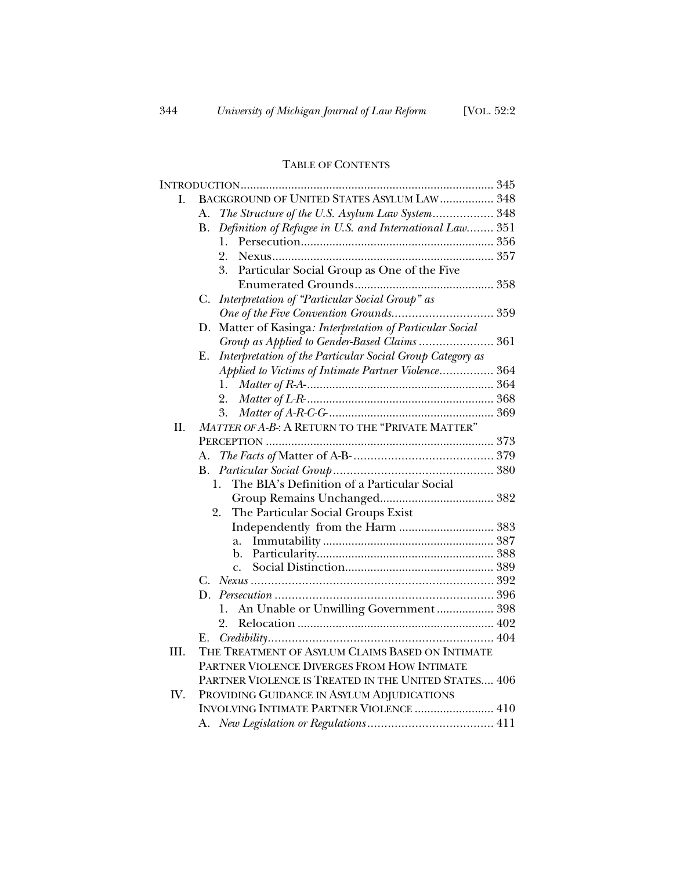## TABLE OF CONTENTS

| L.   | BACKGROUND OF UNITED STATES ASYLUM LAW  348                     |  |
|------|-----------------------------------------------------------------|--|
|      | The Structure of the U.S. Asylum Law System 348<br>А.           |  |
|      | Definition of Refugee in U.S. and International Law 351<br>В.   |  |
|      | 1.                                                              |  |
|      | 2.                                                              |  |
|      | Particular Social Group as One of the Five<br>3.                |  |
|      |                                                                 |  |
|      | Interpretation of "Particular Social Group" as<br>C.            |  |
|      |                                                                 |  |
|      | Matter of Kasinga: Interpretation of Particular Social<br>D.    |  |
|      | Group as Applied to Gender-Based Claims 361                     |  |
|      | Interpretation of the Particular Social Group Category as<br>Ε. |  |
|      | Applied to Victims of Intimate Partner Violence 364             |  |
|      | 1.                                                              |  |
|      | 2.                                                              |  |
|      | 3.                                                              |  |
| II.  | MATTER OF A-B-: A RETURN TO THE "PRIVATE MATTER"                |  |
|      |                                                                 |  |
|      | A.                                                              |  |
|      | <b>B.</b>                                                       |  |
|      | The BIA's Definition of a Particular Social<br>1.               |  |
|      |                                                                 |  |
|      | The Particular Social Groups Exist<br>2.                        |  |
|      |                                                                 |  |
|      | a.                                                              |  |
|      | b.                                                              |  |
|      | $\mathsf{C}$ .                                                  |  |
|      | C.                                                              |  |
|      | D.                                                              |  |
|      | An Unable or Unwilling Government  398<br>1.                    |  |
|      | 2.                                                              |  |
|      | Е.                                                              |  |
| III. | THE TREATMENT OF ASYLUM CLAIMS BASED ON INTIMATE                |  |
|      | PARTNER VIOLENCE DIVERGES FROM HOW INTIMATE                     |  |
|      | PARTNER VIOLENCE IS TREATED IN THE UNITED STATES 406            |  |
| IV.  | PROVIDING GUIDANCE IN ASYLUM ADJUDICATIONS                      |  |
|      | <b>INVOLVING INTIMATE PARTNER VIOLENCE  410</b>                 |  |
|      |                                                                 |  |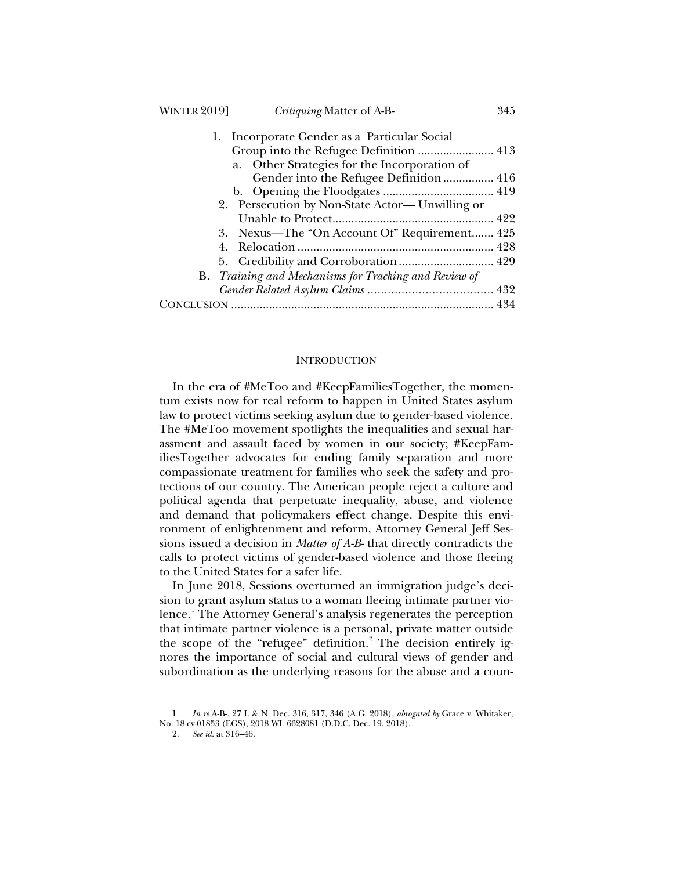| <b>WINTER 2019]</b> | <i>Critiquing</i> Matter of A-B-                             | 345 |
|---------------------|--------------------------------------------------------------|-----|
| 1.                  | Incorporate Gender as a Particular Social                    |     |
|                     |                                                              |     |
|                     | a. Other Strategies for the Incorporation of                 |     |
|                     | Gender into the Refugee Definition  416                      |     |
|                     |                                                              |     |
|                     | 2. Persecution by Non-State Actor— Unwilling or              |     |
|                     |                                                              |     |
|                     | 3. Nexus—The "On Account Of" Requirement 425                 |     |
|                     |                                                              |     |
|                     |                                                              |     |
|                     | <b>B.</b> Training and Mechanisms for Tracking and Review of |     |
|                     |                                                              |     |
|                     |                                                              |     |
|                     |                                                              |     |

#### INTRODUCTION

In the era of #MeToo and #KeepFamiliesTogether, the momentum exists now for real reform to happen in United States asylum law to protect victims seeking asylum due to gender-based violence. The #MeToo movement spotlights the inequalities and sexual harassment and assault faced by women in our society; #KeepFamiliesTogether advocates for ending family separation and more compassionate treatment for families who seek the safety and protections of our country. The American people reject a culture and political agenda that perpetuate inequality, abuse, and violence and demand that policymakers effect change. Despite this environment of enlightenment and reform, Attorney General Jeff Sessions issued a decision in *Matter of A-B-* that directly contradicts the calls to protect victims of gender-based violence and those fleeing to the United States for a safer life.

In June 2018, Sessions overturned an immigration judge's decision to grant asylum status to a woman fleeing intimate partner violence.<sup>1</sup> The Attorney General's analysis regenerates the perception that intimate partner violence is a personal, private matter outside the scope of the "refugee" definition.<sup>2</sup> The decision entirely ignores the importance of social and cultural views of gender and subordination as the underlying reasons for the abuse and a coun-

<sup>1</sup>*. In re* A-B-, 27 I. & N. Dec. 316, 317, 346 (A.G. 2018), *abrogated by* Grace v. Whitaker, No. 18-cv-01853 (EGS), 2018 WL 6628081 (D.D.C. Dec. 19, 2018).

<sup>2.</sup> *See id.* at 316–46.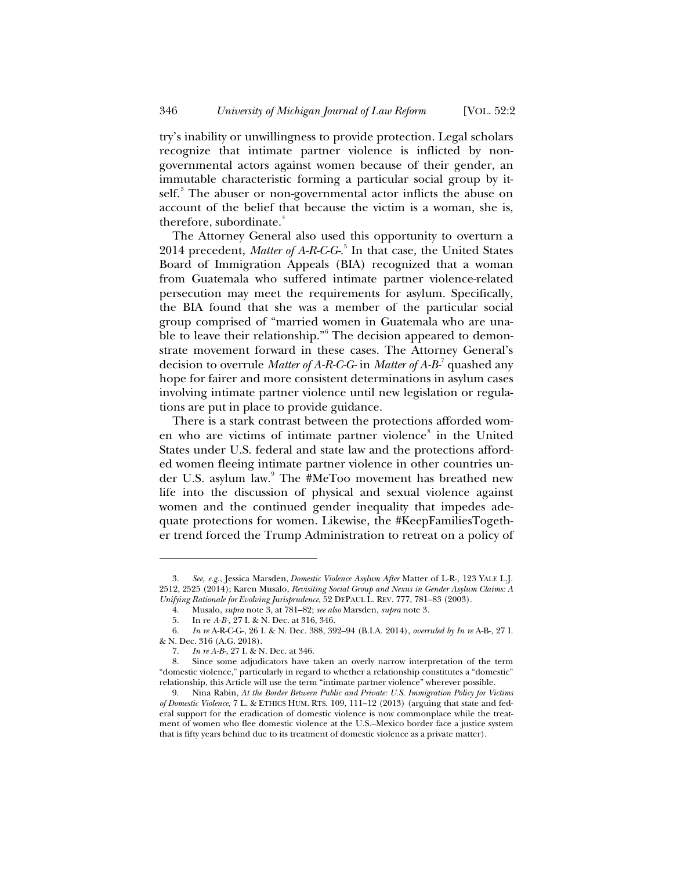try's inability or unwillingness to provide protection. Legal scholars recognize that intimate partner violence is inflicted by nongovernmental actors against women because of their gender, an immutable characteristic forming a particular social group by itself.<sup>3</sup> The abuser or non-governmental actor inflicts the abuse on account of the belief that because the victim is a woman, she is, therefore, subordinate.<sup>4</sup>

The Attorney General also used this opportunity to overturn a 2014 precedent, *Matter of A-R-C-G-*. 5 In that case, the United States Board of Immigration Appeals (BIA) recognized that a woman from Guatemala who suffered intimate partner violence-related persecution may meet the requirements for asylum. Specifically, the BIA found that she was a member of the particular social group comprised of "married women in Guatemala who are unable to leave their relationship."<sup>6</sup> The decision appeared to demonstrate movement forward in these cases. The Attorney General's decision to overrule *Matter of A-R-C-G-* in *Matter of A-B-*<sup>7</sup> quashed any hope for fairer and more consistent determinations in asylum cases involving intimate partner violence until new legislation or regulations are put in place to provide guidance.

There is a stark contrast between the protections afforded women who are victims of intimate partner violence<sup>8</sup> in the United States under U.S. federal and state law and the protections afforded women fleeing intimate partner violence in other countries under U.S. asylum law.<sup>9</sup> The #MeToo movement has breathed new life into the discussion of physical and sexual violence against women and the continued gender inequality that impedes adequate protections for women. Likewise, the #KeepFamiliesTogether trend forced the Trump Administration to retreat on a policy of

<sup>3.</sup> *See, e.g.*, Jessica Marsden, *Domestic Violence Asylum After* Matter of L-R-*,* 123 YALE L.J. 2512, 2525 (2014); Karen Musalo, *Revisiting Social Group and Nexus in Gender Asylum Claims: A Unifying Rationale for Evolving Jurisprudence*, 52 DEPAUL L. REV. 777, 781–83 (2003).

<sup>4.</sup> Musalo, *supra* note 3, at 781–82; *see also* Marsden, *supra* note 3.

<sup>5.</sup> In re *A-B-,* 27 I. & N. Dec. at 316, 346.

<sup>6.</sup> *In re* A-R-C-G-, 26 I. & N. Dec. 388, 392–94 (B.I.A. 2014), *overruled by In re* A-B-, 27 I. & N. Dec. 316 (A.G. 2018).

<sup>7.</sup> *In re A-B-*, 27 I. & N. Dec. at 346.

<sup>8.</sup> Since some adjudicators have taken an overly narrow interpretation of the term "domestic violence," particularly in regard to whether a relationship constitutes a "domestic" relationship, this Article will use the term "intimate partner violence" wherever possible.

<sup>9.</sup> Nina Rabin, *At the Border Between Public and Private: U.S. Immigration Policy for Victims of Domestic Violence*, 7 L. & ETHICS HUM. RTS. 109, 111–12 (2013) (arguing that state and federal support for the eradication of domestic violence is now commonplace while the treatment of women who flee domestic violence at the U.S.–Mexico border face a justice system that is fifty years behind due to its treatment of domestic violence as a private matter).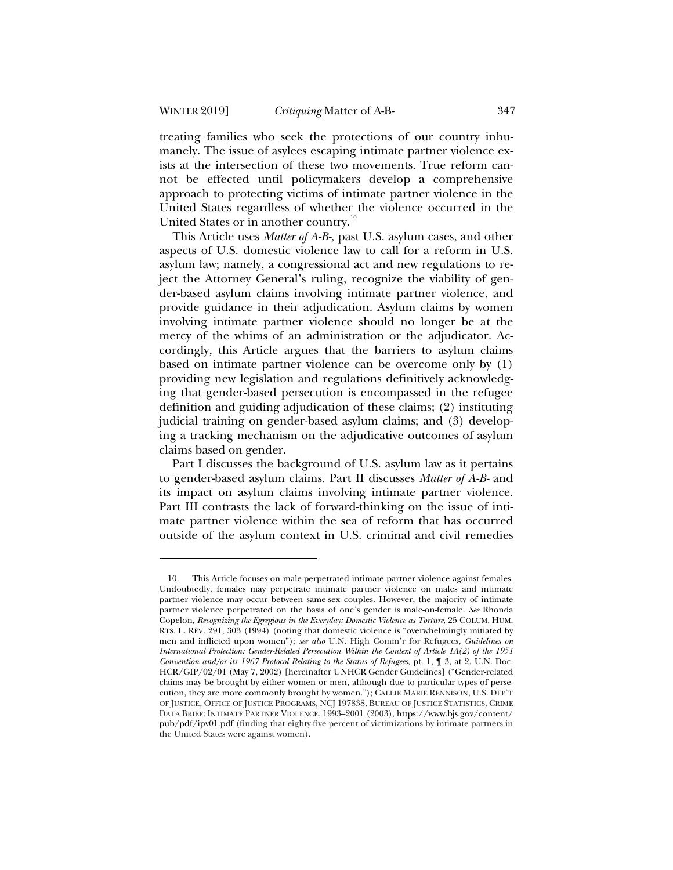treating families who seek the protections of our country inhumanely. The issue of asylees escaping intimate partner violence exists at the intersection of these two movements. True reform cannot be effected until policymakers develop a comprehensive approach to protecting victims of intimate partner violence in the United States regardless of whether the violence occurred in the United States or in another country.<sup>10</sup>

This Article uses *Matter of A-B-,* past U.S. asylum cases, and other aspects of U.S. domestic violence law to call for a reform in U.S. asylum law; namely, a congressional act and new regulations to reject the Attorney General's ruling, recognize the viability of gender-based asylum claims involving intimate partner violence, and provide guidance in their adjudication. Asylum claims by women involving intimate partner violence should no longer be at the mercy of the whims of an administration or the adjudicator. Accordingly, this Article argues that the barriers to asylum claims based on intimate partner violence can be overcome only by (1) providing new legislation and regulations definitively acknowledging that gender-based persecution is encompassed in the refugee definition and guiding adjudication of these claims; (2) instituting judicial training on gender-based asylum claims; and (3) developing a tracking mechanism on the adjudicative outcomes of asylum claims based on gender.

Part I discusses the background of U.S. asylum law as it pertains to gender-based asylum claims. Part II discusses *Matter of A-B-* and its impact on asylum claims involving intimate partner violence. Part III contrasts the lack of forward-thinking on the issue of intimate partner violence within the sea of reform that has occurred outside of the asylum context in U.S. criminal and civil remedies

<sup>10.</sup> This Article focuses on male-perpetrated intimate partner violence against females. Undoubtedly, females may perpetrate intimate partner violence on males and intimate partner violence may occur between same-sex couples. However, the majority of intimate partner violence perpetrated on the basis of one's gender is male-on-female. *See* Rhonda Copelon, *Recognizing the Egregious in the Everyday: Domestic Violence as Torture*, 25 COLUM. HUM. RTS. L. REV. 291, 303 (1994) (noting that domestic violence is "overwhelmingly initiated by men and inflicted upon women"); *see also* U.N. High Comm'r for Refugees, *Guidelines on International Protection: Gender-Related Persecution Within the Context of Article 1A(2) of the 1951 Convention and/or its 1967 Protocol Relating to the Status of Refugees*, pt. 1, ¶ 3, at 2, U.N. Doc. HCR/GIP/02/01 (May 7, 2002) [hereinafter UNHCR Gender Guidelines] ("Gender-related claims may be brought by either women or men, although due to particular types of persecution, they are more commonly brought by women."); CALLIE MARIE RENNISON, U.S. DEP'T OF JUSTICE, OFFICE OF JUSTICE PROGRAMS, NCJ 197838, BUREAU OF JUSTICE STATISTICS, CRIME DATA BRIEF: INTIMATE PARTNER VIOLENCE, 1993–2001 (2003), https://www.bjs.gov/content/ pub/pdf/ipv01.pdf (finding that eighty-five percent of victimizations by intimate partners in the United States were against women).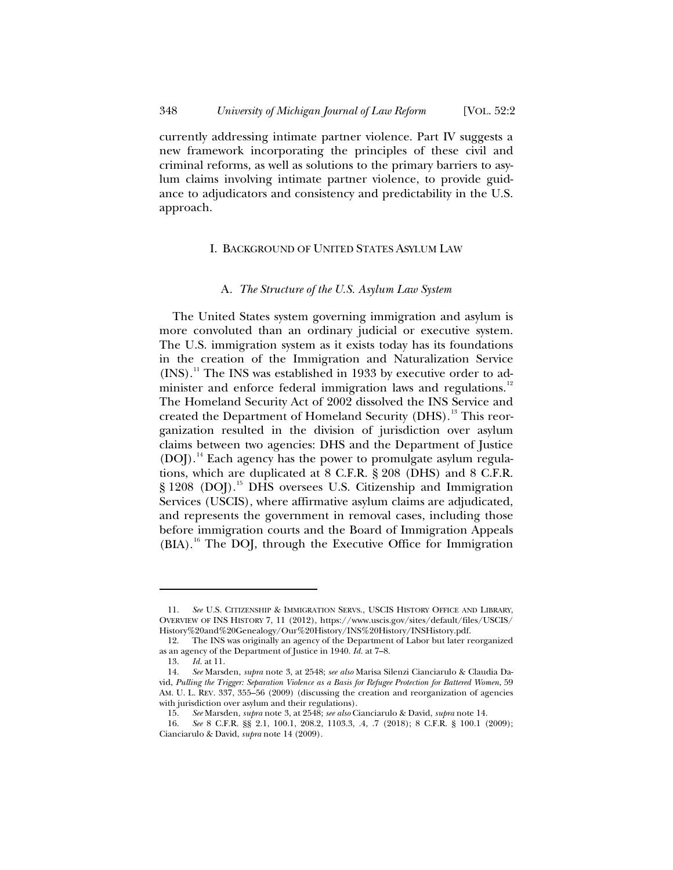currently addressing intimate partner violence. Part IV suggests a new framework incorporating the principles of these civil and criminal reforms, as well as solutions to the primary barriers to asylum claims involving intimate partner violence, to provide guidance to adjudicators and consistency and predictability in the U.S. approach.

#### I. BACKGROUND OF UNITED STATES ASYLUM LAW

#### A*. The Structure of the U.S. Asylum Law System*

The United States system governing immigration and asylum is more convoluted than an ordinary judicial or executive system. The U.S. immigration system as it exists today has its foundations in the creation of the Immigration and Naturalization Service  $(INS).$ <sup>11</sup> The INS was established in 1933 by executive order to administer and enforce federal immigration laws and regulations.<sup>12</sup> The Homeland Security Act of 2002 dissolved the INS Service and created the Department of Homeland Security (DHS).<sup>13</sup> This reorganization resulted in the division of jurisdiction over asylum claims between two agencies: DHS and the Department of Justice (DOJ).<sup>14</sup> Each agency has the power to promulgate asylum regulations, which are duplicated at 8 C.F.R. § 208 (DHS) and 8 C.F.R. § 1208 (DOJ).<sup>15</sup> DHS oversees U.S. Citizenship and Immigration Services (USCIS), where affirmative asylum claims are adjudicated, and represents the government in removal cases, including those before immigration courts and the Board of Immigration Appeals (BIA).<sup>16</sup> The DOJ, through the Executive Office for Immigration

<sup>11.</sup> *See* U.S. CITIZENSHIP & IMMIGRATION SERVS., USCIS HISTORY OFFICE AND LIBRARY, OVERVIEW OF INS HISTORY 7, 11 (2012), https://www.uscis.gov/sites/default/files/USCIS/ History%20and%20Genealogy/Our%20History/INS%20History/INSHistory.pdf.

<sup>12.</sup> The INS was originally an agency of the Department of Labor but later reorganized as an agency of the Department of Justice in 1940. *Id.* at 7–8.<br>13. *Id.* at 11.

*Id.* at 11.

<sup>14.</sup> *See* Marsden, *supra* note 3, at 2548; *see also* Marisa Silenzi Cianciarulo & Claudia David, *Pulling the Trigger: Separation Violence as a Basis for Refugee Protection for Battered Women*, 59 AM. U. L. REV. 337, 355–56 (2009) (discussing the creation and reorganization of agencies with jurisdiction over asylum and their regulations).

<sup>15.</sup> *See* Marsden, *supra* note 3, at 2548; *see also* Cianciarulo & David, *supra* note 14.

<sup>16.</sup> *See* 8 C.F.R. §§ 2.1, 100.1, 208.2, 1103.3, .4, .7 (2018); 8 C.F.R. § 100.1 (2009); Cianciarulo & David, *supra* note 14 (2009).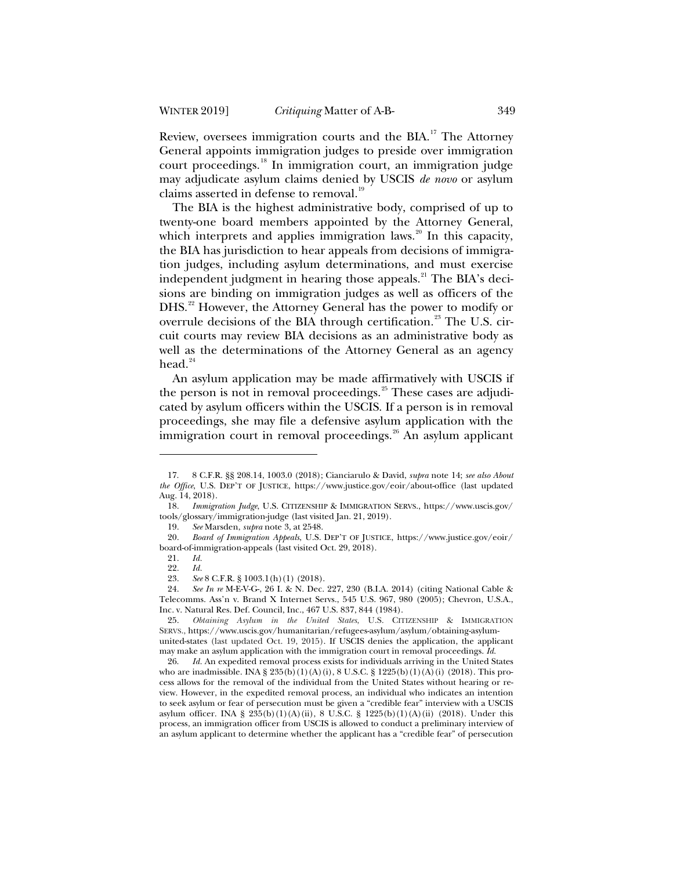Review, oversees immigration courts and the BIA.<sup>17</sup> The Attorney General appoints immigration judges to preside over immigration court proceedings.<sup>18</sup> In immigration court, an immigration judge may adjudicate asylum claims denied by USCIS *de novo* or asylum claims asserted in defense to removal.<sup>19</sup>

The BIA is the highest administrative body, comprised of up to twenty-one board members appointed by the Attorney General, which interprets and applies immigration laws.<sup>20</sup> In this capacity, the BIA has jurisdiction to hear appeals from decisions of immigration judges, including asylum determinations, and must exercise independent judgment in hearing those appeals.<sup>21</sup> The BIA's decisions are binding on immigration judges as well as officers of the DHS.<sup>22</sup> However, the Attorney General has the power to modify or overrule decisions of the BIA through certification.<sup>23</sup> The U.S. circuit courts may review BIA decisions as an administrative body as well as the determinations of the Attorney General as an agency head. $24$ 

An asylum application may be made affirmatively with USCIS if the person is not in removal proceedings. $^{25}$  These cases are adjudicated by asylum officers within the USCIS. If a person is in removal proceedings, she may file a defensive asylum application with the immigration court in removal proceedings. $26$  An asylum applicant

<sup>17. 8</sup> C.F.R. §§ 208.14, 1003.0 (2018); Cianciarulo & David, *supra* note 14; *see also About the Office*, U.S. DEP'T OF JUSTICE, https://www.justice.gov/eoir/about-office (last updated Aug. 14, 2018).

<sup>18.</sup> *Immigration Judge*, U.S. CITIZENSHIP & IMMIGRATION SERVS., https://www.uscis.gov/ tools/glossary/immigration-judge (last visited Jan. 21, 2019).

<sup>19.</sup> *See* Marsden, *supra* note 3, at 2548.

<sup>20.</sup> *Board of Immigration Appeals*, U.S. DEP'T OF JUSTICE, https://www.justice.gov/eoir/ board-of-immigration-appeals (last visited Oct. 29, 2018).

<sup>21.</sup> *Id.*

<sup>22.</sup> *Id.*

<sup>23.</sup> *See* 8 C.F.R. § 1003.1(h)(1) (2018).

<sup>24.</sup> *See In re* M-E-V-G-, 26 I. & N. Dec. 227, 230 (B.I.A. 2014) (citing National Cable & Telecomms. Ass'n v. Brand X Internet Servs., 545 U.S. 967, 980 (2005); Chevron, U.S.A., Inc. v. Natural Res. Def. Council, Inc., 467 U.S. 837, 844 (1984).

<sup>25.</sup> *Obtaining Asylum in the United States*, U.S. CITIZENSHIP & IMMIGRATION SERVS., https://www.uscis.gov/humanitarian/refugees-asylum/asylum/obtaining-asylumunited-states (last updated Oct. 19, 2015). If USCIS denies the application, the applicant may make an asylum application with the immigration court in removal proceedings. *Id.*

<sup>26.</sup> *Id.* An expedited removal process exists for individuals arriving in the United States who are inadmissible. INA § 235(b)(1)(A)(i), 8 U.S.C. § 1225(b)(1)(A)(i) (2018). This process allows for the removal of the individual from the United States without hearing or review. However, in the expedited removal process, an individual who indicates an intention to seek asylum or fear of persecution must be given a "credible fear" interview with a USCIS asylum officer. INA § 235(b)(1)(A)(ii), 8 U.S.C. § 1225(b)(1)(A)(ii) (2018). Under this process, an immigration officer from USCIS is allowed to conduct a preliminary interview of an asylum applicant to determine whether the applicant has a "credible fear" of persecution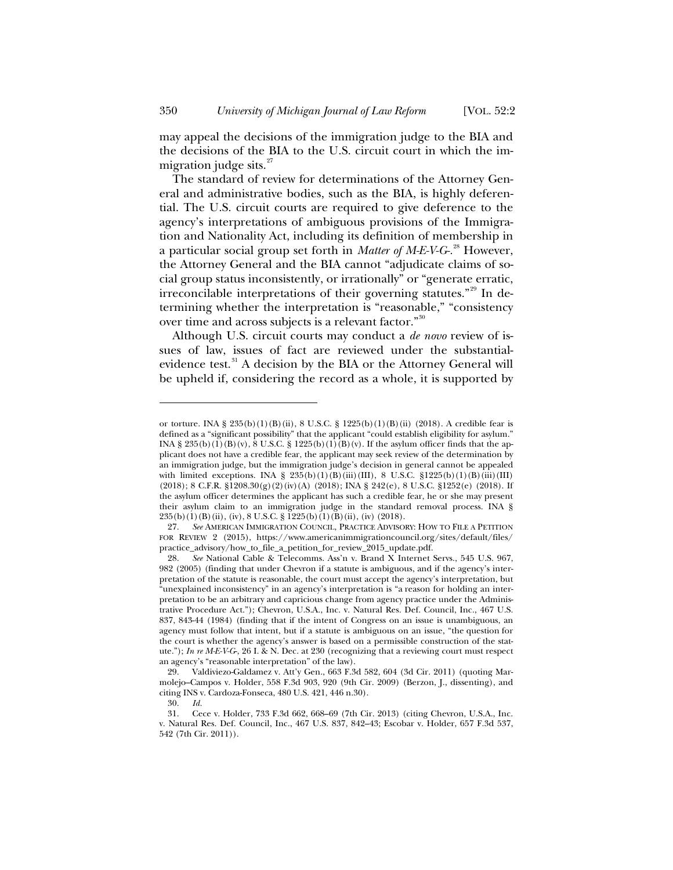may appeal the decisions of the immigration judge to the BIA and the decisions of the BIA to the U.S. circuit court in which the immigration judge sits. $27$ 

The standard of review for determinations of the Attorney General and administrative bodies, such as the BIA, is highly deferential. The U.S. circuit courts are required to give deference to the agency's interpretations of ambiguous provisions of the Immigration and Nationality Act, including its definition of membership in a particular social group set forth in *Matter of M-E-V-G-.*<sup>28</sup> However, the Attorney General and the BIA cannot "adjudicate claims of social group status inconsistently, or irrationally" or "generate erratic, irreconcilable interpretations of their governing statutes."<sup>29</sup> In determining whether the interpretation is "reasonable," "consistency over time and across subjects is a relevant factor."<sup>30</sup>

Although U.S. circuit courts may conduct a *de novo* review of issues of law, issues of fact are reviewed under the substantialevidence test.<sup>31</sup> A decision by the BIA or the Attorney General will be upheld if, considering the record as a whole, it is supported by

or torture. INA § 235(b)(1)(B)(ii), 8 U.S.C. § 1225(b)(1)(B)(ii) (2018). A credible fear is defined as a "significant possibility" that the applicant "could establish eligibility for asylum." INA § 235(b)(1)(B)(v),  $\bar{8}$  U.S.C. § 1225(b)(1)(B)(v). If the asylum officer finds that the applicant does not have a credible fear, the applicant may seek review of the determination by an immigration judge, but the immigration judge's decision in general cannot be appealed with limited exceptions. INA §  $235(b)(1)(B)(iii)(III)$ , 8 U.S.C. §1225(b)(1)(B)(iii)(III)  $(2018)$ ; 8 C.F.R. §1208.30(g)(2)(iv)(A) (2018); INA § 242(e), 8 U.S.C. §1252(e) (2018). If the asylum officer determines the applicant has such a credible fear, he or she may present their asylum claim to an immigration judge in the standard removal process. INA § 235(b)(1)(B)(ii), (iv), 8 U.S.C. § 1225(b)(1)(B)(ii), (iv) (2018).

<sup>27.</sup> *See* AMERICAN IMMIGRATION COUNCIL, PRACTICE ADVISORY: HOW TO FILE A PETITION FOR REVIEW 2 (2015), https://www.americanimmigrationcouncil.org/sites/default/files/ practice\_advisory/how\_to\_file\_a\_petition\_for\_review\_2015\_update.pdf.

<sup>28.</sup> *See* National Cable & Telecomms. Ass'n v. Brand X Internet Servs., 545 U.S. 967, 982 (2005) (finding that under Chevron if a statute is ambiguous, and if the agency's interpretation of the statute is reasonable, the court must accept the agency's interpretation, but "unexplained inconsistency" in an agency's interpretation is "a reason for holding an interpretation to be an arbitrary and capricious change from agency practice under the Administrative Procedure Act."); Chevron, U.S.A., Inc. v. Natural Res. Def. Council, Inc., 467 U.S. 837, 843-44 (1984) (finding that if the intent of Congress on an issue is unambiguous, an agency must follow that intent, but if a statute is ambiguous on an issue, "the question for the court is whether the agency's answer is based on a permissible construction of the statute."); *In re M-E-V-G*-, 26 I. & N. Dec. at 230 (recognizing that a reviewing court must respect an agency's "reasonable interpretation" of the law).

<sup>29.</sup> Valdiviezo-Galdamez v. Att'y Gen., 663 F.3d 582, 604 (3d Cir. 2011) (quoting Marmolejo–Campos v. Holder, 558 F.3d 903, 920 (9th Cir. 2009) (Berzon, J., dissenting), and citing INS v. Cardoza-Fonseca, 480 U.S. 421, 446 n.30).

<sup>30.</sup> *Id.*

<sup>31.</sup> Cece v. Holder, 733 F.3d 662, 668–69 (7th Cir. 2013) (citing Chevron, U.S.A., Inc. v. Natural Res. Def. Council, Inc., 467 U.S. 837, 842–43; Escobar v. Holder, 657 F.3d 537, 542 (7th Cir. 2011)).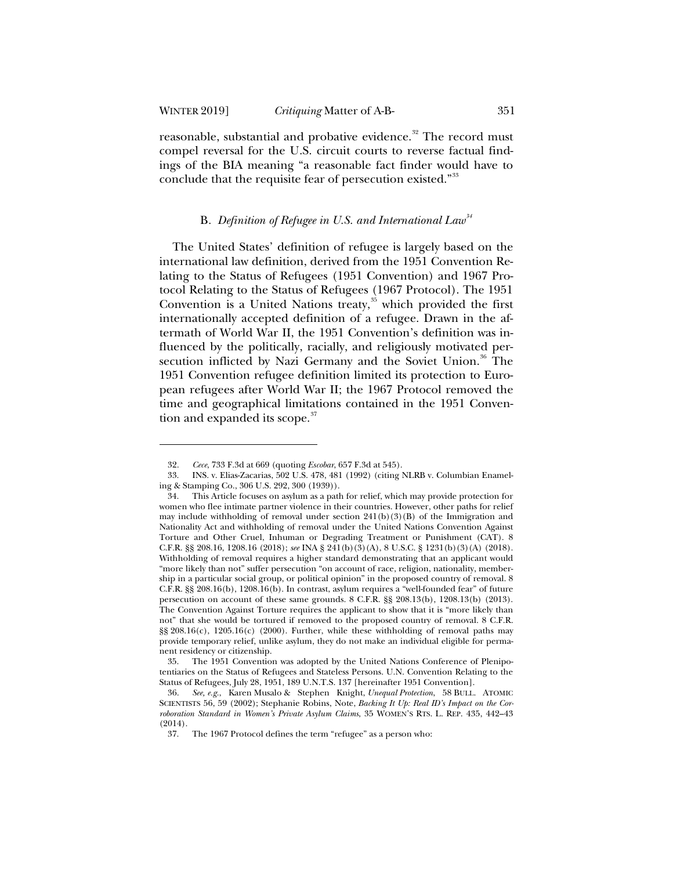reasonable, substantial and probative evidence.<sup>32</sup> The record must compel reversal for the U.S. circuit courts to reverse factual findings of the BIA meaning "a reasonable fact finder would have to conclude that the requisite fear of persecution existed."<sup>33</sup>

## B*. Definition of Refugee in U.S. and International Law<sup>34</sup>*

The United States' definition of refugee is largely based on the international law definition, derived from the 1951 Convention Relating to the Status of Refugees (1951 Convention) and 1967 Protocol Relating to the Status of Refugees (1967 Protocol). The 1951 Convention is a United Nations treaty, $35$  which provided the first internationally accepted definition of a refugee. Drawn in the aftermath of World War II, the 1951 Convention's definition was influenced by the politically, racially, and religiously motivated persecution inflicted by Nazi Germany and the Soviet Union.<sup>36</sup> The 1951 Convention refugee definition limited its protection to European refugees after World War II; the 1967 Protocol removed the time and geographical limitations contained in the 1951 Convention and expanded its scope.<sup>37</sup>

<sup>32.</sup> *Cece*, 733 F.3d at 669 (quoting *Escobar*, 657 F.3d at 545).

<sup>33.</sup> INS. v. Elias-Zacarias, 502 U.S. 478, 481 (1992) (citing NLRB v. Columbian Enameling & Stamping Co., 306 U.S. 292, 300 (1939)).

<sup>34.</sup> This Article focuses on asylum as a path for relief, which may provide protection for women who flee intimate partner violence in their countries. However, other paths for relief may include withholding of removal under section  $241(b)(3)(B)$  of the Immigration and Nationality Act and withholding of removal under the United Nations Convention Against Torture and Other Cruel, Inhuman or Degrading Treatment or Punishment (CAT). 8 C.F.R. §§ 208.16, 1208.16 (2018); *see* INA § 241(b)(3)(A), 8 U.S.C. § 1231(b)(3)(A) (2018). Withholding of removal requires a higher standard demonstrating that an applicant would "more likely than not" suffer persecution "on account of race, religion, nationality, membership in a particular social group, or political opinion" in the proposed country of removal. 8 C.F.R. §§ 208.16(b), 1208.16(b). In contrast, asylum requires a "well-founded fear" of future persecution on account of these same grounds. 8 C.F.R. §§ 208.13(b), 1208.13(b) (2013). The Convention Against Torture requires the applicant to show that it is "more likely than not" that she would be tortured if removed to the proposed country of removal. 8 C.F.R.  $\S$ § 208.16(c), 1205.16(c) (2000). Further, while these withholding of removal paths may provide temporary relief, unlike asylum, they do not make an individual eligible for permanent residency or citizenship.

<sup>35.</sup> The 1951 Convention was adopted by the United Nations Conference of Plenipotentiaries on the Status of Refugees and Stateless Persons. U.N. Convention Relating to the Status of Refugees, July 28, 1951, 189 U.N.T.S. 137 [hereinafter 1951 Convention].

<sup>36.</sup> *See, e.g.*, Karen Musalo & Stephen Knight, *Unequal Protection*, 58 BULL. ATOMIC SCIENTISTS 56, 59 (2002); Stephanie Robins, Note, *Backing It Up: Real ID's Impact on the Corroboration Standard in Women's Private Asylum Claims*, 35 WOMEN'S RTS. L. REP. 435, 442–43 (2014).

<sup>37.</sup> The 1967 Protocol defines the term "refugee" as a person who: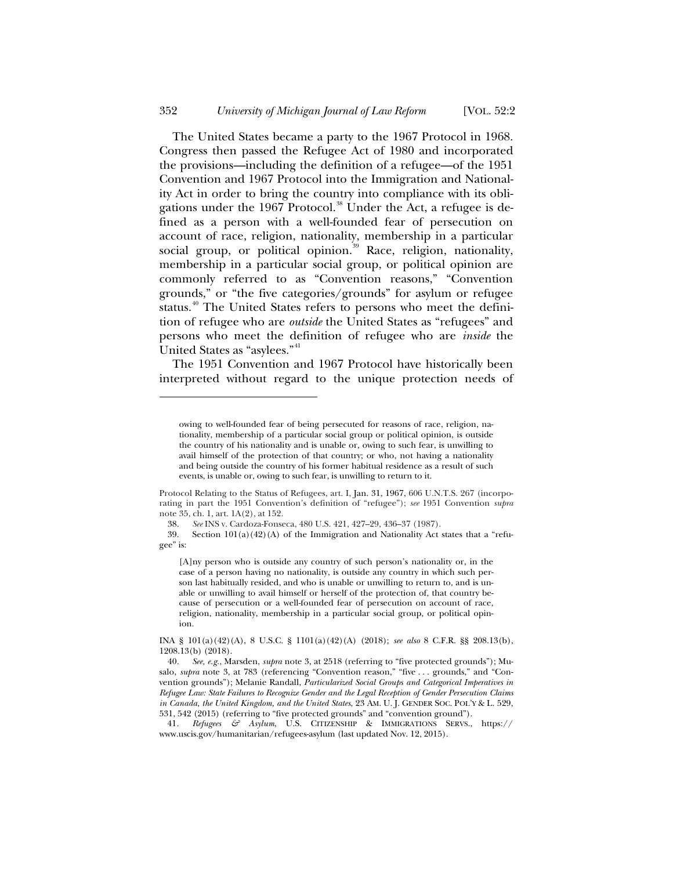The United States became a party to the 1967 Protocol in 1968. Congress then passed the Refugee Act of 1980 and incorporated the provisions—including the definition of a refugee—of the 1951 Convention and 1967 Protocol into the Immigration and Nationality Act in order to bring the country into compliance with its obligations under the  $1967$  Protocol.<sup>38</sup> Under the Act, a refugee is defined as a person with a well-founded fear of persecution on account of race, religion, nationality, membership in a particular social group, or political opinion.<sup>39</sup> Race, religion, nationality, membership in a particular social group, or political opinion are commonly referred to as "Convention reasons," "Convention grounds," or "the five categories/grounds" for asylum or refugee status.<sup>40</sup> The United States refers to persons who meet the definition of refugee who are *outside* the United States as "refugees" and persons who meet the definition of refugee who are *inside* the United States as "asylees."<sup>41</sup>

The 1951 Convention and 1967 Protocol have historically been interpreted without regard to the unique protection needs of

Section  $101(a)(42)(A)$  of the Immigration and Nationality Act states that a "refugee" is:

[A]ny person who is outside any country of such person's nationality or, in the case of a person having no nationality, is outside any country in which such person last habitually resided, and who is unable or unwilling to return to, and is unable or unwilling to avail himself or herself of the protection of, that country because of persecution or a well-founded fear of persecution on account of race, religion, nationality, membership in a particular social group, or political opinion.

owing to well-founded fear of being persecuted for reasons of race, religion, nationality, membership of a particular social group or political opinion, is outside the country of his nationality and is unable or, owing to such fear, is unwilling to avail himself of the protection of that country; or who, not having a nationality and being outside the country of his former habitual residence as a result of such events, is unable or, owing to such fear, is unwilling to return to it.

Protocol Relating to the Status of Refugees, art. I, Jan. 31, 1967, 606 U.N.T.S. 267 (incorporating in part the 1951 Convention's definition of "refugee"); *see* 1951 Convention *supra*  note 35, ch. 1, art. 1A(2), at 152.

<sup>38.</sup> *See* INS v. Cardoza-Fonseca, 480 U.S. 421, 427–29, 436–37 (1987).

INA § 101(a)(42)(A), 8 U.S.C. § 1101(a)(42)(A) (2018); *see also* 8 C.F.R. §§ 208.13(b), 1208.13(b) (2018).

<sup>40.</sup> *See, e.g.*, Marsden, *supra* note 3, at 2518 (referring to "five protected grounds"); Musalo, *supra* note 3, at 783 (referencing "Convention reason," "five . . . grounds," and "Convention grounds"); Melanie Randall, *Particularized Social Groups and Categorical Imperatives in Refugee Law: State Failures to Recognize Gender and the Legal Reception of Gender Persecution Claims in Canada, the United Kingdom, and the United States*, 23 AM. U. J. GENDER SOC. POL'Y & L. 529, 531, 542 (2015) (referring to "five protected grounds" and "convention ground").

<sup>41</sup>*. Refugees & Asylum*, U.S. CITIZENSHIP & IMMIGRATIONS SERVS., https:// www.uscis.gov/humanitarian/refugees-asylum (last updated Nov. 12, 2015).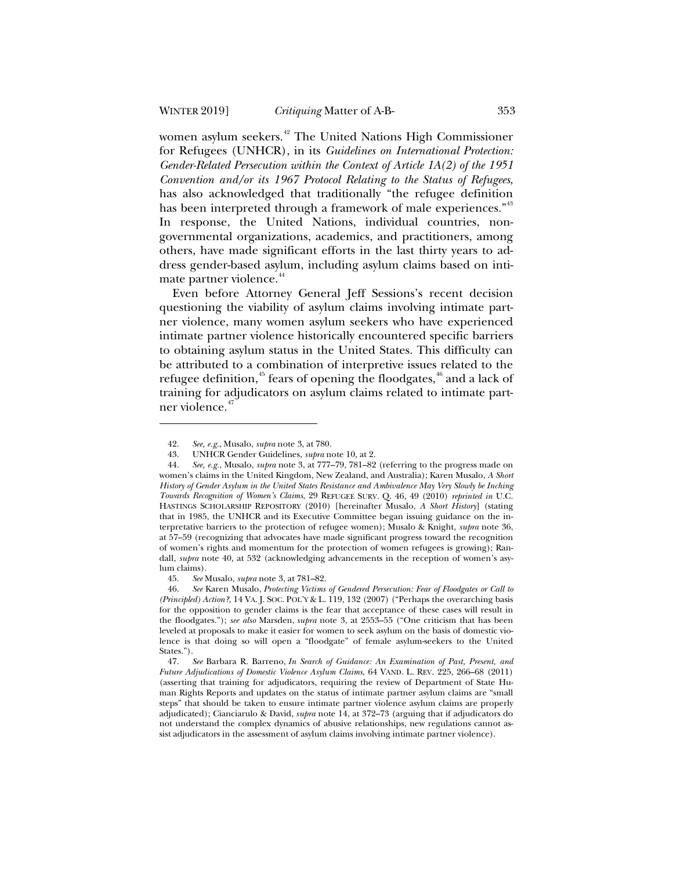women asylum seekers.<sup>42</sup> The United Nations High Commissioner for Refugees (UNHCR), in its *Guidelines on International Protection: Gender-Related Persecution within the Context of Article 1A(2) of the 1951 Convention and/or its 1967 Protocol Relating to the Status of Refugees*, has also acknowledged that traditionally "the refugee definition has been interpreted through a framework of male experiences."<sup>43</sup> In response, the United Nations, individual countries, nongovernmental organizations, academics, and practitioners, among others, have made significant efforts in the last thirty years to address gender-based asylum, including asylum claims based on intimate partner violence.<sup>44</sup>

Even before Attorney General Jeff Sessions's recent decision questioning the viability of asylum claims involving intimate partner violence, many women asylum seekers who have experienced intimate partner violence historically encountered specific barriers to obtaining asylum status in the United States. This difficulty can be attributed to a combination of interpretive issues related to the refugee definition,<sup>45</sup> fears of opening the floodgates,<sup>46</sup> and a lack of training for adjudicators on asylum claims related to intimate partner violence.<sup>47</sup>

<sup>42.</sup> *See, e.g.*, Musalo, *supra* note 3, at 780.

<sup>43.</sup> UNHCR Gender Guidelines, *supra* note 10, at 2.

<sup>44.</sup> *See, e.g.*, Musalo, *supra* note 3, at 777–79, 781–82 (referring to the progress made on women's claims in the United Kingdom, New Zealand, and Australia); Karen Musalo, *A Short History of Gender Asylum in the United States Resistance and Ambivalence May Very Slowly be Inching Towards Recognition of Women's Claims*, 29 REFUGEE SURV. Q. 46, 49 (2010) *reprinted in* U.C. HASTINGS SCHOLARSHIP REPOSITORY (2010) [hereinafter Musalo, *A Short History*] (stating that in 1985, the UNHCR and its Executive Committee began issuing guidance on the interpretative barriers to the protection of refugee women); Musalo & Knight, *supra* note 36, at 57–59 (recognizing that advocates have made significant progress toward the recognition of women's rights and momentum for the protection of women refugees is growing); Randall, *supra* note 40, at 532 (acknowledging advancements in the reception of women's asylum claims).

<sup>45.</sup> *See* Musalo, *supra* note 3, at 781–82.

<sup>46.</sup> *See* Karen Musalo, *Protecting Victims of Gendered Persecution: Fear of Floodgates or Call to (Principled) Action?*, 14 VA. J. SOC. POL'Y & L. 119, 132 (2007) ("Perhaps the overarching basis for the opposition to gender claims is the fear that acceptance of these cases will result in the floodgates."); *see also* Marsden, *supra* note 3, at 2553–55 ("One criticism that has been leveled at proposals to make it easier for women to seek asylum on the basis of domestic violence is that doing so will open a "floodgate" of female asylum-seekers to the United States.").

<sup>47.</sup> *See* Barbara R. Barreno, *In Search of Guidance: An Examination of Past, Present, and Future Adjudications of Domestic Violence Asylum Claims*, 64 VAND. L. REV. 225, 266–68 (2011) (asserting that training for adjudicators, requiring the review of Department of State Human Rights Reports and updates on the status of intimate partner asylum claims are "small steps" that should be taken to ensure intimate partner violence asylum claims are properly adjudicated); Cianciarulo & David, *supra* note 14, at 372–73 (arguing that if adjudicators do not understand the complex dynamics of abusive relationships, new regulations cannot assist adjudicators in the assessment of asylum claims involving intimate partner violence).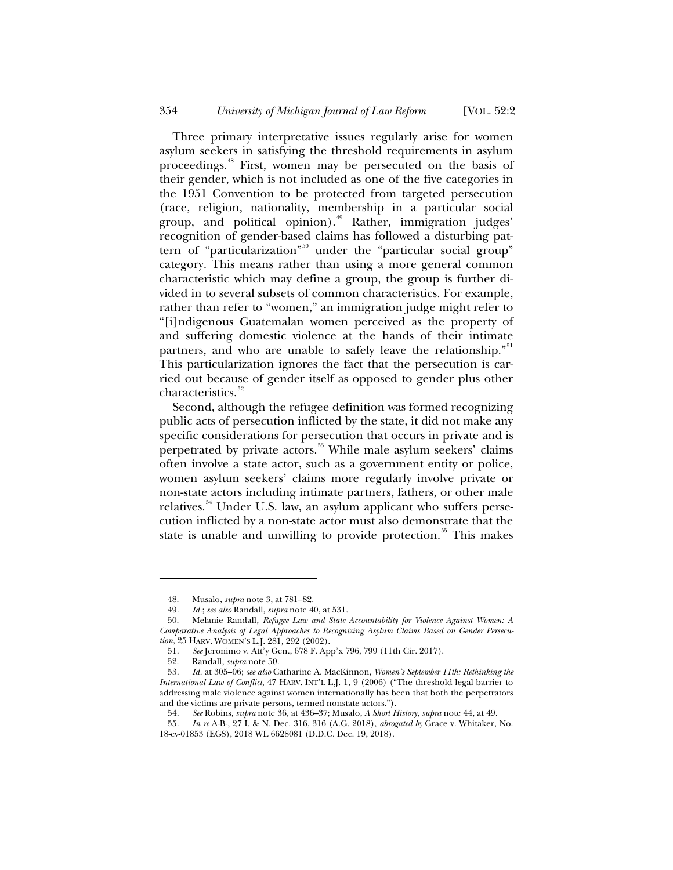Three primary interpretative issues regularly arise for women asylum seekers in satisfying the threshold requirements in asylum proceedings.<sup>48</sup> First, women may be persecuted on the basis of their gender, which is not included as one of the five categories in the 1951 Convention to be protected from targeted persecution (race, religion, nationality, membership in a particular social group, and political opinion). $49$  Rather, immigration judges recognition of gender-based claims has followed a disturbing pattern of "particularization"<sup>50</sup> under the "particular social group" category. This means rather than using a more general common characteristic which may define a group, the group is further divided in to several subsets of common characteristics. For example, rather than refer to "women," an immigration judge might refer to "[i]ndigenous Guatemalan women perceived as the property of and suffering domestic violence at the hands of their intimate partners, and who are unable to safely leave the relationship."<sup>51</sup> This particularization ignores the fact that the persecution is carried out because of gender itself as opposed to gender plus other characteristics.<sup>52</sup>

Second, although the refugee definition was formed recognizing public acts of persecution inflicted by the state, it did not make any specific considerations for persecution that occurs in private and is perpetrated by private actors.<sup>53</sup> While male asylum seekers' claims often involve a state actor, such as a government entity or police, women asylum seekers' claims more regularly involve private or non-state actors including intimate partners, fathers, or other male relatives.<sup>54</sup> Under U.S. law, an asylum applicant who suffers persecution inflicted by a non-state actor must also demonstrate that the state is unable and unwilling to provide protection.<sup>55</sup> This makes

<sup>48.</sup> Musalo, *supra* note 3, at 781–82.

<sup>49.</sup> *Id.*; *see also* Randall, *supra* note 40, at 531.

<sup>50.</sup> Melanie Randall, *Refugee Law and State Accountability for Violence Against Women: A Comparative Analysis of Legal Approaches to Recognizing Asylum Claims Based on Gender Persecution*, 25 HARV. WOMEN'S L.J. 281, 292 (2002).

<sup>51.</sup> *See* Jeronimo v. Att'y Gen., 678 F. App'x 796, 799 (11th Cir. 2017).

<sup>52.</sup> Randall, *supra* note 50.

<sup>53.</sup> *Id.* at 305–06; *see also* Catharine A. MacKinnon, *Women's September 11th: Rethinking the International Law of Conflict*, 47 HARV. INT'L L.J. 1, 9 (2006) ("The threshold legal barrier to addressing male violence against women internationally has been that both the perpetrators and the victims are private persons, termed nonstate actors.").

<sup>54.</sup> *See* Robins, *supra* note 36, at 436–37; Musalo, *A Short History*, *supra* note 44, at 49.

<sup>55.</sup> *In re* A-B-, 27 I. & N. Dec. 316, 316 (A.G. 2018), *abrogated by* Grace v. Whitaker, No. 18-cv-01853 (EGS), 2018 WL 6628081 (D.D.C. Dec. 19, 2018).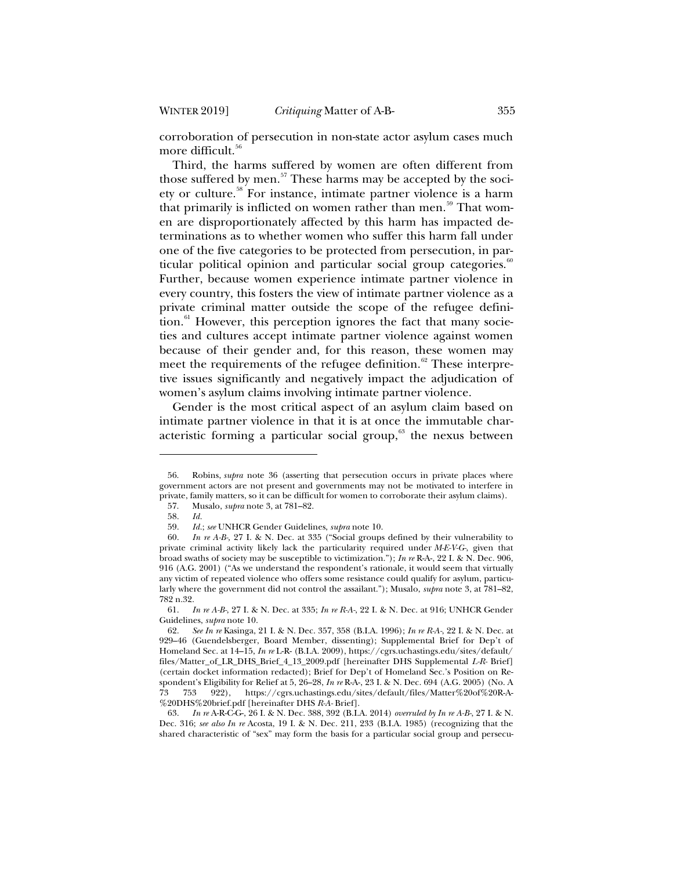corroboration of persecution in non-state actor asylum cases much more difficult.<sup>56</sup>

Third, the harms suffered by women are often different from those suffered by men. $57$  These harms may be accepted by the society or culture.<sup>58</sup> For instance, intimate partner violence is a harm that primarily is inflicted on women rather than men.<sup>59</sup> That women are disproportionately affected by this harm has impacted determinations as to whether women who suffer this harm fall under one of the five categories to be protected from persecution, in particular political opinion and particular social group categories.<sup>60</sup> Further, because women experience intimate partner violence in every country, this fosters the view of intimate partner violence as a private criminal matter outside the scope of the refugee defini- $\chi$ <sub>61</sub> However, this perception ignores the fact that many societies and cultures accept intimate partner violence against women because of their gender and, for this reason, these women may meet the requirements of the refugee definition.<sup>62</sup> These interpretive issues significantly and negatively impact the adjudication of women's asylum claims involving intimate partner violence.

Gender is the most critical aspect of an asylum claim based on intimate partner violence in that it is at once the immutable characteristic forming a particular social group, $63$  the nexus between

<sup>56.</sup> Robins, *supra* note 36 (asserting that persecution occurs in private places where government actors are not present and governments may not be motivated to interfere in private, family matters, so it can be difficult for women to corroborate their asylum claims).

<sup>57.</sup> Musalo, *supra* note 3, at 781–82.

<sup>58.</sup> *Id.*

<sup>59.</sup> *Id.*; *see* UNHCR Gender Guidelines, *supra* note 10.

<sup>60.</sup> *In re A-B-,* 27 I. & N. Dec. at 335 ("Social groups defined by their vulnerability to private criminal activity likely lack the particularity required under *M-E-V-G-*, given that broad swaths of society may be susceptible to victimization."); *In re* R-A-, 22 I. & N. Dec. 906, 916 (A.G. 2001) ("As we understand the respondent's rationale, it would seem that virtually any victim of repeated violence who offers some resistance could qualify for asylum, particularly where the government did not control the assailant."); Musalo, *supra* note 3, at 781–82, 782 n.32.

<sup>61.</sup> *In re A-B-*, 27 I. & N. Dec. at 335; *In re R-A-*, 22 I. & N. Dec. at 916; UNHCR Gender Guidelines, *supra* note 10.

<sup>62.</sup> *See In re* Kasinga, 21 I. & N. Dec. 357, 358 (B.I.A. 1996); *In re R-A-*, 22 I. & N. Dec. at 929–46 (Guendelsberger, Board Member, dissenting); Supplemental Brief for Dep't of Homeland Sec. at 14–15, *In re* L-R- (B.I.A. 2009), https://cgrs.uchastings.edu/sites/default/ files/Matter\_of\_LR\_DHS\_Brief\_4\_13\_2009.pdf [hereinafter DHS Supplemental *L-R-* Brief] (certain docket information redacted); Brief for Dep't of Homeland Sec.'s Position on Respondent's Eligibility for Relief at 5, 26–28, *In re* R-A-, 23 I. & N. Dec. 694 (A.G. 2005) (No. A 73 753 922), https://cgrs.uchastings.edu/sites/default/files/Matter%20of%20R-A- %20DHS%20brief.pdf [hereinafter DHS *R-A-* Brief].

<sup>63.</sup> *In re* A-R-C-G-, 26 I. & N. Dec. 388, 392 (B.I.A. 2014) *overruled by In re A-B-*, 27 I. & N. Dec. 316; *see also In re* Acosta, 19 I. & N. Dec. 211, 233 (B.I.A. 1985) (recognizing that the shared characteristic of "sex" may form the basis for a particular social group and persecu-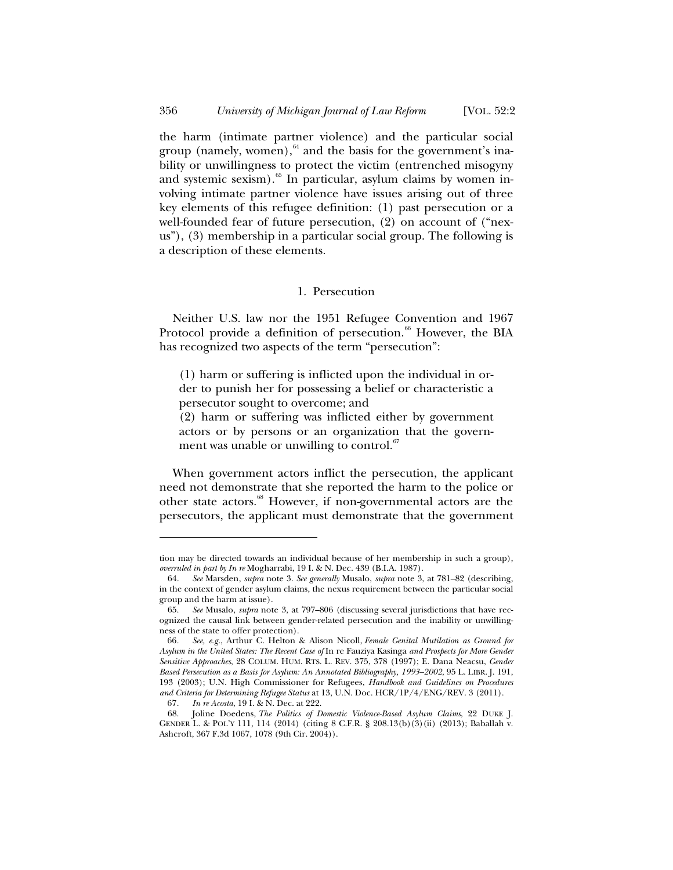the harm (intimate partner violence) and the particular social group (namely, women), $64$  and the basis for the government's inability or unwillingness to protect the victim (entrenched misogyny and systemic sexism). $65$  In particular, asylum claims by women involving intimate partner violence have issues arising out of three key elements of this refugee definition: (1) past persecution or a well-founded fear of future persecution, (2) on account of ("nexus"), (3) membership in a particular social group. The following is a description of these elements.

#### 1. Persecution

Neither U.S. law nor the 1951 Refugee Convention and 1967 Protocol provide a definition of persecution.<sup>66</sup> However, the BIA has recognized two aspects of the term "persecution":

(1) harm or suffering is inflicted upon the individual in order to punish her for possessing a belief or characteristic a persecutor sought to overcome; and

(2) harm or suffering was inflicted either by government actors or by persons or an organization that the government was unable or unwilling to control. $\frac{67}{100}$ 

When government actors inflict the persecution, the applicant need not demonstrate that she reported the harm to the police or other state actors.<sup>68</sup> However, if non-governmental actors are the persecutors, the applicant must demonstrate that the government

tion may be directed towards an individual because of her membership in such a group), *overruled in part by In re* Mogharrabi, 19 I. & N. Dec. 439 (B.I.A. 1987).

<sup>64.</sup> *See* Marsden, *supra* note 3. *See generally* Musalo, *supra* note 3, at 781–82 (describing, in the context of gender asylum claims, the nexus requirement between the particular social group and the harm at issue).

<sup>65.</sup> *See* Musalo, *supra* note 3, at 797–806 (discussing several jurisdictions that have recognized the causal link between gender-related persecution and the inability or unwillingness of the state to offer protection).

<sup>66</sup>*. See, e.g.*, Arthur C. Helton & Alison Nicoll, *Female Genital Mutilation as Ground for Asylum in the United States: The Recent Case of* In re Fauziya Kasinga *and Prospects for More Gender Sensitive Approaches*, 28 COLUM. HUM. RTS. L. REV. 375, 378 (1997); E. Dana Neacsu, *Gender Based Persecution as a Basis for Asylum: An Annotated Bibliography, 1993–2002*, 95 L. LIBR. J. 191, 193 (2003); U.N. High Commissioner for Refugees, *Handbook and Guidelines on Procedures and Criteria for Determining Refugee Status* at 13, U.N. Doc. HCR/1P/4/ENG/REV. 3 (2011).

<sup>67</sup>*. In re Acosta*, 19 I. & N. Dec. at 222.

<sup>68.</sup> Joline Doedens, *The Politics of Domestic Violence-Based Asylum Claims*, 22 DUKE J. GENDER L. & POL'Y 111, 114 (2014) (citing 8 C.F.R. § 208.13(b)(3)(ii) (2013); Baballah v. Ashcroft, 367 F.3d 1067, 1078 (9th Cir. 2004)).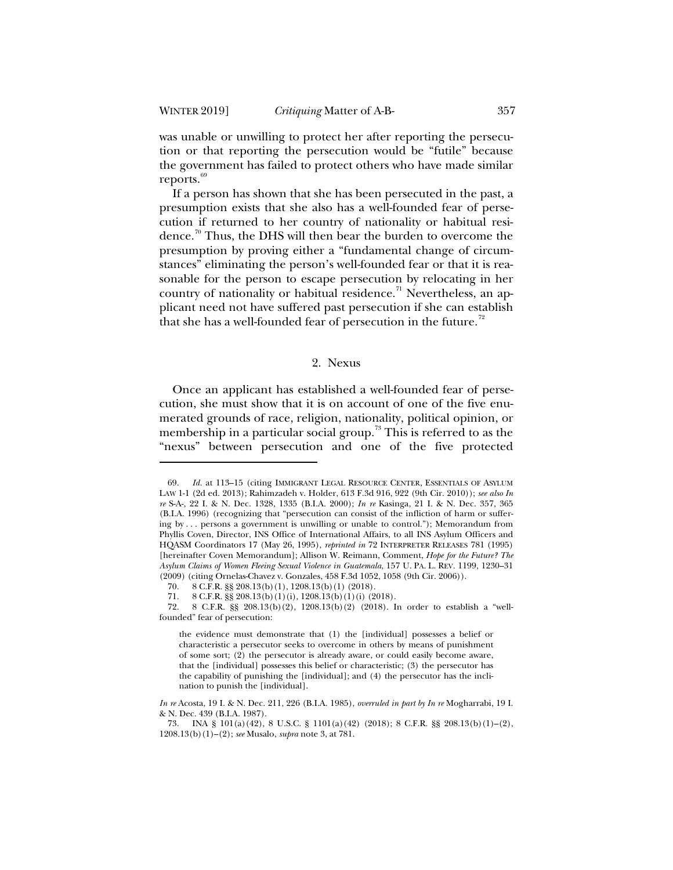was unable or unwilling to protect her after reporting the persecution or that reporting the persecution would be "futile" because the government has failed to protect others who have made similar reports. $69$ 

If a person has shown that she has been persecuted in the past, a presumption exists that she also has a well-founded fear of persecution if returned to her country of nationality or habitual residence.<sup>70</sup> Thus, the DHS will then bear the burden to overcome the presumption by proving either a "fundamental change of circumstances" eliminating the person's well-founded fear or that it is reasonable for the person to escape persecution by relocating in her country of nationality or habitual residence.<sup>71</sup> Nevertheless, an applicant need not have suffered past persecution if she can establish that she has a well-founded fear of persecution in the future.<sup> $2$ </sup>

#### 2. Nexus

Once an applicant has established a well-founded fear of persecution, she must show that it is on account of one of the five enumerated grounds of race, religion, nationality, political opinion, or membership in a particular social group.<sup>73</sup> This is referred to as the "nexus" between persecution and one of the five protected

<sup>69.</sup> *Id.* at 113–15 (citing IMMIGRANT LEGAL RESOURCE CENTER, ESSENTIALS OF ASYLUM LAW 1-1 (2d ed. 2013); Rahimzadeh v. Holder, 613 F.3d 916, 922 (9th Cir. 2010)); *see also In re* S-A-, 22 I. & N. Dec. 1328, 1335 (B.I.A. 2000); *In re* Kasinga, 21 I. & N. Dec. 357, 365 (B.I.A. 1996) (recognizing that "persecution can consist of the infliction of harm or suffering by . . . persons a government is unwilling or unable to control."); Memorandum from Phyllis Coven, Director, INS Office of International Affairs, to all INS Asylum Officers and HQASM Coordinators 17 (May 26, 1995), *reprinted in* 72 INTERPRETER RELEASES 781 (1995) [hereinafter Coven Memorandum]; Allison W. Reimann, Comment, *Hope for the Future? The Asylum Claims of Women Fleeing Sexual Violence in Guatemala*, 157 U. PA. L. REV. 1199, 1230–31 (2009) (citing Ornelas-Chavez v. Gonzales, 458 F.3d 1052, 1058 (9th Cir. 2006)).<br>70. 8 C.F.R. §§ 208.13(b)(1), 1208.13(b)(1) (2018).

<sup>8</sup> C.F.R. §§ 208.13(b)(1), 1208.13(b)(1) (2018).

<sup>71. 8</sup> C.F.R. §§ 208.13(b)(1)(i), 1208.13(b)(1)(i) (2018).

<sup>72. 8</sup> C.F.R. §§ 208.13(b)(2), 1208.13(b)(2) (2018). In order to establish a "wellfounded" fear of persecution:

the evidence must demonstrate that (1) the [individual] possesses a belief or characteristic a persecutor seeks to overcome in others by means of punishment of some sort; (2) the persecutor is already aware, or could easily become aware, that the [individual] possesses this belief or characteristic; (3) the persecutor has the capability of punishing the [individual]; and (4) the persecutor has the inclination to punish the [individual].

*In re* Acosta, 19 I. & N. Dec. 211, 226 (B.I.A. 1985), *overruled in part by In re* Mogharrabi, 19 I. & N. Dec. 439 (B.I.A. 1987).

<sup>73.</sup> INA § 101(a)(42), 8 U.S.C. § 1101(a)(42) (2018); 8 C.F.R. §§ 208.13(b)(1)–(2), 1208.13(b)(1)–(2); *see* Musalo, *supra* note 3, at 781.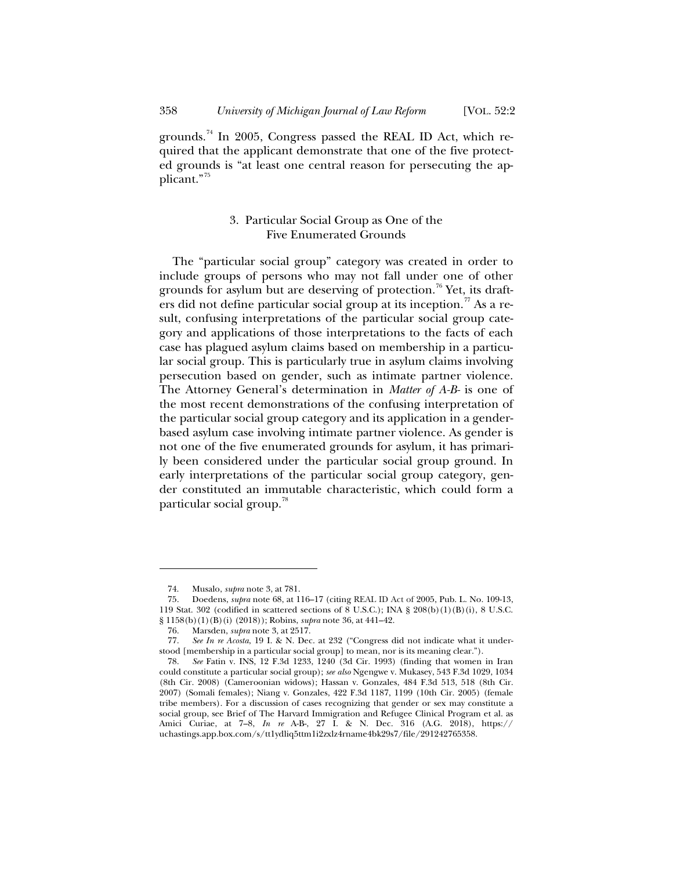grounds.<sup>74</sup> In 2005, Congress passed the REAL ID Act, which required that the applicant demonstrate that one of the five protected grounds is "at least one central reason for persecuting the applicant."<sup>75</sup>

## 3. Particular Social Group as One of the Five Enumerated Grounds

The "particular social group" category was created in order to include groups of persons who may not fall under one of other grounds for asylum but are deserving of protection.<sup>76</sup> Yet, its drafters did not define particular social group at its inception.<sup>77</sup> As a result, confusing interpretations of the particular social group category and applications of those interpretations to the facts of each case has plagued asylum claims based on membership in a particular social group. This is particularly true in asylum claims involving persecution based on gender, such as intimate partner violence. The Attorney General's determination in *Matter of A-B-* is one of the most recent demonstrations of the confusing interpretation of the particular social group category and its application in a genderbased asylum case involving intimate partner violence. As gender is not one of the five enumerated grounds for asylum, it has primarily been considered under the particular social group ground. In early interpretations of the particular social group category, gender constituted an immutable characteristic, which could form a particular social group.<sup>78</sup>

<sup>74.</sup> Musalo, *supra* note 3, at 781.

<sup>75.</sup> Doedens, *supra* note 68, at 116–17 (citing REAL ID Act of 2005, Pub. L. No. 109-13, 119 Stat. 302 (codified in scattered sections of 8 U.S.C.); INA § 208(b)(1)(B)(i), 8 U.S.C. § 1158(b)(1)(B)(i) (2018)); Robins, *supra* note 36, at 441–42.

<sup>76.</sup> Marsden, *supra* note 3, at 2517.

See In re Acosta, 19 I. & N. Dec. at 232 ("Congress did not indicate what it understood [membership in a particular social group] to mean, nor is its meaning clear.").

<sup>78.</sup> *See* Fatin v. INS, 12 F.3d 1233, 1240 (3d Cir. 1993) (finding that women in Iran could constitute a particular social group); *see also* Ngengwe v. Mukasey, 543 F.3d 1029, 1034 (8th Cir. 2008) (Cameroonian widows); Hassan v. Gonzales, 484 F.3d 513, 518 (8th Cir. 2007) (Somali females); Niang v. Gonzales, 422 F.3d 1187, 1199 (10th Cir. 2005) (female tribe members). For a discussion of cases recognizing that gender or sex may constitute a social group, see Brief of The Harvard Immigration and Refugee Clinical Program et al. as Amici Curiae, at 7–8, *In re* A-B-, 27 I. & N. Dec. 316 (A.G. 2018), https:// uchastings.app.box.com/s/tt1ydliq5ttm1i2zxlz4rname4bk29s7/file/291242765358.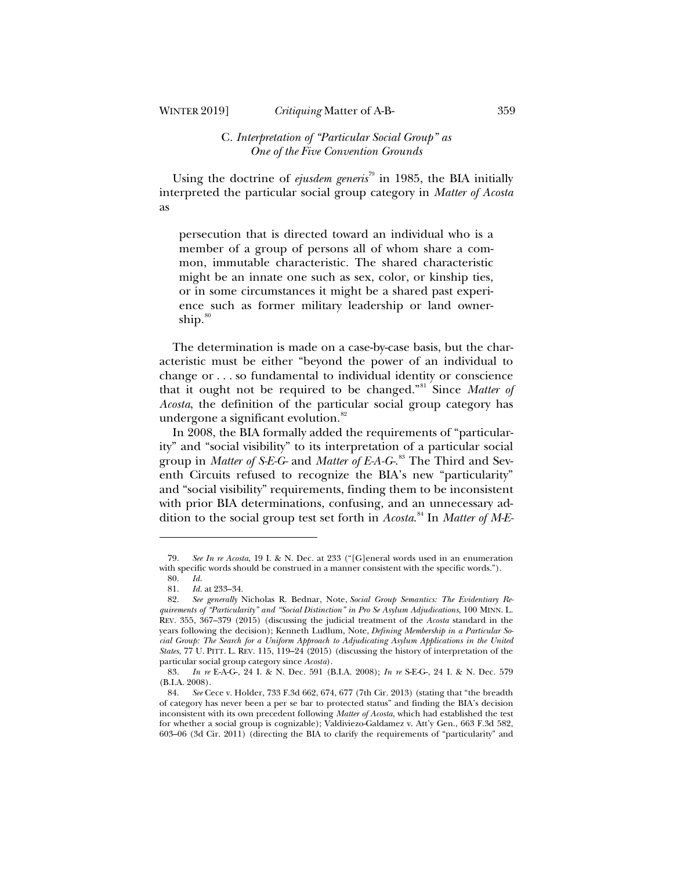## WINTER 2019] *Critiquing* Matter of A-B- 359

## C*. Interpretation of "Particular Social Group" as One of the Five Convention Grounds*

Using the doctrine of *ejusdem generis*<sup>79</sup> in 1985, the BIA initially interpreted the particular social group category in *Matter of Acosta* as

persecution that is directed toward an individual who is a member of a group of persons all of whom share a common, immutable characteristic. The shared characteristic might be an innate one such as sex, color, or kinship ties, or in some circumstances it might be a shared past experience such as former military leadership or land ownership.<sup>80</sup>

The determination is made on a case-by-case basis, but the characteristic must be either "beyond the power of an individual to change or . . . so fundamental to individual identity or conscience that it ought not be required to be changed."<sup>81</sup> Since *Matter of Acosta*, the definition of the particular social group category has undergone a significant evolution.<sup>82</sup>

In 2008, the BIA formally added the requirements of "particularity" and "social visibility" to its interpretation of a particular social group in *Matter of S-E-G-* and *Matter of E-A-G-*. <sup>83</sup> The Third and Seventh Circuits refused to recognize the BIA's new "particularity" and "social visibility" requirements, finding them to be inconsistent with prior BIA determinations, confusing, and an unnecessary addition to the social group test set forth in *Acosta*. <sup>84</sup> In *Matter of M-E-*

<sup>79.</sup> *See In re Acosta*, 19 I. & N. Dec. at 233 ("[G]eneral words used in an enumeration with specific words should be construed in a manner consistent with the specific words.").

<sup>80.</sup> *Id.*

<sup>81.</sup> *Id.* at 233–34.

<sup>82.</sup> *See generally* Nicholas R. Bednar, Note, *Social Group Semantics: The Evidentiary Requirements of "Particularity" and "Social Distinction" in Pro Se Asylum Adjudications*, 100 MINN. L. REV. 355, 367–379 (2015) (discussing the judicial treatment of the *Acosta* standard in the years following the decision); Kenneth Ludlum, Note, *Defining Membership in a Particular Social Group: The Search for a Uniform Approach to Adjudicating Asylum Applications in the United States*, 77 U. PITT. L. REV. 115, 119–24 (2015) (discussing the history of interpretation of the particular social group category since *Acosta*).

<sup>83.</sup> *In re* E-A-G-, 24 I. & N. Dec. 591 (B.I.A. 2008); *In re* S-E-G-, 24 I. & N. Dec. 579 (B.I.A. 2008).

<sup>84.</sup> *See* Cece v. Holder, 733 F.3d 662, 674, 677 (7th Cir. 2013) (stating that "the breadth of category has never been a per se bar to protected status" and finding the BIA's decision inconsistent with its own precedent following *Matter of Acosta*, which had established the test for whether a social group is cognizable); Valdiviezo-Galdamez v. Att'y Gen., 663 F.3d 582, 603–06 (3d Cir. 2011) (directing the BIA to clarify the requirements of "particularity" and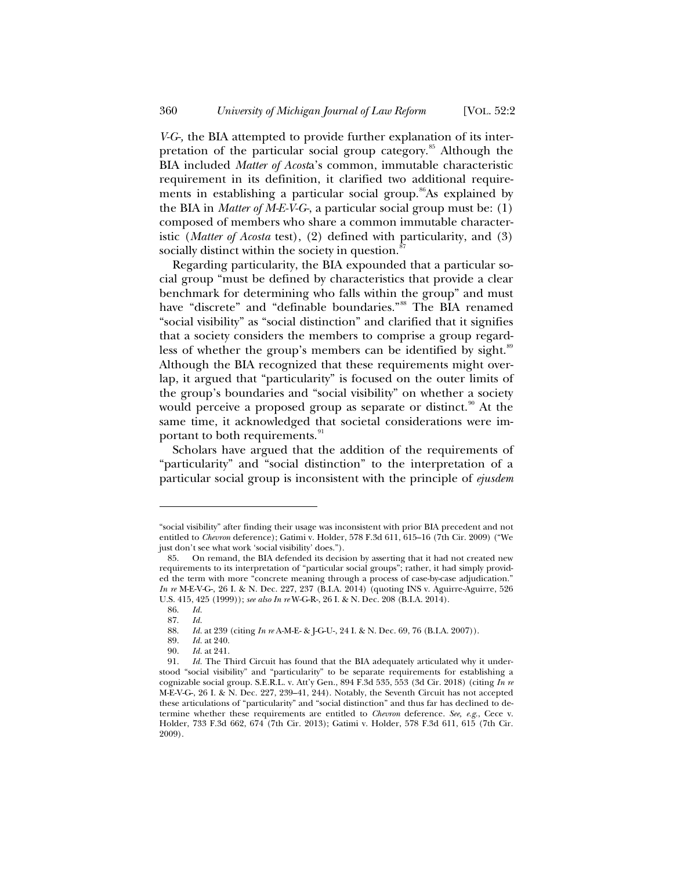*V-G-,* the BIA attempted to provide further explanation of its interpretation of the particular social group category.<sup>85</sup> Although the BIA included *Matter of Acost*a's common, immutable characteristic requirement in its definition, it clarified two additional requirements in establishing a particular social group.<sup>86</sup>As explained by the BIA in *Matter of M-E-V-G-*, a particular social group must be: (1) composed of members who share a common immutable characteristic (*Matter of Acosta* test), (2) defined with particularity, and (3) socially distinct within the society in question.<sup>8</sup>

Regarding particularity, the BIA expounded that a particular social group "must be defined by characteristics that provide a clear benchmark for determining who falls within the group" and must have "discrete" and "definable boundaries."<sup>88</sup> The BIA renamed "social visibility" as "social distinction" and clarified that it signifies that a society considers the members to comprise a group regardless of whether the group's members can be identified by sight.<sup>89</sup> Although the BIA recognized that these requirements might overlap, it argued that "particularity" is focused on the outer limits of the group's boundaries and "social visibility" on whether a society would perceive a proposed group as separate or distinct.<sup>90</sup> At the same time, it acknowledged that societal considerations were important to both requirements.<sup>91</sup>

Scholars have argued that the addition of the requirements of "particularity" and "social distinction" to the interpretation of a particular social group is inconsistent with the principle of *ejusdem* 

<sup>&</sup>quot;social visibility" after finding their usage was inconsistent with prior BIA precedent and not entitled to *Chevron* deference); Gatimi v. Holder, 578 F.3d 611, 615–16 (7th Cir. 2009) ("We just don't see what work 'social visibility' does.").

<sup>85.</sup> On remand*,* the BIA defended its decision by asserting that it had not created new requirements to its interpretation of "particular social groups"; rather, it had simply provided the term with more "concrete meaning through a process of case-by-case adjudication." *In re* M-E-V-G-, 26 I. & N. Dec. 227, 237 (B.I.A. 2014) (quoting INS v. Aguirre-Aguirre, 526 U.S. 415, 425 (1999)); *see also In re* W-G-R-, 26 I. & N. Dec. 208 (B.I.A. 2014).

<sup>86.</sup> *Id.*

<sup>87.</sup> *Id.*

<sup>88.</sup> *Id.* at 239 (citing *In re* A-M-E- & J-G-U-, 24 I. & N. Dec. 69, 76 (B.I.A. 2007)).

*Id.* at 240.

<sup>90.</sup> *Id.* at 241.

<sup>91.</sup> *Id.* The Third Circuit has found that the BIA adequately articulated why it understood "social visibility" and "particularity" to be separate requirements for establishing a cognizable social group. S.E.R.L. v. Att'y Gen., 894 F.3d 535, 553 (3d Cir. 2018) (citing *In re*  M-E-V-G-, 26 I. & N. Dec. 227, 239–41, 244). Notably, the Seventh Circuit has not accepted these articulations of "particularity" and "social distinction" and thus far has declined to determine whether these requirements are entitled to *Chevron* deference. *See, e.g.*, Cece v. Holder, 733 F.3d 662, 674 (7th Cir. 2013); Gatimi v. Holder, 578 F.3d 611, 615 (7th Cir. 2009).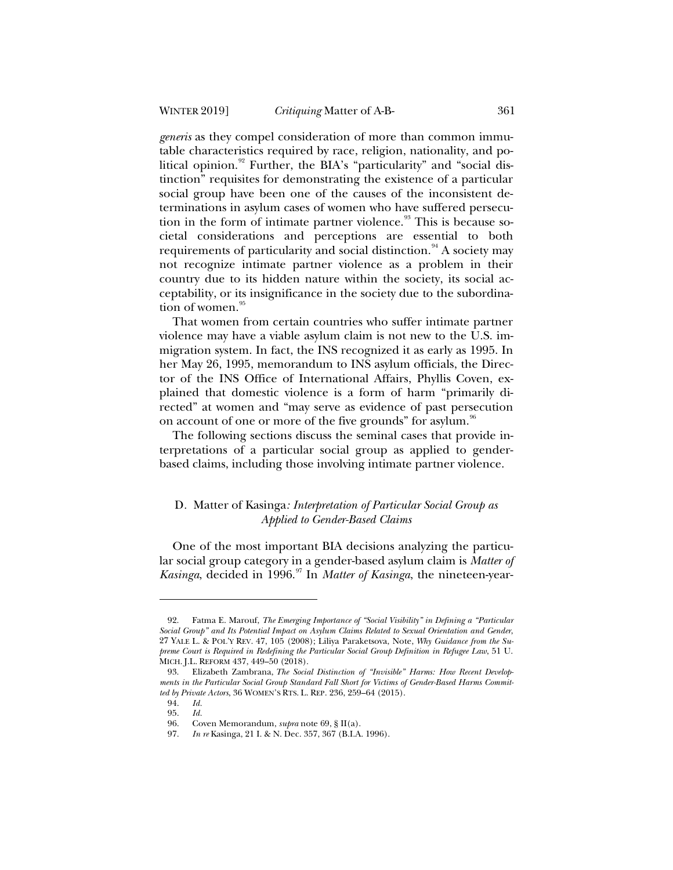*generis* as they compel consideration of more than common immutable characteristics required by race, religion, nationality, and political opinion.<sup>92</sup> Further, the BIA's "particularity" and "social distinction" requisites for demonstrating the existence of a particular social group have been one of the causes of the inconsistent determinations in asylum cases of women who have suffered persecution in the form of intimate partner violence. $\frac{93}{3}$  This is because societal considerations and perceptions are essential to both requirements of particularity and social distinction.<sup>94</sup> A society may not recognize intimate partner violence as a problem in their country due to its hidden nature within the society, its social acceptability, or its insignificance in the society due to the subordination of women.<sup>95</sup>

That women from certain countries who suffer intimate partner violence may have a viable asylum claim is not new to the U.S. immigration system. In fact, the INS recognized it as early as 1995. In her May 26, 1995, memorandum to INS asylum officials, the Director of the INS Office of International Affairs, Phyllis Coven, explained that domestic violence is a form of harm "primarily directed" at women and "may serve as evidence of past persecution on account of one or more of the five grounds" for asylum.<sup>96</sup>

The following sections discuss the seminal cases that provide interpretations of a particular social group as applied to genderbased claims, including those involving intimate partner violence.

## D*.* Matter of Kasinga*: Interpretation of Particular Social Group as Applied to Gender-Based Claims*

One of the most important BIA decisions analyzing the particular social group category in a gender-based asylum claim is *Matter of Kasinga*, decided in 1996.<sup>97</sup> In *Matter of Kasinga*, the nineteen-year-

<sup>92.</sup> Fatma E. Marouf, *The Emerging Importance of "Social Visibility" in Defining a "Particular Social Group" and Its Potential Impact on Asylum Claims Related to Sexual Orientation and Gender*, 27 YALE L. & POL'Y REV. 47, 105 (2008); Liliya Paraketsova, Note, *Why Guidance from the Supreme Court is Required in Redefining the Particular Social Group Definition in Refugee Law*, 51 U. MICH. J.L. REFORM 437, 449–50 (2018).

<sup>93.</sup> Elizabeth Zambrana, *The Social Distinction of "Invisible" Harms: How Recent Developments in the Particular Social Group Standard Fall Short for Victims of Gender-Based Harms Committed by Private Actors*, 36 WOMEN'S RTS. L. REP. 236, 259–64 (2015).

<sup>94.</sup> *Id.*

<sup>95.</sup> *Id.*

<sup>96.</sup> Coven Memorandum, *supra* note 69, § II(a).

<sup>97.</sup> *In re* Kasinga, 21 I. & N. Dec. 357, 367 (B.I.A. 1996).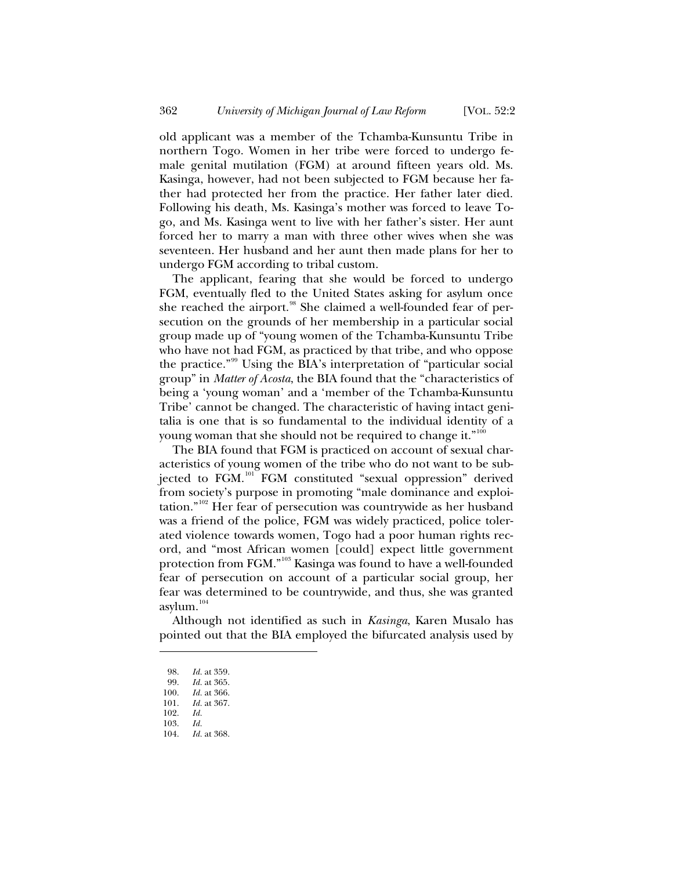old applicant was a member of the Tchamba-Kunsuntu Tribe in northern Togo. Women in her tribe were forced to undergo female genital mutilation (FGM) at around fifteen years old. Ms. Kasinga, however, had not been subjected to FGM because her father had protected her from the practice. Her father later died. Following his death, Ms. Kasinga's mother was forced to leave Togo, and Ms. Kasinga went to live with her father's sister. Her aunt forced her to marry a man with three other wives when she was seventeen. Her husband and her aunt then made plans for her to undergo FGM according to tribal custom.

The applicant, fearing that she would be forced to undergo FGM, eventually fled to the United States asking for asylum once she reached the airport.<sup>98</sup> She claimed a well-founded fear of persecution on the grounds of her membership in a particular social group made up of "young women of the Tchamba-Kunsuntu Tribe who have not had FGM, as practiced by that tribe, and who oppose the practice."<sup>99</sup> Using the BIA's interpretation of "particular social group" in *Matter of Acosta*, the BIA found that the "characteristics of being a 'young woman' and a 'member of the Tchamba-Kunsuntu Tribe' cannot be changed. The characteristic of having intact genitalia is one that is so fundamental to the individual identity of a young woman that she should not be required to change it." $^{100}$ 

The BIA found that FGM is practiced on account of sexual characteristics of young women of the tribe who do not want to be subjected to FGM.<sup>101</sup> FGM constituted "sexual oppression" derived from society's purpose in promoting "male dominance and exploitation."<sup>102</sup> Her fear of persecution was countrywide as her husband was a friend of the police, FGM was widely practiced, police tolerated violence towards women, Togo had a poor human rights record, and "most African women [could] expect little government protection from FGM."<sup>103</sup> Kasinga was found to have a well-founded fear of persecution on account of a particular social group, her fear was determined to be countrywide, and thus, she was granted asylum.<sup>104</sup>

Although not identified as such in *Kasinga*, Karen Musalo has pointed out that the BIA employed the bifurcated analysis used by

<sup>98.</sup> *Id.* at 359.

<sup>99.</sup> *Id.* at 365.

<sup>100.</sup> *Id.* at 366.

<sup>101.</sup> *Id.* at 367.<br>102. *Id.* 102. *Id.*

<sup>103.</sup> *Id.*

<sup>104.</sup> *Id.* at 368.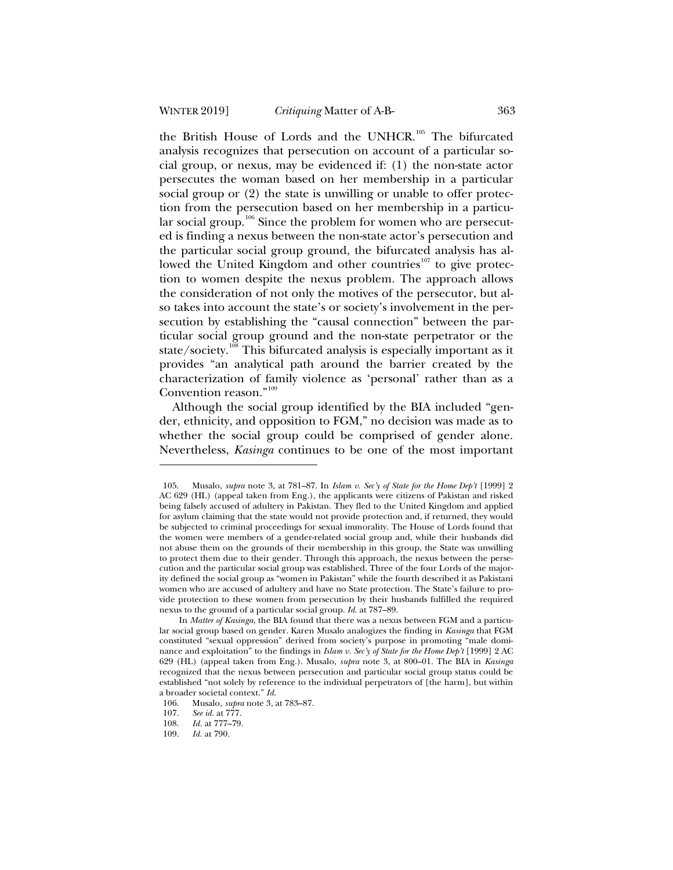the British House of Lords and the UNHCR.<sup>105</sup> The bifurcated analysis recognizes that persecution on account of a particular social group, or nexus, may be evidenced if: (1) the non-state actor persecutes the woman based on her membership in a particular social group or (2) the state is unwilling or unable to offer protection from the persecution based on her membership in a particular social group.<sup>106</sup> Since the problem for women who are persecuted is finding a nexus between the non-state actor's persecution and the particular social group ground, the bifurcated analysis has allowed the United Kingdom and other countries<sup>107</sup> to give protection to women despite the nexus problem. The approach allows the consideration of not only the motives of the persecutor, but also takes into account the state's or society's involvement in the persecution by establishing the "causal connection" between the particular social group ground and the non-state perpetrator or the state/society.<sup>108</sup> This bifurcated analysis is especially important as it provides "an analytical path around the barrier created by the characterization of family violence as 'personal' rather than as a Convention reason."<sup>109</sup>

Although the social group identified by the BIA included "gender, ethnicity, and opposition to FGM," no decision was made as to whether the social group could be comprised of gender alone. Nevertheless, *Kasinga* continues to be one of the most important

<sup>105.</sup> Musalo, *supra* note 3, at 781–87. In *Islam v. Sec'y of State for the Home Dep't* [1999] 2 AC 629 (HL) (appeal taken from Eng.), the applicants were citizens of Pakistan and risked being falsely accused of adultery in Pakistan. They fled to the United Kingdom and applied for asylum claiming that the state would not provide protection and, if returned, they would be subjected to criminal proceedings for sexual immorality. The House of Lords found that the women were members of a gender-related social group and, while their husbands did not abuse them on the grounds of their membership in this group, the State was unwilling to protect them due to their gender. Through this approach, the nexus between the persecution and the particular social group was established. Three of the four Lords of the majority defined the social group as "women in Pakistan" while the fourth described it as Pakistani women who are accused of adultery and have no State protection. The State's failure to provide protection to these women from persecution by their husbands fulfilled the required nexus to the ground of a particular social group. *Id.* at 787–89.

In *Matter of Kasinga*, the BIA found that there was a nexus between FGM and a particular social group based on gender. Karen Musalo analogizes the finding in *Kasinga* that FGM constituted "sexual oppression" derived from society's purpose in promoting "male dominance and exploitation" to the findings in *Islam v. Sec'y of State for the Home Dep't* [1999] 2 AC 629 (HL) (appeal taken from Eng.). Musalo, *supra* note 3, at 800–01. The BIA in *Kasinga*  recognized that the nexus between persecution and particular social group status could be established "not solely by reference to the individual perpetrators of [the harm], but within a broader societal context." *Id.*

<sup>106.</sup> Musalo*, supra* note 3, at 783–87.

<sup>107.</sup> *See id.* at 777.

<sup>108.</sup> *Id.* at 777–79.

<sup>109.</sup> *Id.* at 790.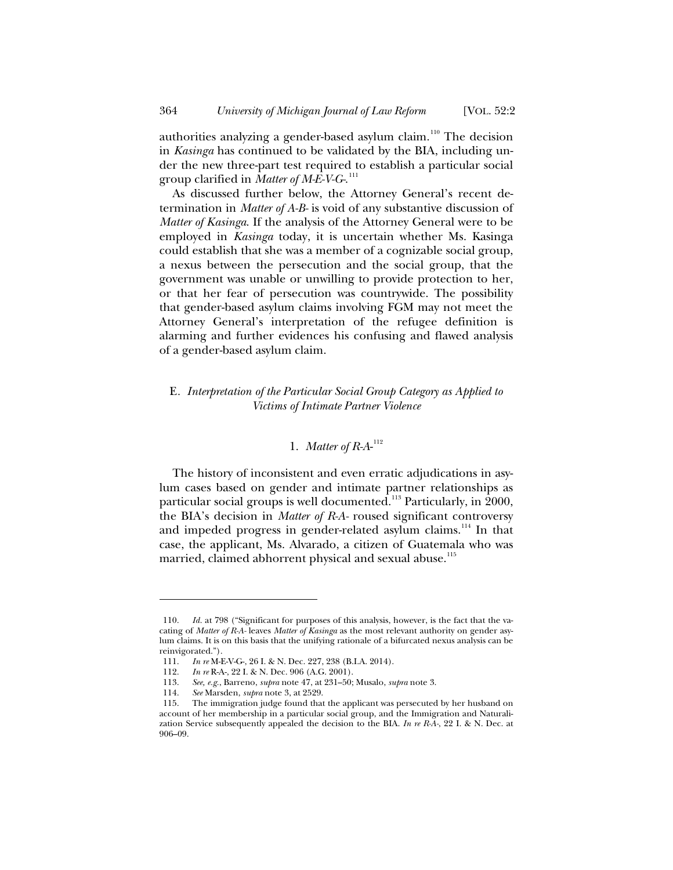authorities analyzing a gender-based asylum claim.<sup>110</sup> The decision in *Kasinga* has continued to be validated by the BIA, including under the new three-part test required to establish a particular social group clarified in *Matter of M-E-V-G-*. 111

As discussed further below, the Attorney General's recent determination in *Matter of A-B-* is void of any substantive discussion of *Matter of Kasinga*. If the analysis of the Attorney General were to be employed in *Kasinga* today, it is uncertain whether Ms. Kasinga could establish that she was a member of a cognizable social group, a nexus between the persecution and the social group, that the government was unable or unwilling to provide protection to her, or that her fear of persecution was countrywide. The possibility that gender-based asylum claims involving FGM may not meet the Attorney General's interpretation of the refugee definition is alarming and further evidences his confusing and flawed analysis of a gender-based asylum claim.

## E*. Interpretation of the Particular Social Group Category as Applied to Victims of Intimate Partner Violence*

## 1. *Matter of R-A*- $^{112}$

The history of inconsistent and even erratic adjudications in asylum cases based on gender and intimate partner relationships as particular social groups is well documented.<sup>113</sup> Particularly, in 2000, the BIA's decision in *Matter of R-A-* roused significant controversy and impeded progress in gender-related asylum claims.<sup>114</sup> In that case, the applicant, Ms. Alvarado, a citizen of Guatemala who was married, claimed abhorrent physical and sexual abuse.<sup>115</sup>

<sup>110.</sup> *Id.* at 798 ("Significant for purposes of this analysis, however, is the fact that the vacating of *Matter of R-A-* leaves *Matter of Kasinga* as the most relevant authority on gender asylum claims. It is on this basis that the unifying rationale of a bifurcated nexus analysis can be reinvigorated.").

<sup>111.</sup> *In re* M-E-V-G-, 26 I. & N. Dec. 227, 238 (B.I.A. 2014).

<sup>112.</sup> *In re* R-A-, 22 I. & N. Dec. 906 (A.G. 2001).

<sup>113.</sup> *See, e.g.*, Barreno, *supra* note 47, at 231–50; Musalo, *supra* note 3.

<sup>114.</sup> *See* Marsden, *supra* note 3, at 2529.

<sup>115.</sup> The immigration judge found that the applicant was persecuted by her husband on account of her membership in a particular social group, and the Immigration and Naturalization Service subsequently appealed the decision to the BIA. *In re R-A-*, 22 I. & N. Dec. at 906–09.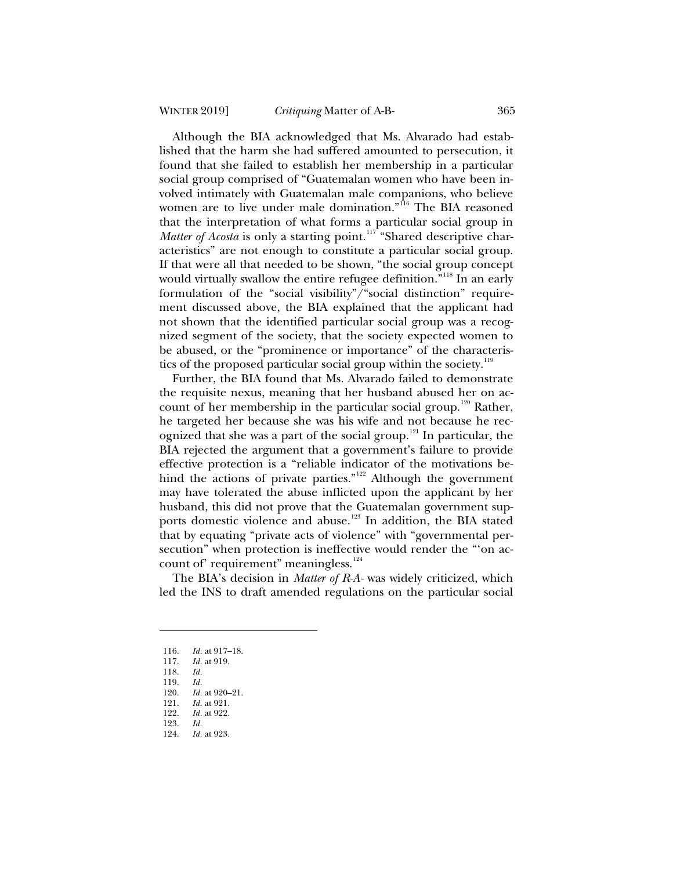Although the BIA acknowledged that Ms. Alvarado had established that the harm she had suffered amounted to persecution, it found that she failed to establish her membership in a particular social group comprised of "Guatemalan women who have been involved intimately with Guatemalan male companions, who believe women are to live under male domination."<sup>116</sup> The BIA reasoned that the interpretation of what forms a particular social group in *Matter of Acosta* is only a starting point.<sup>117</sup> "Shared descriptive characteristics" are not enough to constitute a particular social group. If that were all that needed to be shown, "the social group concept would virtually swallow the entire refugee definition."<sup>118</sup> In an early formulation of the "social visibility"/"social distinction" requirement discussed above, the BIA explained that the applicant had not shown that the identified particular social group was a recognized segment of the society, that the society expected women to be abused, or the "prominence or importance" of the characteristics of the proposed particular social group within the society.<sup>119</sup>

Further, the BIA found that Ms. Alvarado failed to demonstrate the requisite nexus, meaning that her husband abused her on account of her membership in the particular social group.<sup>120</sup> Rather, he targeted her because she was his wife and not because he recognized that she was a part of the social group.<sup>121</sup> In particular, the BIA rejected the argument that a government's failure to provide effective protection is a "reliable indicator of the motivations behind the actions of private parties."<sup>122</sup> Although the government may have tolerated the abuse inflicted upon the applicant by her husband, this did not prove that the Guatemalan government supports domestic violence and abuse.<sup>123</sup> In addition, the BIA stated that by equating "private acts of violence" with "governmental persecution" when protection is ineffective would render the "'on account of' requirement" meaningless.<sup>124</sup>

The BIA's decision in *Matter of R-A-* was widely criticized, which led the INS to draft amended regulations on the particular social

<sup>116.</sup> *Id.* at 917–18.

*Id.* at 919.

<sup>118.</sup> *Id.*

<sup>119.</sup> *Id.*

<sup>120.</sup> *Id.* at 920–21.<br>121. *Id.* at 921.

<sup>121.</sup> *Id.* at 921. *Id.* at 922.

<sup>123.</sup> *Id.*

<sup>124.</sup> *Id.* at 923.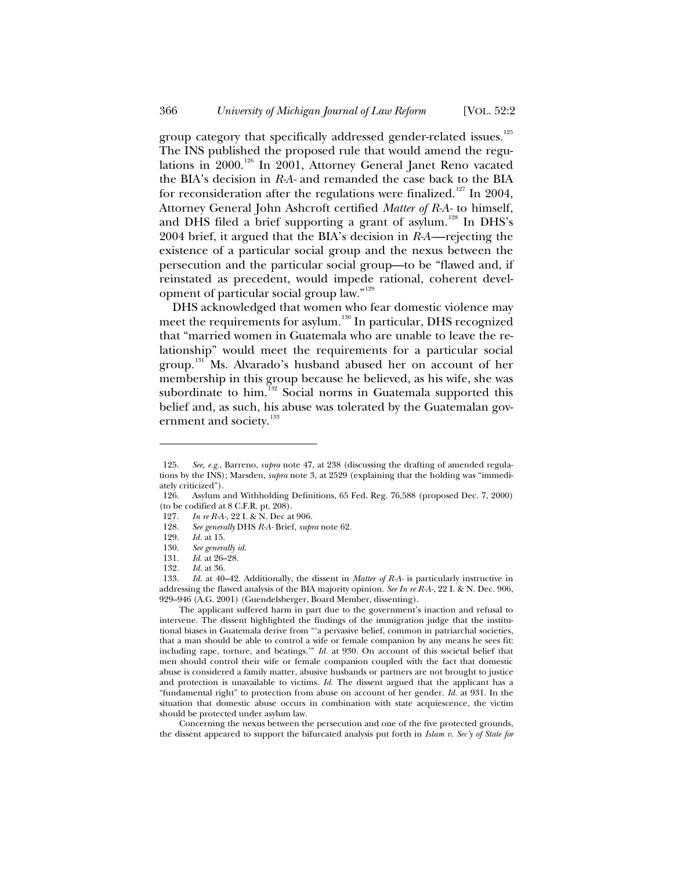group category that specifically addressed gender-related issues.<sup>125</sup> The INS published the proposed rule that would amend the regulations in 2000.<sup>126</sup> In 2001, Attorney General Janet Reno vacated the BIA's decision in *R-A-* and remanded the case back to the BIA for reconsideration after the regulations were finalized.<sup>127</sup> In 2004, Attorney General John Ashcroft certified *Matter of R-A-* to himself, and DHS filed a brief supporting a grant of asylum.<sup>128</sup> In DHS's 2004 brief, it argued that the BIA's decision in *R-A*—rejecting the existence of a particular social group and the nexus between the persecution and the particular social group—to be "flawed and, if reinstated as precedent, would impede rational, coherent development of particular social group law."<sup>129</sup>

DHS acknowledged that women who fear domestic violence may meet the requirements for asylum.<sup>130</sup> In particular, DHS recognized that "married women in Guatemala who are unable to leave the relationship" would meet the requirements for a particular social group.<sup>131</sup> Ms. Alvarado's husband abused her on account of her membership in this group because he believed, as his wife, she was subordinate to him. $132}$  Social norms in Guatemala supported this belief and, as such, his abuse was tolerated by the Guatemalan government and society.<sup>133</sup>

The applicant suffered harm in part due to the government's inaction and refusal to intervene. The dissent highlighted the findings of the immigration judge that the institutional biases in Guatemala derive from "'a pervasive belief, common in patriarchal societies, that a man should be able to control a wife or female companion by any means he sees fit: including rape, torture, and beatings.'" *Id.* at 930. On account of this societal belief that men should control their wife or female companion coupled with the fact that domestic abuse is considered a family matter, abusive husbands or partners are not brought to justice and protection is unavailable to victims. *Id.* The dissent argued that the applicant has a "fundamental right" to protection from abuse on account of her gender. *Id.* at 931. In the situation that domestic abuse occurs in combination with state acquiescence, the victim should be protected under asylum law.

Concerning the nexus between the persecution and one of the five protected grounds, the dissent appeared to support the bifurcated analysis put forth in *Islam v. Sec'y of State for* 

<sup>125.</sup> *See, e.g.*, Barreno, *supra* note 47, at 238 (discussing the drafting of amended regulations by the INS); Marsden, *supra* note 3, at 2529 (explaining that the holding was "immediately criticized").

<sup>126.</sup> Asylum and Withholding Definitions, 65 Fed. Reg. 76,588 (proposed Dec. 7, 2000) (to be codified at 8 C.F.R. pt. 208).

<sup>127</sup>*. In re R-A-*, 22 I. & N. Dec at 906.

<sup>128.</sup> *See generally* DHS *R-A-* Brief, *supra* note 62.

<sup>129.</sup> *Id.* at 15.

<sup>130.</sup> *See generally id*.

<sup>131.</sup> *Id.* at 26–28.

*Id.* at 36.

<sup>133.</sup> *Id.* at 40–42. Additionally, the dissent in *Matter of R-A-* is particularly instructive in addressing the flawed analysis of the BIA majority opinion. *See In re R-A-*, 22 I. & N. Dec. 906, 929–946 (A.G. 2001) (Guendelsberger, Board Member, dissenting).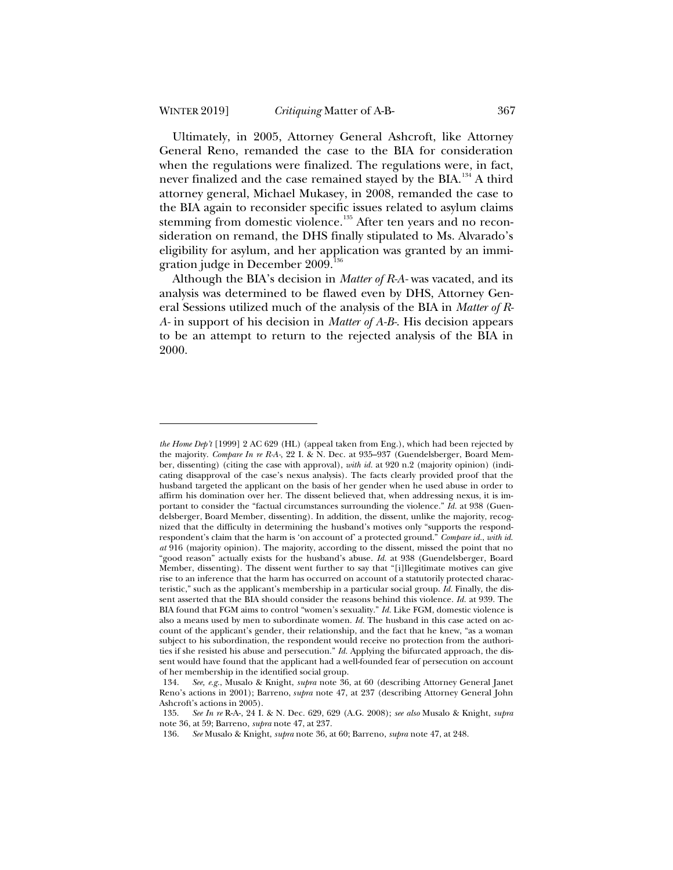Ultimately, in 2005, Attorney General Ashcroft, like Attorney General Reno, remanded the case to the BIA for consideration when the regulations were finalized. The regulations were, in fact, never finalized and the case remained stayed by the BIA.<sup>134</sup> A third attorney general, Michael Mukasey, in 2008, remanded the case to the BIA again to reconsider specific issues related to asylum claims stemming from domestic violence.<sup>135</sup> After ten years and no reconsideration on remand, the DHS finally stipulated to Ms. Alvarado's eligibility for asylum, and her application was granted by an immigration judge in December 2009.<sup>136</sup>

Although the BIA's decision in *Matter of R-A-* was vacated, and its analysis was determined to be flawed even by DHS, Attorney General Sessions utilized much of the analysis of the BIA in *Matter of R-A-* in support of his decision in *Matter of A-B-*. His decision appears to be an attempt to return to the rejected analysis of the BIA in 2000.

*the Home Dep't* [1999] 2 AC 629 (HL) (appeal taken from Eng.), which had been rejected by the majority. *Compare In re R-A-*, 22 I. & N. Dec. at 935–937 (Guendelsberger, Board Member, dissenting) (citing the case with approval), *with id.* at 920 n.2 (majority opinion) (indicating disapproval of the case's nexus analysis). The facts clearly provided proof that the husband targeted the applicant on the basis of her gender when he used abuse in order to affirm his domination over her. The dissent believed that, when addressing nexus, it is important to consider the "factual circumstances surrounding the violence." *Id.* at 938 (Guendelsberger, Board Member, dissenting). In addition, the dissent, unlike the majority, recognized that the difficulty in determining the husband's motives only "supports the respondrespondent's claim that the harm is 'on account of' a protected ground." *Compare id.*, *with id. at* 916 (majority opinion). The majority, according to the dissent, missed the point that no "good reason" actually exists for the husband's abuse. *Id.* at 938 (Guendelsberger, Board Member, dissenting). The dissent went further to say that "[i]llegitimate motives can give rise to an inference that the harm has occurred on account of a statutorily protected characteristic," such as the applicant's membership in a particular social group. *Id.* Finally, the dissent asserted that the BIA should consider the reasons behind this violence. *Id.* at 939. The BIA found that FGM aims to control "women's sexuality." *Id.* Like FGM, domestic violence is also a means used by men to subordinate women. *Id.* The husband in this case acted on account of the applicant's gender, their relationship, and the fact that he knew, "as a woman subject to his subordination, the respondent would receive no protection from the authorities if she resisted his abuse and persecution." *Id.* Applying the bifurcated approach, the dissent would have found that the applicant had a well-founded fear of persecution on account of her membership in the identified social group.

<sup>134.</sup> *See, e.g.*, Musalo & Knight, *supra* note 36, at 60 (describing Attorney General Janet Reno's actions in 2001); Barreno, *supra* note 47, at 237 (describing Attorney General John Ashcroft's actions in 2005).

<sup>135.</sup> *See In re* R-A-, 24 I. & N. Dec. 629, 629 (A.G. 2008); *see also* Musalo & Knight, *supra*  note 36, at 59; Barreno, *supra* note 47, at 237.

<sup>136.</sup> *See* Musalo & Knight, *supra* note 36, at 60; Barreno, *supra* note 47, at 248.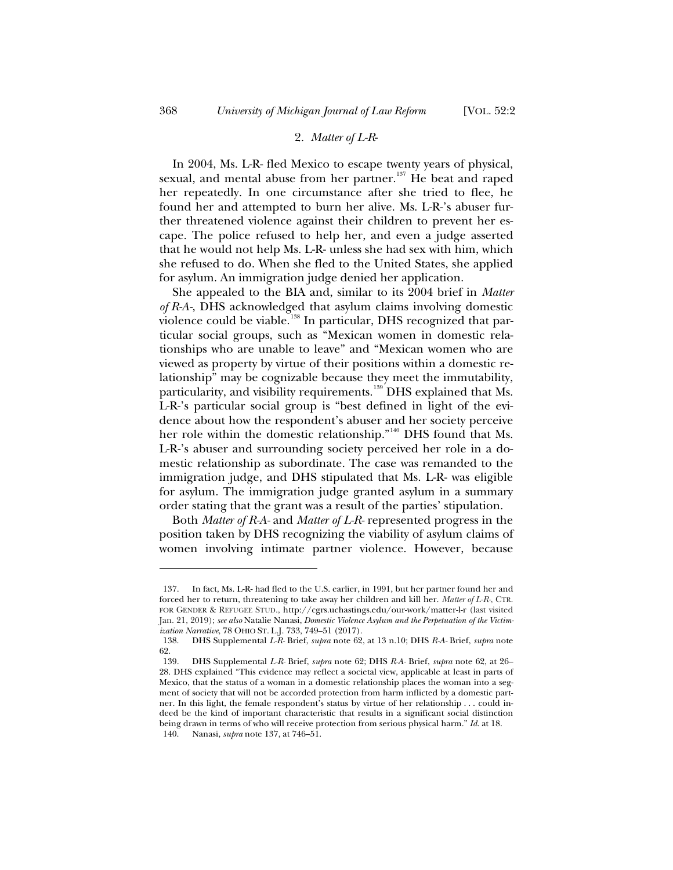### 2. *Matter of L-R*-

In 2004, Ms. L-R- fled Mexico to escape twenty years of physical, sexual, and mental abuse from her partner.<sup>137</sup> He beat and raped her repeatedly. In one circumstance after she tried to flee, he found her and attempted to burn her alive. Ms. L-R-'s abuser further threatened violence against their children to prevent her escape. The police refused to help her, and even a judge asserted that he would not help Ms. L-R- unless she had sex with him, which she refused to do. When she fled to the United States, she applied for asylum. An immigration judge denied her application.

She appealed to the BIA and, similar to its 2004 brief in *Matter of R-A-*, DHS acknowledged that asylum claims involving domestic violence could be viable.<sup>138</sup> In particular, DHS recognized that particular social groups, such as "Mexican women in domestic relationships who are unable to leave" and "Mexican women who are viewed as property by virtue of their positions within a domestic relationship" may be cognizable because they meet the immutability, particularity, and visibility requirements.<sup>139</sup> DHS explained that Ms. L-R-'s particular social group is "best defined in light of the evidence about how the respondent's abuser and her society perceive her role within the domestic relationship."<sup>140</sup> DHS found that Ms. L-R-'s abuser and surrounding society perceived her role in a domestic relationship as subordinate. The case was remanded to the immigration judge, and DHS stipulated that Ms. L-R- was eligible for asylum. The immigration judge granted asylum in a summary order stating that the grant was a result of the parties' stipulation.

Both *Matter of R-A-* and *Matter of L-R-* represented progress in the position taken by DHS recognizing the viability of asylum claims of women involving intimate partner violence. However, because

<sup>137.</sup> In fact, Ms. L-R- had fled to the U.S. earlier, in 1991, but her partner found her and forced her to return, threatening to take away her children and kill her. *Matter of L-R-*, CTR. FOR GENDER & REFUGEE STUD., http://cgrs.uchastings.edu/our-work/matter-l-r (last visited Jan. 21, 2019); *see also* Natalie Nanasi, *Domestic Violence Asylum and the Perpetuation of the Victimization Narrative*, 78 OHIO ST. L.J. 733, 749–51 (2017).

<sup>138.</sup> DHS Supplemental *L-R-* Brief, *supra* note 62, at 13 n.10; DHS *R-A-* Brief, *supra* note 62.

<sup>139.</sup> DHS Supplemental *L-R-* Brief, *supra* note 62; DHS *R-A-* Brief, *supra* note 62, at 26– 28. DHS explained "This evidence may reflect a societal view, applicable at least in parts of Mexico, that the status of a woman in a domestic relationship places the woman into a segment of society that will not be accorded protection from harm inflicted by a domestic partner. In this light, the female respondent's status by virtue of her relationship . . . could indeed be the kind of important characteristic that results in a significant social distinction being drawn in terms of who will receive protection from serious physical harm." *Id*. at 18. 140. Nanasi, *supra* note 137, at 746–51.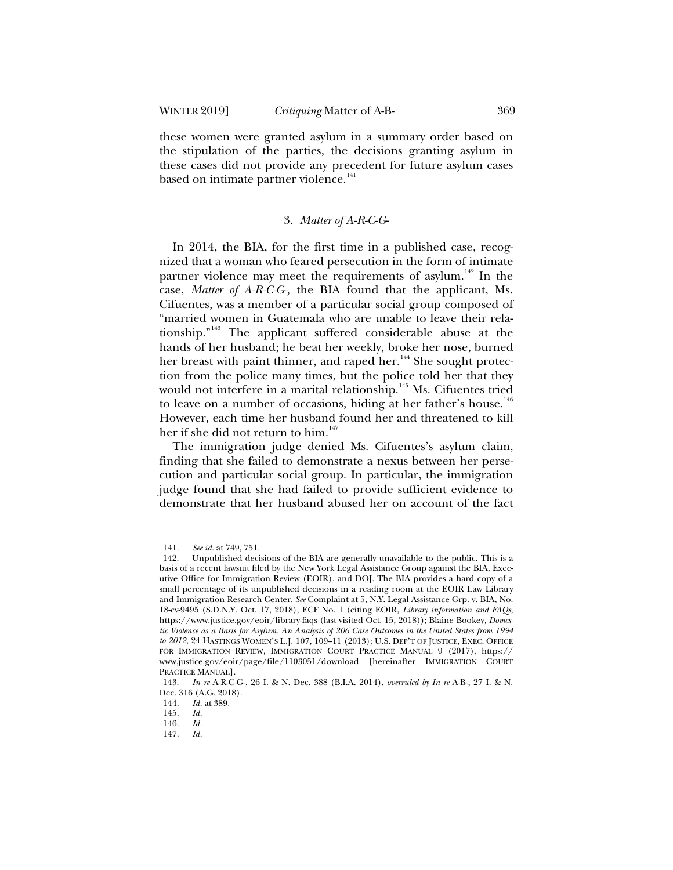these women were granted asylum in a summary order based on the stipulation of the parties, the decisions granting asylum in these cases did not provide any precedent for future asylum cases based on intimate partner violence.<sup>141</sup>

#### 3. *Matter of A-R-C-G*-

In 2014, the BIA, for the first time in a published case, recognized that a woman who feared persecution in the form of intimate partner violence may meet the requirements of asylum.<sup>142</sup> In the case, *Matter of A-R-C-G-,* the BIA found that the applicant, Ms. Cifuentes, was a member of a particular social group composed of "married women in Guatemala who are unable to leave their relationship."<sup>143</sup> The applicant suffered considerable abuse at the hands of her husband; he beat her weekly, broke her nose, burned her breast with paint thinner, and raped her.<sup>144</sup> She sought protection from the police many times, but the police told her that they would not interfere in a marital relationship.<sup>145</sup> Ms. Cifuentes tried to leave on a number of occasions, hiding at her father's house.<sup>146</sup> However, each time her husband found her and threatened to kill her if she did not return to him.<sup>147</sup>

The immigration judge denied Ms. Cifuentes's asylum claim, finding that she failed to demonstrate a nexus between her persecution and particular social group. In particular, the immigration judge found that she had failed to provide sufficient evidence to demonstrate that her husband abused her on account of the fact

<sup>141.</sup> *See id.* at 749, 751.

<sup>142.</sup> Unpublished decisions of the BIA are generally unavailable to the public. This is a basis of a recent lawsuit filed by the New York Legal Assistance Group against the BIA, Executive Office for Immigration Review (EOIR), and DOJ. The BIA provides a hard copy of a small percentage of its unpublished decisions in a reading room at the EOIR Law Library and Immigration Research Center. *See* Complaint at 5, N.Y. Legal Assistance Grp. v. BIA, No. 18-cv-9495 (S.D.N.Y. Oct. 17, 2018), ECF No. 1 (citing EOIR, *Library information and FAQs*, https://www.justice.gov/eoir/library-faqs (last visited Oct. 15, 2018)); Blaine Bookey, *Domestic Violence as a Basis for Asylum: An Analysis of 206 Case Outcomes in the United States from 1994 to 2012*, 24 HASTINGS WOMEN'S L.J. 107, 109–11 (2013); U.S. DEP'T OF JUSTICE, EXEC. OFFICE FOR IMMIGRATION REVIEW, IMMIGRATION COURT PRACTICE MANUAL 9 (2017), https:// www.justice.gov/eoir/page/file/1103051/download [hereinafter IMMIGRATION COURT PRACTICE MANUAL].

<sup>143.</sup> *In re* A-R-C-G-, 26 I. & N. Dec. 388 (B.I.A. 2014), *overruled by In re* A-B-, 27 I. & N. Dec. 316 (A.G. 2018).

<sup>144.</sup> *Id.* at 389.<br>145. *Id.* 

<sup>145.</sup> *Id.*

<sup>146.</sup> *Id.*

<sup>147.</sup> *Id.*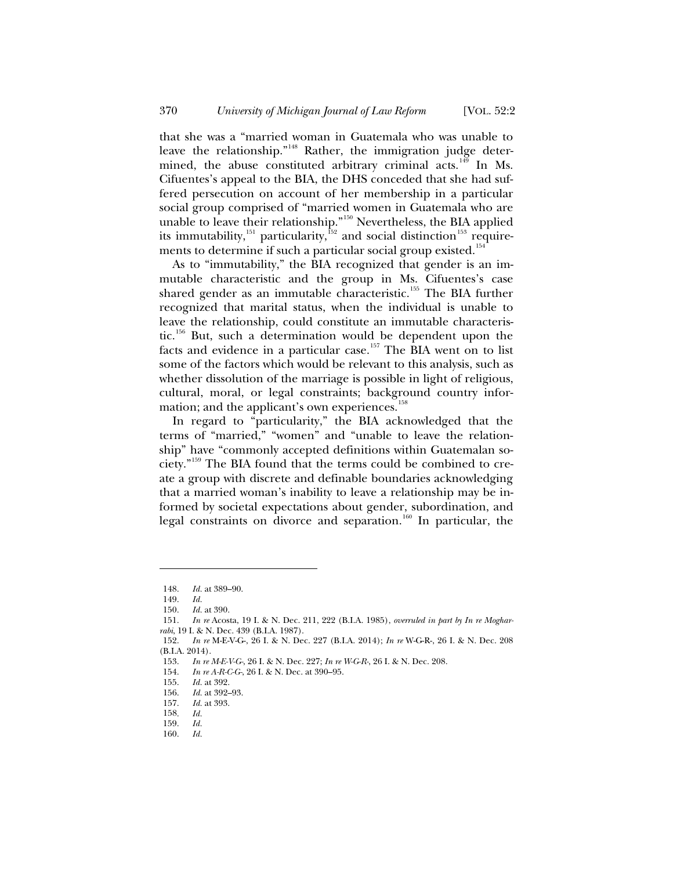that she was a "married woman in Guatemala who was unable to leave the relationship."<sup>148</sup> Rather, the immigration judge determined, the abuse constituted arbitrary criminal acts.<sup>149</sup> In Ms. Cifuentes's appeal to the BIA, the DHS conceded that she had suffered persecution on account of her membership in a particular social group comprised of "married women in Guatemala who are unable to leave their relationship."<sup>150</sup> Nevertheless, the BIA applied its immutability, $^{151}$  particularity, $^{152}$  and social distinction $^{153}$  requirements to determine if such a particular social group existed.<sup>154</sup>

As to "immutability," the BIA recognized that gender is an immutable characteristic and the group in Ms. Cifuentes's case shared gender as an immutable characteristic.<sup>155</sup> The BIA further recognized that marital status, when the individual is unable to leave the relationship, could constitute an immutable characteristic.<sup>156</sup> But, such a determination would be dependent upon the facts and evidence in a particular case.<sup>157</sup> The BIA went on to list some of the factors which would be relevant to this analysis, such as whether dissolution of the marriage is possible in light of religious, cultural, moral, or legal constraints; background country information; and the applicant's own experiences.<sup>158</sup>

In regard to "particularity," the BIA acknowledged that the terms of "married," "women" and "unable to leave the relationship" have "commonly accepted definitions within Guatemalan society."<sup>159</sup> The BIA found that the terms could be combined to create a group with discrete and definable boundaries acknowledging that a married woman's inability to leave a relationship may be informed by societal expectations about gender, subordination, and legal constraints on divorce and separation.<sup>160</sup> In particular, the

<sup>148.</sup> *Id.* at 389–90.

<sup>149.</sup> *Id.*

*Id.* at 390.

<sup>151.</sup> *In re* Acosta, 19 I. & N. Dec. 211, 222 (B.I.A. 1985), *overruled in part by In re Mogharrabi*, 19 I. & N. Dec. 439 (B.I.A. 1987).

<sup>152.</sup> *In re* M-E-V-G-, 26 I. & N. Dec. 227 (B.I.A. 2014); *In re* W-G-R-, 26 I. & N. Dec. 208 (B.I.A. 2014).

<sup>153.</sup> *In re M-E-V-G-*, 26 I. & N. Dec. 227; *In re W-G-R-*, 26 I. & N. Dec. 208.

<sup>154.</sup> *In re A-R-C-G-*, 26 I. & N. Dec. at 390–95.

<sup>155.</sup> *Id.* at 392.

<sup>156.</sup> *Id.* at 392–93.

<sup>157.</sup> *Id.* at 393.

<sup>158.</sup> *Id.*

<sup>159.</sup> *Id.*

<sup>160.</sup> *Id.*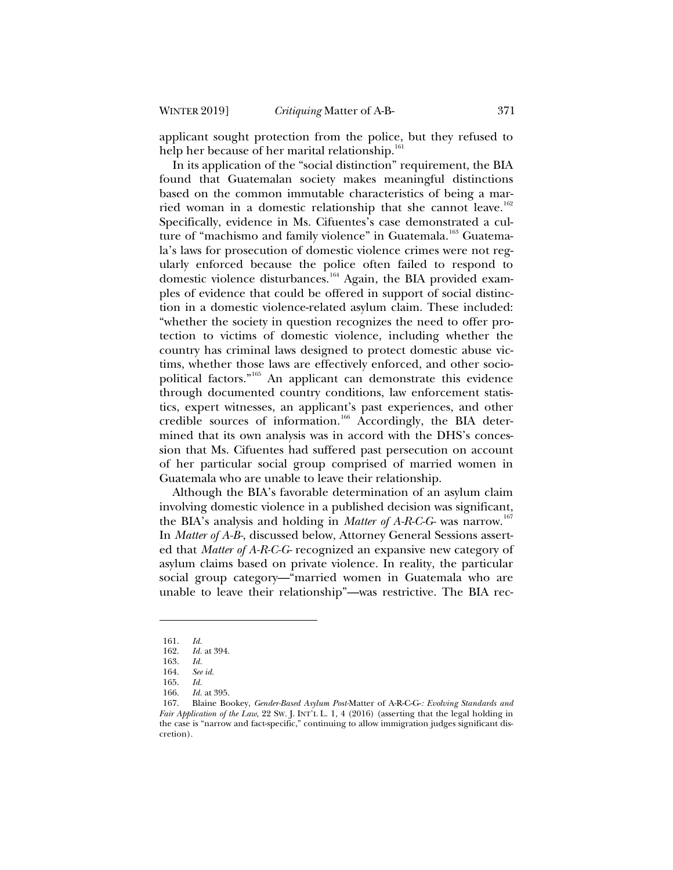applicant sought protection from the police, but they refused to help her because of her marital relationship.<sup>161</sup>

In its application of the "social distinction" requirement, the BIA found that Guatemalan society makes meaningful distinctions based on the common immutable characteristics of being a married woman in a domestic relationship that she cannot leave.<sup>162</sup> Specifically, evidence in Ms. Cifuentes's case demonstrated a culture of "machismo and family violence" in Guatemala.<sup>163</sup> Guatemala's laws for prosecution of domestic violence crimes were not regularly enforced because the police often failed to respond to domestic violence disturbances.<sup>164</sup> Again, the BIA provided examples of evidence that could be offered in support of social distinction in a domestic violence-related asylum claim. These included: "whether the society in question recognizes the need to offer protection to victims of domestic violence, including whether the country has criminal laws designed to protect domestic abuse victims, whether those laws are effectively enforced, and other sociopolitical factors."<sup>165</sup> An applicant can demonstrate this evidence through documented country conditions, law enforcement statistics, expert witnesses, an applicant's past experiences, and other credible sources of information.<sup>166</sup> Accordingly, the BIA determined that its own analysis was in accord with the DHS's concession that Ms. Cifuentes had suffered past persecution on account of her particular social group comprised of married women in Guatemala who are unable to leave their relationship.

Although the BIA's favorable determination of an asylum claim involving domestic violence in a published decision was significant, the BIA's analysis and holding in *Matter of A-R-C-G-* was narrow.<sup>167</sup> In *Matter of A-B-*, discussed below, Attorney General Sessions asserted that *Matter of A-R-C-G-* recognized an expansive new category of asylum claims based on private violence. In reality, the particular social group category—"married women in Guatemala who are unable to leave their relationship"—was restrictive. The BIA rec-

<sup>161.</sup> *Id.*

<sup>162.</sup> *Id.* at 394.

<sup>163.</sup> *Id.*

<sup>164.</sup> *See id.*

<sup>165.</sup> *Id.*

<sup>166.</sup> *Id.* at 395.

<sup>167.</sup> Blaine Bookey, *Gender-Based Asylum Post-*Matter of A-R-C-G-*: Evolving Standards and Fair Application of the Law*, 22 SW. J. INT'L L. 1, 4 (2016) (asserting that the legal holding in the case is "narrow and fact-specific," continuing to allow immigration judges significant discretion).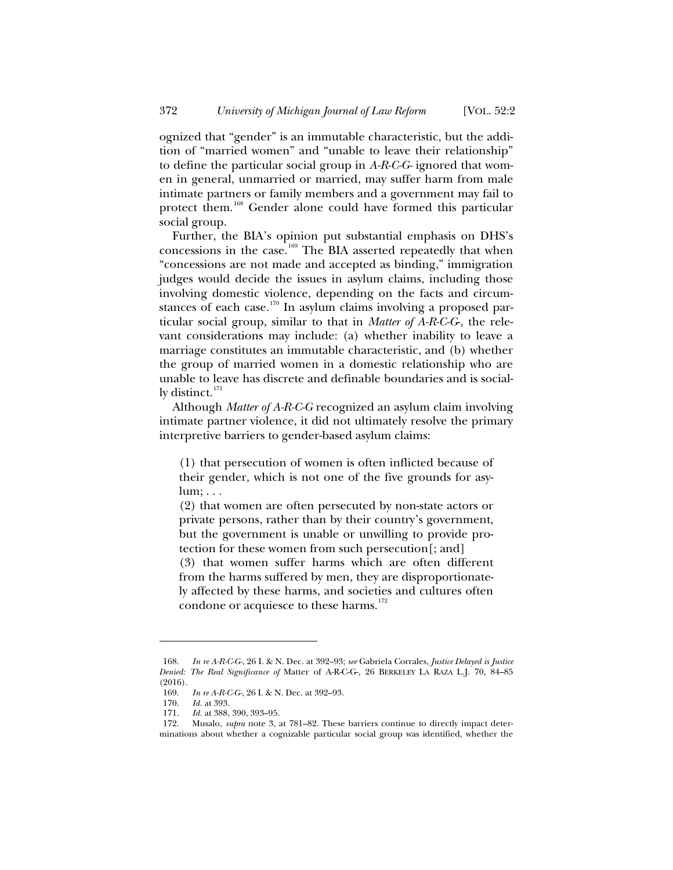ognized that "gender" is an immutable characteristic, but the addition of "married women" and "unable to leave their relationship" to define the particular social group in *A-R-C-G-* ignored that women in general, unmarried or married, may suffer harm from male intimate partners or family members and a government may fail to protect them.<sup>168</sup> Gender alone could have formed this particular social group.

Further, the BIA's opinion put substantial emphasis on DHS's concessions in the case.<sup>169</sup> The BIA asserted repeatedly that when "concessions are not made and accepted as binding," immigration judges would decide the issues in asylum claims, including those involving domestic violence, depending on the facts and circumstances of each case.<sup>170</sup> In asylum claims involving a proposed particular social group, similar to that in *Matter of A-R-C-G*-, the relevant considerations may include: (a) whether inability to leave a marriage constitutes an immutable characteristic, and (b) whether the group of married women in a domestic relationship who are unable to leave has discrete and definable boundaries and is socially distinct. $171$ 

Although *Matter of A-R-C-G* recognized an asylum claim involving intimate partner violence, it did not ultimately resolve the primary interpretive barriers to gender-based asylum claims:

(1) that persecution of women is often inflicted because of their gender, which is not one of the five grounds for asylum; . . .

(2) that women are often persecuted by non-state actors or private persons, rather than by their country's government, but the government is unable or unwilling to provide protection for these women from such persecution[; and]

(3) that women suffer harms which are often different from the harms suffered by men, they are disproportionately affected by these harms, and societies and cultures often condone or acquiesce to these harms.<sup>172</sup>

<sup>168.</sup> *In re A-R-C-G-*, 26 I. & N. Dec. at 392–93; *see* Gabriela Corrales, *Justice Delayed is Justice Denied: The Real Significance of* Matter of A-R-C-G-*,* 26 BERKELEY LA RAZA L.J. 70, 84–85 (2016).

<sup>169.</sup> *In re A-R-C-G-*, 26 I. & N. Dec. at 392–93.

<sup>170.</sup> *Id.* at 393.

<sup>171.</sup> *Id.* at 388, 390, 393–95.

<sup>172.</sup> Musalo, *supra* note 3, at 781–82. These barriers continue to directly impact determinations about whether a cognizable particular social group was identified, whether the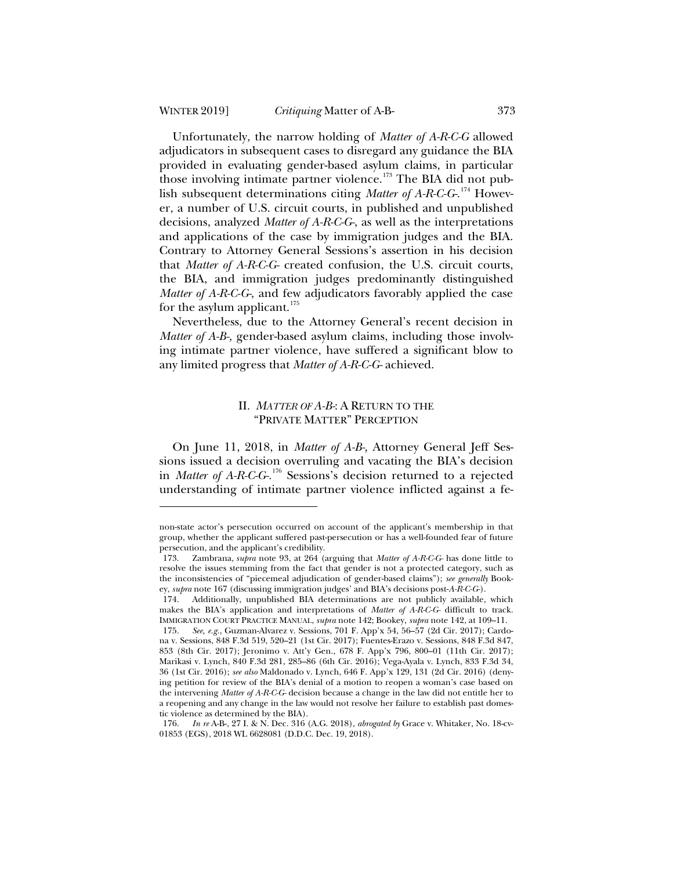Unfortunately, the narrow holding of *Matter of A-R-C-G* allowed adjudicators in subsequent cases to disregard any guidance the BIA provided in evaluating gender-based asylum claims, in particular those involving intimate partner violence.<sup>173</sup> The BIA did not publish subsequent determinations citing *Matter of A-R-C-G-*. <sup>174</sup> However, a number of U.S. circuit courts, in published and unpublished decisions, analyzed *Matter of A-R-C-G-*, as well as the interpretations and applications of the case by immigration judges and the BIA. Contrary to Attorney General Sessions's assertion in his decision that *Matter of A-R-C-G-* created confusion, the U.S. circuit courts, the BIA, and immigration judges predominantly distinguished *Matter of A-R-C-G-*, and few adjudicators favorably applied the case for the asylum applicant. $175$ 

Nevertheless, due to the Attorney General's recent decision in *Matter of A-B-,* gender-based asylum claims, including those involving intimate partner violence, have suffered a significant blow to any limited progress that *Matter of A-R-C-G-* achieved.

## II. *MATTER OF A-B*: A RETURN TO THE "PRIVATE MATTER" PERCEPTION

On June 11, 2018, in *Matter of A-B-,* Attorney General Jeff Sessions issued a decision overruling and vacating the BIA's decision in *Matter of A-R-C-G-.*<sup>176</sup> Sessions's decision returned to a rejected understanding of intimate partner violence inflicted against a fe-

non-state actor's persecution occurred on account of the applicant's membership in that group, whether the applicant suffered past-persecution or has a well-founded fear of future persecution, and the applicant's credibility.

<sup>173.</sup> Zambrana, *supra* note 93, at 264 (arguing that *Matter of A-R-C-G-* has done little to resolve the issues stemming from the fact that gender is not a protected category, such as the inconsistencies of "piecemeal adjudication of gender-based claims"); *see generally* Bookey, *supra* note 167 (discussing immigration judges' and BIA's decisions post-*A-R-C-G-*).

<sup>174.</sup> Additionally, unpublished BIA determinations are not publicly available, which makes the BIA's application and interpretations of *Matter of A-R-C-G-* difficult to track. IMMIGRATION COURT PRACTICE MANUAL, *supra* note 142; Bookey, *supra* note 142, at 109–11.

<sup>175.</sup> *See, e.g.*, Guzman-Alvarez v. Sessions, 701 F. App'x 54, 56–57 (2d Cir. 2017); Cardona v. Sessions, 848 F.3d 519, 520–21 (1st Cir. 2017); Fuentes-Erazo v. Sessions, 848 F.3d 847, 853 (8th Cir. 2017); Jeronimo v. Att'y Gen.*,* 678 F. App'x 796, 800–01 (11th Cir. 2017); Marikasi v. Lynch, 840 F.3d 281, 285–86 (6th Cir. 2016); Vega-Ayala v. Lynch, 833 F.3d 34, 36 (1st Cir. 2016); *see also* Maldonado v. Lynch, 646 F. App'x 129, 131 (2d Cir. 2016) (denying petition for review of the BIA's denial of a motion to reopen a woman's case based on the intervening *Matter of A-R-C-G-* decision because a change in the law did not entitle her to a reopening and any change in the law would not resolve her failure to establish past domestic violence as determined by the BIA).

<sup>176.</sup> *In re* A-B-, 27 I. & N. Dec. 316 (A.G. 2018), *abrogated by* Grace v. Whitaker, No. 18-cv-01853 (EGS), 2018 WL 6628081 (D.D.C. Dec. 19, 2018).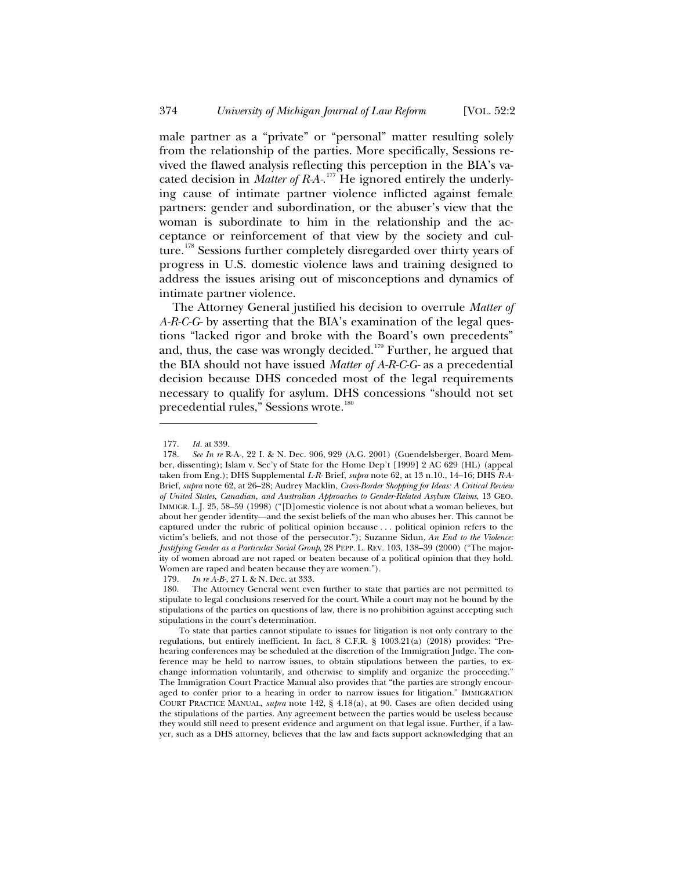male partner as a "private" or "personal" matter resulting solely from the relationship of the parties. More specifically, Sessions revived the flawed analysis reflecting this perception in the BIA's vacated decision in *Matter of R-A-*. <sup>177</sup> He ignored entirely the underlying cause of intimate partner violence inflicted against female partners: gender and subordination, or the abuser's view that the woman is subordinate to him in the relationship and the acceptance or reinforcement of that view by the society and culture.<sup>178</sup> Sessions further completely disregarded over thirty years of progress in U.S. domestic violence laws and training designed to address the issues arising out of misconceptions and dynamics of intimate partner violence.

The Attorney General justified his decision to overrule *Matter of A-R-C-G-* by asserting that the BIA's examination of the legal questions "lacked rigor and broke with the Board's own precedents" and, thus, the case was wrongly decided.<sup>179</sup> Further, he argued that the BIA should not have issued *Matter of A-R-C-G-* as a precedential decision because DHS conceded most of the legal requirements necessary to qualify for asylum. DHS concessions "should not set precedential rules," Sessions wrote.<sup>180</sup>

179. *In re A-B-*, 27 I. & N. Dec. at 333.

<sup>177.</sup> *Id.* at 339.

<sup>178.</sup> *See In re* R-A-, 22 I. & N. Dec. 906, 929 (A.G. 2001) (Guendelsberger, Board Member, dissenting); Islam v. Sec'y of State for the Home Dep't [1999] 2 AC 629 (HL) (appeal taken from Eng.); DHS Supplemental *L-R-* Brief, *supra* note 62, at 13 n.10., 14–16; DHS *R-A-*Brief, *supra* note 62, at 26–28; Audrey Macklin, *Cross-Border Shopping for Ideas: A Critical Review of United States, Canadian, and Australian Approaches to Gender-Related Asylum Claims*, 13 GEO. IMMIGR. L.J. 25, 58–59 (1998) ("[D]omestic violence is not about what a woman believes, but about her gender identity—and the sexist beliefs of the man who abuses her. This cannot be captured under the rubric of political opinion because . . . political opinion refers to the victim's beliefs, and not those of the persecutor."); Suzanne Sidun*, An End to the Violence: Justifying Gender as a Particular Social Group*, 28 PEPP. L. REV. 103, 138–39 (2000) ("The majority of women abroad are not raped or beaten because of a political opinion that they hold. Women are raped and beaten because they are women.").

<sup>180.</sup> The Attorney General went even further to state that parties are not permitted to stipulate to legal conclusions reserved for the court. While a court may not be bound by the stipulations of the parties on questions of law, there is no prohibition against accepting such stipulations in the court's determination.

To state that parties cannot stipulate to issues for litigation is not only contrary to the regulations, but entirely inefficient. In fact, 8 C.F.R. § 1003.21(a) (2018) provides: "Prehearing conferences may be scheduled at the discretion of the Immigration Judge. The conference may be held to narrow issues, to obtain stipulations between the parties, to exchange information voluntarily, and otherwise to simplify and organize the proceeding." The Immigration Court Practice Manual also provides that "the parties are strongly encouraged to confer prior to a hearing in order to narrow issues for litigation." IMMIGRATION COURT PRACTICE MANUAL, *supra* note 142, § 4.18(a), at 90. Cases are often decided using the stipulations of the parties. Any agreement between the parties would be useless because they would still need to present evidence and argument on that legal issue. Further, if a lawyer, such as a DHS attorney, believes that the law and facts support acknowledging that an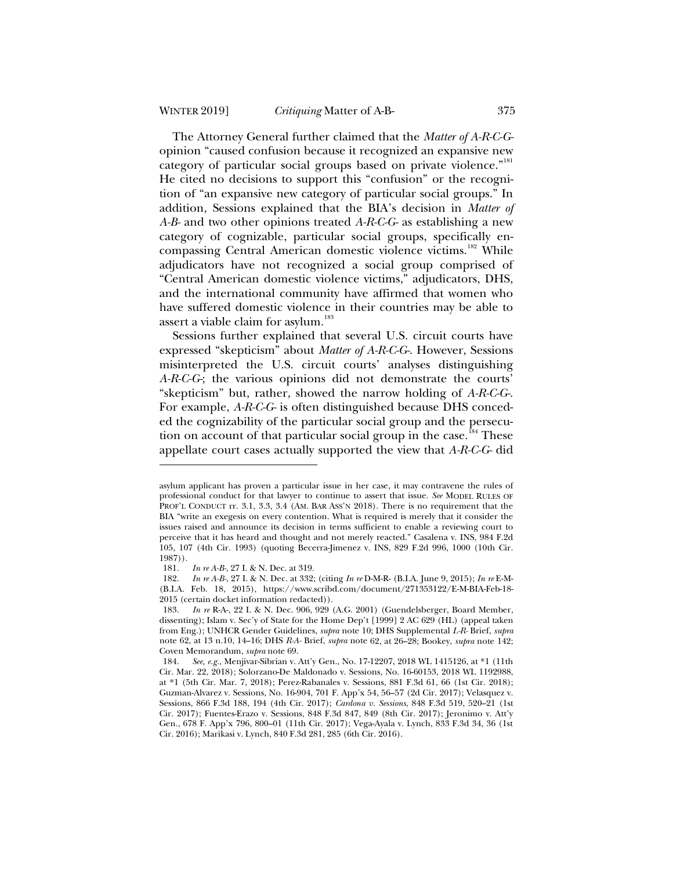The Attorney General further claimed that the *Matter of A-R-C-G*opinion "caused confusion because it recognized an expansive new category of particular social groups based on private violence."<sup>181</sup> He cited no decisions to support this "confusion" or the recognition of "an expansive new category of particular social groups." In addition, Sessions explained that the BIA's decision in *Matter of A-B-* and two other opinions treated *A-R-C-G-* as establishing a new category of cognizable, particular social groups, specifically encompassing Central American domestic violence victims.<sup>182</sup> While adjudicators have not recognized a social group comprised of "Central American domestic violence victims," adjudicators, DHS, and the international community have affirmed that women who have suffered domestic violence in their countries may be able to assert a viable claim for asylum.<sup>183</sup>

Sessions further explained that several U.S. circuit courts have expressed "skepticism" about *Matter of A-R-C-G-*. However, Sessions misinterpreted the U.S. circuit courts' analyses distinguishing *A-R-C-G-*; the various opinions did not demonstrate the courts' "skepticism" but, rather, showed the narrow holding of *A-R-C-G-*. For example, *A-R-C-G-* is often distinguished because DHS conceded the cognizability of the particular social group and the persecution on account of that particular social group in the case.<sup>184</sup> These appellate court cases actually supported the view that *A-R-C-G-* did

asylum applicant has proven a particular issue in her case, it may contravene the rules of professional conduct for that lawyer to continue to assert that issue. *See* MODEL RULES OF PROF'L CONDUCT rr. 3.1, 3.3, 3.4 (AM. BAR ASS'N 2018). There is no requirement that the BIA "write an exegesis on every contention. What is required is merely that it consider the issues raised and announce its decision in terms sufficient to enable a reviewing court to perceive that it has heard and thought and not merely reacted." Casalena v. INS, 984 F.2d 105, 107 (4th Cir. 1993) (quoting Becerra-Jimenez v. INS, 829 F.2d 996, 1000 (10th Cir. 1987)).

<sup>181.</sup> *In re A-B-*, 27 I. & N. Dec. at 319.

<sup>182.</sup> *In re A-B-*, 27 I. & N. Dec. at 332; (citing *In re* D-M-R- (B.I.A. June 9, 2015); *In re* E-M- (B.I.A. Feb. 18, 2015), https://www.scribd.com/document/271353122/E-M-BIA-Feb-18- 2015 (certain docket information redacted)).

<sup>183.</sup> *In re* R-A-, 22 I. & N. Dec. 906, 929 (A.G. 2001) (Guendelsberger, Board Member, dissenting); Islam v. Sec'y of State for the Home Dep't [1999] 2 AC 629 (HL) (appeal taken from Eng.); UNHCR Gender Guidelines, *supra* note 10; DHS Supplemental *L-R-* Brief, *supra* note 62, at 13 n.10, 14–16; DHS *R-A-* Brief, *supra* note 62, at 26–28; Bookey, *supra* note 142; Coven Memorandum, *supra* note 69.

<sup>184.</sup> *See, e.g.*, Menjivar-Sibrian v. Att'y Gen., No. 17-12207, 2018 WL 1415126, at \*1 (11th Cir. Mar. 22, 2018); Solorzano-De Maldonado v. Sessions, No. 16-60153, 2018 WL 1192988, at \*1 (5th Cir. Mar. 7, 2018); Perez-Rabanales v. Sessions, 881 F.3d 61, 66 (1st Cir. 2018); Guzman-Alvarez v. Sessions, No. 16-904, 701 F. App'x 54, 56–57 (2d Cir. 2017); Velasquez v. Sessions, 866 F.3d 188, 194 (4th Cir. 2017); *Cardona v. Sessions*, 848 F.3d 519, 520–21 (1st Cir. 2017); Fuentes-Erazo v. Sessions, 848 F.3d 847, 849 (8th Cir. 2017); Jeronimo v. Att'y Gen., 678 F. App'x 796, 800–01 (11th Cir. 2017); Vega-Ayala v. Lynch, 833 F.3d 34, 36 (1st Cir. 2016); Marikasi v. Lynch, 840 F.3d 281, 285 (6th Cir. 2016).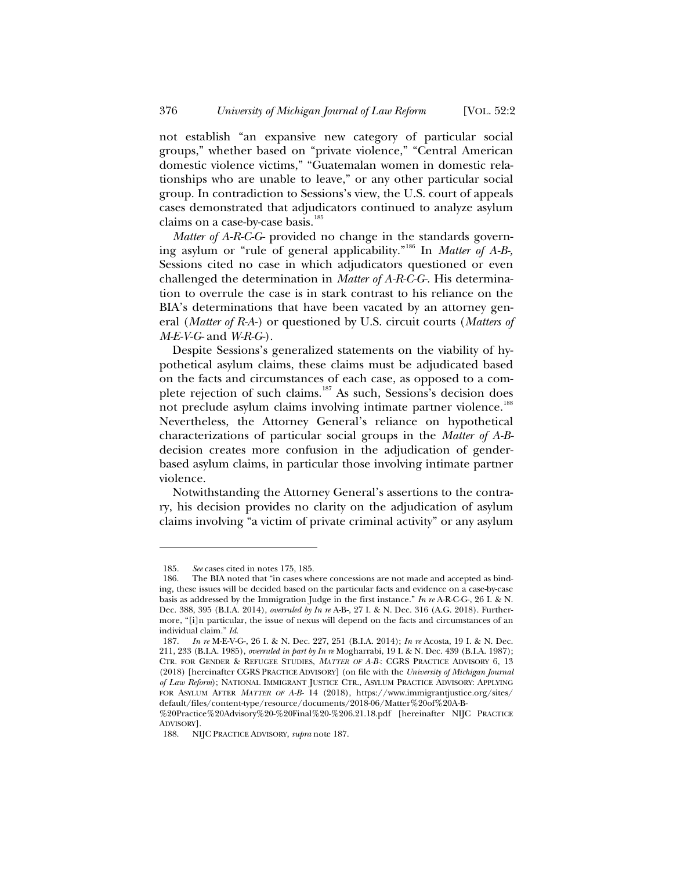not establish "an expansive new category of particular social groups," whether based on "private violence," "Central American domestic violence victims," "Guatemalan women in domestic relationships who are unable to leave," or any other particular social group. In contradiction to Sessions's view, the U.S. court of appeals cases demonstrated that adjudicators continued to analyze asylum claims on a case-by-case basis.<sup>185</sup>

*Matter of A-R-C-G-* provided no change in the standards governing asylum or "rule of general applicability."<sup>186</sup> In *Matter of A-B-,* Sessions cited no case in which adjudicators questioned or even challenged the determination in *Matter of A-R-C-G-*. His determination to overrule the case is in stark contrast to his reliance on the BIA's determinations that have been vacated by an attorney general (*Matter of R-A*-) or questioned by U.S. circuit courts (*Matters of M-E-V-G-* and *W-R-G-*).

Despite Sessions's generalized statements on the viability of hypothetical asylum claims, these claims must be adjudicated based on the facts and circumstances of each case, as opposed to a complete rejection of such claims.<sup>187</sup> As such, Sessions's decision does not preclude asylum claims involving intimate partner violence.<sup>188</sup> Nevertheless, the Attorney General's reliance on hypothetical characterizations of particular social groups in the *Matter of A-B*decision creates more confusion in the adjudication of genderbased asylum claims, in particular those involving intimate partner violence.

Notwithstanding the Attorney General's assertions to the contrary, his decision provides no clarity on the adjudication of asylum claims involving "a victim of private criminal activity" or any asylum

<sup>185.</sup> *See* cases cited in notes 175, 185.

<sup>186.</sup> The BIA noted that "in cases where concessions are not made and accepted as binding, these issues will be decided based on the particular facts and evidence on a case-by-case basis as addressed by the Immigration Judge in the first instance." *In re* A-R-C-G-, 26 I. & N. Dec. 388, 395 (B.I.A. 2014), *overruled by In re* A-B-, 27 I. & N. Dec. 316 (A.G. 2018). Furthermore, "[i]n particular, the issue of nexus will depend on the facts and circumstances of an individual claim." *Id.*

<sup>187.</sup> *In re* M-E-V-G-, 26 I. & N. Dec. 227, 251 (B.I.A. 2014); *In re* Acosta, 19 I. & N. Dec. 211, 233 (B.I.A. 1985), *overruled in part by In re* Mogharrabi, 19 I. & N. Dec. 439 (B.I.A. 1987); CTR. FOR GENDER & REFUGEE STUDIES, *MATTER OF A-B-*: CGRS PRACTICE ADVISORY 6, 13 (2018) [hereinafter CGRS PRACTICE ADVISORY] (on file with the *University of Michigan Journal of Law Reform*); NATIONAL IMMIGRANT JUSTICE CTR., ASYLUM PRACTICE ADVISORY: APPLYING FOR ASYLUM AFTER *MATTER OF A-B-* 14 (2018), https://www.immigrantjustice.org/sites/ default/files/content-type/resource/documents/2018-06/Matter%20of%20A-B-

<sup>%20</sup>Practice%20Advisory%20-%20Final%20-%206.21.18.pdf [hereinafter NIJC PRACTICE ADVISORY].

<sup>188.</sup> NIJC PRACTICE ADVISORY, *supra* note 187.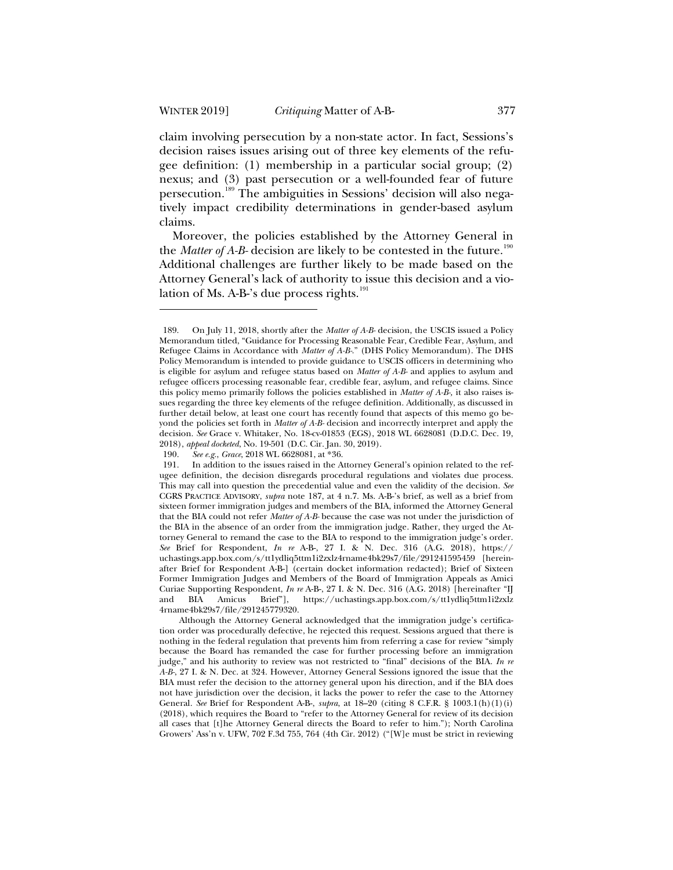claim involving persecution by a non-state actor. In fact, Sessions's decision raises issues arising out of three key elements of the refugee definition: (1) membership in a particular social group; (2) nexus; and (3) past persecution or a well-founded fear of future persecution.<sup>189</sup> The ambiguities in Sessions' decision will also negatively impact credibility determinations in gender-based asylum claims.

Moreover, the policies established by the Attorney General in the *Matter of A-B*- decision are likely to be contested in the future.<sup>190</sup> Additional challenges are further likely to be made based on the Attorney General's lack of authority to issue this decision and a violation of Ms. A-B-'s due process rights. $191$ 

See e.g., *Grace*, 2018 WL 6628081, at \*36.

<sup>189.</sup> On July 11, 2018, shortly after the *Matter of A-B-* decision, the USCIS issued a Policy Memorandum titled, "Guidance for Processing Reasonable Fear, Credible Fear, Asylum, and Refugee Claims in Accordance with *Matter of A-B-*." (DHS Policy Memorandum). The DHS Policy Memorandum is intended to provide guidance to USCIS officers in determining who is eligible for asylum and refugee status based on *Matter of A-B-* and applies to asylum and refugee officers processing reasonable fear, credible fear, asylum, and refugee claims. Since this policy memo primarily follows the policies established in *Matter of A-B-,* it also raises issues regarding the three key elements of the refugee definition. Additionally, as discussed in further detail below, at least one court has recently found that aspects of this memo go beyond the policies set forth in *Matter of A-B-* decision and incorrectly interpret and apply the decision. *See* Grace v. Whitaker, No. 18-cv-01853 (EGS), 2018 WL 6628081 (D.D.C. Dec. 19, 2018), *appeal docketed*, No. 19-501 (D.C. Cir. Jan. 30, 2019).

<sup>191.</sup> In addition to the issues raised in the Attorney General's opinion related to the refugee definition, the decision disregards procedural regulations and violates due process. This may call into question the precedential value and even the validity of the decision. *See*  CGRS PRACTICE ADVISORY, *supra* note 187, at 4 n.7. Ms. A-B-'s brief, as well as a brief from sixteen former immigration judges and members of the BIA, informed the Attorney General that the BIA could not refer *Matter of A-B-* because the case was not under the jurisdiction of the BIA in the absence of an order from the immigration judge. Rather, they urged the Attorney General to remand the case to the BIA to respond to the immigration judge's order. *See* Brief for Respondent, *In re* A-B-, 27 I. & N. Dec. 316 (A.G. 2018), https:// uchastings.app.box.com/s/tt1ydliq5ttm1i2zxlz4rname4bk29s7/file/291241595459 [hereinafter Brief for Respondent A-B-] (certain docket information redacted); Brief of Sixteen Former Immigration Judges and Members of the Board of Immigration Appeals as Amici Curiae Supporting Respondent, *In re* A-B-, 27 I. & N. Dec. 316 (A.G. 2018) [hereinafter "IJ and BIA Amicus Brief"], https://uchastings.app.box.com/s/tt1ydliq5ttm1i2zxlz 4rname4bk29s7/file/291245779320.

Although the Attorney General acknowledged that the immigration judge's certification order was procedurally defective, he rejected this request. Sessions argued that there is nothing in the federal regulation that prevents him from referring a case for review "simply because the Board has remanded the case for further processing before an immigration judge," and his authority to review was not restricted to "final" decisions of the BIA. *In re A-B-*, 27 I. & N. Dec. at 324. However, Attorney General Sessions ignored the issue that the BIA must refer the decision to the attorney general upon his direction, and if the BIA does not have jurisdiction over the decision, it lacks the power to refer the case to the Attorney General. *See* Brief for Respondent A-B-, *supra*, at 18–20 (citing 8 C.F.R. § 1003.1(h)(1)(i) (2018), which requires the Board to "refer to the Attorney General for review of its decision all cases that [t]he Attorney General directs the Board to refer to him."); North Carolina Growers' Ass'n v. UFW, 702 F.3d 755, 764 (4th Cir. 2012) ("[W]e must be strict in reviewing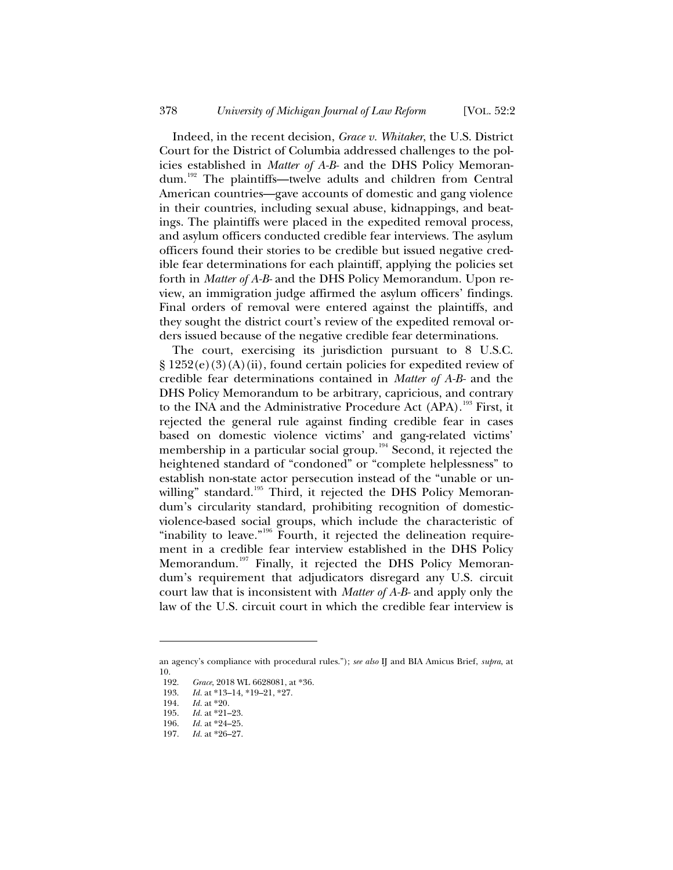Indeed, in the recent decision, *Grace v. Whitaker*, the U.S. District Court for the District of Columbia addressed challenges to the policies established in *Matter of A-B-* and the DHS Policy Memorandum.<sup>192</sup> The plaintiffs—twelve adults and children from Central American countries—gave accounts of domestic and gang violence in their countries, including sexual abuse, kidnappings, and beatings. The plaintiffs were placed in the expedited removal process, and asylum officers conducted credible fear interviews. The asylum officers found their stories to be credible but issued negative credible fear determinations for each plaintiff, applying the policies set forth in *Matter of A-B-* and the DHS Policy Memorandum. Upon review, an immigration judge affirmed the asylum officers' findings. Final orders of removal were entered against the plaintiffs, and they sought the district court's review of the expedited removal orders issued because of the negative credible fear determinations.

The court, exercising its jurisdiction pursuant to 8 U.S.C.  $\S 1252(e)(3)(A)(ii)$ , found certain policies for expedited review of credible fear determinations contained in *Matter of A-B-* and the DHS Policy Memorandum to be arbitrary, capricious, and contrary to the INA and the Administrative Procedure Act (APA).<sup>193</sup> First, it rejected the general rule against finding credible fear in cases based on domestic violence victims' and gang-related victims' membership in a particular social group.<sup>194</sup> Second, it rejected the heightened standard of "condoned" or "complete helplessness" to establish non-state actor persecution instead of the "unable or unwilling" standard.<sup>195</sup> Third, it rejected the DHS Policy Memorandum's circularity standard, prohibiting recognition of domesticviolence-based social groups, which include the characteristic of "inability to leave."<sup>196</sup> Fourth, it rejected the delineation requirement in a credible fear interview established in the DHS Policy Memorandum.<sup>197</sup> Finally, it rejected the DHS Policy Memorandum's requirement that adjudicators disregard any U.S. circuit court law that is inconsistent with *Matter of A-B-* and apply only the law of the U.S. circuit court in which the credible fear interview is

an agency's compliance with procedural rules."); *see also* IJ and BIA Amicus Brief, *supra*, at  $\frac{10}{192}$ .

Grace, 2018 WL 6628081, at \*36.

<sup>193.</sup> *Id.* at \*13–14, \*19–21, \*27.

<sup>194.</sup> *Id.* at \*20.<br>195. *Id.* at \*21.

Id. at \*21-23.

<sup>196.</sup> *Id.* at \*24–25.

<sup>197.</sup> *Id.* at \*26–27.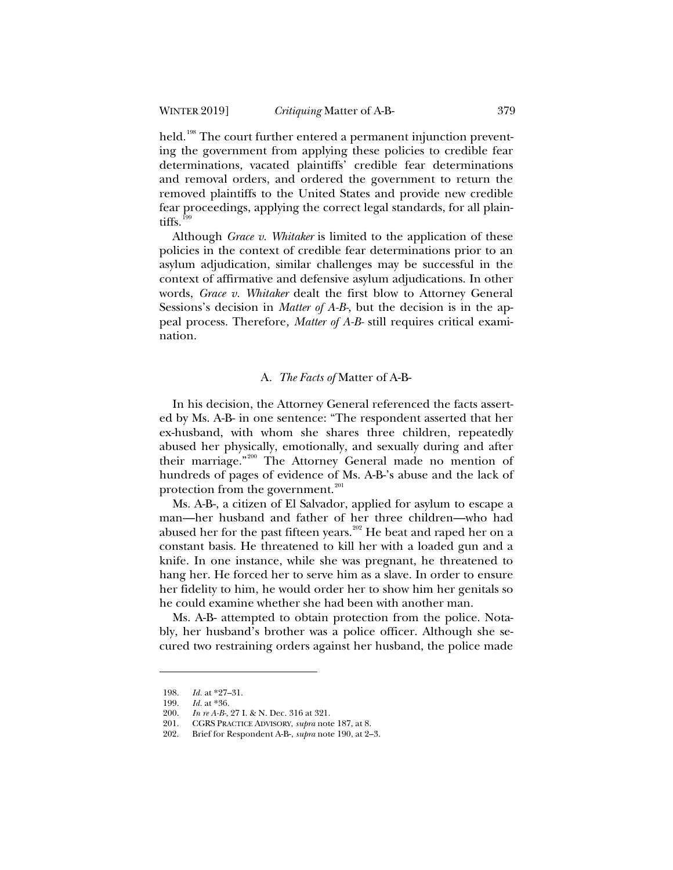held.<sup>198</sup> The court further entered a permanent injunction preventing the government from applying these policies to credible fear determinations, vacated plaintiffs' credible fear determinations and removal orders, and ordered the government to return the removed plaintiffs to the United States and provide new credible fear proceedings, applying the correct legal standards, for all plaintiffs.<sup>199</sup>

Although *Grace v. Whitaker* is limited to the application of these policies in the context of credible fear determinations prior to an asylum adjudication, similar challenges may be successful in the context of affirmative and defensive asylum adjudications. In other words, *Grace v. Whitaker* dealt the first blow to Attorney General Sessions's decision in *Matter of A-B-*, but the decision is in the appeal process. Therefore*, Matter of A-B-* still requires critical examination.

### A*. The Facts of* Matter of A-B-

In his decision, the Attorney General referenced the facts asserted by Ms. A-B- in one sentence: "The respondent asserted that her ex-husband, with whom she shares three children, repeatedly abused her physically, emotionally, and sexually during and after their marriage."<sup>200</sup> The Attorney General made no mention of hundreds of pages of evidence of Ms. A-B-'s abuse and the lack of protection from the government.<sup>201</sup>

Ms. A-B-, a citizen of El Salvador, applied for asylum to escape a man—her husband and father of her three children—who had abused her for the past fifteen years.<sup>202</sup> He beat and raped her on a constant basis. He threatened to kill her with a loaded gun and a knife. In one instance, while she was pregnant, he threatened to hang her. He forced her to serve him as a slave. In order to ensure her fidelity to him, he would order her to show him her genitals so he could examine whether she had been with another man.

Ms. A-B- attempted to obtain protection from the police. Notably, her husband's brother was a police officer. Although she secured two restraining orders against her husband, the police made

<sup>198.</sup> *Id.* at \*27–31.

<sup>199.</sup> *Id.* at \*36.<br>200. *In re A-B*-

<sup>200.</sup> *In re A-B-*, 27 I. & N. Dec. 316 at 321.

<sup>201.</sup> CGRS PRACTICE ADVISORY, *supra* note 187, at 8.

<sup>202.</sup> Brief for Respondent A-B-, *supra* note 190, at 2–3.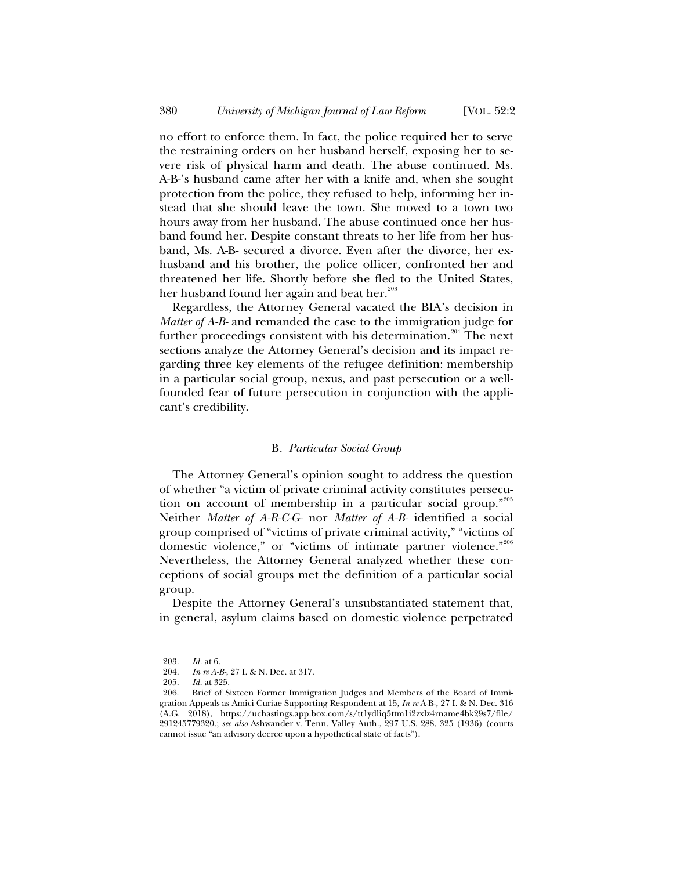no effort to enforce them. In fact, the police required her to serve the restraining orders on her husband herself, exposing her to severe risk of physical harm and death. The abuse continued. Ms. A-B-'s husband came after her with a knife and, when she sought protection from the police, they refused to help, informing her instead that she should leave the town. She moved to a town two hours away from her husband. The abuse continued once her husband found her. Despite constant threats to her life from her husband, Ms. A-B- secured a divorce. Even after the divorce, her exhusband and his brother, the police officer, confronted her and threatened her life. Shortly before she fled to the United States, her husband found her again and beat her.<sup>203</sup>

Regardless, the Attorney General vacated the BIA's decision in *Matter of A-B-* and remanded the case to the immigration judge for further proceedings consistent with his determination.<sup>204</sup> The next sections analyze the Attorney General's decision and its impact regarding three key elements of the refugee definition: membership in a particular social group, nexus, and past persecution or a wellfounded fear of future persecution in conjunction with the applicant's credibility.

#### B*. Particular Social Group*

The Attorney General's opinion sought to address the question of whether "a victim of private criminal activity constitutes persecution on account of membership in a particular social group."<sup>205</sup> Neither *Matter of A-R-C-G-* nor *Matter of A-B-* identified a social group comprised of "victims of private criminal activity," "victims of domestic violence," or "victims of intimate partner violence."<sup>206</sup> Nevertheless, the Attorney General analyzed whether these conceptions of social groups met the definition of a particular social group.

Despite the Attorney General's unsubstantiated statement that, in general, asylum claims based on domestic violence perpetrated

<sup>203.</sup> *Id.* at 6.

<sup>204.</sup> *In re A-B-*, 27 I. & N. Dec. at 317.

<sup>205.</sup> *Id.* at 325.

<sup>206.</sup> Brief of Sixteen Former Immigration Judges and Members of the Board of Immigration Appeals as Amici Curiae Supporting Respondent at 15, *In re* A-B-, 27 I. & N. Dec. 316 (A.G. 2018), https://uchastings.app.box.com/s/tt1ydliq5ttm1i2zxlz4rname4bk29s7/file/ 291245779320.; *see also* Ashwander v. Tenn. Valley Auth., 297 U.S. 288, 325 (1936) (courts cannot issue "an advisory decree upon a hypothetical state of facts").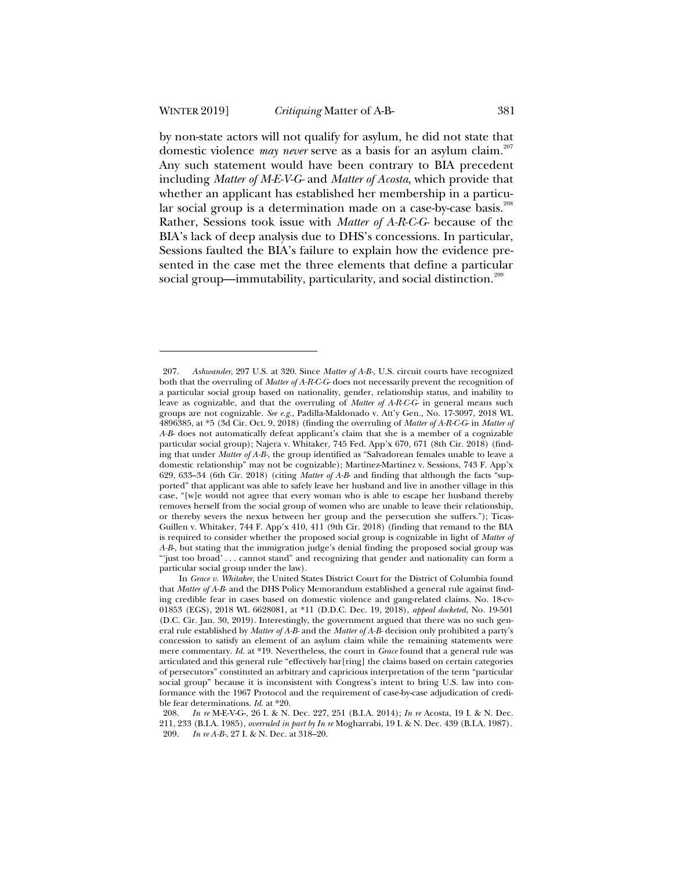by non-state actors will not qualify for asylum, he did not state that domestic violence *may never* serve as a basis for an asylum claim.<sup>207</sup> Any such statement would have been contrary to BIA precedent including *Matter of M-E-V-G-* and *Matter of Acosta*, which provide that whether an applicant has established her membership in a particular social group is a determination made on a case-by-case basis.<sup>208</sup> Rather, Sessions took issue with *Matter of A-R-C-G-* because of the BIA's lack of deep analysis due to DHS's concessions. In particular, Sessions faulted the BIA's failure to explain how the evidence presented in the case met the three elements that define a particular social group—immutability, particularity, and social distinction.<sup>209</sup>

<sup>207.</sup> *Ashwander*, 297 U.S. at 320. Since *Matter of A-B-,* U.S. circuit courts have recognized both that the overruling of *Matter of A-R-C-G-* does not necessarily prevent the recognition of a particular social group based on nationality, gender, relationship status, and inability to leave as cognizable, and that the overruling of *Matter of A-R-C-G-* in general means such groups are not cognizable. *See e.g.*, Padilla-Maldonado v. Att'y Gen., No. 17-3097, 2018 WL 4896385, at \*5 (3d Cir. Oct. 9, 2018) (finding the overruling of *Matter of A-R-C-G*- in *Matter of A-B*- does not automatically defeat applicant's claim that she is a member of a cognizable particular social group); Najera v. Whitaker*,* 745 Fed. App'x 670, 671 (8th Cir. 2018) (finding that under *Matter of A-B-*, the group identified as "Salvadorean females unable to leave a domestic relationship" may not be cognizable); Martinez-Martinez v. Sessions, 743 F. App'x 629, 633–34 (6th Cir. 2018) (citing *Matter of A-B*- and finding that although the facts "supported" that applicant was able to safely leave her husband and live in another village in this case, "[w]e would not agree that every woman who is able to escape her husband thereby removes herself from the social group of women who are unable to leave their relationship, or thereby severs the nexus between her group and the persecution she suffers."); Ticas-Guillen v. Whitaker, 744 F. App'x 410, 411 (9th Cir. 2018) (finding that remand to the BIA is required to consider whether the proposed social group is cognizable in light of *Matter of A-B*-, but stating that the immigration judge's denial finding the proposed social group was "'just too broad' . . . cannot stand" and recognizing that gender and nationality can form a particular social group under the law).

In *Grace v. Whitaker*, the United States District Court for the District of Columbia found that *Matter of A-B-* and the DHS Policy Memorandum established a general rule against finding credible fear in cases based on domestic violence and gang-related claims. No. 18-cv-01853 (EGS), 2018 WL 6628081, at \*11 (D.D.C. Dec. 19, 2018), *appeal docketed*, No. 19-501 (D.C. Cir. Jan. 30, 2019). Interestingly, the government argued that there was no such general rule established by *Matter of A-B-* and the *Matter of A-B-* decision only prohibited a party's concession to satisfy an element of an asylum claim while the remaining statements were mere commentary. *Id.* at \*19. Nevertheless, the court in *Grace* found that a general rule was articulated and this general rule "effectively bar[ring] the claims based on certain categories of persecutors" constituted an arbitrary and capricious interpretation of the term "particular social group" because it is inconsistent with Congress's intent to bring U.S. law into conformance with the 1967 Protocol and the requirement of case-by-case adjudication of credible fear determinations. *Id.* at \*20.<br>208. *In re* M-E-V-G-, 26 I. & N.

<sup>208.</sup> *In re* M-E-V-G-, 26 I. & N. Dec. 227, 251 (B.I.A. 2014); *In re* Acosta, 19 I. & N. Dec. 211, 233 (B.I.A. 1985), *overruled in part by In re* Mogharrabi, 19 I. & N. Dec. 439 (B.I.A. 1987). 209. *In re A-B-*, 27 I. & N. Dec. at 318–20.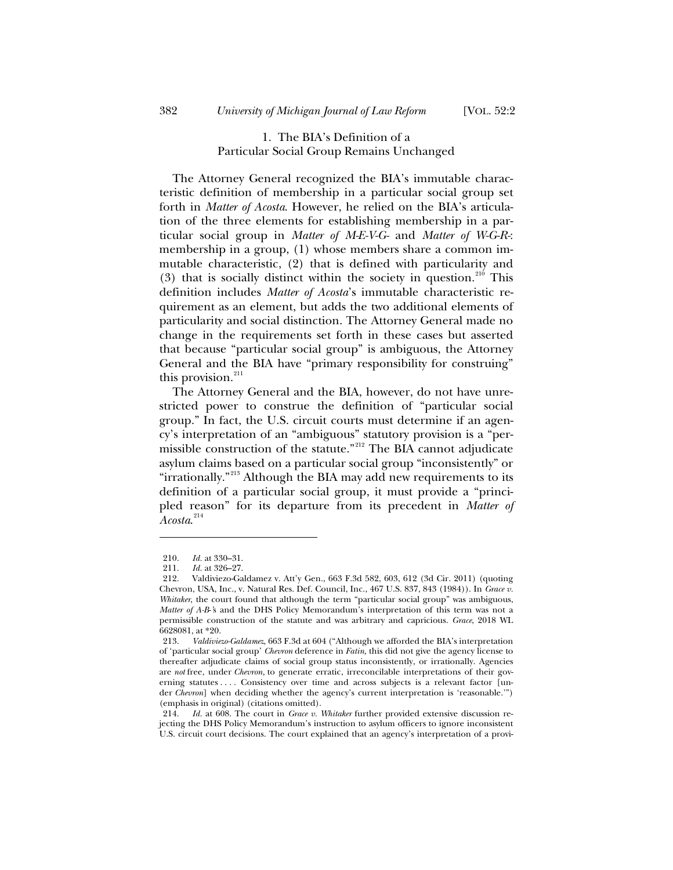# 1. The BIA's Definition of a Particular Social Group Remains Unchanged

The Attorney General recognized the BIA's immutable characteristic definition of membership in a particular social group set forth in *Matter of Acosta*. However, he relied on the BIA's articulation of the three elements for establishing membership in a particular social group in *Matter of M-E-V-G-* and *Matter of W-G-R-*: membership in a group, (1) whose members share a common immutable characteristic, (2) that is defined with particularity and (3) that is socially distinct within the society in question.<sup>210</sup> This definition includes *Matter of Acosta*'s immutable characteristic requirement as an element, but adds the two additional elements of particularity and social distinction. The Attorney General made no change in the requirements set forth in these cases but asserted that because "particular social group" is ambiguous, the Attorney General and the BIA have "primary responsibility for construing" this provision. $^{211}$ 

The Attorney General and the BIA, however, do not have unrestricted power to construe the definition of "particular social group." In fact, the U.S. circuit courts must determine if an agency's interpretation of an "ambiguous" statutory provision is a "permissible construction of the statute."<sup>212</sup> The BIA cannot adjudicate asylum claims based on a particular social group "inconsistently" or "irrationally."<sup>213</sup> Although the BIA may add new requirements to its definition of a particular social group, it must provide a "principled reason" for its departure from its precedent in *Matter of Acosta*. 214

<sup>210.</sup> *Id.* at 330–31.

<sup>211.</sup> *Id.* at 326–27.

<sup>212.</sup> Valdiviezo-Galdamez v. Att'y Gen., 663 F.3d 582, 603, 612 (3d Cir. 2011) (quoting Chevron, USA, Inc., v. Natural Res. Def. Council, Inc., 467 U.S. 837, 843 (1984)). In *Grace v. Whitaker*, the court found that although the term "particular social group" was ambiguous, *Matter of A-B*-*'*s and the DHS Policy Memorandum's interpretation of this term was not a permissible construction of the statute and was arbitrary and capricious. *Grace*, 2018 WL 6628081, at \*20.<br>213. Valdivie

<sup>213.</sup> *Valdiviezo-Galdamez*, 663 F.3d at 604 ("Although we afforded the BIA's interpretation of 'particular social group' *Chevron* deference in *Fatin,* this did not give the agency license to thereafter adjudicate claims of social group status inconsistently, or irrationally. Agencies are *not* free, under *Chevron,* to generate erratic, irreconcilable interpretations of their governing statutes . . . Consistency over time and across subjects is a relevant factor [under *Chevron*] when deciding whether the agency's current interpretation is 'reasonable.'") (emphasis in original) (citations omitted).

<sup>214.</sup> *Id.* at 608. The court in *Grace v. Whitaker* further provided extensive discussion rejecting the DHS Policy Memorandum's instruction to asylum officers to ignore inconsistent U.S. circuit court decisions. The court explained that an agency's interpretation of a provi-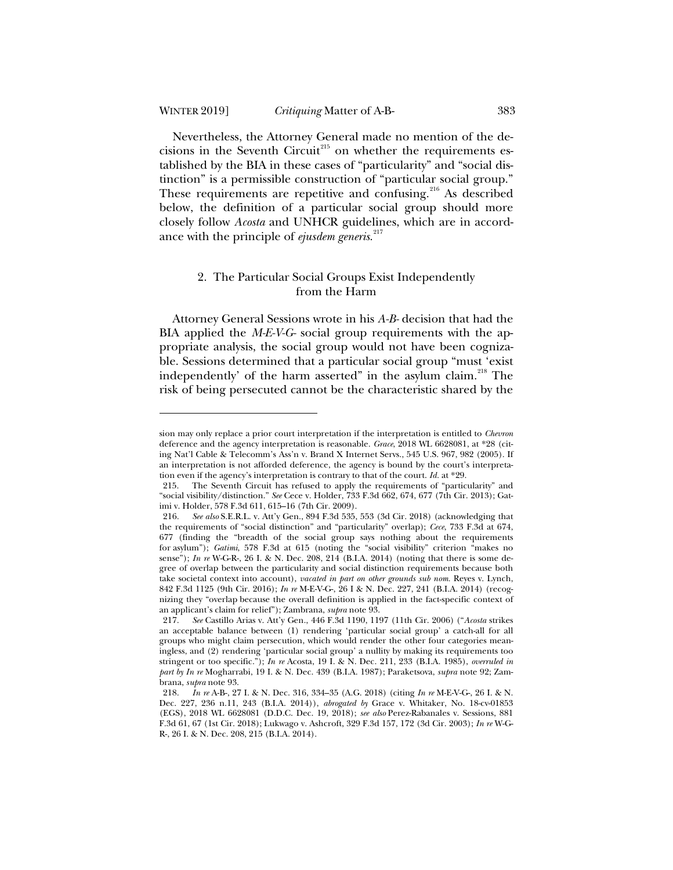Nevertheless, the Attorney General made no mention of the decisions in the Seventh Circuit<sup>215</sup> on whether the requirements established by the BIA in these cases of "particularity" and "social distinction" is a permissible construction of "particular social group." These requirements are repetitive and confusing.<sup>216</sup> As described below, the definition of a particular social group should more closely follow *Acosta* and UNHCR guidelines, which are in accordance with the principle of *ejusdem generis*. 217

# 2. The Particular Social Groups Exist Independently from the Harm

Attorney General Sessions wrote in his *A-B-* decision that had the BIA applied the *M-E-V-G-* social group requirements with the appropriate analysis, the social group would not have been cognizable. Sessions determined that a particular social group "must 'exist independently' of the harm asserted" in the asylum claim.<sup>218</sup> The risk of being persecuted cannot be the characteristic shared by the

sion may only replace a prior court interpretation if the interpretation is entitled to *Chevron* deference and the agency interpretation is reasonable. *Grace*, 2018 WL 6628081, at \*28 (citing Nat'l Cable & Telecomm's Ass'n v. Brand X Internet Servs., 545 U.S. 967, 982 (2005). If an interpretation is not afforded deference, the agency is bound by the court's interpretation even if the agency's interpretation is contrary to that of the court. *Id.* at \*29.

<sup>215.</sup> The Seventh Circuit has refused to apply the requirements of "particularity" and "social visibility/distinction." *See* Cece v. Holder, 733 F.3d 662, 674, 677 (7th Cir. 2013); Gatimi v. Holder, 578 F.3d 611, 615–16 (7th Cir. 2009).

<sup>216.</sup> *See also* S.E.R.L. v. Att'y Gen., 894 F.3d 535, 553 (3d Cir. 2018) (acknowledging that the requirements of "social distinction" and "particularity" overlap); *Cece*, 733 F.3d at 674, 677 (finding the "breadth of the social group says nothing about the requirements for asylum"); *Gatimi*, 578 F.3d at 615 (noting the "social visibility" criterion "makes no sense"); *In re* W-G-R-, 26 I. & N. Dec. 208, 214 (B.I.A. 2014) (noting that there is some degree of overlap between the particularity and social distinction requirements because both take societal context into account), *vacated in part on other grounds sub nom.* Reyes v. Lynch, 842 F.3d 1125 (9th Cir. 2016); *In re* M-E-V-G-, 26 I & N. Dec. 227, 241 (B.I.A. 2014) (recognizing they "overlap because the overall definition is applied in the fact-specific context of an applicant's claim for relief"); Zambrana, *supra* note 93.

<sup>217.</sup> *See* Castillo Arias v. Att'y Gen., 446 F.3d 1190, 1197 (11th Cir. 2006) ("*Acosta* strikes an acceptable balance between (1) rendering 'particular social group' a catch-all for all groups who might claim persecution, which would render the other four categories meaningless, and (2) rendering 'particular social group' a nullity by making its requirements too stringent or too specific."); *In re* Acosta, 19 I. & N. Dec. 211, 233 (B.I.A. 1985), *overruled in part by In re* Mogharrabi, 19 I. & N. Dec. 439 (B.I.A. 1987); Paraketsova, *supra* note 92; Zambrana, *supra* note 93.

<sup>218.</sup> *In re* A-B-, 27 I. & N. Dec. 316, 334–35 (A.G. 2018) (citing *In re* M-E-V-G-, 26 I. & N. Dec. 227, 236 n.11, 243 (B.I.A. 2014)), *abrogated by* Grace v. Whitaker, No. 18-cv-01853 (EGS), 2018 WL 6628081 (D.D.C. Dec. 19, 2018); *see also* Perez-Rabanales v. Sessions, 881 F.3d 61, 67 (1st Cir. 2018); Lukwago v. Ashcroft, 329 F.3d 157, 172 (3d Cir. 2003); *In re* W-G-R-, 26 I. & N. Dec. 208, 215 (B.I.A. 2014).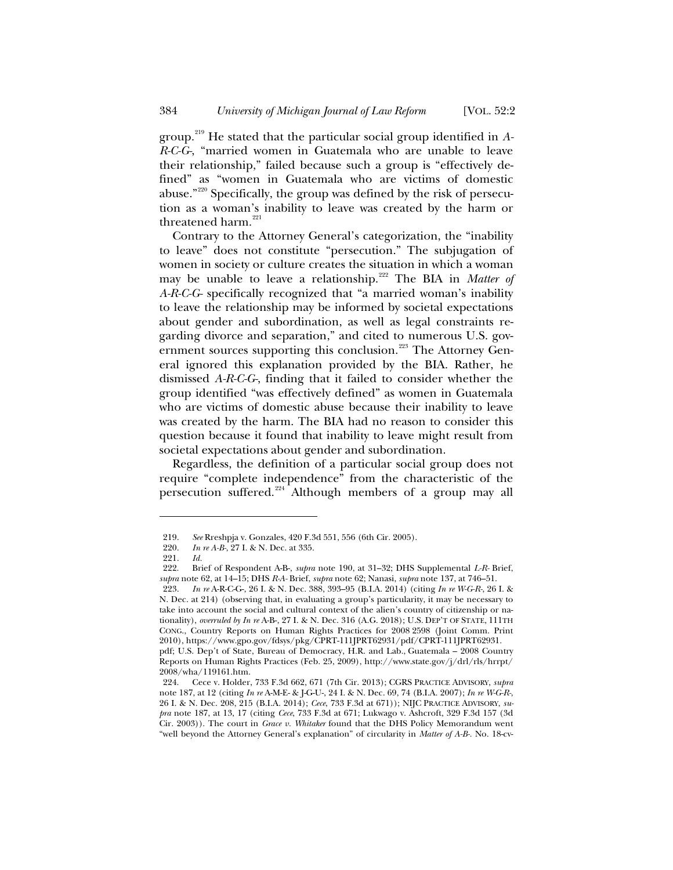group.<sup>219</sup> He stated that the particular social group identified in *A-R-C-G-*, "married women in Guatemala who are unable to leave their relationship," failed because such a group is "effectively defined" as "women in Guatemala who are victims of domestic abuse."<sup>220</sup> Specifically, the group was defined by the risk of persecution as a woman's inability to leave was created by the harm or threatened harm. $^{221}$ 

Contrary to the Attorney General's categorization, the "inability to leave" does not constitute "persecution." The subjugation of women in society or culture creates the situation in which a woman may be unable to leave a relationship.<sup>222</sup> The BIA in *Matter of A-R-C-G-* specifically recognized that "a married woman's inability to leave the relationship may be informed by societal expectations about gender and subordination, as well as legal constraints regarding divorce and separation," and cited to numerous U.S. government sources supporting this conclusion.<sup>223</sup> The Attorney General ignored this explanation provided by the BIA. Rather, he dismissed *A-R-C-G-*, finding that it failed to consider whether the group identified "was effectively defined" as women in Guatemala who are victims of domestic abuse because their inability to leave was created by the harm. The BIA had no reason to consider this question because it found that inability to leave might result from societal expectations about gender and subordination.

Regardless, the definition of a particular social group does not require "complete independence" from the characteristic of the persecution suffered.<sup>224</sup> Although members of a group may all

<sup>219.</sup> *See* Rreshpja v. Gonzales, 420 F.3d 551, 556 (6th Cir. 2005).

<sup>220.</sup> *In re A-B-*, 27 I. & N. Dec. at 335.

<sup>221.</sup> *Id.*

<sup>222.</sup> Brief of Respondent A-B-, *supra* note 190, at 31–32; DHS Supplemental *L-R-* Brief, *supra* note 62, at 14–15; DHS *R-A-* Brief, *supra* note 62; Nanasi, *supra* note 137, at 746–51.

<sup>223.</sup> *In re* A-R-C-G-, 26 I. & N. Dec. 388, 393–95 (B.I.A. 2014) (citing *In re W-G-R-*, 26 I. & N. Dec. at 214) (observing that, in evaluating a group's particularity, it may be necessary to take into account the social and cultural context of the alien's country of citizenship or nationality), *overruled by In re* A-B-, 27 I. & N. Dec. 316 (A.G. 2018); U.S. DEP'T OF STATE, 111TH CONG., Country Reports on Human Rights Practices for 2008 2598 (Joint Comm. Print 2010), https://www.gpo.gov/fdsys/pkg/CPRT-111JPRT62931/pdf/CPRT-111JPRT62931.

pdf; U.S. Dep't of State, Bureau of Democracy, H.R. and Lab., Guatemala – 2008 Country Reports on Human Rights Practices (Feb. 25, 2009), http://www.state.gov/j/drl/rls/hrrpt/ 2008/wha/119161.htm.

<sup>224.</sup> Cece v. Holder, 733 F.3d 662, 671 (7th Cir. 2013); CGRS PRACTICE ADVISORY, *supra*  note 187, at 12 (citing *In re* A-M-E- & J-G-U-, 24 I. & N. Dec. 69, 74 (B.I.A. 2007); *In re W-G-R-*, 26 I. & N. Dec. 208, 215 (B.I.A. 2014); *Cece*, 733 F.3d at 671)); NIJC PRACTICE ADVISORY, *supra* note 187, at 13, 17 (citing *Cece*, 733 F.3d at 671; Lukwago v. Ashcroft, 329 F.3d 157 (3d Cir. 2003)). The court in *Grace v. Whitaker* found that the DHS Policy Memorandum went "well beyond the Attorney General's explanation" of circularity in *Matter of A-B-.* No. 18-cv-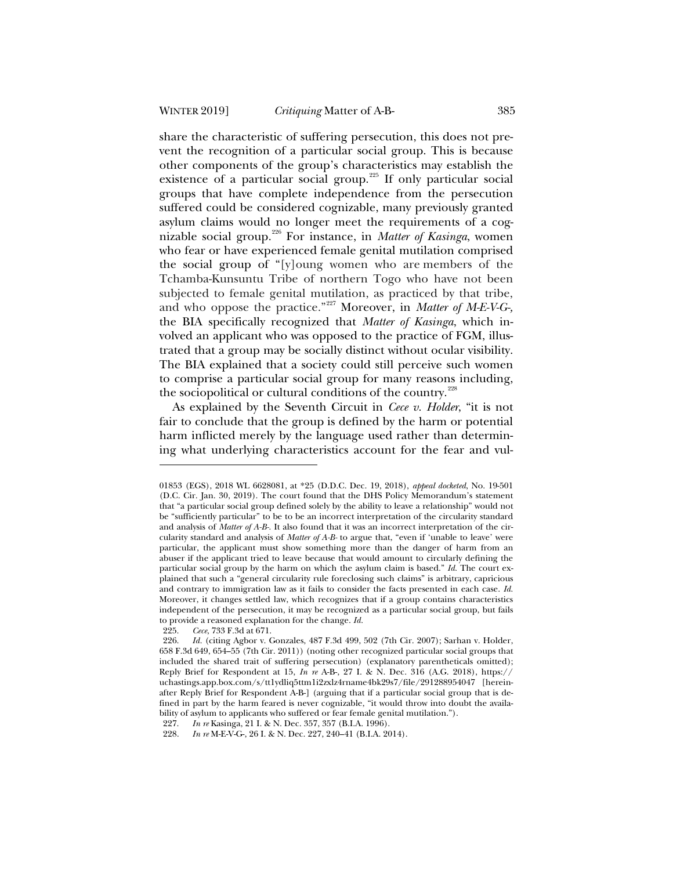share the characteristic of suffering persecution, this does not prevent the recognition of a particular social group. This is because other components of the group's characteristics may establish the existence of a particular social group.<sup>225</sup> If only particular social groups that have complete independence from the persecution suffered could be considered cognizable, many previously granted asylum claims would no longer meet the requirements of a cognizable social group.<sup>226</sup> For instance, in *Matter of Kasinga*, women who fear or have experienced female genital mutilation comprised the social group of "[y]oung women who are members of the Tchamba-Kunsuntu Tribe of northern Togo who have not been subjected to female genital mutilation, as practiced by that tribe, and who oppose the practice."<sup>227</sup> Moreover, in *Matter of M-E-V-G-,* the BIA specifically recognized that *Matter of Kasinga*, which involved an applicant who was opposed to the practice of FGM, illustrated that a group may be socially distinct without ocular visibility. The BIA explained that a society could still perceive such women to comprise a particular social group for many reasons including, the sociopolitical or cultural conditions of the country.<sup>228</sup>

As explained by the Seventh Circuit in *Cece v. Holder*, "it is not fair to conclude that the group is defined by the harm or potential harm inflicted merely by the language used rather than determining what underlying characteristics account for the fear and vul-

<sup>01853 (</sup>EGS), 2018 WL 6628081, at \*25 (D.D.C. Dec. 19, 2018), *appeal docketed*, No. 19-501 (D.C. Cir. Jan. 30, 2019). The court found that the DHS Policy Memorandum's statement that "a particular social group defined solely by the ability to leave a relationship" would not be "sufficiently particular" to be to be an incorrect interpretation of the circularity standard and analysis of *Matter of A-B-.* It also found that it was an incorrect interpretation of the circularity standard and analysis of *Matter of A-B-* to argue that, "even if 'unable to leave' were particular, the applicant must show something more than the danger of harm from an abuser if the applicant tried to leave because that would amount to circularly defining the particular social group by the harm on which the asylum claim is based." *Id.* The court explained that such a "general circularity rule foreclosing such claims" is arbitrary, capricious and contrary to immigration law as it fails to consider the facts presented in each case. *Id.* Moreover, it changes settled law, which recognizes that if a group contains characteristics independent of the persecution, it may be recognized as a particular social group, but fails to provide a reasoned explanation for the change. *Id.*

<sup>225.</sup> *Cece*, 733 F.3d at 671.

<sup>226.</sup> *Id.* (citing Agbor v. Gonzales, 487 F.3d 499, 502 (7th Cir. 2007); Sarhan v. Holder, 658 F.3d 649, 654–55 (7th Cir. 2011)) (noting other recognized particular social groups that included the shared trait of suffering persecution) (explanatory parentheticals omitted); Reply Brief for Respondent at 15, *In re* A-B-, 27 I. & N. Dec. 316 (A.G. 2018), https:// uchastings.app.box.com/s/tt1ydliq5ttm1i2zxlz4rname4bk29s7/file/291288954047 [hereinafter Reply Brief for Respondent A-B-] (arguing that if a particular social group that is defined in part by the harm feared is never cognizable, "it would throw into doubt the availability of asylum to applicants who suffered or fear female genital mutilation.").

<sup>227.</sup> *In re* Kasinga, 21 I. & N. Dec. 357, 357 (B.I.A. 1996).

<sup>228.</sup> *In re* M-E-V-G-, 26 I. & N. Dec. 227, 240–41 (B.I.A. 2014).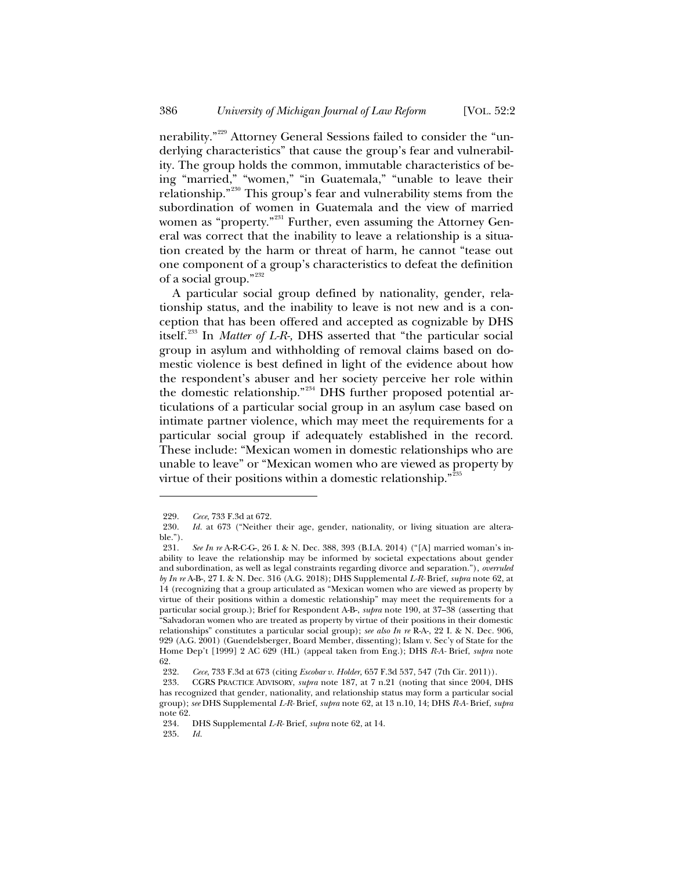nerability."<sup>229</sup> Attorney General Sessions failed to consider the "underlying characteristics" that cause the group's fear and vulnerability. The group holds the common, immutable characteristics of being "married," "women," "in Guatemala," "unable to leave their relationship."<sup>230</sup> This group's fear and vulnerability stems from the subordination of women in Guatemala and the view of married women as "property."<sup>231</sup> Further, even assuming the Attorney General was correct that the inability to leave a relationship is a situation created by the harm or threat of harm, he cannot "tease out one component of a group's characteristics to defeat the definition of a social group."232

A particular social group defined by nationality, gender, relationship status, and the inability to leave is not new and is a conception that has been offered and accepted as cognizable by DHS itself.<sup>233</sup> In *Matter of L-R-,* DHS asserted that "the particular social group in asylum and withholding of removal claims based on domestic violence is best defined in light of the evidence about how the respondent's abuser and her society perceive her role within the domestic relationship."<sup>234</sup> DHS further proposed potential articulations of a particular social group in an asylum case based on intimate partner violence, which may meet the requirements for a particular social group if adequately established in the record. These include: "Mexican women in domestic relationships who are unable to leave" or "Mexican women who are viewed as property by virtue of their positions within a domestic relationship."<sup>235</sup>

<sup>229.</sup> *Cece*, 733 F.3d at 672.

<sup>230.</sup> *Id.* at 673 ("Neither their age, gender, nationality, or living situation are alterable.").

<sup>231.</sup> *See In re* A-R-C-G-, 26 I. & N. Dec. 388, 393 (B.I.A. 2014) ("[A] married woman's inability to leave the relationship may be informed by societal expectations about gender and subordination, as well as legal constraints regarding divorce and separation."), *overruled by In re* A-B-, 27 I. & N. Dec. 316 (A.G. 2018); DHS Supplemental *L-R-* Brief, *supra* note 62, at 14 (recognizing that a group articulated as "Mexican women who are viewed as property by virtue of their positions within a domestic relationship" may meet the requirements for a particular social group.); Brief for Respondent A-B-, *supra* note 190, at 37–38 (asserting that "Salvadoran women who are treated as property by virtue of their positions in their domestic relationships" constitutes a particular social group); *see also In re* R-A-, 22 I. & N. Dec. 906, 929 (A.G. 2001) (Guendelsberger, Board Member, dissenting); Islam v. Sec'y of State for the Home Dep't [1999] 2 AC 629 (HL) (appeal taken from Eng.); DHS *R-A-* Brief, *supra* note 62.

<sup>232.</sup> *Cece*, 733 F.3d at 673 (citing *Escobar v. Holder,* 657 F.3d 537, 547 (7th Cir. 2011)).

<sup>233.</sup> CGRS PRACTICE ADVISORY, *supra* note 187, at 7 n.21 (noting that since 2004, DHS has recognized that gender, nationality, and relationship status may form a particular social group); *see* DHS Supplemental *L-R-* Brief, *supra* note 62, at 13 n.10, 14; DHS *R-A-* Brief, *supra*  note 62.

<sup>234.</sup> DHS Supplemental *L-R-* Brief, *supra* note 62, at 14.

<sup>235.</sup> *Id.*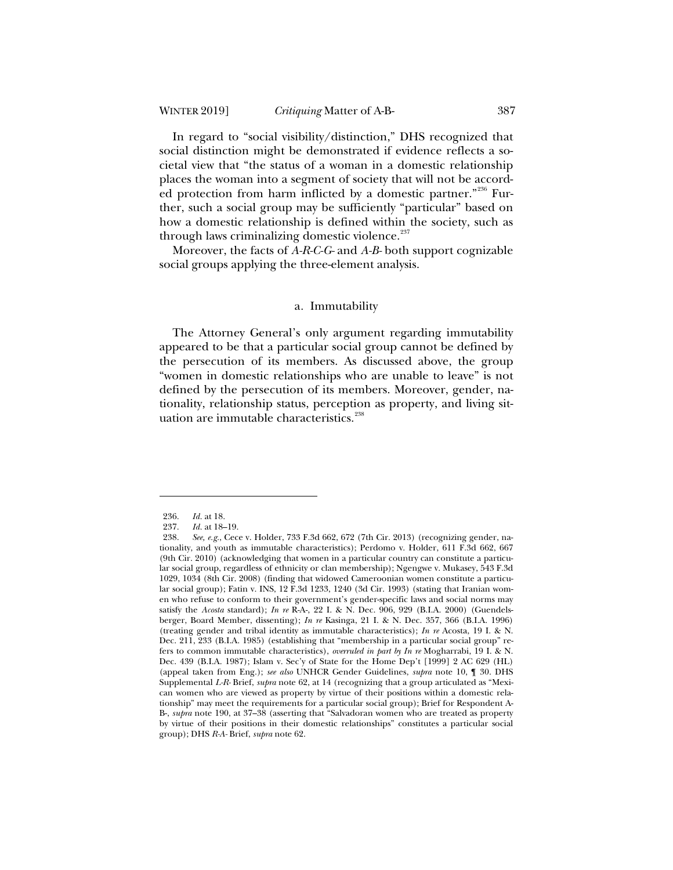In regard to "social visibility/distinction," DHS recognized that social distinction might be demonstrated if evidence reflects a societal view that "the status of a woman in a domestic relationship places the woman into a segment of society that will not be accorded protection from harm inflicted by a domestic partner."<sup>236</sup> Further, such a social group may be sufficiently "particular" based on how a domestic relationship is defined within the society, such as through laws criminalizing domestic violence.<sup>237</sup>

Moreover, the facts of *A-R-C-G-* and *A-B-* both support cognizable social groups applying the three-element analysis.

#### a*.* Immutability

The Attorney General's only argument regarding immutability appeared to be that a particular social group cannot be defined by the persecution of its members. As discussed above, the group "women in domestic relationships who are unable to leave" is not defined by the persecution of its members. Moreover, gender, nationality, relationship status, perception as property, and living situation are immutable characteristics.<sup>238</sup>

<sup>236.</sup> *Id.* at 18.

<sup>237.</sup> *Id.* at 18–19.<br>238. *See, e.g.*, Cec.

<sup>238.</sup> *See, e.g.*, Cece v. Holder, 733 F.3d 662, 672 (7th Cir. 2013) (recognizing gender, nationality, and youth as immutable characteristics); Perdomo v. Holder, 611 F.3d 662, 667 (9th Cir. 2010) (acknowledging that women in a particular country can constitute a particular social group, regardless of ethnicity or clan membership); Ngengwe v. Mukasey, 543 F.3d 1029, 1034 (8th Cir. 2008) (finding that widowed Cameroonian women constitute a particular social group); Fatin v. INS, 12 F.3d 1233, 1240 (3d Cir. 1993) (stating that Iranian women who refuse to conform to their government's gender-specific laws and social norms may satisfy the *Acosta* standard); *In re* R-A-, 22 I. & N. Dec. 906, 929 (B.I.A. 2000) (Guendelsberger, Board Member, dissenting); *In re* Kasinga, 21 I. & N. Dec. 357, 366 (B.I.A. 1996) (treating gender and tribal identity as immutable characteristics); *In re* Acosta, 19 I. & N. Dec. 211, 233 (B.I.A. 1985) (establishing that "membership in a particular social group" refers to common immutable characteristics), *overruled in part by In re* Mogharrabi, 19 I. & N. Dec. 439 (B.I.A. 1987); Islam v. Sec'y of State for the Home Dep't [1999] 2 AC 629 (HL) (appeal taken from Eng.); *see also* UNHCR Gender Guidelines, *supra* note 10, ¶ 30. DHS Supplemental *L-R-* Brief, *supra* note 62, at 14 (recognizing that a group articulated as "Mexican women who are viewed as property by virtue of their positions within a domestic relationship" may meet the requirements for a particular social group); Brief for Respondent A-B-, *supra* note 190, at 37–38 (asserting that "Salvadoran women who are treated as property by virtue of their positions in their domestic relationships" constitutes a particular social group); DHS *R-A-* Brief, *supra* note 62.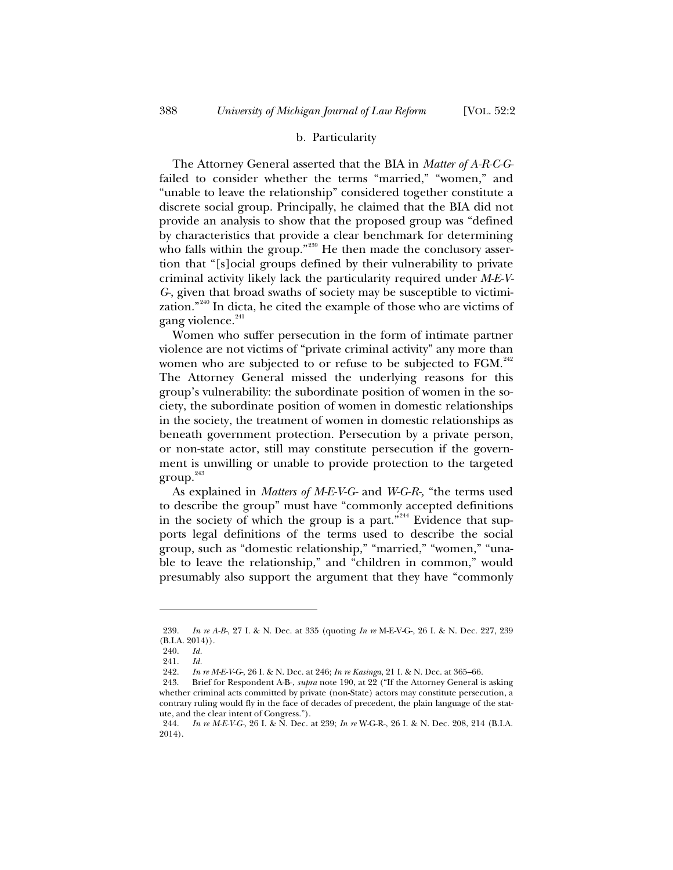### b. Particularity

The Attorney General asserted that the BIA in *Matter of A-R-C-G*failed to consider whether the terms "married," "women," and "unable to leave the relationship" considered together constitute a discrete social group. Principally, he claimed that the BIA did not provide an analysis to show that the proposed group was "defined by characteristics that provide a clear benchmark for determining who falls within the group."<sup>239</sup> He then made the conclusory assertion that "[s]ocial groups defined by their vulnerability to private criminal activity likely lack the particularity required under *M-E-V-G-*, given that broad swaths of society may be susceptible to victimization."<sup>240</sup> In dicta, he cited the example of those who are victims of gang violence.<sup>241</sup>

Women who suffer persecution in the form of intimate partner violence are not victims of "private criminal activity" any more than women who are subjected to or refuse to be subjected to FGM.<sup>242</sup> The Attorney General missed the underlying reasons for this group's vulnerability: the subordinate position of women in the society, the subordinate position of women in domestic relationships in the society, the treatment of women in domestic relationships as beneath government protection. Persecution by a private person, or non-state actor, still may constitute persecution if the government is unwilling or unable to provide protection to the targeted  $group.<sup>243</sup>$ 

As explained in *Matters of M-E-V-G-* and *W-G-R-,* "the terms used to describe the group" must have "commonly accepted definitions in the society of which the group is a part."<sup>244</sup> Evidence that supports legal definitions of the terms used to describe the social group, such as "domestic relationship," "married," "women," "unable to leave the relationship," and "children in common," would presumably also support the argument that they have "commonly

<sup>239.</sup> *In re A-B-*, 27 I. & N. Dec. at 335 (quoting *In re* M-E-V-G-, 26 I. & N. Dec. 227, 239 (B.I.A. 2014)).

<sup>240.</sup> *Id.*

<sup>241.</sup> *Id.*

<sup>242.</sup> *In re M-E-V-G-*, 26 I. & N. Dec. at 246; *In re Kasinga*, 21 I. & N. Dec. at 365–66.

<sup>243.</sup> Brief for Respondent A-B-, *supra* note 190, at 22 ("If the Attorney General is asking whether criminal acts committed by private (non-State) actors may constitute persecution, a contrary ruling would fly in the face of decades of precedent, the plain language of the statute, and the clear intent of Congress.").

<sup>244.</sup> *In re M-E-V-G-*, 26 I. & N. Dec. at 239; *In re* W-G-R-, 26 I. & N. Dec. 208, 214 (B.I.A. 2014).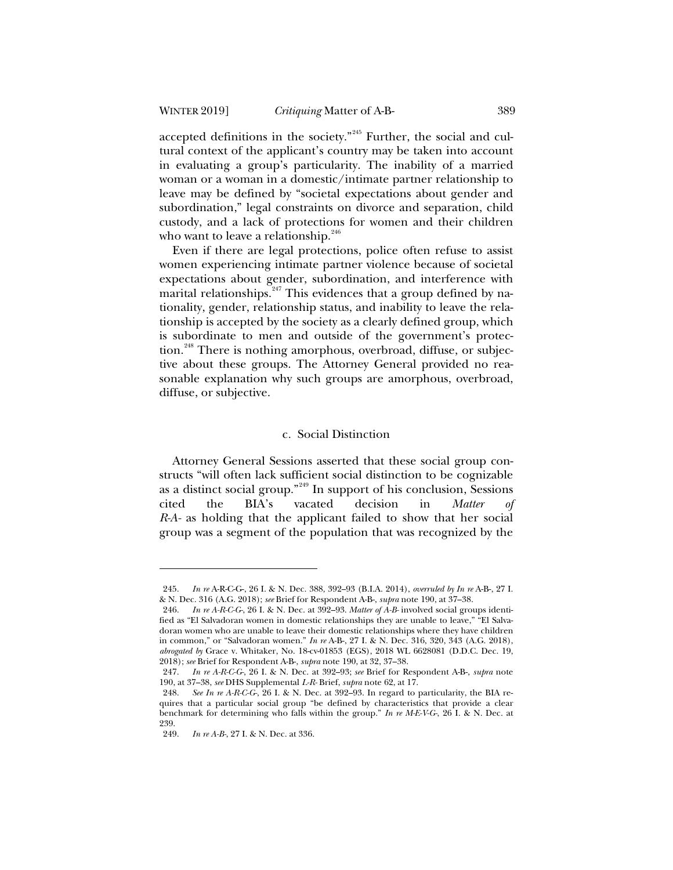accepted definitions in the society."<sup>245</sup> Further, the social and cultural context of the applicant's country may be taken into account in evaluating a group's particularity. The inability of a married woman or a woman in a domestic/intimate partner relationship to leave may be defined by "societal expectations about gender and subordination," legal constraints on divorce and separation, child custody, and a lack of protections for women and their children who want to leave a relationship.<sup>246</sup>

Even if there are legal protections, police often refuse to assist women experiencing intimate partner violence because of societal expectations about gender, subordination, and interference with marital relationships.<sup>247</sup> This evidences that a group defined by nationality, gender, relationship status, and inability to leave the relationship is accepted by the society as a clearly defined group, which is subordinate to men and outside of the government's protection.<sup>248</sup> There is nothing amorphous, overbroad, diffuse, or subjective about these groups. The Attorney General provided no reasonable explanation why such groups are amorphous, overbroad, diffuse, or subjective.

### c*.* Social Distinction

Attorney General Sessions asserted that these social group constructs "will often lack sufficient social distinction to be cognizable as a distinct social group."<sup>249</sup> In support of his conclusion, Sessions cited the BIA's vacated decision in *Matter of R-A-* as holding that the applicant failed to show that her social group was a segment of the population that was recognized by the

<sup>245.</sup> *In re* A-R-C-G-, 26 I. & N. Dec. 388, 392–93 (B.I.A. 2014), *overruled by In re* A-B-, 27 I. & N. Dec. 316 (A.G. 2018); *see* Brief for Respondent A-B-, *supra* note 190, at 37–38.

<sup>246.</sup> *In re A-R-C-G-*, 26 I. & N. Dec. at 392–93. *Matter of A-B-* involved social groups identified as "El Salvadoran women in domestic relationships they are unable to leave," "El Salvadoran women who are unable to leave their domestic relationships where they have children in common," or "Salvadoran women." *In re* A-B-, 27 I. & N. Dec. 316, 320, 343 (A.G. 2018), *abrogated by* Grace v. Whitaker, No. 18-cv-01853 (EGS), 2018 WL 6628081 (D.D.C. Dec. 19, 2018); *see* Brief for Respondent A-B-, *supra* note 190, at 32, 37–38.

<sup>247.</sup> *In re A-R-C-G-*, 26 I. & N. Dec. at 392–93; *see* Brief for Respondent A-B-, *supra* note 190, at 37–38, *see* DHS Supplemental *L-R-* Brief, *supra* note 62, at 17.

<sup>248.</sup> *See In re A-R-C-G-*, 26 I. & N. Dec. at 392–93. In regard to particularity, the BIA requires that a particular social group "be defined by characteristics that provide a clear benchmark for determining who falls within the group." *In re M-E-V-G-*, 26 I. & N. Dec. at 239.

<sup>249.</sup> *In re A-B-*, 27 I. & N. Dec. at 336.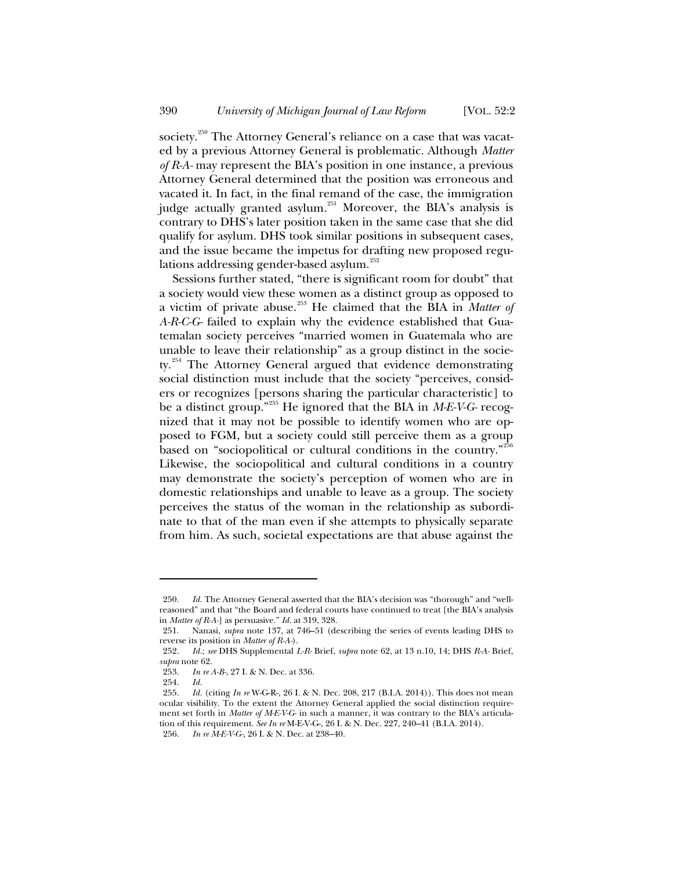society.<sup>250</sup> The Attorney General's reliance on a case that was vacated by a previous Attorney General is problematic. Although *Matter of R-A-* may represent the BIA's position in one instance, a previous Attorney General determined that the position was erroneous and vacated it. In fact, in the final remand of the case, the immigration judge actually granted asylum.<sup>251</sup> Moreover, the BIA's analysis is contrary to DHS's later position taken in the same case that she did qualify for asylum. DHS took similar positions in subsequent cases, and the issue became the impetus for drafting new proposed regulations addressing gender-based asylum.<sup>252</sup>

Sessions further stated, "there is significant room for doubt" that a society would view these women as a distinct group as opposed to a victim of private abuse.<sup>253</sup> He claimed that the BIA in *Matter of A-R-C-G-* failed to explain why the evidence established that Guatemalan society perceives "married women in Guatemala who are unable to leave their relationship" as a group distinct in the society.<sup>254</sup> The Attorney General argued that evidence demonstrating social distinction must include that the society "perceives, considers or recognizes [persons sharing the particular characteristic] to be a distinct group."<sup>255</sup> He ignored that the BIA in *M-E-V-G-* recognized that it may not be possible to identify women who are opposed to FGM, but a society could still perceive them as a group based on "sociopolitical or cultural conditions in the country."<sup>256</sup> Likewise, the sociopolitical and cultural conditions in a country may demonstrate the society's perception of women who are in domestic relationships and unable to leave as a group. The society perceives the status of the woman in the relationship as subordinate to that of the man even if she attempts to physically separate from him. As such, societal expectations are that abuse against the

<sup>250.</sup> *Id.* The Attorney General asserted that the BIA's decision was "thorough" and "wellreasoned" and that "the Board and federal courts have continued to treat [the BIA's analysis in *Matter of R-A-*] as persuasive." *Id.* at 319, 328.

<sup>251.</sup> Nanasi, *supra* note 137, at 746–51 (describing the series of events leading DHS to reverse its position in *Matter of R-A-*).

<sup>252.</sup> *Id.*; *see* DHS Supplemental *L-R-* Brief, *supra* note 62, at 13 n.10, 14; DHS *R-A-* Brief, *supra* note 62.

<sup>253.</sup> *In re A-B-*, 27 I. & N. Dec. at 336.

<sup>254.</sup> *Id.*

<sup>255.</sup> *Id.* (citing *In re* W-G-R-, 26 I. & N. Dec. 208, 217 (B.I.A. 2014)). This does not mean ocular visibility. To the extent the Attorney General applied the social distinction requirement set forth in *Matter of M-E-V-G-* in such a manner, it was contrary to the BIA's articulation of this requirement. *See In re* M-E-V-G-, 26 I. & N. Dec. 227, 240–41 (B.I.A. 2014). 256. *In re M-E-V-G-*, 26 I. & N. Dec. at 238–40.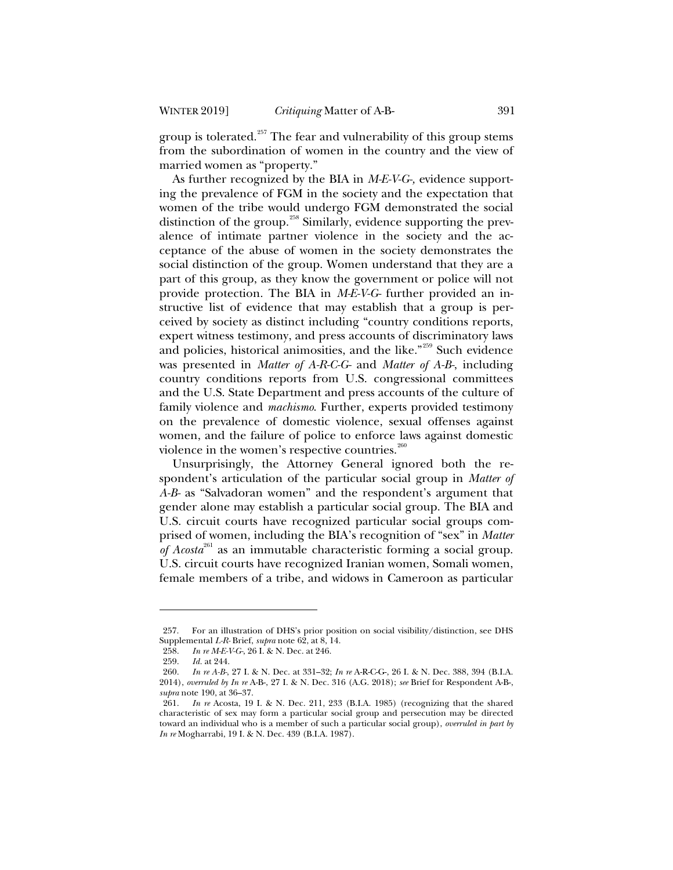group is tolerated. $257$  The fear and vulnerability of this group stems from the subordination of women in the country and the view of married women as "property."

As further recognized by the BIA in *M-E-V-G-,* evidence supporting the prevalence of FGM in the society and the expectation that women of the tribe would undergo FGM demonstrated the social distinction of the group.<sup>258</sup> Similarly, evidence supporting the prevalence of intimate partner violence in the society and the acceptance of the abuse of women in the society demonstrates the social distinction of the group. Women understand that they are a part of this group, as they know the government or police will not provide protection. The BIA in *M-E-V-G-* further provided an instructive list of evidence that may establish that a group is perceived by society as distinct including "country conditions reports, expert witness testimony, and press accounts of discriminatory laws and policies, historical animosities, and the like."<sup>259</sup> Such evidence was presented in *Matter of A-R-C-G-* and *Matter of A-B-*, including country conditions reports from U.S. congressional committees and the U.S. State Department and press accounts of the culture of family violence and *machismo*. Further, experts provided testimony on the prevalence of domestic violence, sexual offenses against women, and the failure of police to enforce laws against domestic violence in the women's respective countries. $260$ 

Unsurprisingly, the Attorney General ignored both the respondent's articulation of the particular social group in *Matter of A-B-* as "Salvadoran women" and the respondent's argument that gender alone may establish a particular social group. The BIA and U.S. circuit courts have recognized particular social groups comprised of women, including the BIA's recognition of "sex" in *Matter of Acosta*<sup>261</sup> as an immutable characteristic forming a social group. U.S. circuit courts have recognized Iranian women, Somali women, female members of a tribe, and widows in Cameroon as particular

<sup>257.</sup> For an illustration of DHS's prior position on social visibility/distinction, see DHS Supplemental *L-R-* Brief, *supra* note 62, at 8, 14.

<sup>258.</sup> *In re M-E-V-G-*, 26 I. & N. Dec. at 246.

<sup>259.</sup> *Id.* at 244.

<sup>260.</sup> *In re A-B-*, 27 I. & N. Dec. at 331–32; *In re* A-R-C-G-, 26 I. & N. Dec. 388, 394 (B.I.A. 2014), *overruled by In re* A-B-, 27 I. & N. Dec. 316 (A.G. 2018); *see* Brief for Respondent A-B-, *supra* note 190, at 36–37.

<sup>261.</sup> *In re* Acosta, 19 I. & N. Dec. 211, 233 (B.I.A. 1985) (recognizing that the shared characteristic of sex may form a particular social group and persecution may be directed toward an individual who is a member of such a particular social group), *overruled in part by In re* Mogharrabi, 19 I. & N. Dec. 439 (B.I.A. 1987).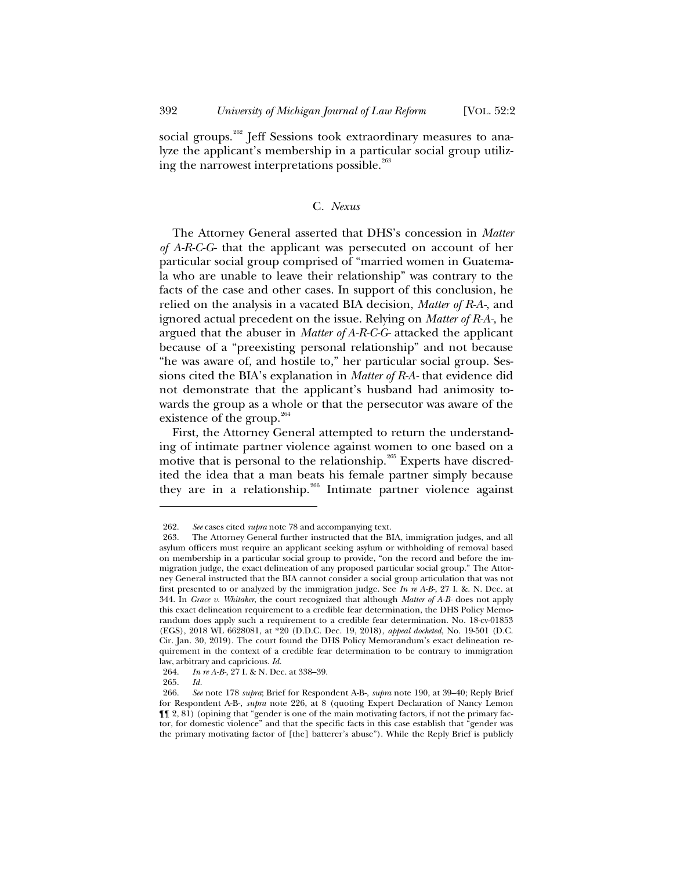social groups.<sup>262</sup> Jeff Sessions took extraordinary measures to analyze the applicant's membership in a particular social group utilizing the narrowest interpretations possible. $^{263}$ 

# C*. Nexus*

The Attorney General asserted that DHS's concession in *Matter of A-R-C-G-* that the applicant was persecuted on account of her particular social group comprised of "married women in Guatemala who are unable to leave their relationship" was contrary to the facts of the case and other cases. In support of this conclusion, he relied on the analysis in a vacated BIA decision, *Matter of R-A-*, and ignored actual precedent on the issue. Relying on *Matter of R-A-,* he argued that the abuser in *Matter of A-R-C-G-* attacked the applicant because of a "preexisting personal relationship" and not because "he was aware of, and hostile to," her particular social group. Sessions cited the BIA's explanation in *Matter of R-A-* that evidence did not demonstrate that the applicant's husband had animosity towards the group as a whole or that the persecutor was aware of the existence of the group. $264$ 

First, the Attorney General attempted to return the understanding of intimate partner violence against women to one based on a motive that is personal to the relationship.<sup>265</sup> Experts have discredited the idea that a man beats his female partner simply because they are in a relationship.<sup>266</sup> Intimate partner violence against

<sup>262.</sup> *See* cases cited *supra* note 78 and accompanying text.

<sup>263.</sup> The Attorney General further instructed that the BIA, immigration judges, and all asylum officers must require an applicant seeking asylum or withholding of removal based on membership in a particular social group to provide, "on the record and before the immigration judge, the exact delineation of any proposed particular social group." The Attorney General instructed that the BIA cannot consider a social group articulation that was not first presented to or analyzed by the immigration judge. See *In re A-B-*, 27 I. &. N. Dec. at 344. In *Grace v. Whitaker*, the court recognized that although *Matter of A-B-* does not apply this exact delineation requirement to a credible fear determination, the DHS Policy Memorandum does apply such a requirement to a credible fear determination. No. 18-cv-01853 (EGS), 2018 WL 6628081, at \*20 (D.D.C. Dec. 19, 2018), *appeal docketed*, No. 19-501 (D.C. Cir. Jan. 30, 2019). The court found the DHS Policy Memorandum's exact delineation requirement in the context of a credible fear determination to be contrary to immigration law, arbitrary and capricious. *Id.*

<sup>264.</sup> *In re A-B-*, 27 I. & N. Dec. at 338–39.

<sup>265.</sup> *Id.*

<sup>266.</sup> *See* note 178 *supra*; Brief for Respondent A-B-, *supra* note 190, at 39–40; Reply Brief for Respondent A-B-, *supra* note 226, at 8 (quoting Expert Declaration of Nancy Lemon ¶¶ 2, 81) (opining that "gender is one of the main motivating factors, if not the primary factor, for domestic violence" and that the specific facts in this case establish that "gender was the primary motivating factor of [the] batterer's abuse"). While the Reply Brief is publicly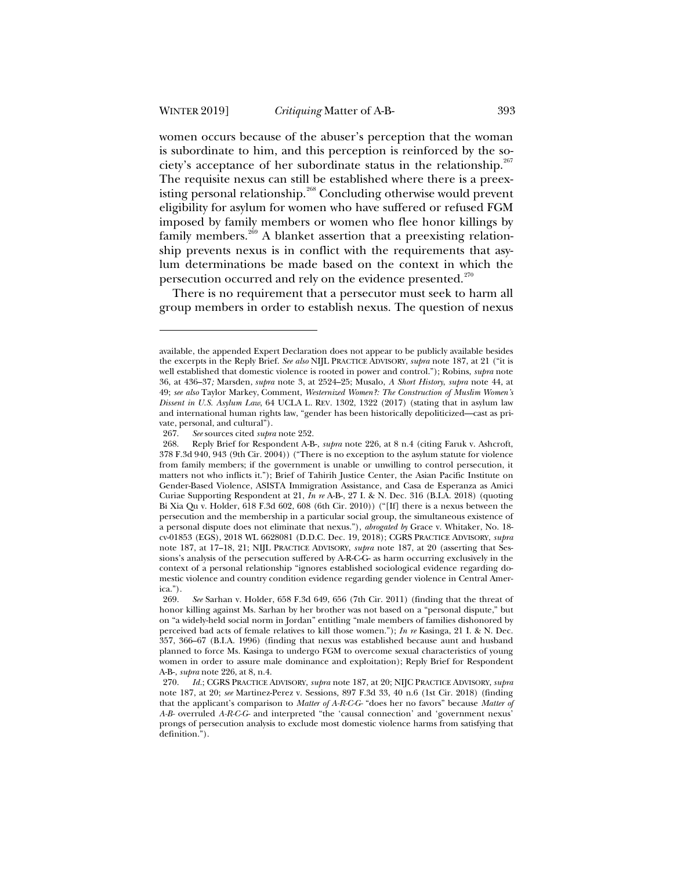women occurs because of the abuser's perception that the woman is subordinate to him, and this perception is reinforced by the society's acceptance of her subordinate status in the relationship. $267$ The requisite nexus can still be established where there is a preexisting personal relationship.<sup>268</sup> Concluding otherwise would prevent eligibility for asylum for women who have suffered or refused FGM imposed by family members or women who flee honor killings by family members.<sup>269</sup> A blanket assertion that a preexisting relationship prevents nexus is in conflict with the requirements that asylum determinations be made based on the context in which the persecution occurred and rely on the evidence presented.<sup>270</sup>

There is no requirement that a persecutor must seek to harm all group members in order to establish nexus. The question of nexus

267. *See* sources cited *supra* note 252.

available, the appended Expert Declaration does not appear to be publicly available besides the excerpts in the Reply Brief. *See also* NIJL PRACTICE ADVISORY, *supra* note 187, at 21 ("it is well established that domestic violence is rooted in power and control."); Robins, *supra* note 36, at 436–37*;* Marsden, *supra* note 3, at 2524–25; Musalo, *A Short History*, *supra* note 44, at 49; *see also* Taylor Markey, Comment, *Westernized Women?: The Construction of Muslim Women's Dissent in U.S. Asylum Law*, 64 UCLA L. REV. 1302, 1322 (2017) (stating that in asylum law and international human rights law, "gender has been historically depoliticized—cast as private, personal, and cultural").

<sup>268.</sup> Reply Brief for Respondent A-B-, *supra* note 226, at 8 n.4 (citing Faruk v. Ashcroft, 378 F.3d 940, 943 (9th Cir. 2004)) ("There is no exception to the asylum statute for violence from family members; if the government is unable or unwilling to control persecution, it matters not who inflicts it."); Brief of Tahirih Justice Center, the Asian Pacific Institute on Gender-Based Violence, ASISTA Immigration Assistance, and Casa de Esperanza as Amici Curiae Supporting Respondent at 21, *In re* A-B-, 27 I. & N. Dec. 316 (B.I.A. 2018) (quoting Bi Xia Qu v. Holder, 618 F.3d 602, 608 (6th Cir. 2010)) ("[If] there is a nexus between the persecution and the membership in a particular social group, the simultaneous existence of a personal dispute does not eliminate that nexus."), *abrogated by* Grace v. Whitaker, No. 18 cv-01853 (EGS), 2018 WL 6628081 (D.D.C. Dec. 19, 2018); CGRS PRACTICE ADVISORY, *supra* note 187, at 17–18, 21; NIJL PRACTICE ADVISORY, *supra* note 187, at 20 (asserting that Sessions's analysis of the persecution suffered by A-R-C-G- as harm occurring exclusively in the context of a personal relationship "ignores established sociological evidence regarding domestic violence and country condition evidence regarding gender violence in Central America.").

<sup>269.</sup> *See* Sarhan v. Holder, 658 F.3d 649, 656 (7th Cir. 2011) (finding that the threat of honor killing against Ms. Sarhan by her brother was not based on a "personal dispute," but on "a widely-held social norm in Jordan" entitling "male members of families dishonored by perceived bad acts of female relatives to kill those women."); *In re* Kasinga, 21 I. & N. Dec. 357, 366–67 (B.I.A. 1996) (finding that nexus was established because aunt and husband planned to force Ms. Kasinga to undergo FGM to overcome sexual characteristics of young women in order to assure male dominance and exploitation); Reply Brief for Respondent A-B-, *supra* note 226, at 8, n.4.

<sup>270.</sup> *Id.*; CGRS PRACTICE ADVISORY, *supra* note 187, at 20; NIJC PRACTICE ADVISORY, *supra* note 187, at 20; *see* Martinez-Perez v. Sessions*,* 897 F.3d 33, 40 n.6 (1st Cir. 2018) (finding that the applicant's comparison to *Matter of A-R-C-G-* "does her no favors" because *Matter of A-B-* overruled *A-R-C-G-* and interpreted "the 'causal connection' and 'government nexus' prongs of persecution analysis to exclude most domestic violence harms from satisfying that definition.").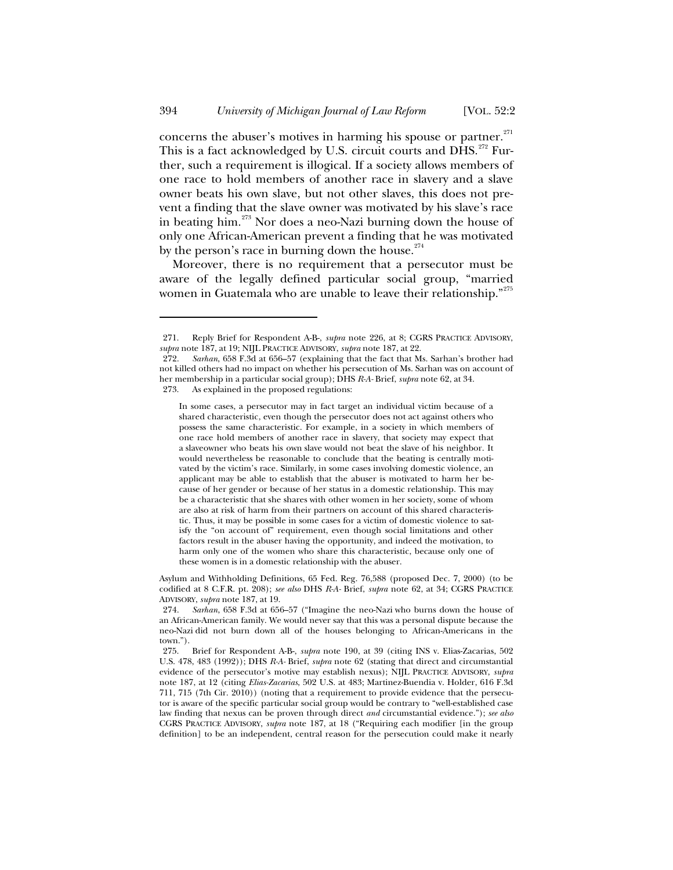concerns the abuser's motives in harming his spouse or partner. $271$ This is a fact acknowledged by U.S. circuit courts and DHS.<sup>272</sup> Further, such a requirement is illogical. If a society allows members of one race to hold members of another race in slavery and a slave owner beats his own slave, but not other slaves, this does not prevent a finding that the slave owner was motivated by his slave's race in beating him.<sup>273</sup> Nor does a neo-Nazi burning down the house of only one African-American prevent a finding that he was motivated by the person's race in burning down the house. $274$ 

Moreover, there is no requirement that a persecutor must be aware of the legally defined particular social group, "married women in Guatemala who are unable to leave their relationship."<sup>275</sup>

Asylum and Withholding Definitions, 65 Fed. Reg. 76,588 (proposed Dec. 7, 2000) (to be codified at 8 C.F.R. pt. 208); *see also* DHS *R-A-* Brief, *supra* note 62, at 34; CGRS PRACTICE ADVISORY, *supra* note 187, at 19.

<sup>271.</sup> Reply Brief for Respondent A-B-, *supra* note 226, at 8; CGRS PRACTICE ADVISORY, *supra* note 187, at 19; NIJL PRACTICE ADVISORY, *supra* note 187, at 22.

<sup>272.</sup> *Sarhan*, 658 F.3d at 656–57 (explaining that the fact that Ms. Sarhan's brother had not killed others had no impact on whether his persecution of Ms. Sarhan was on account of her membership in a particular social group); DHS *R-A-* Brief, *supra* note 62, at 34. 273. As explained in the proposed regulations:

In some cases, a persecutor may in fact target an individual victim because of a shared characteristic, even though the persecutor does not act against others who possess the same characteristic. For example, in a society in which members of one race hold members of another race in slavery, that society may expect that a slaveowner who beats his own slave would not beat the slave of his neighbor. It would nevertheless be reasonable to conclude that the beating is centrally motivated by the victim's race. Similarly, in some cases involving domestic violence, an applicant may be able to establish that the abuser is motivated to harm her because of her gender or because of her status in a domestic relationship. This may be a characteristic that she shares with other women in her society, some of whom are also at risk of harm from their partners on account of this shared characteristic. Thus, it may be possible in some cases for a victim of domestic violence to satisfy the "on account of" requirement, even though social limitations and other factors result in the abuser having the opportunity, and indeed the motivation, to harm only one of the women who share this characteristic, because only one of these women is in a domestic relationship with the abuser.

<sup>274.</sup> *Sarhan*, 658 F.3d at 656–57 ("Imagine the neo-Nazi who burns down the house of an African-American family. We would never say that this was a personal dispute because the neo-Nazi did not burn down all of the houses belonging to African-Americans in the town.").

<sup>275.</sup> Brief for Respondent A-B-, *supra* note 190, at 39 (citing INS v. Elias-Zacarias, 502 U.S. 478, 483 (1992)); DHS *R-A-* Brief, *supra* note 62 (stating that direct and circumstantial evidence of the persecutor's motive may establish nexus); NIJL PRACTICE ADVISORY, *supra*  note 187, at 12 (citing *Elias-Zacarias*, 502 U.S. at 483; Martinez-Buendia v. Holder, 616 F.3d 711, 715 (7th Cir. 2010)) (noting that a requirement to provide evidence that the persecutor is aware of the specific particular social group would be contrary to "well-established case law finding that nexus can be proven through direct *and* circumstantial evidence."); *see also* CGRS PRACTICE ADVISORY, *supra* note 187, at 18 ("Requiring each modifier [in the group definition] to be an independent, central reason for the persecution could make it nearly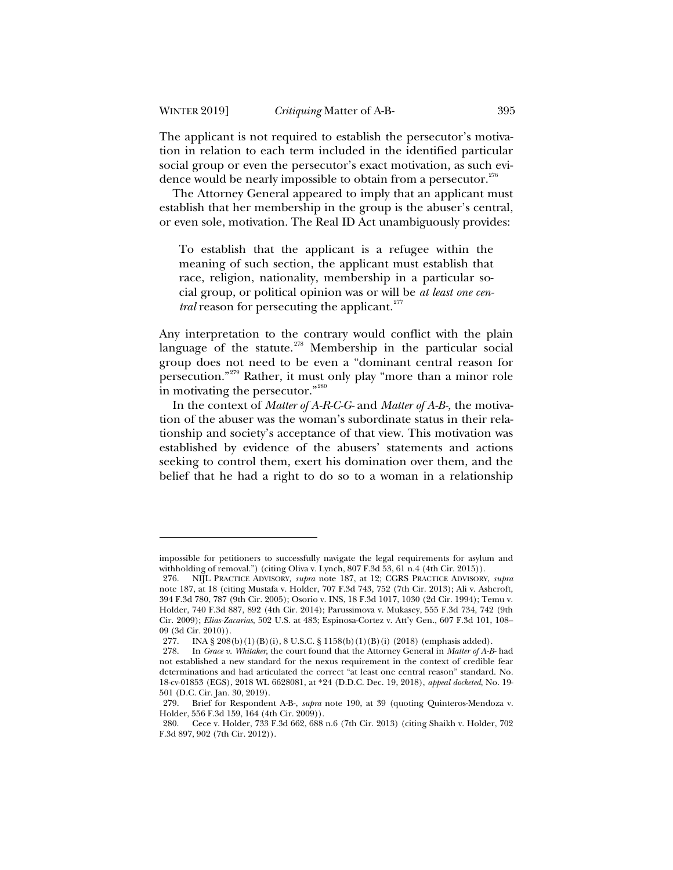The applicant is not required to establish the persecutor's motivation in relation to each term included in the identified particular social group or even the persecutor's exact motivation, as such evidence would be nearly impossible to obtain from a persecutor.<sup>276</sup>

The Attorney General appeared to imply that an applicant must establish that her membership in the group is the abuser's central, or even sole, motivation. The Real ID Act unambiguously provides:

To establish that the applicant is a refugee within the meaning of such section, the applicant must establish that race, religion, nationality, membership in a particular social group, or political opinion was or will be *at least one central* reason for persecuting the applicant.<sup>277</sup>

Any interpretation to the contrary would conflict with the plain language of the statute.<sup>278</sup> Membership in the particular social group does not need to be even a "dominant central reason for persecution."<sup>279</sup> Rather, it must only play "more than a minor role in motivating the persecutor."<sup>280</sup>

In the context of *Matter of A-R-C-G-* and *Matter of A-B-,* the motivation of the abuser was the woman's subordinate status in their relationship and society's acceptance of that view. This motivation was established by evidence of the abusers' statements and actions seeking to control them, exert his domination over them, and the belief that he had a right to do so to a woman in a relationship

impossible for petitioners to successfully navigate the legal requirements for asylum and withholding of removal.") (citing Oliva v. Lynch, 807 F.3d 53, 61 n.4 (4th Cir. 2015)).

<sup>276.</sup> NIJL PRACTICE ADVISORY*, supra* note 187, at 12; CGRS PRACTICE ADVISORY, *supra* note 187, at 18 (citing Mustafa v. Holder, 707 F.3d 743, 752 (7th Cir. 2013); Ali v. Ashcroft, 394 F.3d 780, 787 (9th Cir. 2005); Osorio v. INS, 18 F.3d 1017, 1030 (2d Cir. 1994); Temu v. Holder, 740 F.3d 887, 892 (4th Cir. 2014); Parussimova v. Mukasey, 555 F.3d 734, 742 (9th Cir. 2009); *Elias-Zacarias*, 502 U.S. at 483; Espinosa-Cortez v. Att'y Gen., 607 F.3d 101, 108– 09 (3d Cir. 2010)).

<sup>277.</sup> INA § 208(b)(1)(B)(i), 8 U.S.C. § 1158(b)(1)(B)(i) (2018) (emphasis added).

<sup>278.</sup> In *Grace v. Whitaker*, the court found that the Attorney General in *Matter of A-B-* had not established a new standard for the nexus requirement in the context of credible fear determinations and had articulated the correct "at least one central reason" standard. No. 18-cv-01853 (EGS), 2018 WL 6628081, at \*24 (D.D.C. Dec. 19, 2018), *appeal docketed*, No. 19- 501 (D.C. Cir. Jan. 30, 2019).

<sup>279.</sup> Brief for Respondent A-B-, *supra* note 190, at 39 (quoting Quinteros-Mendoza v. Holder, 556 F.3d 159, 164 (4th Cir. 2009)).

<sup>280.</sup> Cece v. Holder, 733 F.3d 662, 688 n.6 (7th Cir. 2013) (citing Shaikh v. Holder, 702 F.3d 897, 902 (7th Cir. 2012)).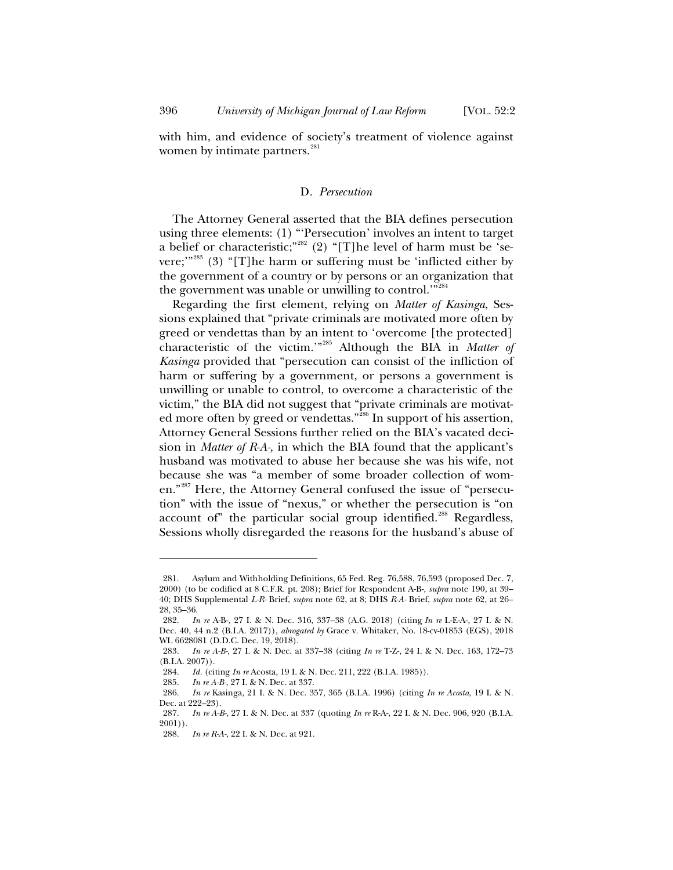with him, and evidence of society's treatment of violence against women by intimate partners.<sup>281</sup>

### D*. Persecution*

The Attorney General asserted that the BIA defines persecution using three elements: (1) "'Persecution' involves an intent to target a belief or characteristic;"<sup>282</sup> (2) "[T]he level of harm must be 'severe;"<sup>283</sup> (3) "[T]he harm or suffering must be 'inflicted either by the government of a country or by persons or an organization that the government was unable or unwilling to control.'"<sup>284</sup>

Regarding the first element, relying on *Matter of Kasinga*, Sessions explained that "private criminals are motivated more often by greed or vendettas than by an intent to 'overcome [the protected] characteristic of the victim.'"<sup>285</sup> Although the BIA in *Matter of Kasinga* provided that "persecution can consist of the infliction of harm or suffering by a government, or persons a government is unwilling or unable to control, to overcome a characteristic of the victim," the BIA did not suggest that "private criminals are motivated more often by greed or vendettas."<sup>286</sup> In support of his assertion, Attorney General Sessions further relied on the BIA's vacated decision in *Matter of R-A-,* in which the BIA found that the applicant's husband was motivated to abuse her because she was his wife, not because she was "a member of some broader collection of women."<sup>287</sup> Here, the Attorney General confused the issue of "persecution" with the issue of "nexus," or whether the persecution is "on account of" the particular social group identified.<sup>288</sup> Regardless, Sessions wholly disregarded the reasons for the husband's abuse of

<sup>281.</sup> Asylum and Withholding Definitions, 65 Fed. Reg. 76,588, 76,593 (proposed Dec. 7, 2000) (to be codified at 8 C.F.R. pt. 208); Brief for Respondent A-B-, *supra* note 190, at 39– 40; DHS Supplemental *L-R-* Brief, *supra* note 62, at 8; DHS *R-A-* Brief, *supra* note 62, at 26– 28, 35–36.

<sup>282.</sup> *In re* A-B-, 27 I. & N. Dec. 316, 337–38 (A.G. 2018) (citing *In re* L-E-A-, 27 I. & N. Dec. 40, 44 n.2 (B.I.A. 2017)), *abrogated by* Grace v. Whitaker, No. 18-cv-01853 (EGS), 2018 WL 6628081 (D.D.C. Dec. 19, 2018).

<sup>283.</sup> *In re A-B-*, 27 I. & N. Dec. at 337–38 (citing *In re* T-Z-, 24 I. & N. Dec. 163, 172–73 (B.I.A. 2007)).

<sup>284.</sup> *Id.* (citing *In re* Acosta, 19 I. & N. Dec. 211, 222 (B.I.A. 1985)).

<sup>285.</sup> *In re A-B-*, 27 I. & N. Dec. at 337.

<sup>286.</sup> *In re* Kasinga, 21 I. & N. Dec. 357, 365 (B.I.A. 1996) (citing *In re Acosta*, 19 I. & N. Dec. at 222–23).

<sup>287.</sup> *In re A-B-*, 27 I. & N. Dec. at 337 (quoting *In re* R-A-, 22 I. & N. Dec. 906, 920 (B.I.A. 2001)).

<sup>288.</sup> *In re R-A-*, 22 I. & N. Dec. at 921.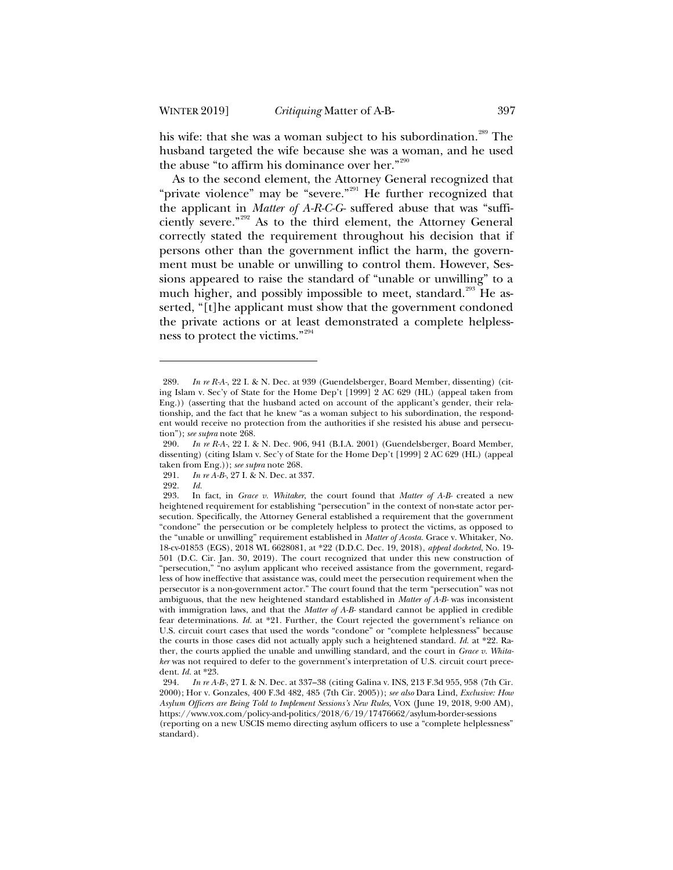his wife: that she was a woman subject to his subordination.<sup>289</sup> The husband targeted the wife because she was a woman, and he used the abuse "to affirm his dominance over her."<sup>290</sup>

As to the second element, the Attorney General recognized that "private violence" may be "severe."<sup>291</sup> He further recognized that the applicant in *Matter of A-R-C-G-* suffered abuse that was "sufficiently severe."<sup>292</sup> As to the third element, the Attorney General correctly stated the requirement throughout his decision that if persons other than the government inflict the harm, the government must be unable or unwilling to control them. However, Sessions appeared to raise the standard of "unable or unwilling" to a much higher, and possibly impossible to meet, standard.<sup>293</sup> He asserted, "[t]he applicant must show that the government condoned the private actions or at least demonstrated a complete helplessness to protect the victims."<sup>294</sup>

<sup>289.</sup> *In re R-A-*, 22 I. & N. Dec. at 939 (Guendelsberger, Board Member, dissenting) (citing Islam v. Sec'y of State for the Home Dep't [1999] 2 AC 629 (HL) (appeal taken from Eng.)) (asserting that the husband acted on account of the applicant's gender, their relationship, and the fact that he knew "as a woman subject to his subordination, the respondent would receive no protection from the authorities if she resisted his abuse and persecution"); *see supra* note 268.

<sup>290.</sup> *In re R-A-*, 22 I. & N. Dec. 906, 941 (B.I.A. 2001) (Guendelsberger, Board Member, dissenting) (citing Islam v. Sec'y of State for the Home Dep't [1999] 2 AC 629 (HL) (appeal taken from Eng.)); *see supra* note 268.

<sup>291.</sup> *In re A-B-*, 27 I. & N. Dec. at 337.

<sup>292.</sup> *Id.*

In fact, in *Grace v. Whitaker*, the court found that *Matter of A-B-* created a new heightened requirement for establishing "persecution" in the context of non-state actor persecution. Specifically, the Attorney General established a requirement that the government "condone" the persecution or be completely helpless to protect the victims, as opposed to the "unable or unwilling" requirement established in *Matter of Acosta.* Grace v. Whitaker*,* No. 18-cv-01853 (EGS), 2018 WL 6628081, at \*22 (D.D.C. Dec. 19, 2018), *appeal docketed*, No. 19- 501 (D.C. Cir. Jan. 30, 2019). The court recognized that under this new construction of "persecution," "no asylum applicant who received assistance from the government, regardless of how ineffective that assistance was, could meet the persecution requirement when the persecutor is a non-government actor." The court found that the term "persecution" was not ambiguous, that the new heightened standard established in *Matter of A-B-* was inconsistent with immigration laws, and that the *Matter of A-B-* standard cannot be applied in credible fear determinations. *Id.* at \*21. Further, the Court rejected the government's reliance on U.S. circuit court cases that used the words "condone" or "complete helplessness" because the courts in those cases did not actually apply such a heightened standard. *Id.* at \*22. Rather, the courts applied the unable and unwilling standard, and the court in *Grace v. Whitaker* was not required to defer to the government's interpretation of U.S. circuit court precedent. *Id.* at \*23.

<sup>294.</sup> *In re A-B-*, 27 I. & N. Dec. at 337–38 (citing Galina v. INS, 213 F.3d 955, 958 (7th Cir. 2000); Hor v. Gonzales, 400 F.3d 482, 485 (7th Cir. 2005)); *see also* Dara Lind, *Exclusive: How Asylum Officers are Being Told to Implement Sessions's New Rules*, VOX (June 19, 2018, 9:00 AM), https://www.vox.com/policy-and-politics/2018/6/19/17476662/asylum-border-sessions

<sup>(</sup>reporting on a new USCIS memo directing asylum officers to use a "complete helplessness" standard).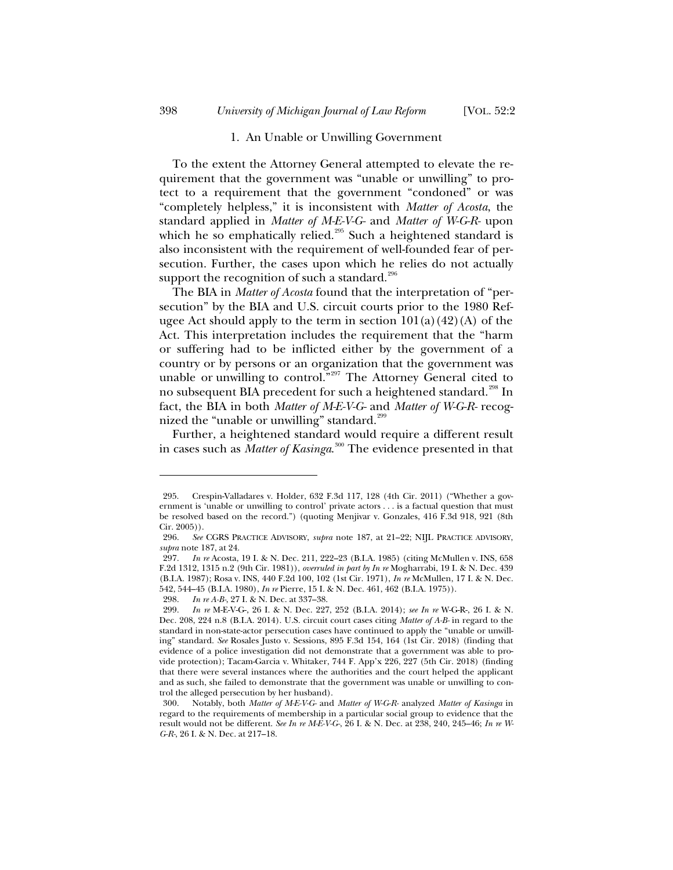### 1. An Unable or Unwilling Government

To the extent the Attorney General attempted to elevate the requirement that the government was "unable or unwilling" to protect to a requirement that the government "condoned" or was "completely helpless," it is inconsistent with *Matter of Acosta*, the standard applied in *Matter of M-E-V-G-* and *Matter of W-G-R-* upon which he so emphatically relied.<sup>295</sup> Such a heightened standard is also inconsistent with the requirement of well-founded fear of persecution. Further, the cases upon which he relies do not actually support the recognition of such a standard. $296$ 

The BIA in *Matter of Acosta* found that the interpretation of "persecution" by the BIA and U.S. circuit courts prior to the 1980 Refugee Act should apply to the term in section  $101(a)(42)(A)$  of the Act. This interpretation includes the requirement that the "harm or suffering had to be inflicted either by the government of a country or by persons or an organization that the government was unable or unwilling to control."<sup>297</sup> The Attorney General cited to no subsequent BIA precedent for such a heightened standard.<sup>298</sup> In fact, the BIA in both *Matter of M-E-V-G-* and *Matter of W-G-R-* recognized the "unable or unwilling" standard.<sup>299</sup>

Further, a heightened standard would require a different result in cases such as *Matter of Kasinga*. <sup>300</sup> The evidence presented in that

298. *In re A-B-*, 27 I. & N. Dec. at 337–38.

<sup>295.</sup> Crespin-Valladares v. Holder, 632 F.3d 117, 128 (4th Cir. 2011) ("Whether a government is 'unable or unwilling to control' private actors . . . is a factual question that must be resolved based on the record.") (quoting Menjivar v. Gonzales, 416 F.3d 918, 921 (8th Cir. 2005)).

<sup>296.</sup> *See* CGRS PRACTICE ADVISORY, *supra* note 187, at 21–22; NIJL PRACTICE ADVISORY, *supra* note 187, at 24.

<sup>297.</sup> *In re* Acosta, 19 I. & N. Dec. 211, 222–23 (B.I.A. 1985) (citing McMullen v. INS, 658 F.2d 1312, 1315 n.2 (9th Cir. 1981)), *overruled in part by In re* Mogharrabi, 19 I. & N. Dec. 439 (B.I.A. 1987); Rosa v. INS, 440 F.2d 100, 102 (1st Cir. 1971), *In re* McMullen, 17 I. & N. Dec. 542, 544–45 (B.I.A. 1980), *In re* Pierre, 15 I. & N. Dec. 461, 462 (B.I.A. 1975)).

<sup>299.</sup> *In re* M-E-V-G-, 26 I. & N. Dec. 227, 252 (B.I.A. 2014); *see In re* W-G-R-, 26 I. & N. Dec. 208, 224 n.8 (B.I.A. 2014). U.S. circuit court cases citing *Matter of A-B-* in regard to the standard in non-state-actor persecution cases have continued to apply the "unable or unwilling" standard. *See* Rosales Justo v. Sessions, 895 F.3d 154, 164 (1st Cir. 2018) (finding that evidence of a police investigation did not demonstrate that a government was able to provide protection); Tacam-Garcia v. Whitaker, 744 F. App'x 226, 227 (5th Cir. 2018) (finding that there were several instances where the authorities and the court helped the applicant and as such, she failed to demonstrate that the government was unable or unwilling to control the alleged persecution by her husband).

<sup>300.</sup> Notably, both *Matter of M-E-V-G-* and *Matter of W-G-R-* analyzed *Matter of Kasinga* in regard to the requirements of membership in a particular social group to evidence that the result would not be different. *See In re M-E-V-G-*, 26 I. & N. Dec. at 238, 240, 245–46; *In re W-G-R-*, 26 I. & N. Dec. at 217–18.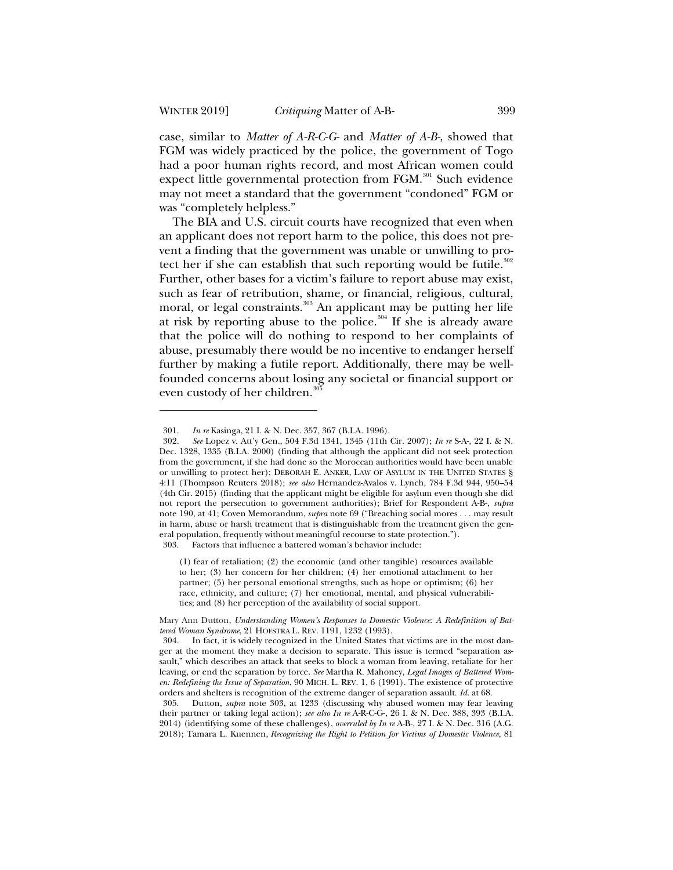case, similar to *Matter of A-R-C-G-* and *Matter of A-B-*, showed that FGM was widely practiced by the police, the government of Togo had a poor human rights record, and most African women could expect little governmental protection from FGM.<sup>301</sup> Such evidence may not meet a standard that the government "condoned" FGM or was "completely helpless."

The BIA and U.S. circuit courts have recognized that even when an applicant does not report harm to the police, this does not prevent a finding that the government was unable or unwilling to protect her if she can establish that such reporting would be futile. $302$ Further, other bases for a victim's failure to report abuse may exist, such as fear of retribution, shame, or financial, religious, cultural, moral, or legal constraints.<sup>303</sup> An applicant may be putting her life at risk by reporting abuse to the police.<sup>304</sup> If she is already aware that the police will do nothing to respond to her complaints of abuse, presumably there would be no incentive to endanger herself further by making a futile report. Additionally, there may be wellfounded concerns about losing any societal or financial support or even custody of her children.<sup>305</sup>

303. Factors that influence a battered woman's behavior include:

(1) fear of retaliation; (2) the economic (and other tangible) resources available to her; (3) her concern for her children; (4) her emotional attachment to her partner; (5) her personal emotional strengths, such as hope or optimism; (6) her race, ethnicity, and culture; (7) her emotional, mental, and physical vulnerabilities; and (8) her perception of the availability of social support.

<sup>301.</sup> *In re* Kasinga, 21 I. & N. Dec. 357, 367 (B.I.A. 1996).

<sup>302.</sup> *See* Lopez v. Att'y Gen., 504 F.3d 1341, 1345 (11th Cir. 2007); *In re* S-A-, 22 I. & N. Dec. 1328, 1335 (B.I.A. 2000) (finding that although the applicant did not seek protection from the government, if she had done so the Moroccan authorities would have been unable or unwilling to protect her); DEBORAH E. ANKER, LAW OF ASYLUM IN THE UNITED STATES § 4:11 (Thompson Reuters 2018); *see also* Hernandez-Avalos v. Lynch, 784 F.3d 944, 950–54 (4th Cir. 2015) (finding that the applicant might be eligible for asylum even though she did not report the persecution to government authorities); Brief for Respondent A-B-, *supra*  note 190, at 41; Coven Memorandum, *supra* note 69 ("Breaching social mores . . . may result in harm, abuse or harsh treatment that is distinguishable from the treatment given the general population, frequently without meaningful recourse to state protection.").

Mary Ann Dutton, *Understanding Women's Responses to Domestic Violence: A Redefinition of Battered Woman Syndrome*, 21 HOFSTRA L. REV. 1191, 1232 (1993).

<sup>304.</sup> In fact, it is widely recognized in the United States that victims are in the most danger at the moment they make a decision to separate. This issue is termed "separation assault," which describes an attack that seeks to block a woman from leaving, retaliate for her leaving, or end the separation by force. *See* Martha R. Mahoney, *Legal Images of Battered Women: Redefining the Issue of Separation*, 90 MICH. L. REV. 1, 6 (1991). The existence of protective orders and shelters is recognition of the extreme danger of separation assault. *Id.* at 68.

<sup>305.</sup> Dutton, *supra* note 303, at 1233 (discussing why abused women may fear leaving their partner or taking legal action); *see also In re* A-R-C-G-, 26 I. & N. Dec. 388, 393 (B.I.A. 2014) (identifying some of these challenges), *overruled by In re* A-B-, 27 I. & N. Dec. 316 (A.G. 2018); Tamara L. Kuennen, *Recognizing the Right to Petition for Victims of Domestic Violence*, 81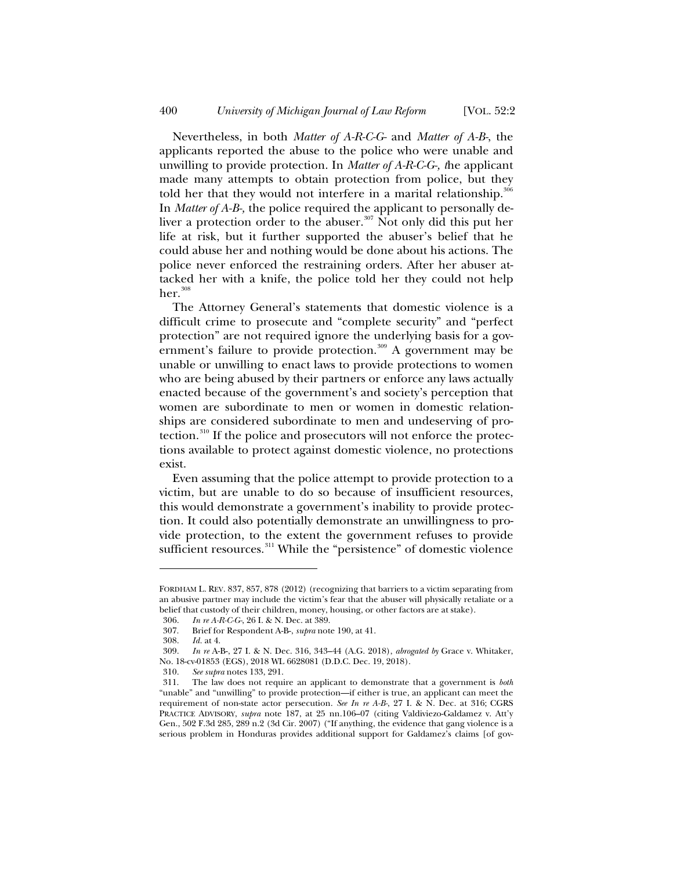Nevertheless, in both *Matter of A-R-C-G-* and *Matter of A-B-*, the applicants reported the abuse to the police who were unable and unwilling to provide protection. In *Matter of A-R-C-G-, t*he applicant made many attempts to obtain protection from police, but they told her that they would not interfere in a marital relationship.<sup>306</sup> In *Matter of A-B-,* the police required the applicant to personally deliver a protection order to the abuser.<sup>307</sup> Not only did this put her life at risk, but it further supported the abuser's belief that he could abuse her and nothing would be done about his actions. The police never enforced the restraining orders. After her abuser attacked her with a knife, the police told her they could not help  $her.$ <sup>308</sup>

The Attorney General's statements that domestic violence is a difficult crime to prosecute and "complete security" and "perfect protection" are not required ignore the underlying basis for a government's failure to provide protection.<sup>309</sup> A government may be unable or unwilling to enact laws to provide protections to women who are being abused by their partners or enforce any laws actually enacted because of the government's and society's perception that women are subordinate to men or women in domestic relationships are considered subordinate to men and undeserving of protection.<sup>310</sup> If the police and prosecutors will not enforce the protections available to protect against domestic violence, no protections exist.

Even assuming that the police attempt to provide protection to a victim, but are unable to do so because of insufficient resources, this would demonstrate a government's inability to provide protection. It could also potentially demonstrate an unwillingness to provide protection, to the extent the government refuses to provide sufficient resources.<sup>311</sup> While the "persistence" of domestic violence

FORDHAM L. REV. 837, 857, 878 (2012) (recognizing that barriers to a victim separating from an abusive partner may include the victim's fear that the abuser will physically retaliate or a belief that custody of their children, money, housing, or other factors are at stake).

<sup>306.</sup> *In re A-R-C-G-*, 26 I. & N. Dec. at 389.

<sup>307.</sup> Brief for Respondent A-B-, *supra* note 190, at 41.

*Id.* at 4.

<sup>309.</sup> *In re* A-B-, 27 I. & N. Dec. 316, 343–44 (A.G. 2018), *abrogated by* Grace v. Whitaker, No. 18-cv-01853 (EGS), 2018 WL 6628081 (D.D.C. Dec. 19, 2018).

<sup>310.</sup> *See supra* notes 133, 291.

<sup>311.</sup> The law does not require an applicant to demonstrate that a government is *both* "unable" and "unwilling" to provide protection—if either is true, an applicant can meet the requirement of non-state actor persecution. *See In re A-B-*, 27 I. & N. Dec. at 316; CGRS PRACTICE ADVISORY, *supra* note 187, at 25 nn.106–07 (citing Valdiviezo-Galdamez v. Att'y Gen., 502 F.3d 285, 289 n.2 (3d Cir. 2007) ("If anything, the evidence that gang violence is a serious problem in Honduras provides additional support for Galdamez's claims [of gov-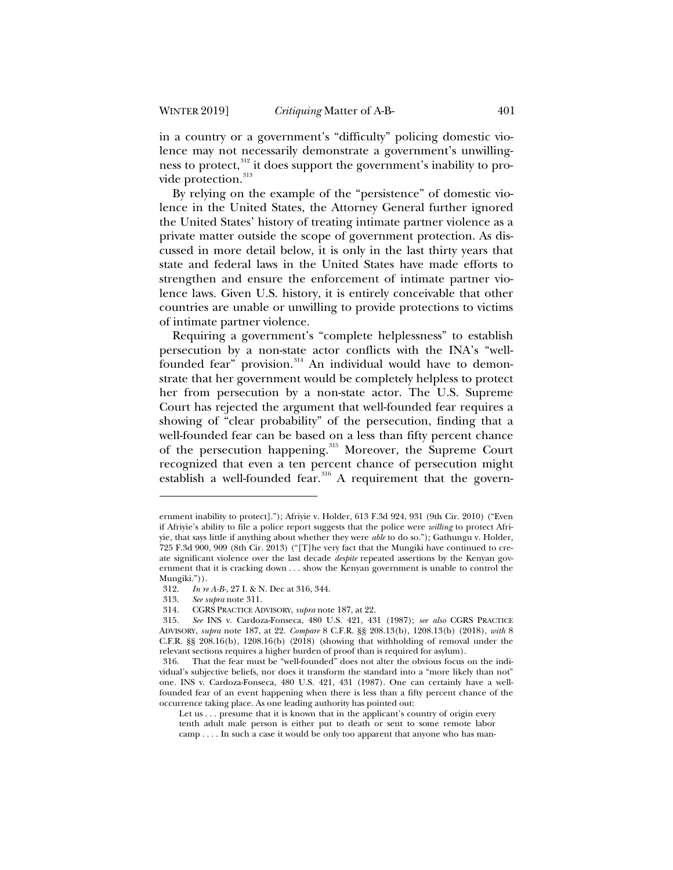in a country or a government's "difficulty" policing domestic violence may not necessarily demonstrate a government's unwillingness to protect,<sup>312</sup> it does support the government's inability to provide protection.<sup>313</sup>

By relying on the example of the "persistence" of domestic violence in the United States, the Attorney General further ignored the United States' history of treating intimate partner violence as a private matter outside the scope of government protection. As discussed in more detail below, it is only in the last thirty years that state and federal laws in the United States have made efforts to strengthen and ensure the enforcement of intimate partner violence laws. Given U.S. history, it is entirely conceivable that other countries are unable or unwilling to provide protections to victims of intimate partner violence.

Requiring a government's "complete helplessness" to establish persecution by a non-state actor conflicts with the INA's "wellfounded fear" provision.<sup>314</sup> An individual would have to demonstrate that her government would be completely helpless to protect her from persecution by a non-state actor. The U.S. Supreme Court has rejected the argument that well-founded fear requires a showing of "clear probability" of the persecution, finding that a well-founded fear can be based on a less than fifty percent chance of the persecution happening.<sup>315</sup> Moreover, the Supreme Court recognized that even a ten percent chance of persecution might establish a well-founded fear.<sup>316</sup> A requirement that the govern-

ernment inability to protect]."); Afriyie v. Holder, 613 F.3d 924, 931 (9th Cir. 2010) ("Even if Afriyie's ability to file a police report suggests that the police were *willing* to protect Afriyie, that says little if anything about whether they were *able* to do so."); Gathungu v. Holder, 725 F.3d 900, 909 (8th Cir. 2013) ("[T]he very fact that the Mungiki have continued to create significant violence over the last decade *despite* repeated assertions by the Kenyan government that it is cracking down . . . show the Kenyan government is unable to control the Mungiki.")).<br> $312.$  In n

*In re A-B-*, 27 I. & N. Dec at 316, 344.

<sup>313.</sup> *See supra* note 311.

<sup>314.</sup> CGRS PRACTICE ADVISORY, *supra* note 187, at 22.

<sup>315.</sup> *See* INS v. Cardoza-Fonseca, 480 U.S. 421, 431 (1987); *see also* CGRS PRACTICE ADVISORY, *supra* note 187, at 22. *Compare* 8 C.F.R. §§ 208.13(b), 1208.13(b) (2018), *with* 8 C.F.R. §§ 208.16(b), 1208.16(b) (2018) (showing that withholding of removal under the relevant sections requires a higher burden of proof than is required for asylum).

<sup>316.</sup> That the fear must be "well-founded" does not alter the obvious focus on the individual's subjective beliefs, nor does it transform the standard into a "more likely than not" one. INS v. Cardoza-Fonseca*,* 480 U.S. 421, 431 (1987). One can certainly have a wellfounded fear of an event happening when there is less than a fifty percent chance of the occurrence taking place. As one leading authority has pointed out:

Let us . . . presume that it is known that in the applicant's country of origin every tenth adult male person is either put to death or sent to some remote labor camp . . . . In such a case it would be only too apparent that anyone who has man-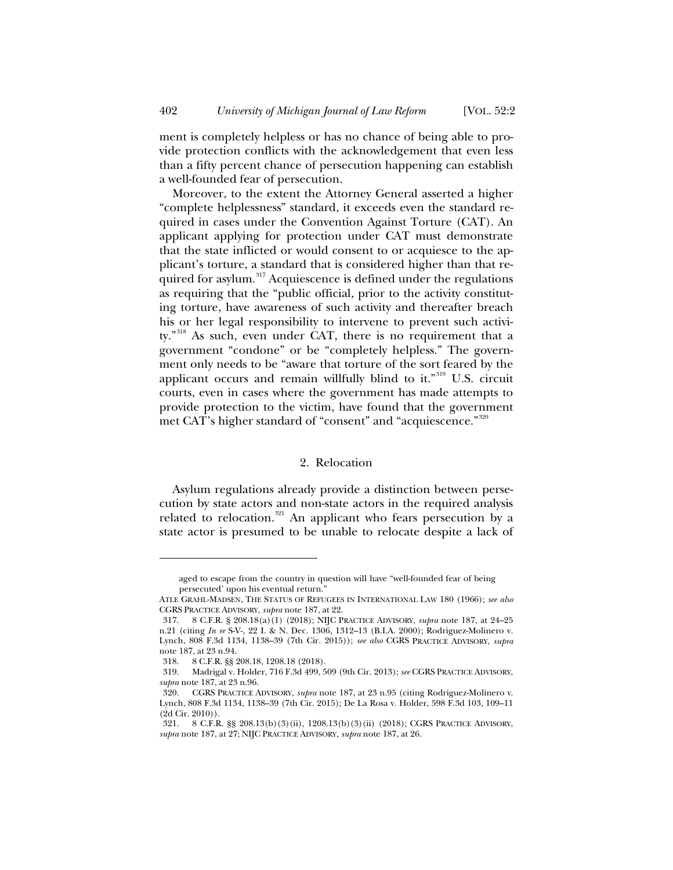ment is completely helpless or has no chance of being able to provide protection conflicts with the acknowledgement that even less than a fifty percent chance of persecution happening can establish a well-founded fear of persecution.

Moreover, to the extent the Attorney General asserted a higher "complete helplessness" standard, it exceeds even the standard required in cases under the Convention Against Torture (CAT). An applicant applying for protection under CAT must demonstrate that the state inflicted or would consent to or acquiesce to the applicant's torture, a standard that is considered higher than that required for asylum.<sup>317</sup> Acquiescence is defined under the regulations as requiring that the "public official, prior to the activity constituting torture, have awareness of such activity and thereafter breach his or her legal responsibility to intervene to prevent such activity."<sup>318</sup> As such, even under CAT, there is no requirement that a government "condone" or be "completely helpless." The government only needs to be "aware that torture of the sort feared by the applicant occurs and remain willfully blind to it."<sup>319</sup> U.S. circuit courts, even in cases where the government has made attempts to provide protection to the victim, have found that the government met CAT's higher standard of "consent" and "acquiescence."<sup>320</sup>

#### 2. Relocation

Asylum regulations already provide a distinction between persecution by state actors and non-state actors in the required analysis related to relocation. $321$  An applicant who fears persecution by a state actor is presumed to be unable to relocate despite a lack of

aged to escape from the country in question will have "well-founded fear of being persecuted' upon his eventual return."

ATLE GRAHL-MADSEN, THE STATUS OF REFUGEES IN INTERNATIONAL LAW 180 (1966); *see also* CGRS PRACTICE ADVISORY, *supra* note 187, at 22.

<sup>317. 8</sup> C.F.R. § 208.18(a)(1) (2018); NIJC PRACTICE ADVISORY, *supra* note 187, at 24–25 n.21 (citing *In re* S-V-*,* 22 I. & N. Dec. 1306, 1312–13 (B.I.A. 2000); Rodriguez-Molinero v. Lynch, 808 F.3d 1134, 1138–39 (7th Cir. 2015)); *see also* CGRS PRACTICE ADVISORY, *supra*  note 187, at 23 n.94.

<sup>318. 8</sup> C.F.R. §§ 208.18, 1208.18 (2018).

<sup>319.</sup> Madrigal v. Holder, 716 F.3d 499, 509 (9th Cir. 2013); *see* CGRS PRACTICE ADVISORY, *supra* note 187, at 23 n.96.

<sup>320.</sup> CGRS PRACTICE ADVISORY, *supra* note 187, at 23 n.95 (citing Rodriguez-Molinero v. Lynch, 808 F.3d 1134, 1138–39 (7th Cir. 2015); De La Rosa v. Holder, 598 F.3d 103, 109–11 (2d Cir. 2010)).

<sup>321. 8</sup> C.F.R. §§ 208.13(b)(3)(ii), 1208.13(b)(3)(ii) (2018); CGRS PRACTICE ADVISORY, *supra* note 187, at 27; NIJC PRACTICE ADVISORY*, supra* note 187, at 26.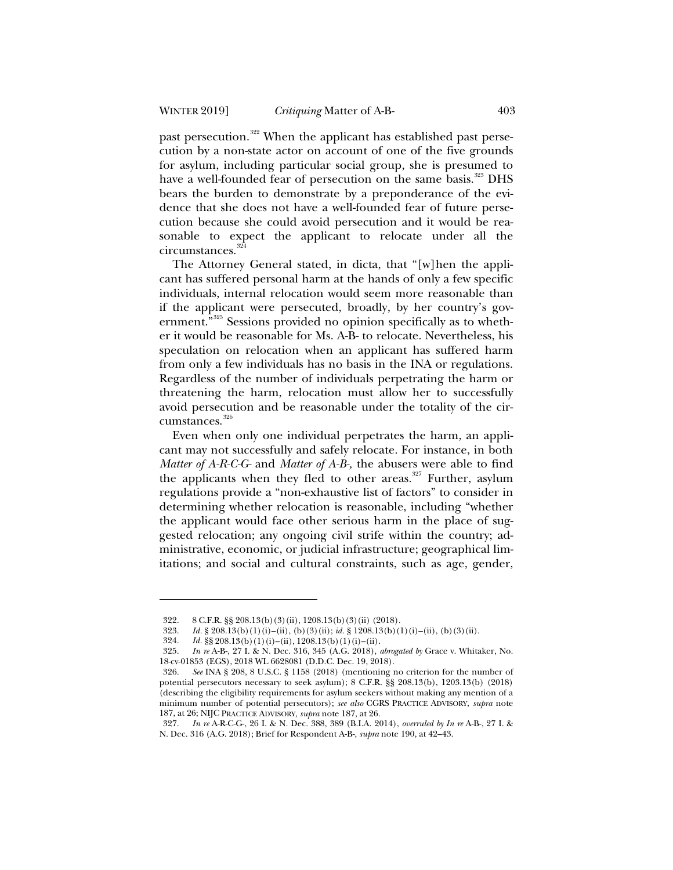past persecution.<sup>322</sup> When the applicant has established past persecution by a non-state actor on account of one of the five grounds for asylum, including particular social group, she is presumed to have a well-founded fear of persecution on the same basis.<sup>323</sup> DHS bears the burden to demonstrate by a preponderance of the evidence that she does not have a well-founded fear of future persecution because she could avoid persecution and it would be reasonable to expect the applicant to relocate under all the circumstances.<sup>324</sup>

The Attorney General stated, in dicta, that "[w]hen the applicant has suffered personal harm at the hands of only a few specific individuals, internal relocation would seem more reasonable than if the applicant were persecuted, broadly, by her country's government.<sup>5325</sup> Sessions provided no opinion specifically as to whether it would be reasonable for Ms. A-B- to relocate. Nevertheless, his speculation on relocation when an applicant has suffered harm from only a few individuals has no basis in the INA or regulations. Regardless of the number of individuals perpetrating the harm or threatening the harm, relocation must allow her to successfully avoid persecution and be reasonable under the totality of the circumstances.<sup>326</sup>

Even when only one individual perpetrates the harm, an applicant may not successfully and safely relocate. For instance, in both *Matter of A-R-C-G-* and *Matter of A-B-,* the abusers were able to find the applicants when they fled to other areas.<sup>327</sup> Further, asylum regulations provide a "non-exhaustive list of factors" to consider in determining whether relocation is reasonable, including "whether the applicant would face other serious harm in the place of suggested relocation; any ongoing civil strife within the country; administrative, economic, or judicial infrastructure; geographical limitations; and social and cultural constraints, such as age, gender,

<sup>322. 8</sup> C.F.R. §§ 208.13(b)(3)(ii), 1208.13(b)(3)(ii) (2018).

<sup>323.</sup> *Id.* § 208.13(b)(1)(i)–(ii), (b)(3)(ii); *id.* § 1208.13(b)(1)(i)–(ii), (b)(3)(ii).

<sup>324.</sup> *Id.*  $\S$ § 208.13(b)(1)(i)–(ii), 1208.13(b)(1)(i)–(ii).

<sup>325.</sup> *In re* A-B-, 27 I. & N. Dec. 316, 345 (A.G. 2018), *abrogated by* Grace v. Whitaker, No. 18-cv-01853 (EGS), 2018 WL 6628081 (D.D.C. Dec. 19, 2018).

<sup>326.</sup> *See* INA § 208, 8 U.S.C. § 1158 (2018) (mentioning no criterion for the number of potential persecutors necessary to seek asylum); 8 C.F.R. §§ 208.13(b), 1203.13(b) (2018) (describing the eligibility requirements for asylum seekers without making any mention of a minimum number of potential persecutors); *see also* CGRS PRACTICE ADVISORY, *supra* note 187, at 26; NIJC PRACTICE ADVISORY, *supra* note 187, at 26.

<sup>327.</sup> *In re* A-R-C-G-, 26 I. & N. Dec. 388, 389 (B.I.A. 2014), *overruled by In re* A-B-, 27 I. & N. Dec. 316 (A.G. 2018); Brief for Respondent A-B-, *supra* note 190, at 42–43.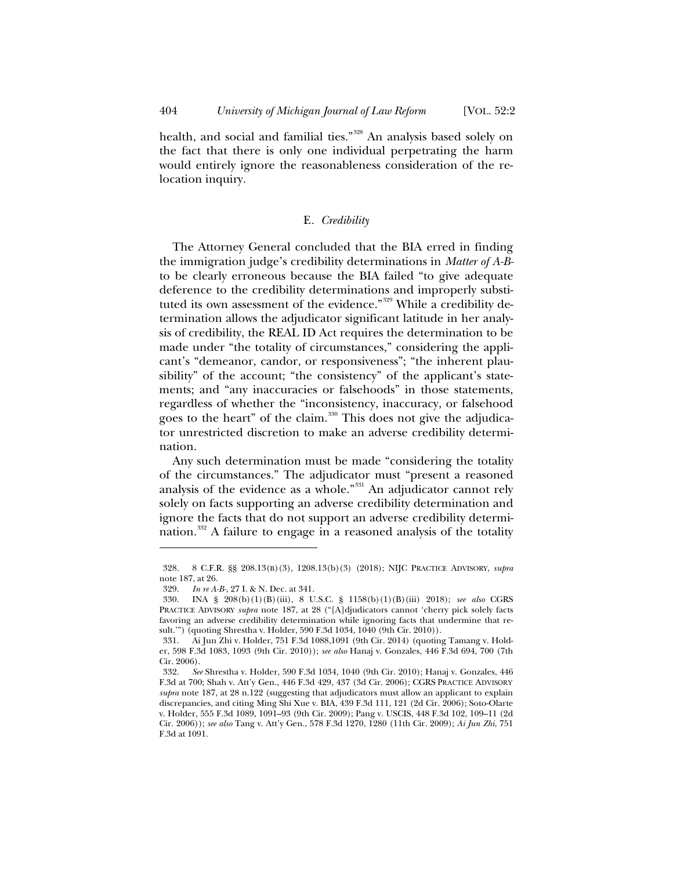health, and social and familial ties."<sup>328</sup> An analysis based solely on the fact that there is only one individual perpetrating the harm would entirely ignore the reasonableness consideration of the relocation inquiry.

## E*. Credibility*

The Attorney General concluded that the BIA erred in finding the immigration judge's credibility determinations in *Matter of A-B*to be clearly erroneous because the BIA failed "to give adequate deference to the credibility determinations and improperly substituted its own assessment of the evidence."<sup>329</sup> While a credibility determination allows the adjudicator significant latitude in her analysis of credibility, the REAL ID Act requires the determination to be made under "the totality of circumstances," considering the applicant's "demeanor, candor, or responsiveness"; "the inherent plausibility" of the account; "the consistency" of the applicant's statements; and "any inaccuracies or falsehoods" in those statements, regardless of whether the "inconsistency, inaccuracy, or falsehood goes to the heart" of the claim.<sup>330</sup> This does not give the adjudicator unrestricted discretion to make an adverse credibility determination.

Any such determination must be made "considering the totality of the circumstances." The adjudicator must "present a reasoned analysis of the evidence as a whole."<sup>331</sup> An adjudicator cannot rely solely on facts supporting an adverse credibility determination and ignore the facts that do not support an adverse credibility determination.<sup>332</sup> A failure to engage in a reasoned analysis of the totality

<sup>328. 8</sup> C.F.R. §§ 208.13(B)(3), 1208.13(b)(3) (2018); NIJC PRACTICE ADVISORY, *supra*  note 187, at 26.

<sup>329.</sup> *In re A-B-*, 27 I. & N. Dec. at 341.

<sup>330.</sup> INA § 208(b)(1)(B)(iii), 8 U.S.C. § 1158(b)(1)(B)(iii) 2018); *see also* CGRS PRACTICE ADVISORY *supra* note 187, at 28 ("[A]djudicators cannot 'cherry pick solely facts favoring an adverse credibility determination while ignoring facts that undermine that result.'") (quoting Shrestha v. Holder, 590 F.3d 1034, 1040 (9th Cir. 2010)).

<sup>331.</sup> Ai Jun Zhi v. Holder, 751 F.3d 1088,1091 (9th Cir. 2014) (quoting Tamang v. Holder, 598 F.3d 1083, 1093 (9th Cir. 2010)); *see also* Hanaj v. Gonzales, 446 F.3d 694, 700 (7th Cir. 2006).

<sup>332.</sup> *See* Shrestha v. Holder, 590 F.3d 1034, 1040 (9th Cir. 2010); Hanaj v. Gonzales, 446 F.3d at 700; Shah v. Att'y Gen., 446 F.3d 429, 437 (3d Cir. 2006); CGRS PRACTICE ADVISORY *supra* note 187, at 28 n.122 (suggesting that adjudicators must allow an applicant to explain discrepancies, and citing Ming Shi Xue v. BIA, 439 F.3d 111, 121 (2d Cir. 2006); Soto-Olarte v. Holder, 555 F.3d 1089, 1091–93 (9th Cir. 2009); Pang v. USCIS, 448 F.3d 102, 109–11 (2d Cir. 2006)); *see also* Tang v. Att'y Gen., 578 F.3d 1270, 1280 (11th Cir. 2009); *Ai Jun Zhi*, 751 F.3d at 1091.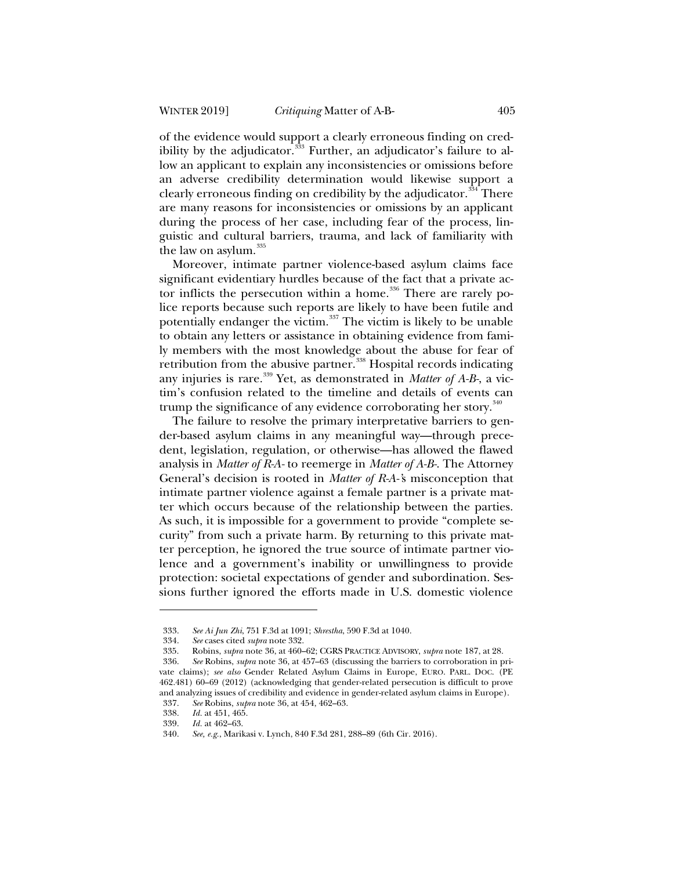of the evidence would support a clearly erroneous finding on credibility by the adjudicator. $333$  Further, an adjudicator's failure to allow an applicant to explain any inconsistencies or omissions before an adverse credibility determination would likewise support a clearly erroneous finding on credibility by the adjudicator.<sup>334</sup> There are many reasons for inconsistencies or omissions by an applicant during the process of her case, including fear of the process, linguistic and cultural barriers, trauma, and lack of familiarity with the law on asylum.<sup>335</sup>

Moreover, intimate partner violence-based asylum claims face significant evidentiary hurdles because of the fact that a private actor inflicts the persecution within a home.<sup>336</sup> There are rarely police reports because such reports are likely to have been futile and potentially endanger the victim.<sup>337</sup> The victim is likely to be unable to obtain any letters or assistance in obtaining evidence from family members with the most knowledge about the abuse for fear of retribution from the abusive partner.<sup>338</sup> Hospital records indicating any injuries is rare.<sup>339</sup> Yet, as demonstrated in *Matter of A-B-*, a victim's confusion related to the timeline and details of events can trump the significance of any evidence corroborating her story.<sup>340</sup>

The failure to resolve the primary interpretative barriers to gender-based asylum claims in any meaningful way—through precedent, legislation, regulation, or otherwise—has allowed the flawed analysis in *Matter of R-A-* to reemerge in *Matter of A-B-*. The Attorney General's decision is rooted in *Matter of R-A-'*s misconception that intimate partner violence against a female partner is a private matter which occurs because of the relationship between the parties. As such, it is impossible for a government to provide "complete security" from such a private harm. By returning to this private matter perception, he ignored the true source of intimate partner violence and a government's inability or unwillingness to provide protection: societal expectations of gender and subordination. Sessions further ignored the efforts made in U.S. domestic violence

<sup>333.</sup> *See Ai Jun Zhi*, 751 F.3d at 1091; *Shrestha*, 590 F.3d at 1040.

<sup>334.</sup> *See* cases cited *supra* note 332.

<sup>335.</sup> Robins, *supra* note 36, at 460–62; CGRS PRACTICE ADVISORY, *supra* note 187, at 28.

<sup>336.</sup> *See* Robins, *supra* note 36, at 457–63 (discussing the barriers to corroboration in private claims); *see also* Gender Related Asylum Claims in Europe, EURO. PARL. DOC. (PE 462.481) 60–69 (2012) (acknowledging that gender-related persecution is difficult to prove and analyzing issues of credibility and evidence in gender-related asylum claims in Europe).

<sup>337.</sup> *See* Robins, *supra* note 36, at 454, 462–63.

<sup>338.</sup> *Id.* at 451, 465.<br>339. *Id.* at 462–63.

*Id.* at 462–63.

<sup>340.</sup> *See, e.g.*, Marikasi v. Lynch, 840 F.3d 281, 288–89 (6th Cir. 2016).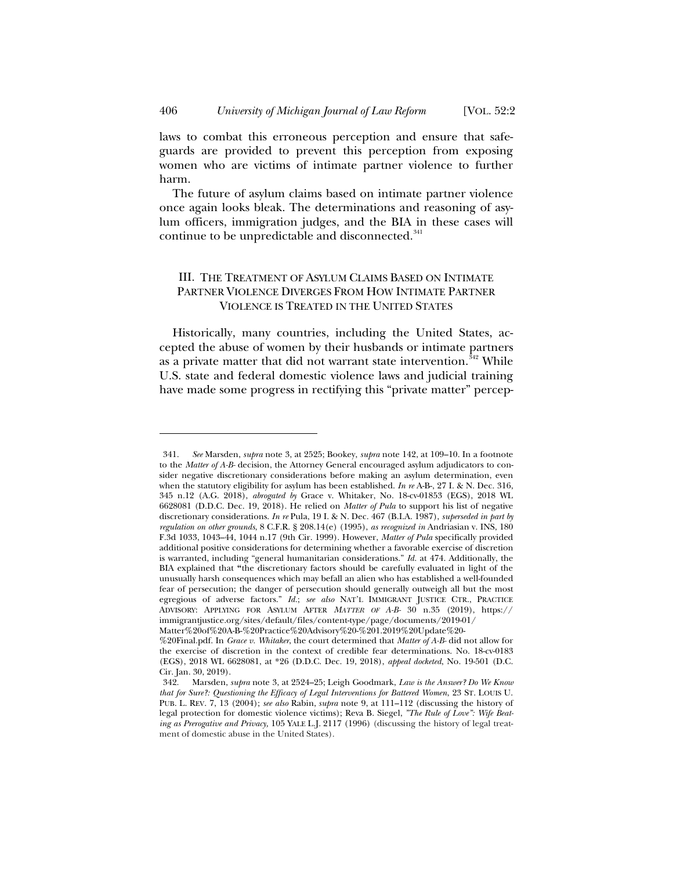laws to combat this erroneous perception and ensure that safeguards are provided to prevent this perception from exposing women who are victims of intimate partner violence to further harm.

The future of asylum claims based on intimate partner violence once again looks bleak. The determinations and reasoning of asylum officers, immigration judges, and the BIA in these cases will continue to be unpredictable and disconnected.<sup>341</sup>

# III. THE TREATMENT OF ASYLUM CLAIMS BASED ON INTIMATE PARTNER VIOLENCE DIVERGES FROM HOW INTIMATE PARTNER VIOLENCE IS TREATED IN THE UNITED STATES

Historically, many countries, including the United States, accepted the abuse of women by their husbands or intimate partners as a private matter that did not warrant state intervention.<sup> $\frac{3}{4}$ 2</sup> While U.S. state and federal domestic violence laws and judicial training have made some progress in rectifying this "private matter" percep-

<sup>341.</sup> *See* Marsden, *supra* note 3, at 2525; Bookey, *supra* note 142, at 109–10. In a footnote to the *Matter of A-B-* decision, the Attorney General encouraged asylum adjudicators to consider negative discretionary considerations before making an asylum determination, even when the statutory eligibility for asylum has been established. *In re* A-B-, 27 I. & N. Dec. 316, 345 n.12 (A.G. 2018), *abrogated by* Grace v. Whitaker, No. 18-cv-01853 (EGS), 2018 WL 6628081 (D.D.C. Dec. 19, 2018). He relied on *Matter of Pula* to support his list of negative discretionary considerations. *In re* Pula, 19 I. & N. Dec. 467 (B.I.A. 1987), *superseded in part by regulation on other grounds*, 8 C.F.R. § 208.14(e) (1995), *as recognized in* Andriasian v. INS, 180 F.3d 1033, 1043–44, 1044 n.17 (9th Cir. 1999). However, *Matter of Pula* specifically provided additional positive considerations for determining whether a favorable exercise of discretion is warranted, including "general humanitarian considerations." *Id.* at 474. Additionally, the BIA explained that **"**the discretionary factors should be carefully evaluated in light of the unusually harsh consequences which may befall an alien who has established a well-founded fear of persecution; the danger of persecution should generally outweigh all but the most egregious of adverse factors." *Id.*; *see also* NAT'L IMMIGRANT JUSTICE CTR., PRACTICE ADVISORY: APPLYING FOR ASYLUM AFTER *MATTER OF A-B-* 30 n.35 (2019), https:// immigrantjustice.org/sites/default/files/content-type/page/documents/2019-01/ Matter%20of%20A-B-%20Practice%20Advisory%20-%201.2019%20Update%20-

<sup>%20</sup>Final.pdf. In *Grace v. Whitaker*, the court determined that *Matter of A-B-* did not allow for the exercise of discretion in the context of credible fear determinations. No. 18-cv-0183 (EGS), 2018 WL 6628081, at \*26 (D.D.C. Dec. 19, 2018), *appeal docketed*, No. 19-501 (D.C. Cir. Jan. 30, 2019).

<sup>342.</sup> Marsden, *supra* note 3, at 2524–25; Leigh Goodmark, *Law is the Answer? Do We Know that for Sure?: Questioning the Efficacy of Legal Interventions for Battered Women*, 23 ST. LOUIS U. PUB. L. REV. 7, 13 (2004); *see also* Rabin, *supra* note 9, at 111–112 (discussing the history of legal protection for domestic violence victims); Reva B. Siegel, *"The Rule of Love": Wife Beating as Prerogative and Privacy,* 105 YALE L.J. 2117 (1996) (discussing the history of legal treatment of domestic abuse in the United States).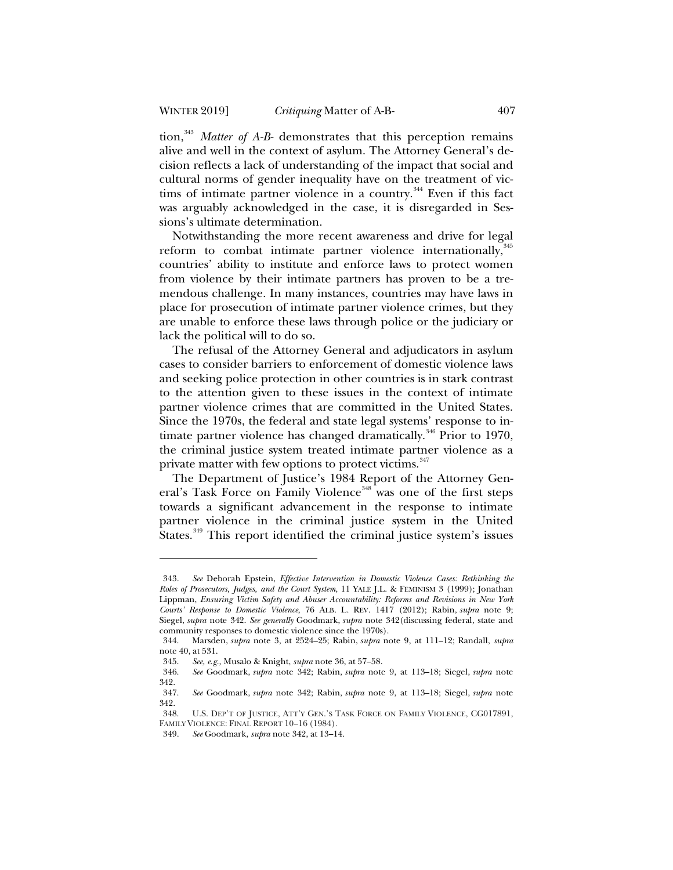tion,<sup>343</sup> *Matter of A-B-* demonstrates that this perception remains alive and well in the context of asylum. The Attorney General's decision reflects a lack of understanding of the impact that social and cultural norms of gender inequality have on the treatment of victims of intimate partner violence in a country.<sup>344</sup> Even if this fact was arguably acknowledged in the case, it is disregarded in Sessions's ultimate determination.

Notwithstanding the more recent awareness and drive for legal reform to combat intimate partner violence internationally, 345 countries' ability to institute and enforce laws to protect women from violence by their intimate partners has proven to be a tremendous challenge. In many instances, countries may have laws in place for prosecution of intimate partner violence crimes, but they are unable to enforce these laws through police or the judiciary or lack the political will to do so.

The refusal of the Attorney General and adjudicators in asylum cases to consider barriers to enforcement of domestic violence laws and seeking police protection in other countries is in stark contrast to the attention given to these issues in the context of intimate partner violence crimes that are committed in the United States. Since the 1970s, the federal and state legal systems' response to intimate partner violence has changed dramatically.<sup>346</sup> Prior to 1970, the criminal justice system treated intimate partner violence as a private matter with few options to protect victims.<sup>347</sup>

The Department of Justice's 1984 Report of the Attorney General's Task Force on Family Violence<sup>348</sup> was one of the first steps towards a significant advancement in the response to intimate partner violence in the criminal justice system in the United States.<sup>349</sup> This report identified the criminal justice system's issues

<sup>343.</sup> *See* Deborah Epstein, *Effective Intervention in Domestic Violence Cases: Rethinking the Roles of Prosecutors, Judges, and the Court System*, 11 YALE J.L. & FEMINISM 3 (1999); Jonathan Lippman, *Ensuring Victim Safety and Abuser Accountability: Reforms and Revisions in New York Courts' Response to Domestic Violence*, 76 ALB. L. REV. 1417 (2012); Rabin, *supra* note 9; Siegel, *supra* note 342. *See generally* Goodmark, *supra* note 342(discussing federal, state and community responses to domestic violence since the 1970s).

<sup>344.</sup> Marsden, *supra* note 3, at 2524–25; Rabin, *supra* note 9, at 111–12; Randall, *supra*  note 40, at 531.<br>345. See, e.g.

<sup>345.</sup> *See, e.g.,* Musalo & Knight, *supra* note 36, at 57–58.

<sup>346.</sup> *See* Goodmark, *supra* note 342; Rabin, *supra* note 9, at 113–18; Siegel, *supra* note 342.

<sup>347.</sup> *See* Goodmark, *supra* note 342; Rabin, *supra* note 9, at 113–18; Siegel, *supra* note 342.

U.S. DEP'T OF JUSTICE, ATT'Y GEN.'S TASK FORCE ON FAMILY VIOLENCE, CG017891, FAMILY VIOLENCE: FINAL REPORT 10–16 (1984).

<sup>349.</sup> *See* Goodmark, *supra* note 342, at 13–14.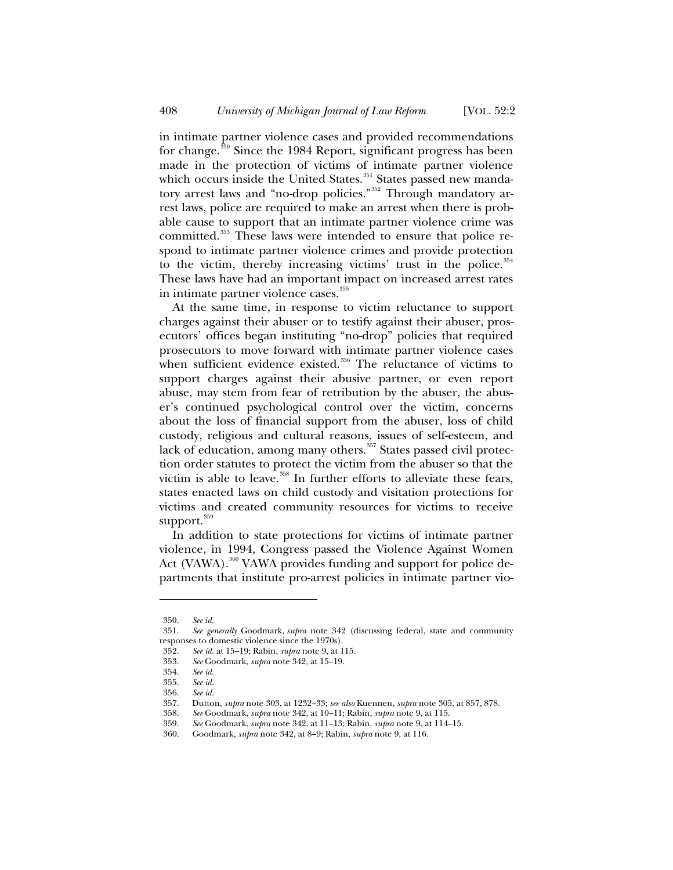in intimate partner violence cases and provided recommendations for change.<sup>350</sup> Since the 1984 Report, significant progress has been made in the protection of victims of intimate partner violence which occurs inside the United States. $^{351}$  States passed new mandatory arrest laws and "no-drop policies."<sup>352</sup> Through mandatory arrest laws, police are required to make an arrest when there is probable cause to support that an intimate partner violence crime was committed.<sup>353</sup> These laws were intended to ensure that police respond to intimate partner violence crimes and provide protection to the victim, thereby increasing victims' trust in the police. $354$ These laws have had an important impact on increased arrest rates in intimate partner violence cases.<sup>355</sup>

At the same time, in response to victim reluctance to support charges against their abuser or to testify against their abuser, prosecutors' offices began instituting "no-drop" policies that required prosecutors to move forward with intimate partner violence cases when sufficient evidence existed.<sup>356</sup> The reluctance of victims to support charges against their abusive partner, or even report abuse, may stem from fear of retribution by the abuser, the abuser's continued psychological control over the victim, concerns about the loss of financial support from the abuser, loss of child custody, religious and cultural reasons, issues of self-esteem, and lack of education, among many others.<sup>357</sup> States passed civil protection order statutes to protect the victim from the abuser so that the victim is able to leave.<sup>358</sup> In further efforts to alleviate these fears, states enacted laws on child custody and visitation protections for victims and created community resources for victims to receive support.<sup>359</sup>

In addition to state protections for victims of intimate partner violence, in 1994, Congress passed the Violence Against Women Act (VAWA).<sup>360</sup> VAWA provides funding and support for police departments that institute pro-arrest policies in intimate partner vio-

<sup>350.</sup> *See id.*

<sup>351.</sup> *See generally* Goodmark, *supra* note 342 (discussing federal, state and community responses to domestic violence since the 1970s).

<sup>352.</sup> *See id.* at 15–19; Rabin, *supra* note 9, at 115.

<sup>353.</sup> *See* Goodmark, *supra* note 342, at 15–19.

<sup>354.</sup> *See id.*

<sup>355.</sup> *See id.*

<sup>356.</sup> *See id.*

<sup>357.</sup> Dutton, *supra* note 303, at 1232–33; *see also* Kuennen, *supra* note 305, at 857, 878.

<sup>358.</sup> *See* Goodmark, *supra* note 342, at 10–11; Rabin, *supra* note 9, at 115.

<sup>359.</sup> *See* Goodmark, *supra* note 342, at 11–13; Rabin, *supra* note 9, at 114–15.

<sup>360.</sup> Goodmark, *supra* note 342, at 8–9; Rabin, *supra* note 9, at 116.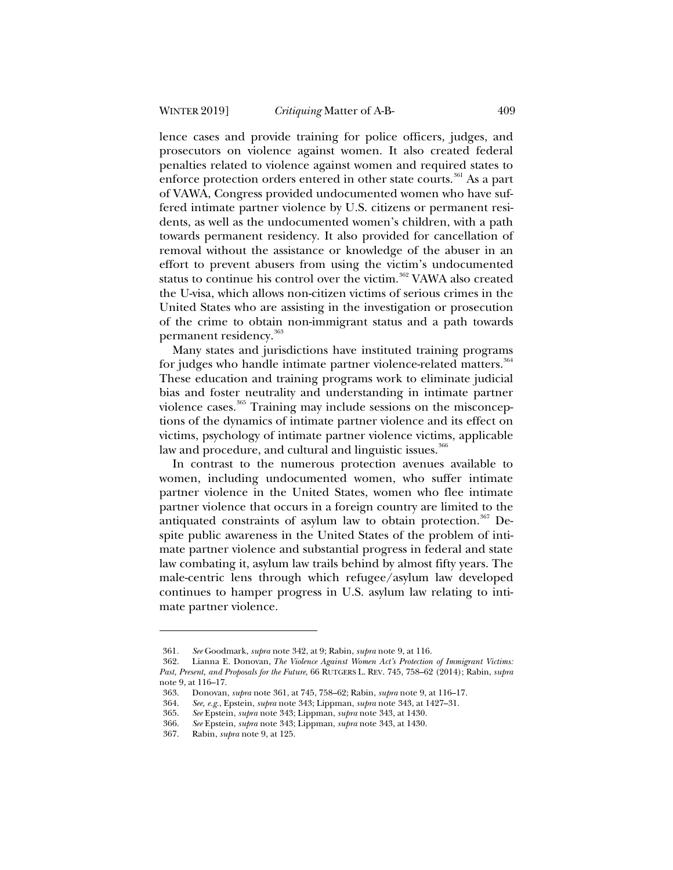lence cases and provide training for police officers, judges, and prosecutors on violence against women. It also created federal penalties related to violence against women and required states to enforce protection orders entered in other state courts.<sup>361</sup> As a part of VAWA, Congress provided undocumented women who have suffered intimate partner violence by U.S. citizens or permanent residents, as well as the undocumented women's children, with a path towards permanent residency. It also provided for cancellation of removal without the assistance or knowledge of the abuser in an effort to prevent abusers from using the victim's undocumented status to continue his control over the victim.<sup>362</sup> VAWA also created the U-visa, which allows non-citizen victims of serious crimes in the United States who are assisting in the investigation or prosecution of the crime to obtain non-immigrant status and a path towards permanent residency.<sup>363</sup>

Many states and jurisdictions have instituted training programs for judges who handle intimate partner violence-related matters.<sup>364</sup> These education and training programs work to eliminate judicial bias and foster neutrality and understanding in intimate partner violence cases.<sup>365</sup> Training may include sessions on the misconceptions of the dynamics of intimate partner violence and its effect on victims, psychology of intimate partner violence victims, applicable law and procedure, and cultural and linguistic issues.<sup>366</sup>

In contrast to the numerous protection avenues available to women, including undocumented women, who suffer intimate partner violence in the United States, women who flee intimate partner violence that occurs in a foreign country are limited to the antiquated constraints of asylum law to obtain protection.<sup>367</sup> Despite public awareness in the United States of the problem of intimate partner violence and substantial progress in federal and state law combating it, asylum law trails behind by almost fifty years. The male-centric lens through which refugee/asylum law developed continues to hamper progress in U.S. asylum law relating to intimate partner violence.

<sup>361</sup>*. See* Goodmark, *supra* note 342, at 9; Rabin, *supra* note 9, at 116.

<sup>362.</sup> Lianna E. Donovan, *The Violence Against Women Act's Protection of Immigrant Victims: Past, Present, and Proposals for the Future*, 66 RUTGERS L. REV. 745, 758–62 (2014); Rabin, *supra*  note 9, at 116–17.

<sup>363.</sup> Donovan, *supra* note 361, at 745, 758–62; Rabin, *supra* note 9, at 116–17.

<sup>364.</sup> *See, e.g.*, Epstein, *supra* note 343; Lippman, *supra* note 343, at 1427–31.

<sup>365.</sup> *See* Epstein, *supra* note 343; Lippman, *supra* note 343, at 1430.

<sup>366.</sup> *See* Epstein, *supra* note 343; Lippman, *supra* note 343, at 1430.

<sup>367.</sup> Rabin, *supra* note 9, at 125.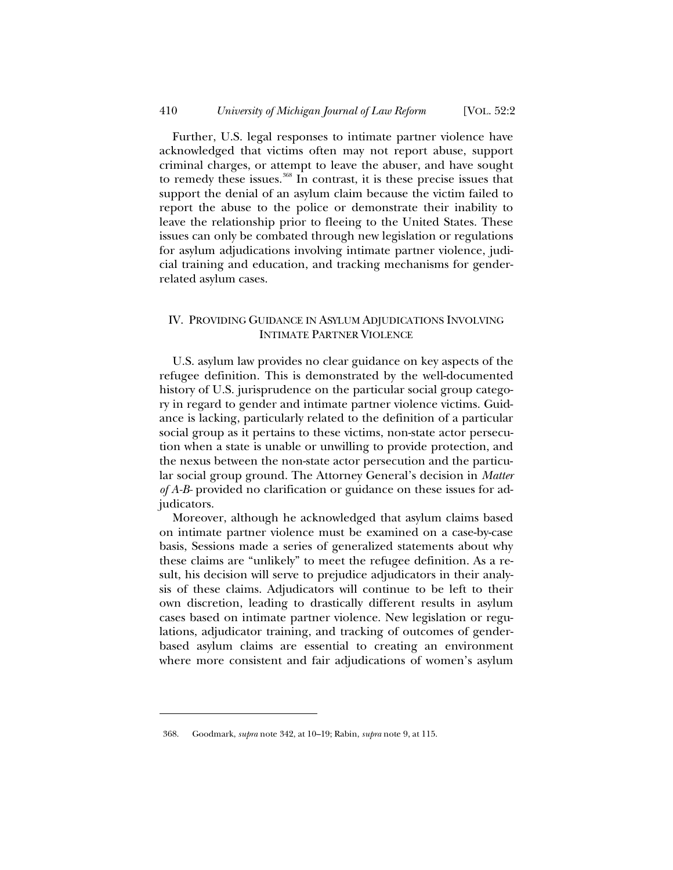Further, U.S. legal responses to intimate partner violence have acknowledged that victims often may not report abuse, support criminal charges, or attempt to leave the abuser, and have sought to remedy these issues. $368$  In contrast, it is these precise issues that support the denial of an asylum claim because the victim failed to report the abuse to the police or demonstrate their inability to leave the relationship prior to fleeing to the United States. These issues can only be combated through new legislation or regulations for asylum adjudications involving intimate partner violence, judicial training and education, and tracking mechanisms for genderrelated asylum cases.

## IV. PROVIDING GUIDANCE IN ASYLUM ADJUDICATIONS INVOLVING INTIMATE PARTNER VIOLENCE

U.S. asylum law provides no clear guidance on key aspects of the refugee definition. This is demonstrated by the well-documented history of U.S. jurisprudence on the particular social group category in regard to gender and intimate partner violence victims. Guidance is lacking, particularly related to the definition of a particular social group as it pertains to these victims, non-state actor persecution when a state is unable or unwilling to provide protection, and the nexus between the non-state actor persecution and the particular social group ground. The Attorney General's decision in *Matter of A-B-* provided no clarification or guidance on these issues for adjudicators.

Moreover, although he acknowledged that asylum claims based on intimate partner violence must be examined on a case-by-case basis, Sessions made a series of generalized statements about why these claims are "unlikely" to meet the refugee definition. As a result, his decision will serve to prejudice adjudicators in their analysis of these claims. Adjudicators will continue to be left to their own discretion, leading to drastically different results in asylum cases based on intimate partner violence. New legislation or regulations, adjudicator training, and tracking of outcomes of genderbased asylum claims are essential to creating an environment where more consistent and fair adjudications of women's asylum

<sup>368.</sup> Goodmark, *supra* note 342, at 10–19; Rabin, *supra* note 9, at 115.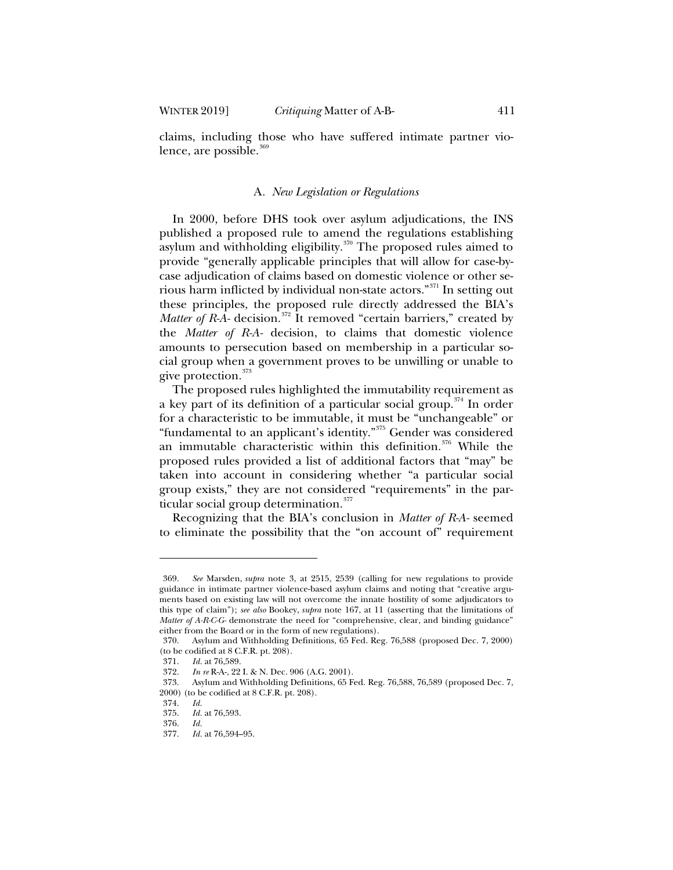claims, including those who have suffered intimate partner violence, are possible.<sup>369</sup>

## A*. New Legislation or Regulations*

In 2000, before DHS took over asylum adjudications, the INS published a proposed rule to amend the regulations establishing asylum and withholding eligibility. $370$  The proposed rules aimed to provide "generally applicable principles that will allow for case-bycase adjudication of claims based on domestic violence or other serious harm inflicted by individual non-state actors."<sup>371</sup> In setting out these principles, the proposed rule directly addressed the BIA's *Matter of R-A-* decision.<sup>372</sup> It removed "certain barriers," created by the *Matter of R-A-* decision, to claims that domestic violence amounts to persecution based on membership in a particular social group when a government proves to be unwilling or unable to give protection.<sup>373</sup>

The proposed rules highlighted the immutability requirement as a key part of its definition of a particular social group.<sup>374</sup> In order for a characteristic to be immutable, it must be "unchangeable" or "fundamental to an applicant's identity."<sup>375</sup> Gender was considered an immutable characteristic within this definition.<sup>376</sup> While the proposed rules provided a list of additional factors that "may" be taken into account in considering whether "a particular social group exists," they are not considered "requirements" in the particular social group determination. $377$ 

Recognizing that the BIA's conclusion in *Matter of R-A-* seemed to eliminate the possibility that the "on account of" requirement

<sup>369.</sup> *See* Marsden, *supra* note 3, at 2515, 2539 (calling for new regulations to provide guidance in intimate partner violence-based asylum claims and noting that "creative arguments based on existing law will not overcome the innate hostility of some adjudicators to this type of claim"); *see also* Bookey, *supra* note 167, at 11 (asserting that the limitations of *Matter of A-R-C-G-* demonstrate the need for "comprehensive, clear, and binding guidance" either from the Board or in the form of new regulations).

<sup>370.</sup> Asylum and Withholding Definitions, 65 Fed. Reg. 76,588 (proposed Dec. 7, 2000) (to be codified at 8 C.F.R. pt. 208).

<sup>371.</sup> *Id.* at 76,589.

<sup>372.</sup> *In re* R-A-, 22 I. & N. Dec. 906 (A.G. 2001).

<sup>373.</sup> Asylum and Withholding Definitions, 65 Fed. Reg. 76,588, 76,589 (proposed Dec. 7, 2000) (to be codified at 8 C.F.R. pt. 208).

<sup>374.</sup> *Id.*

<sup>375.</sup> *Id.* at 76,593.

<sup>376.</sup> *Id.*

<sup>377.</sup> *Id.* at 76,594–95.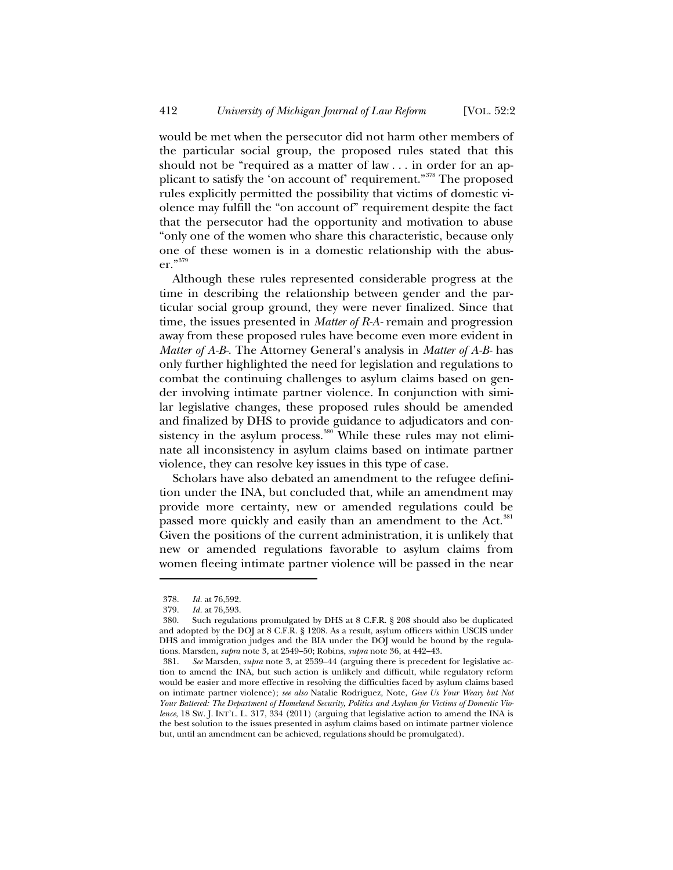would be met when the persecutor did not harm other members of the particular social group, the proposed rules stated that this should not be "required as a matter of law . . . in order for an applicant to satisfy the 'on account of' requirement."<sup>378</sup> The proposed rules explicitly permitted the possibility that victims of domestic violence may fulfill the "on account of" requirement despite the fact that the persecutor had the opportunity and motivation to abuse "only one of the women who share this characteristic, because only one of these women is in a domestic relationship with the abuser."<sup>379</sup>

Although these rules represented considerable progress at the time in describing the relationship between gender and the particular social group ground, they were never finalized. Since that time, the issues presented in *Matter of R-A-* remain and progression away from these proposed rules have become even more evident in *Matter of A-B-*. The Attorney General's analysis in *Matter of A-B-* has only further highlighted the need for legislation and regulations to combat the continuing challenges to asylum claims based on gender involving intimate partner violence. In conjunction with similar legislative changes, these proposed rules should be amended and finalized by DHS to provide guidance to adjudicators and consistency in the asylum process.<sup>380</sup> While these rules may not eliminate all inconsistency in asylum claims based on intimate partner violence, they can resolve key issues in this type of case.

Scholars have also debated an amendment to the refugee definition under the INA, but concluded that, while an amendment may provide more certainty, new or amended regulations could be passed more quickly and easily than an amendment to the Act.<sup>381</sup> Given the positions of the current administration, it is unlikely that new or amended regulations favorable to asylum claims from women fleeing intimate partner violence will be passed in the near

<sup>378.</sup> *Id.* at 76,592.

<sup>379.</sup> *Id.* at 76,593.

<sup>380.</sup> Such regulations promulgated by DHS at 8 C.F.R. § 208 should also be duplicated and adopted by the DOJ at 8 C.F.R. § 1208. As a result, asylum officers within USCIS under DHS and immigration judges and the BIA under the DOJ would be bound by the regulations. Marsden, *supra* note 3*,* at 2549–50; Robins, *supra* note 36, at 442–43.

<sup>381.</sup> *See* Marsden, *supra* note 3, at 2539–44 (arguing there is precedent for legislative action to amend the INA, but such action is unlikely and difficult, while regulatory reform would be easier and more effective in resolving the difficulties faced by asylum claims based on intimate partner violence); *see also* Natalie Rodriguez, Note, *Give Us Your Weary but Not Your Battered: The Department of Homeland Security, Politics and Asylum for Victims of Domestic Violence*, 18 SW. J. INT'L. L. 317, 334 (2011) (arguing that legislative action to amend the INA is the best solution to the issues presented in asylum claims based on intimate partner violence but, until an amendment can be achieved, regulations should be promulgated).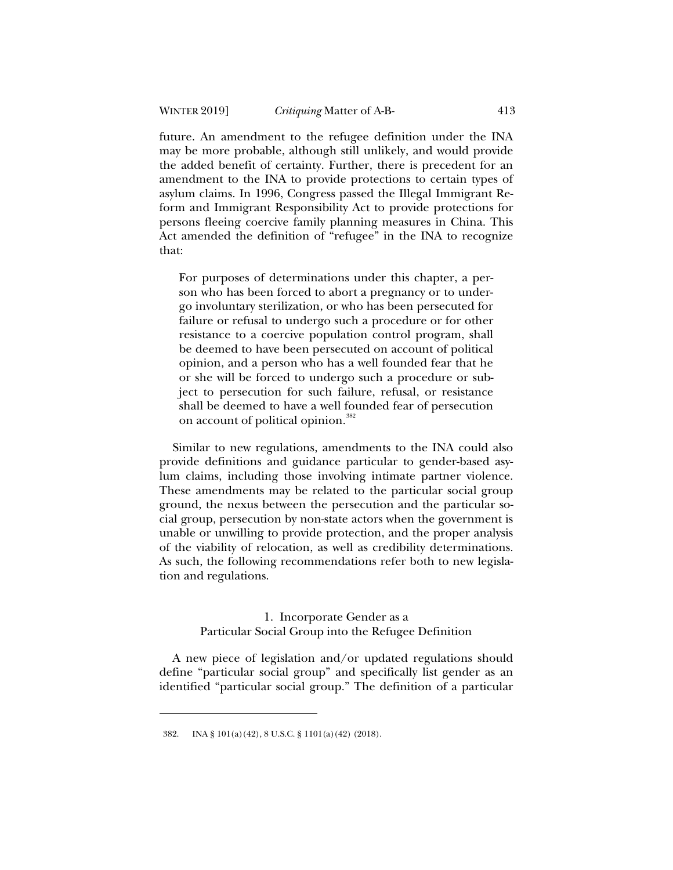future. An amendment to the refugee definition under the INA may be more probable, although still unlikely, and would provide the added benefit of certainty. Further, there is precedent for an amendment to the INA to provide protections to certain types of asylum claims. In 1996, Congress passed the Illegal Immigrant Reform and Immigrant Responsibility Act to provide protections for persons fleeing coercive family planning measures in China. This Act amended the definition of "refugee" in the INA to recognize that:

For purposes of determinations under this chapter, a person who has been forced to abort a pregnancy or to undergo involuntary sterilization, or who has been persecuted for failure or refusal to undergo such a procedure or for other resistance to a coercive population control program, shall be deemed to have been persecuted on account of political opinion, and a person who has a well founded fear that he or she will be forced to undergo such a procedure or subject to persecution for such failure, refusal, or resistance shall be deemed to have a well founded fear of persecution on account of political opinion.<sup>382</sup>

Similar to new regulations, amendments to the INA could also provide definitions and guidance particular to gender-based asylum claims, including those involving intimate partner violence. These amendments may be related to the particular social group ground, the nexus between the persecution and the particular social group, persecution by non-state actors when the government is unable or unwilling to provide protection, and the proper analysis of the viability of relocation, as well as credibility determinations. As such, the following recommendations refer both to new legislation and regulations.

## 1. Incorporate Gender as a Particular Social Group into the Refugee Definition

A new piece of legislation and/or updated regulations should define "particular social group" and specifically list gender as an identified "particular social group." The definition of a particular

<sup>382.</sup> INA § 101(a)(42), 8 U.S.C. § 1101(a)(42) (2018).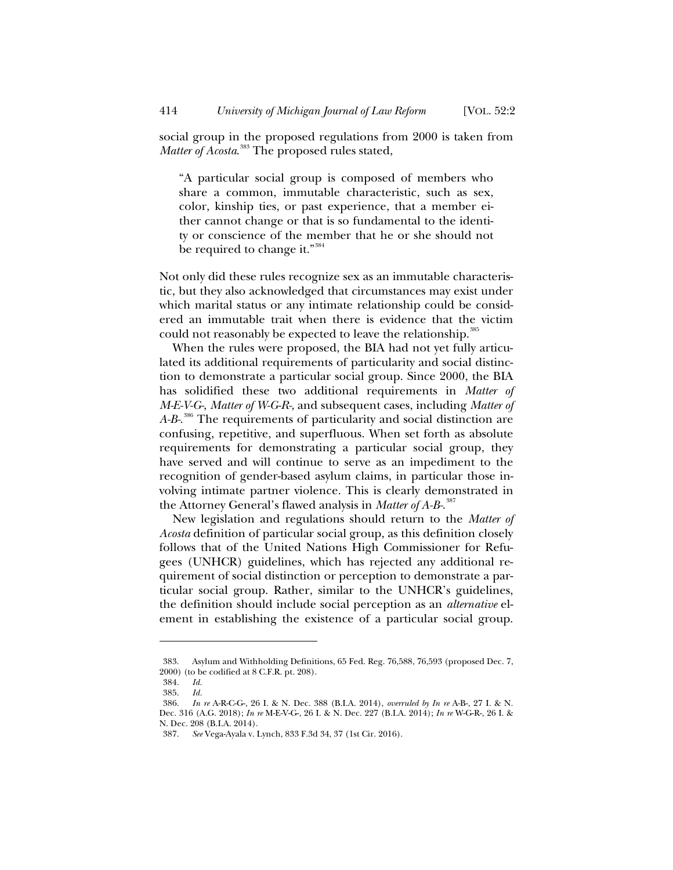social group in the proposed regulations from 2000 is taken from *Matter of Acosta*. <sup>383</sup> The proposed rules stated,

"A particular social group is composed of members who share a common, immutable characteristic, such as sex, color, kinship ties, or past experience, that a member either cannot change or that is so fundamental to the identity or conscience of the member that he or she should not be required to change it."<sup>384</sup>

Not only did these rules recognize sex as an immutable characteristic, but they also acknowledged that circumstances may exist under which marital status or any intimate relationship could be considered an immutable trait when there is evidence that the victim could not reasonably be expected to leave the relationship.<sup>385</sup>

When the rules were proposed, the BIA had not yet fully articulated its additional requirements of particularity and social distinction to demonstrate a particular social group. Since 2000, the BIA has solidified these two additional requirements in *Matter of M-E-V-G-*, *Matter of W-G-R-*, and subsequent cases, including *Matter of A-B-*. <sup>386</sup> The requirements of particularity and social distinction are confusing, repetitive, and superfluous. When set forth as absolute requirements for demonstrating a particular social group, they have served and will continue to serve as an impediment to the recognition of gender-based asylum claims, in particular those involving intimate partner violence. This is clearly demonstrated in the Attorney General's flawed analysis in *Matter of A-B-*. 387

New legislation and regulations should return to the *Matter of Acosta* definition of particular social group, as this definition closely follows that of the United Nations High Commissioner for Refugees (UNHCR) guidelines, which has rejected any additional requirement of social distinction or perception to demonstrate a particular social group. Rather, similar to the UNHCR's guidelines, the definition should include social perception as an *alternative* element in establishing the existence of a particular social group.

<sup>383.</sup> Asylum and Withholding Definitions, 65 Fed. Reg. 76,588, 76,593 (proposed Dec. 7, 2000) (to be codified at 8 C.F.R. pt. 208).

<sup>384.</sup> *Id.*

<sup>385.</sup> *Id.*

<sup>386.</sup> *In re* A-R-C-G-, 26 I. & N. Dec. 388 (B.I.A. 2014), *overruled by In re* A-B-, 27 I. & N. Dec. 316 (A.G. 2018); *In re* M-E-V-G-, 26 I. & N. Dec. 227 (B.I.A. 2014); *In re* W-G-R-, 26 I. & N. Dec. 208 (B.I.A. 2014).

<sup>387.</sup> *See* Vega-Ayala v. Lynch, 833 F.3d 34, 37 (1st Cir. 2016).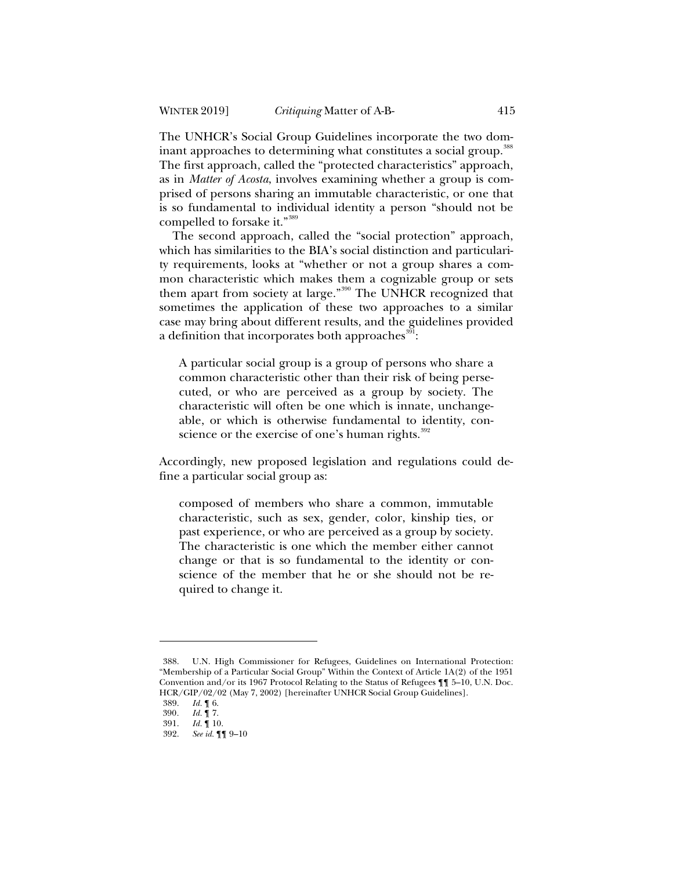The UNHCR's Social Group Guidelines incorporate the two dominant approaches to determining what constitutes a social group.<sup>388</sup> The first approach, called the "protected characteristics" approach, as in *Matter of Acosta*, involves examining whether a group is comprised of persons sharing an immutable characteristic, or one that is so fundamental to individual identity a person "should not be compelled to forsake it."<sup>389</sup>

The second approach, called the "social protection" approach, which has similarities to the BIA's social distinction and particularity requirements, looks at "whether or not a group shares a common characteristic which makes them a cognizable group or sets them apart from society at large."<sup>390</sup> The UNHCR recognized that sometimes the application of these two approaches to a similar case may bring about different results, and the guidelines provided a definition that incorporates both approaches $^{\rm 391}$ :

A particular social group is a group of persons who share a common characteristic other than their risk of being persecuted, or who are perceived as a group by society. The characteristic will often be one which is innate, unchangeable, or which is otherwise fundamental to identity, conscience or the exercise of one's human rights.<sup>392</sup>

Accordingly, new proposed legislation and regulations could define a particular social group as:

composed of members who share a common, immutable characteristic, such as sex, gender, color, kinship ties, or past experience, or who are perceived as a group by society. The characteristic is one which the member either cannot change or that is so fundamental to the identity or conscience of the member that he or she should not be required to change it.

<sup>388.</sup> U.N. High Commissioner for Refugees, Guidelines on International Protection: "Membership of a Particular Social Group" Within the Context of Article 1A(2) of the 1951 Convention and/or its 1967 Protocol Relating to the Status of Refugees ¶¶ 5–10, U.N. Doc. HCR/GIP/02/02 (May 7, 2002) [hereinafter UNHCR Social Group Guidelines].

<sup>389.</sup> *Id.* ¶ 6.

*Id.* 17.

<sup>391.</sup> *Id.* ¶ 10.

<sup>392.</sup> *See id.* ¶¶ 9–10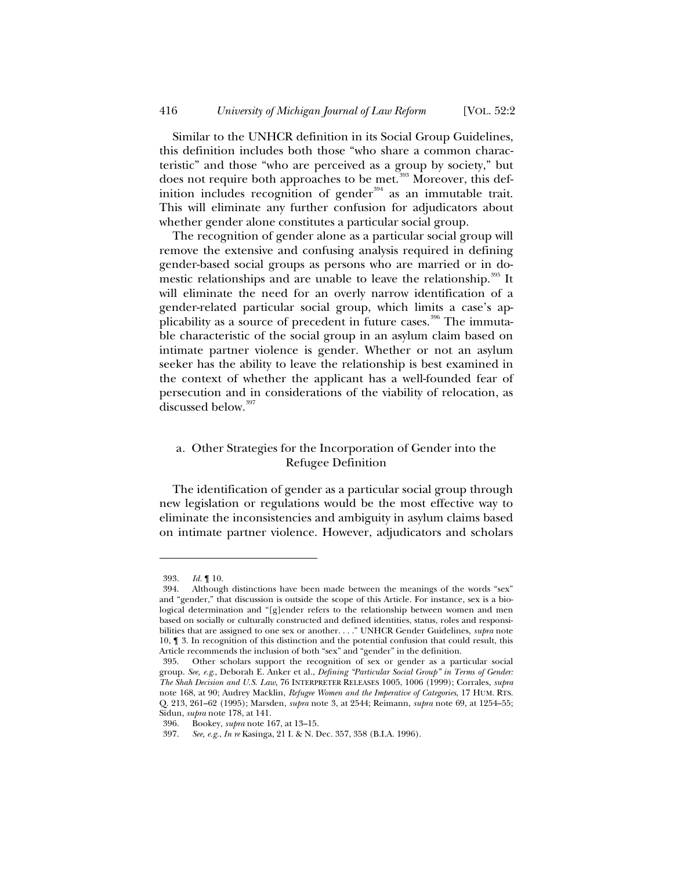Similar to the UNHCR definition in its Social Group Guidelines, this definition includes both those "who share a common characteristic" and those "who are perceived as a group by society," but does not require both approaches to be met.<sup>393</sup> Moreover, this definition includes recognition of gender<sup>394</sup> as an immutable trait. This will eliminate any further confusion for adjudicators about whether gender alone constitutes a particular social group.

The recognition of gender alone as a particular social group will remove the extensive and confusing analysis required in defining gender-based social groups as persons who are married or in domestic relationships and are unable to leave the relationship.<sup>395</sup> It will eliminate the need for an overly narrow identification of a gender-related particular social group, which limits a case's applicability as a source of precedent in future cases.<sup>396</sup> The immutable characteristic of the social group in an asylum claim based on intimate partner violence is gender. Whether or not an asylum seeker has the ability to leave the relationship is best examined in the context of whether the applicant has a well-founded fear of persecution and in considerations of the viability of relocation, as discussed below.<sup>397</sup>

# a*.* Other Strategies for the Incorporation of Gender into the Refugee Definition

The identification of gender as a particular social group through new legislation or regulations would be the most effective way to eliminate the inconsistencies and ambiguity in asylum claims based on intimate partner violence. However, adjudicators and scholars

<sup>393.</sup> *Id.* ¶ 10.

<sup>394.</sup> Although distinctions have been made between the meanings of the words "sex" and "gender," that discussion is outside the scope of this Article. For instance, sex is a biological determination and "[g]ender refers to the relationship between women and men based on socially or culturally constructed and defined identities, status, roles and responsibilities that are assigned to one sex or another. . . ." UNHCR Gender Guidelines, *supra* note 10, ¶ 3. In recognition of this distinction and the potential confusion that could result, this Article recommends the inclusion of both "sex" and "gender" in the definition.

<sup>395.</sup> Other scholars support the recognition of sex or gender as a particular social group. *See, e.g*., Deborah E. Anker et al., *Defining "Particular Social Group" in Terms of Gender: The Shah Decision and U.S. Law*, 76 INTERPRETER RELEASES 1005, 1006 (1999); Corrales, *supra* note 168, at 90; Audrey Macklin, *Refugee Women and the Imperative of Categories*, 17 HUM. RTS. Q. 213, 261–62 (1995); Marsden, *supra* note 3, at 2544; Reimann, *supra* note 69, at 1254–55; Sidun, *supra* note 178, at 141.

<sup>396.</sup> Bookey, *supra* note 167, at 13–15.

<sup>397.</sup> *See, e.g.*, *In re* Kasinga, 21 I. & N. Dec. 357, 358 (B.I.A. 1996).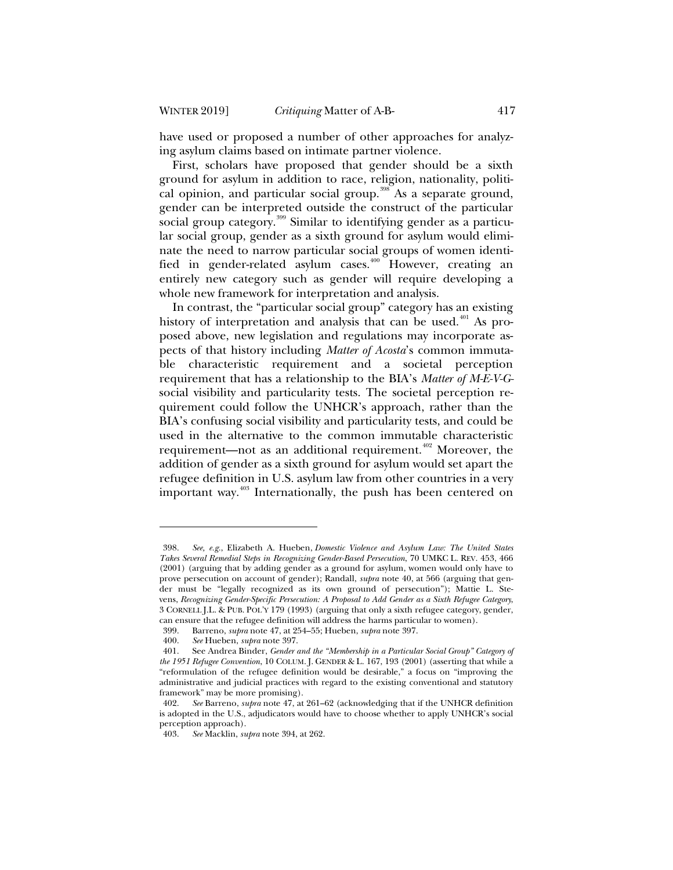have used or proposed a number of other approaches for analyzing asylum claims based on intimate partner violence.

First, scholars have proposed that gender should be a sixth ground for asylum in addition to race, religion, nationality, political opinion, and particular social group.<sup>398</sup> As a separate ground, gender can be interpreted outside the construct of the particular social group category.<sup>399</sup> Similar to identifying gender as a particular social group, gender as a sixth ground for asylum would eliminate the need to narrow particular social groups of women identified in gender-related asylum cases.<sup>400</sup> However, creating an entirely new category such as gender will require developing a whole new framework for interpretation and analysis.

In contrast, the "particular social group" category has an existing history of interpretation and analysis that can be used.<sup> $401$ </sup> As proposed above, new legislation and regulations may incorporate aspects of that history including *Matter of Acosta*'s common immutable characteristic requirement and a societal perception requirement that has a relationship to the BIA's *Matter of M-E-V-G*social visibility and particularity tests. The societal perception requirement could follow the UNHCR's approach, rather than the BIA's confusing social visibility and particularity tests, and could be used in the alternative to the common immutable characteristic requirement—not as an additional requirement.<sup>402</sup> Moreover, the addition of gender as a sixth ground for asylum would set apart the refugee definition in U.S. asylum law from other countries in a very important way.<sup>403</sup> Internationally, the push has been centered on

<sup>398.</sup> *See, e.g.*, Elizabeth A. Hueben, *Domestic Violence and Asylum Law: The United States Takes Several Remedial Steps in Recognizing Gender-Based Persecution*, 70 UMKC L. REV. 453, 466 (2001) (arguing that by adding gender as a ground for asylum, women would only have to prove persecution on account of gender); Randall, *supra* note 40, at 566 (arguing that gender must be "legally recognized as its own ground of persecution"); Mattie L. Stevens, *Recognizing Gender-Specific Persecution: A Proposal to Add Gender as a Sixth Refugee Category*, 3 CORNELL J.L. & PUB. POL'Y 179 (1993) (arguing that only a sixth refugee category, gender, can ensure that the refugee definition will address the harms particular to women).

<sup>399.</sup> Barreno, *supra* note 47, at 254–55; Hueben, *supra* note 397.

<sup>400.</sup> *See* Hueben, *supra* note 397.

<sup>401.</sup> See Andrea Binder, *Gender and the "Membership in a Particular Social Group" Category of the 1951 Refugee Convention*, 10 COLUM. J. GENDER & L. 167, 193 (2001) (asserting that while a "reformulation of the refugee definition would be desirable," a focus on "improving the administrative and judicial practices with regard to the existing conventional and statutory framework" may be more promising).

<sup>402.</sup> *See* Barreno, *supra* note 47, at 261–62 (acknowledging that if the UNHCR definition is adopted in the U.S., adjudicators would have to choose whether to apply UNHCR's social perception approach).

<sup>403.</sup> *See* Macklin, *supra* note 394, at 262.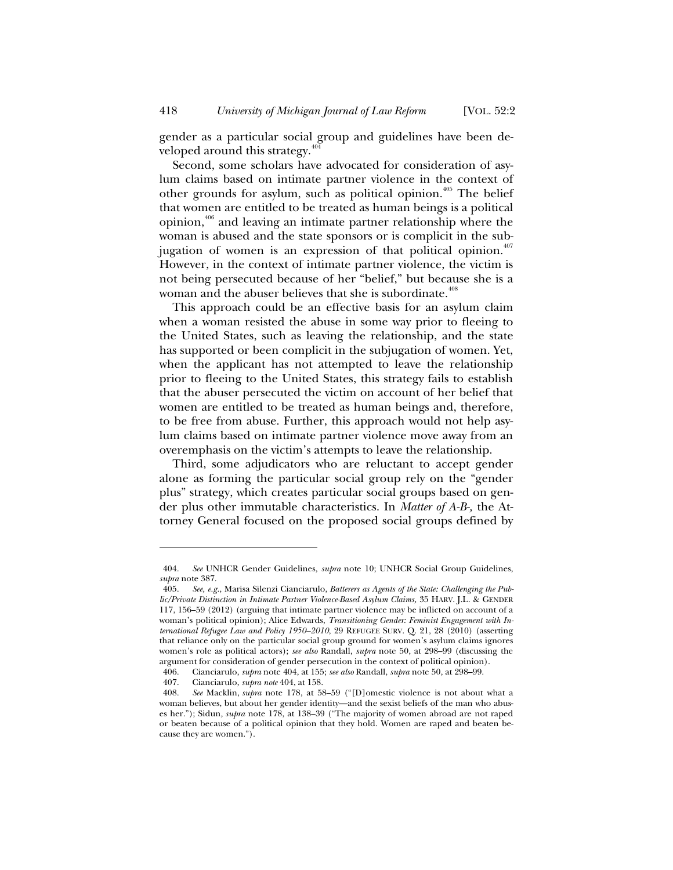gender as a particular social group and guidelines have been developed around this strategy.<sup>4</sup>

Second, some scholars have advocated for consideration of asylum claims based on intimate partner violence in the context of other grounds for asylum, such as political opinion.<sup>405</sup> The belief that women are entitled to be treated as human beings is a political opinion, $406$  and leaving an intimate partner relationship where the woman is abused and the state sponsors or is complicit in the subjugation of women is an expression of that political opinion.<sup>407</sup> However, in the context of intimate partner violence, the victim is not being persecuted because of her "belief," but because she is a woman and the abuser believes that she is subordinate.<sup>408</sup>

This approach could be an effective basis for an asylum claim when a woman resisted the abuse in some way prior to fleeing to the United States, such as leaving the relationship, and the state has supported or been complicit in the subjugation of women. Yet, when the applicant has not attempted to leave the relationship prior to fleeing to the United States, this strategy fails to establish that the abuser persecuted the victim on account of her belief that women are entitled to be treated as human beings and, therefore, to be free from abuse. Further, this approach would not help asylum claims based on intimate partner violence move away from an overemphasis on the victim's attempts to leave the relationship.

Third, some adjudicators who are reluctant to accept gender alone as forming the particular social group rely on the "gender plus" strategy, which creates particular social groups based on gender plus other immutable characteristics. In *Matter of A-B-,* the Attorney General focused on the proposed social groups defined by

<sup>404.</sup> *See* UNHCR Gender Guidelines*, supra* note 10; UNHCR Social Group Guidelines, *supra* note 387.

<sup>405.</sup> *See, e.g.*, Marisa Silenzi Cianciarulo, *Batterers as Agents of the State: Challenging the Public/Private Distinction in Intimate Partner Violence-Based Asylum Claims,* 35 HARV. J.L. & GENDER 117, 156–59 (2012) (arguing that intimate partner violence may be inflicted on account of a woman's political opinion); Alice Edwards, *Transitioning Gender: Feminist Engagement with International Refugee Law and Policy 1950–2010*, 29 REFUGEE SURV. Q. 21, 28 (2010) (asserting that reliance only on the particular social group ground for women's asylum claims ignores women's role as political actors); *see also* Randall, *supra* note 50, at 298–99 (discussing the argument for consideration of gender persecution in the context of political opinion).

<sup>406.</sup> Cianciarulo, *supra* note 404, at 155; *see also* Randall, *supra* note 50, at 298–99.

<sup>407.</sup> Cianciarulo, *supra note* 404, at 158.

<sup>408.</sup> *See* Macklin, *supra* note 178, at 58–59 ("[D]omestic violence is not about what a woman believes, but about her gender identity—and the sexist beliefs of the man who abuses her."); Sidun*, supra* note 178, at 138–39 ("The majority of women abroad are not raped or beaten because of a political opinion that they hold. Women are raped and beaten because they are women.").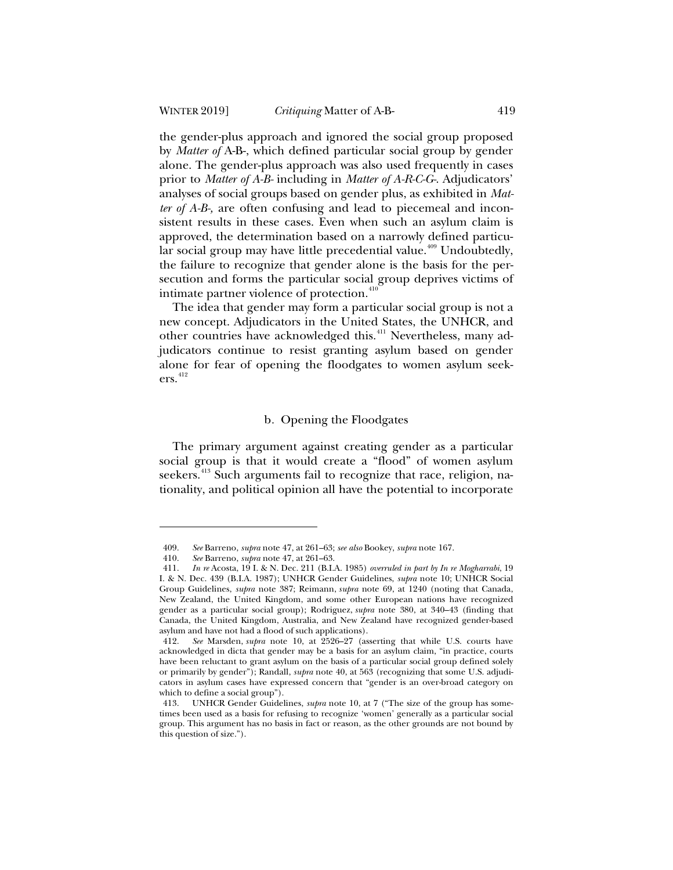the gender-plus approach and ignored the social group proposed by *Matter of* A-B-, which defined particular social group by gender alone. The gender-plus approach was also used frequently in cases prior to *Matter of A-B-* including in *Matter of A-R-C-G-*. Adjudicators' analyses of social groups based on gender plus, as exhibited in *Matter of A-B-,* are often confusing and lead to piecemeal and inconsistent results in these cases. Even when such an asylum claim is approved, the determination based on a narrowly defined particular social group may have little precedential value.<sup>409</sup> Undoubtedly, the failure to recognize that gender alone is the basis for the persecution and forms the particular social group deprives victims of intimate partner violence of protection.<sup>410</sup>

The idea that gender may form a particular social group is not a new concept. Adjudicators in the United States, the UNHCR, and other countries have acknowledged this.<sup>411</sup> Nevertheless, many adjudicators continue to resist granting asylum based on gender alone for fear of opening the floodgates to women asylum seek $ers.<sup>412</sup>$ 

### b*.* Opening the Floodgates

The primary argument against creating gender as a particular social group is that it would create a "flood" of women asylum seekers.<sup>413</sup> Such arguments fail to recognize that race, religion, nationality, and political opinion all have the potential to incorporate

<sup>409.</sup> *See* Barreno, *supra* note 47, at 261–63; *see also* Bookey, *supra* note 167.

<sup>410.</sup> *See* Barreno, *supra* note 47, at 261–63.

<sup>411.</sup> *In re* Acosta, 19 I. & N. Dec. 211 (B.I.A. 1985) *overruled in part by In re Mogharrabi*, 19 I. & N. Dec. 439 (B.I.A. 1987); UNHCR Gender Guidelines, *supra* note 10; UNHCR Social Group Guidelines, *supra* note 387; Reimann, *supra* note 69, at 1240 (noting that Canada, New Zealand, the United Kingdom, and some other European nations have recognized gender as a particular social group); Rodriguez, *supra* note 380, at 340–43 (finding that Canada, the United Kingdom, Australia, and New Zealand have recognized gender-based asylum and have not had a flood of such applications).

<sup>412.</sup> *See* Marsden, *supra* note 10, at 2526–27 (asserting that while U.S. courts have acknowledged in dicta that gender may be a basis for an asylum claim, "in practice, courts have been reluctant to grant asylum on the basis of a particular social group defined solely or primarily by gender"); Randall, *supra* note 40, at 563 (recognizing that some U.S. adjudicators in asylum cases have expressed concern that "gender is an over-broad category on which to define a social group").

<sup>413.</sup> UNHCR Gender Guidelines, *supra* note 10, at 7 ("The size of the group has sometimes been used as a basis for refusing to recognize 'women' generally as a particular social group. This argument has no basis in fact or reason, as the other grounds are not bound by this question of size.").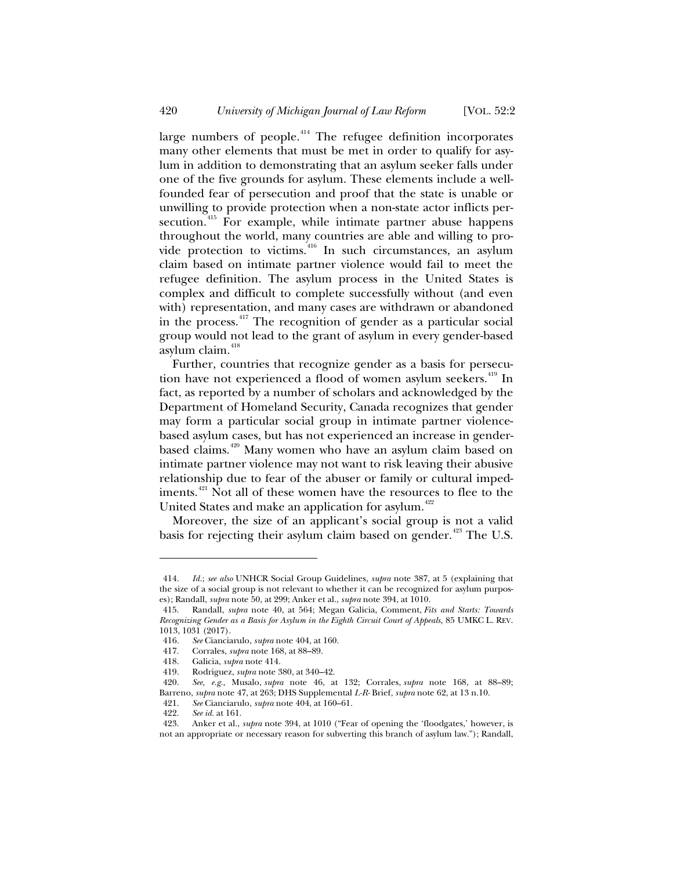large numbers of people. $414$  The refugee definition incorporates many other elements that must be met in order to qualify for asylum in addition to demonstrating that an asylum seeker falls under one of the five grounds for asylum. These elements include a wellfounded fear of persecution and proof that the state is unable or unwilling to provide protection when a non-state actor inflicts persecution.<sup>415</sup> For example, while intimate partner abuse happens throughout the world, many countries are able and willing to provide protection to victims. <sup>416</sup> In such circumstances, an asylum claim based on intimate partner violence would fail to meet the refugee definition. The asylum process in the United States is complex and difficult to complete successfully without (and even with) representation, and many cases are withdrawn or abandoned in the process.<sup>417</sup> The recognition of gender as a particular social group would not lead to the grant of asylum in every gender-based asylum claim.<sup>418</sup>

Further, countries that recognize gender as a basis for persecution have not experienced a flood of women asylum seekers.<sup>419</sup> In fact, as reported by a number of scholars and acknowledged by the Department of Homeland Security, Canada recognizes that gender may form a particular social group in intimate partner violencebased asylum cases, but has not experienced an increase in genderbased claims.<sup>420</sup> Many women who have an asylum claim based on intimate partner violence may not want to risk leaving their abusive relationship due to fear of the abuser or family or cultural impediments.<sup>421</sup> Not all of these women have the resources to flee to the United States and make an application for asylum.<sup>422</sup>

Moreover, the size of an applicant's social group is not a valid basis for rejecting their asylum claim based on gender. $423$  The U.S.

<sup>414.</sup> *Id.*; *see also* UNHCR Social Group Guidelines, *supra* note 387, at 5 (explaining that the size of a social group is not relevant to whether it can be recognized for asylum purposes); Randall, *supra* note 50, at 299; Anker et al., *supra* note 394, at 1010.

<sup>415.</sup> Randall, *supra* note 40, at 564; Megan Galicia, Comment, *Fits and Starts: Towards Recognizing Gender as a Basis for Asylum in the Eighth Circuit Court of Appeals,* 85 UMKC L. REV. 1013, 1031 (2017).

<sup>416.</sup> *See* Cianciarulo, *supra* note 404, at 160.

<sup>417.</sup> Corrales, *supra* note 168, at 88–89.

<sup>418.</sup> Galicia, *supra* note 414.

<sup>419.</sup> Rodriguez, *supra* note 380, at 340–42.

<sup>420.</sup> *See, e.g.,* Musalo, *supra* note 46, at 132; Corrales, *supra* note 168, at 88–89; Barreno, *supra* note 47, at 263; DHS Supplemental *L-R-* Brief, *supra* note 62, at 13 n.10.

<sup>421.</sup> *See* Cianciarulo, *supra* note 404, at 160–61.

<sup>422.</sup> *See id.* at 161.

<sup>423.</sup> Anker et al., *supra* note 394, at 1010 ("Fear of opening the 'floodgates,' however, is not an appropriate or necessary reason for subverting this branch of asylum law."); Randall,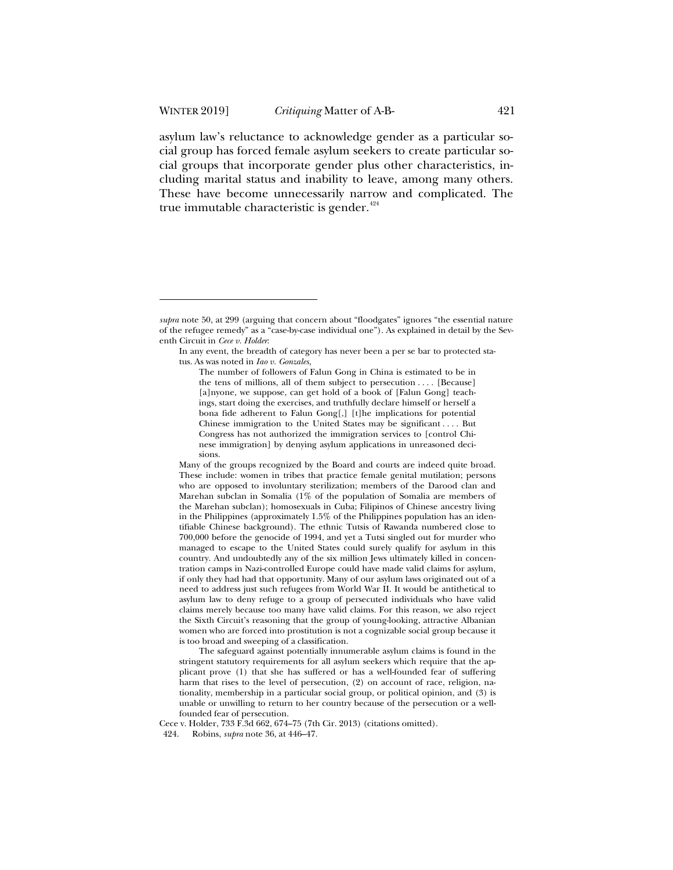asylum law's reluctance to acknowledge gender as a particular social group has forced female asylum seekers to create particular social groups that incorporate gender plus other characteristics, including marital status and inability to leave, among many others. These have become unnecessarily narrow and complicated. The true immutable characteristic is gender. $424$ 

The safeguard against potentially innumerable asylum claims is found in the stringent statutory requirements for all asylum seekers which require that the applicant prove (1) that she has suffered or has a well-founded fear of suffering harm that rises to the level of persecution, (2) on account of race, religion, nationality, membership in a particular social group, or political opinion, and (3) is unable or unwilling to return to her country because of the persecution or a wellfounded fear of persecution.

Cece v. Holder, 733 F.3d 662, 674–75 (7th Cir. 2013) (citations omitted).

424. Robins, *supra* note 36, at 446–47.

*supra* note 50, at 299 (arguing that concern about "floodgates" ignores "the essential nature of the refugee remedy" as a "case-by-case individual one"). As explained in detail by the Seventh Circuit in *Cece v. Holder*:

In any event, the breadth of category has never been a per se bar to protected status. As was noted in *Iao v. Gonzales,*

The number of followers of Falun Gong in China is estimated to be in the tens of millions, all of them subject to persecution . . . . [Because] [a]nyone, we suppose, can get hold of a book of [Falun Gong] teachings, start doing the exercises, and truthfully declare himself or herself a bona fide adherent to Falun Gong[,] [t]he implications for potential Chinese immigration to the United States may be significant . . . . But Congress has not authorized the immigration services to [control Chinese immigration] by denying asylum applications in unreasoned decisions.

Many of the groups recognized by the Board and courts are indeed quite broad. These include: women in tribes that practice female genital mutilation; persons who are opposed to involuntary sterilization; members of the Darood clan and Marehan subclan in Somalia (1% of the population of Somalia are members of the Marehan subclan); homosexuals in Cuba; Filipinos of Chinese ancestry living in the Philippines (approximately 1.5% of the Philippines population has an identifiable Chinese background). The ethnic Tutsis of Rawanda numbered close to 700,000 before the genocide of 1994, and yet a Tutsi singled out for murder who managed to escape to the United States could surely qualify for asylum in this country. And undoubtedly any of the six million Jews ultimately killed in concentration camps in Nazi-controlled Europe could have made valid claims for asylum, if only they had had that opportunity. Many of our asylum laws originated out of a need to address just such refugees from World War II. It would be antithetical to asylum law to deny refuge to a group of persecuted individuals who have valid claims merely because too many have valid claims. For this reason, we also reject the Sixth Circuit's reasoning that the group of young-looking, attractive Albanian women who are forced into prostitution is not a cognizable social group because it is too broad and sweeping of a classification.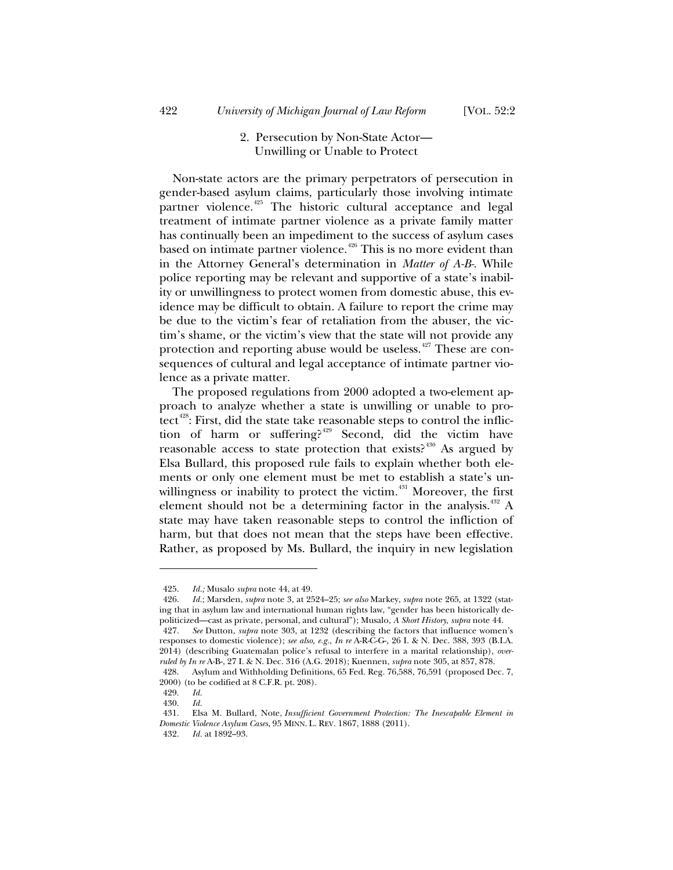# 2. Persecution by Non-State Actor— Unwilling or Unable to Protect

Non-state actors are the primary perpetrators of persecution in gender-based asylum claims, particularly those involving intimate partner violence.<sup>425</sup> The historic cultural acceptance and legal treatment of intimate partner violence as a private family matter has continually been an impediment to the success of asylum cases based on intimate partner violence.<sup>426</sup> This is no more evident than in the Attorney General's determination in *Matter of A-B-*. While police reporting may be relevant and supportive of a state's inability or unwillingness to protect women from domestic abuse, this evidence may be difficult to obtain. A failure to report the crime may be due to the victim's fear of retaliation from the abuser, the victim's shame, or the victim's view that the state will not provide any protection and reporting abuse would be useless.<sup> $427$ </sup> These are consequences of cultural and legal acceptance of intimate partner violence as a private matter.

The proposed regulations from 2000 adopted a two-element approach to analyze whether a state is unwilling or unable to protect<sup> $428$ </sup>: First, did the state take reasonable steps to control the infliction of harm or suffering?<sup>429</sup> Second, did the victim have reasonable access to state protection that exists? $430$  As argued by Elsa Bullard, this proposed rule fails to explain whether both elements or only one element must be met to establish a state's unwillingness or inability to protect the victim.<sup> $431$ </sup> Moreover, the first element should not be a determining factor in the analysis.<sup> $432$ </sup> A state may have taken reasonable steps to control the infliction of harm, but that does not mean that the steps have been effective. Rather, as proposed by Ms. Bullard, the inquiry in new legislation

<sup>425.</sup> *Id.;* Musalo *supra* note 44, at 49.

<sup>426.</sup> *Id.*; Marsden, *supra* note 3, at 2524–25; *see also* Markey, *supra* note 265, at 1322 (stating that in asylum law and international human rights law, "gender has been historically depoliticized—cast as private, personal, and cultural"); Musalo, *A Short History, supra* note 44.

<sup>427.</sup> *See* Dutton, *supra* note 303, at 1232 (describing the factors that influence women's responses to domestic violence); *see also, e.g.*, *In re* A-R-C-G-*,* 26 I. & N. Dec. 388, 393 (B.I.A. 2014) (describing Guatemalan police's refusal to interfere in a marital relationship), *overruled by In re* A-B-, 27 I. & N. Dec. 316 (A.G. 2018); Kuennen, *supra* note 305, at 857, 878.

<sup>428.</sup> Asylum and Withholding Definitions, 65 Fed. Reg. 76,588, 76,591 (proposed Dec. 7, 2000) (to be codified at 8 C.F.R. pt. 208).

<sup>429.</sup> *Id.*

<sup>430.</sup> *Id.*

<sup>431.</sup> Elsa M. Bullard, Note, *Insufficient Government Protection: The Inescapable Element in Domestic Violence Asylum Cases*, 95 MINN. L. REV. 1867, 1888 (2011).

<sup>432.</sup> *Id.* at 1892–93.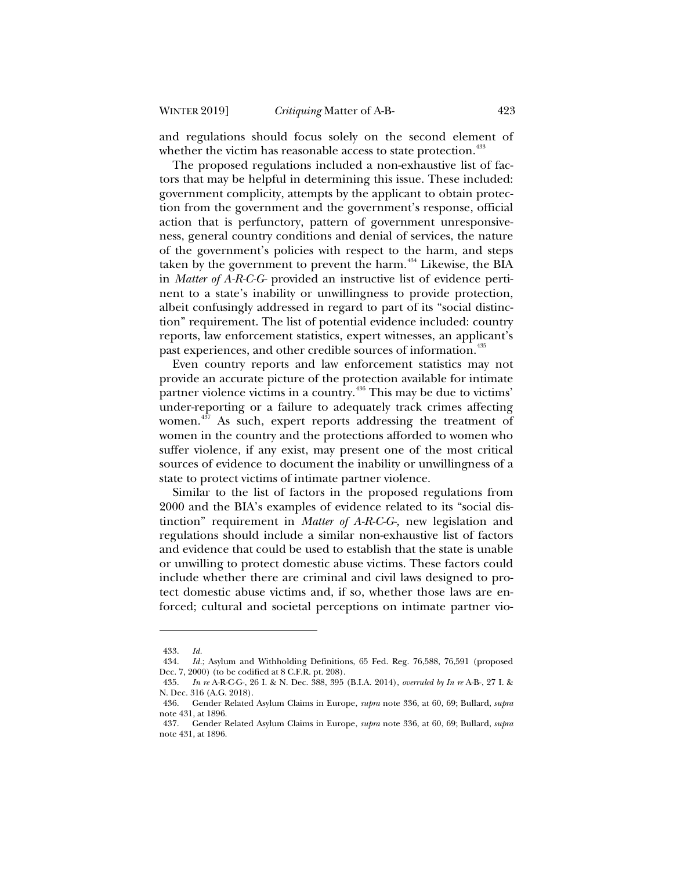and regulations should focus solely on the second element of whether the victim has reasonable access to state protection.<sup>433</sup>

The proposed regulations included a non-exhaustive list of factors that may be helpful in determining this issue. These included: government complicity, attempts by the applicant to obtain protection from the government and the government's response, official action that is perfunctory, pattern of government unresponsiveness, general country conditions and denial of services, the nature of the government's policies with respect to the harm, and steps taken by the government to prevent the harm. $434$  Likewise, the BIA in *Matter of A-R-C-G-* provided an instructive list of evidence pertinent to a state's inability or unwillingness to provide protection, albeit confusingly addressed in regard to part of its "social distinction" requirement. The list of potential evidence included: country reports, law enforcement statistics, expert witnesses, an applicant's past experiences, and other credible sources of information.<sup>435</sup>

Even country reports and law enforcement statistics may not provide an accurate picture of the protection available for intimate partner violence victims in a country.<sup>436</sup> This may be due to victims' under-reporting or a failure to adequately track crimes affecting women.<sup>437</sup> As such, expert reports addressing the treatment of women in the country and the protections afforded to women who suffer violence, if any exist, may present one of the most critical sources of evidence to document the inability or unwillingness of a state to protect victims of intimate partner violence.

Similar to the list of factors in the proposed regulations from 2000 and the BIA's examples of evidence related to its "social distinction" requirement in *Matter of A-R-C-G-,* new legislation and regulations should include a similar non-exhaustive list of factors and evidence that could be used to establish that the state is unable or unwilling to protect domestic abuse victims. These factors could include whether there are criminal and civil laws designed to protect domestic abuse victims and, if so, whether those laws are enforced; cultural and societal perceptions on intimate partner vio-

<sup>433.</sup> *Id.*

<sup>434.</sup> *Id.*; Asylum and Withholding Definitions, 65 Fed. Reg. 76,588, 76,591 (proposed Dec. 7, 2000) (to be codified at 8 C.F.R. pt. 208).

<sup>435.</sup> *In re* A-R-C-G-, 26 I. & N. Dec. 388, 395 (B.I.A. 2014), *overruled by In re* A-B-, 27 I. & N. Dec. 316 (A.G. 2018).

<sup>436.</sup> Gender Related Asylum Claims in Europe, *supra* note 336, at 60, 69; Bullard, *supra* note 431, at 1896.

<sup>437.</sup> Gender Related Asylum Claims in Europe, *supra* note 336, at 60, 69; Bullard, *supra* note 431, at 1896.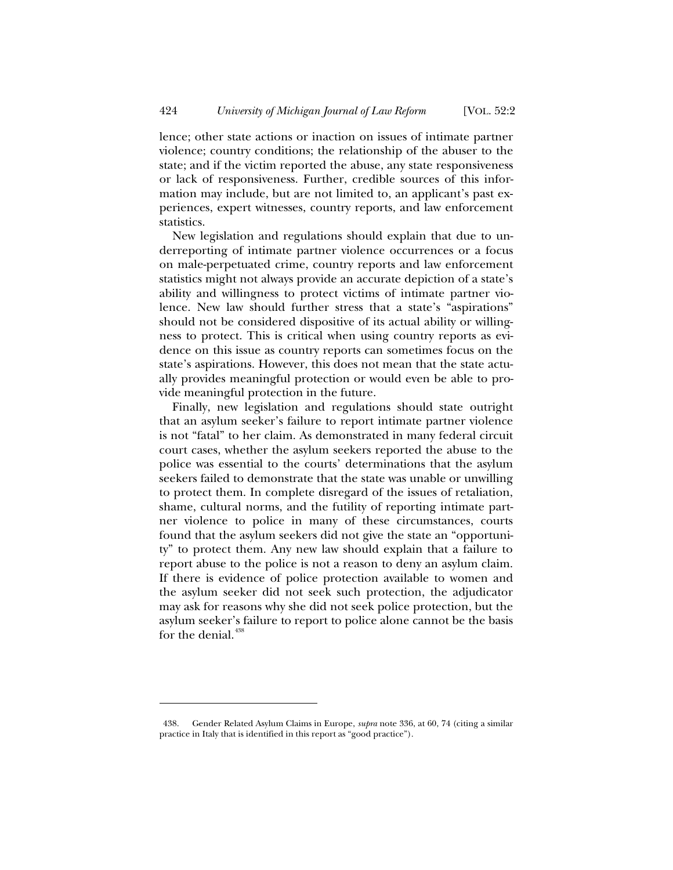lence; other state actions or inaction on issues of intimate partner violence; country conditions; the relationship of the abuser to the state; and if the victim reported the abuse, any state responsiveness or lack of responsiveness. Further, credible sources of this information may include, but are not limited to, an applicant's past experiences, expert witnesses, country reports, and law enforcement statistics.

New legislation and regulations should explain that due to underreporting of intimate partner violence occurrences or a focus on male-perpetuated crime, country reports and law enforcement statistics might not always provide an accurate depiction of a state's ability and willingness to protect victims of intimate partner violence. New law should further stress that a state's "aspirations" should not be considered dispositive of its actual ability or willingness to protect. This is critical when using country reports as evidence on this issue as country reports can sometimes focus on the state's aspirations. However, this does not mean that the state actually provides meaningful protection or would even be able to provide meaningful protection in the future.

Finally, new legislation and regulations should state outright that an asylum seeker's failure to report intimate partner violence is not "fatal" to her claim. As demonstrated in many federal circuit court cases, whether the asylum seekers reported the abuse to the police was essential to the courts' determinations that the asylum seekers failed to demonstrate that the state was unable or unwilling to protect them. In complete disregard of the issues of retaliation, shame, cultural norms, and the futility of reporting intimate partner violence to police in many of these circumstances, courts found that the asylum seekers did not give the state an "opportunity" to protect them. Any new law should explain that a failure to report abuse to the police is not a reason to deny an asylum claim. If there is evidence of police protection available to women and the asylum seeker did not seek such protection, the adjudicator may ask for reasons why she did not seek police protection, but the asylum seeker's failure to report to police alone cannot be the basis for the denial.<sup>438</sup>

<sup>438.</sup> Gender Related Asylum Claims in Europe, *supra* note 336, at 60, 74 (citing a similar practice in Italy that is identified in this report as "good practice").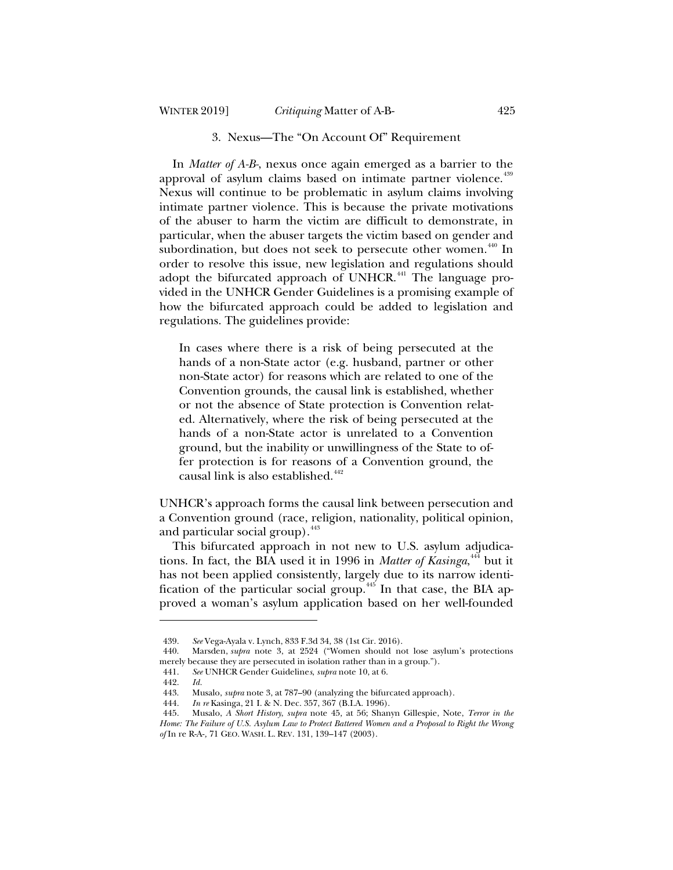## WINTER 2019] *Critiquing* Matter of A-B- 425

#### 3. Nexus—The "On Account Of" Requirement

In *Matter of A-B-*, nexus once again emerged as a barrier to the approval of asylum claims based on intimate partner violence.<sup>439</sup> Nexus will continue to be problematic in asylum claims involving intimate partner violence. This is because the private motivations of the abuser to harm the victim are difficult to demonstrate, in particular, when the abuser targets the victim based on gender and subordination, but does not seek to persecute other women.<sup>440</sup> In order to resolve this issue, new legislation and regulations should adopt the bifurcated approach of UNHCR.<sup> $441$ </sup> The language provided in the UNHCR Gender Guidelines is a promising example of how the bifurcated approach could be added to legislation and regulations. The guidelines provide:

In cases where there is a risk of being persecuted at the hands of a non-State actor (e.g. husband, partner or other non-State actor) for reasons which are related to one of the Convention grounds, the causal link is established, whether or not the absence of State protection is Convention related. Alternatively, where the risk of being persecuted at the hands of a non-State actor is unrelated to a Convention ground, but the inability or unwillingness of the State to offer protection is for reasons of a Convention ground, the causal link is also established.<sup>442</sup>

UNHCR's approach forms the causal link between persecution and a Convention ground (race, religion, nationality, political opinion, and particular social group). $443$ 

This bifurcated approach in not new to U.S. asylum adjudications. In fact, the BIA used it in 1996 in *Matter of Kasinga*, <sup>444</sup> but it has not been applied consistently, largely due to its narrow identification of the particular social group.<sup>445</sup> In that case, the BIA approved a woman's asylum application based on her well-founded

<sup>439.</sup> *See* Vega-Ayala v. Lynch, 833 F.3d 34, 38 (1st Cir. 2016).

<sup>440.</sup> Marsden, *supra* note 3, at 2524 ("Women should not lose asylum's protections merely because they are persecuted in isolation rather than in a group.").

<sup>441.</sup> *See* UNHCR Gender Guideline*s*, *supra* note 10, at 6.

<sup>442.</sup> *Id.*

<sup>443.</sup> Musalo, *supra* note 3, at 787–90 (analyzing the bifurcated approach).

<sup>444.</sup> *In re* Kasinga, 21 I. & N. Dec. 357, 367 (B.I.A. 1996).

<sup>445.</sup> Musalo, *A Short History*, *supra* note 45*,* at 56; Shanyn Gillespie, Note, *Terror in the Home: The Failure of U.S. Asylum Law to Protect Battered Women and a Proposal to Right the Wrong of* In re R-A-*,* 71 GEO. WASH. L. REV. 131, 139–147 (2003).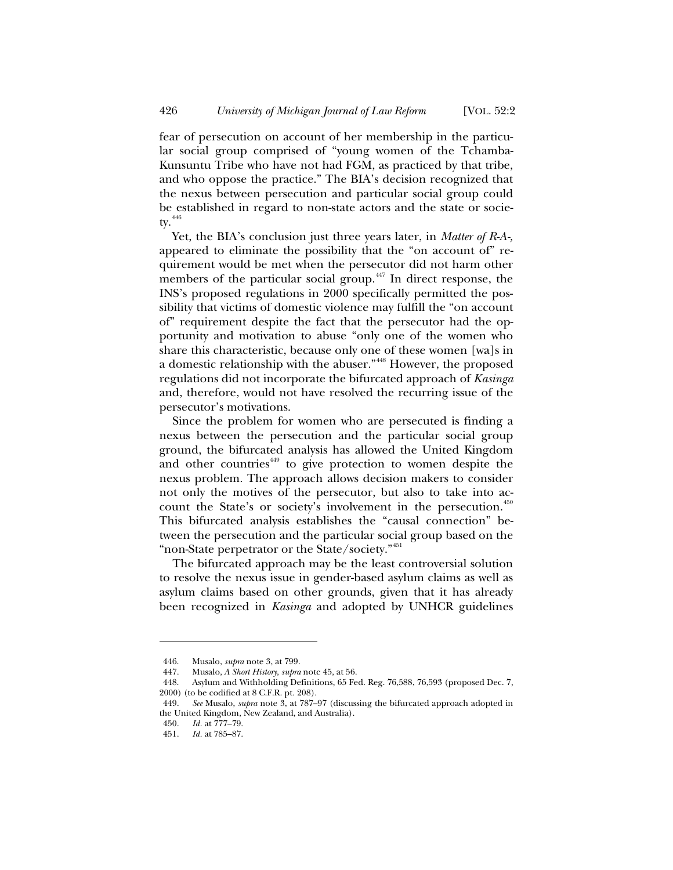fear of persecution on account of her membership in the particular social group comprised of "young women of the Tchamba-Kunsuntu Tribe who have not had FGM, as practiced by that tribe, and who oppose the practice." The BIA's decision recognized that the nexus between persecution and particular social group could be established in regard to non-state actors and the state or society.  $446$ 

Yet, the BIA's conclusion just three years later, in *Matter of R-A-,* appeared to eliminate the possibility that the "on account of" requirement would be met when the persecutor did not harm other members of the particular social group.<sup> $447$ </sup> In direct response, the INS's proposed regulations in 2000 specifically permitted the possibility that victims of domestic violence may fulfill the "on account of" requirement despite the fact that the persecutor had the opportunity and motivation to abuse "only one of the women who share this characteristic, because only one of these women [wa]s in a domestic relationship with the abuser."<sup>448</sup> However, the proposed regulations did not incorporate the bifurcated approach of *Kasinga*  and, therefore, would not have resolved the recurring issue of the persecutor's motivations.

Since the problem for women who are persecuted is finding a nexus between the persecution and the particular social group ground, the bifurcated analysis has allowed the United Kingdom and other countries<sup>449</sup> to give protection to women despite the nexus problem. The approach allows decision makers to consider not only the motives of the persecutor, but also to take into account the State's or society's involvement in the persecution.<sup>450</sup> This bifurcated analysis establishes the "causal connection" between the persecution and the particular social group based on the "non-State perpetrator or the State/society."<sup>451</sup>

The bifurcated approach may be the least controversial solution to resolve the nexus issue in gender-based asylum claims as well as asylum claims based on other grounds, given that it has already been recognized in *Kasinga* and adopted by UNHCR guidelines

<sup>446.</sup> Musalo, *supra* note 3, at 799.

<sup>447.</sup> Musalo, *A Short History*, *supra* note 45, at 56.

<sup>448.</sup> Asylum and Withholding Definitions, 65 Fed. Reg. 76,588, 76,593 (proposed Dec. 7, 2000) (to be codified at 8 C.F.R. pt. 208).

<sup>449.</sup> *See* Musalo, *supra* note 3, at 787–97 (discussing the bifurcated approach adopted in the United Kingdom, New Zealand, and Australia).

<sup>450.</sup> *Id.* at 777–79.

<sup>451.</sup> *Id.* at 785–87.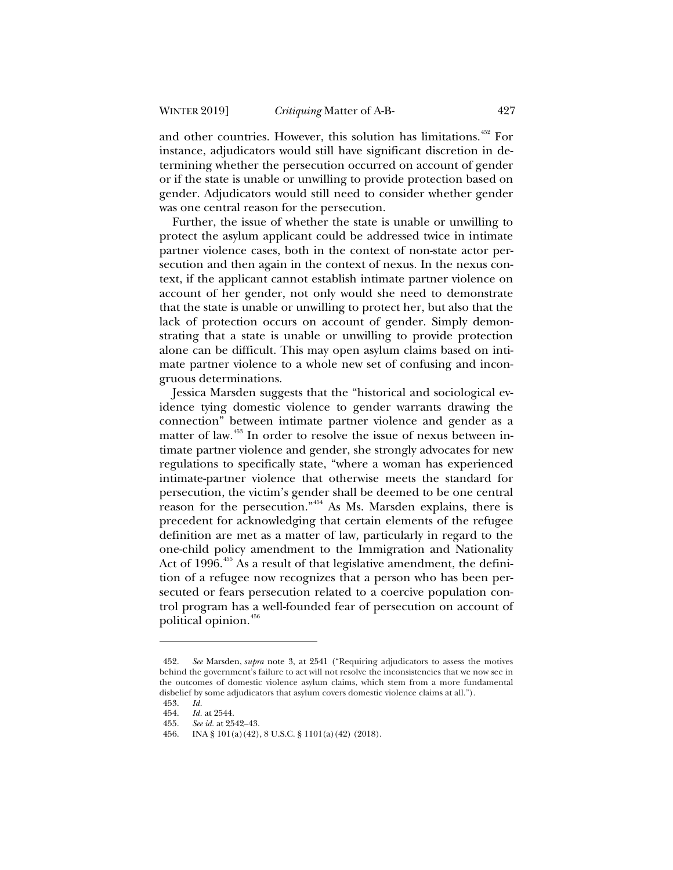and other countries. However, this solution has limitations.<sup>452</sup> For instance, adjudicators would still have significant discretion in determining whether the persecution occurred on account of gender or if the state is unable or unwilling to provide protection based on gender. Adjudicators would still need to consider whether gender was one central reason for the persecution.

Further, the issue of whether the state is unable or unwilling to protect the asylum applicant could be addressed twice in intimate partner violence cases, both in the context of non-state actor persecution and then again in the context of nexus. In the nexus context, if the applicant cannot establish intimate partner violence on account of her gender, not only would she need to demonstrate that the state is unable or unwilling to protect her, but also that the lack of protection occurs on account of gender. Simply demonstrating that a state is unable or unwilling to provide protection alone can be difficult. This may open asylum claims based on intimate partner violence to a whole new set of confusing and incongruous determinations.

Jessica Marsden suggests that the "historical and sociological evidence tying domestic violence to gender warrants drawing the connection" between intimate partner violence and gender as a matter of law.<sup>453</sup> In order to resolve the issue of nexus between intimate partner violence and gender, she strongly advocates for new regulations to specifically state, "where a woman has experienced intimate-partner violence that otherwise meets the standard for persecution, the victim's gender shall be deemed to be one central reason for the persecution."<sup>454</sup> As Ms. Marsden explains, there is precedent for acknowledging that certain elements of the refugee definition are met as a matter of law, particularly in regard to the one-child policy amendment to the Immigration and Nationality Act of 1996.<sup>455</sup> As a result of that legislative amendment, the definition of a refugee now recognizes that a person who has been persecuted or fears persecution related to a coercive population control program has a well-founded fear of persecution on account of political opinion.<sup>456</sup>

<sup>452.</sup> *See* Marsden, *supra* note 3, at 2541 ("Requiring adjudicators to assess the motives behind the government's failure to act will not resolve the inconsistencies that we now see in the outcomes of domestic violence asylum claims, which stem from a more fundamental disbelief by some adjudicators that asylum covers domestic violence claims at all.").

<sup>453.</sup> *Id.*

<sup>454.</sup> *Id.* at 2544.

See id. at 2542-43.

<sup>456.</sup> INA § 101(a)(42), 8 U.S.C. § 1101(a)(42) (2018).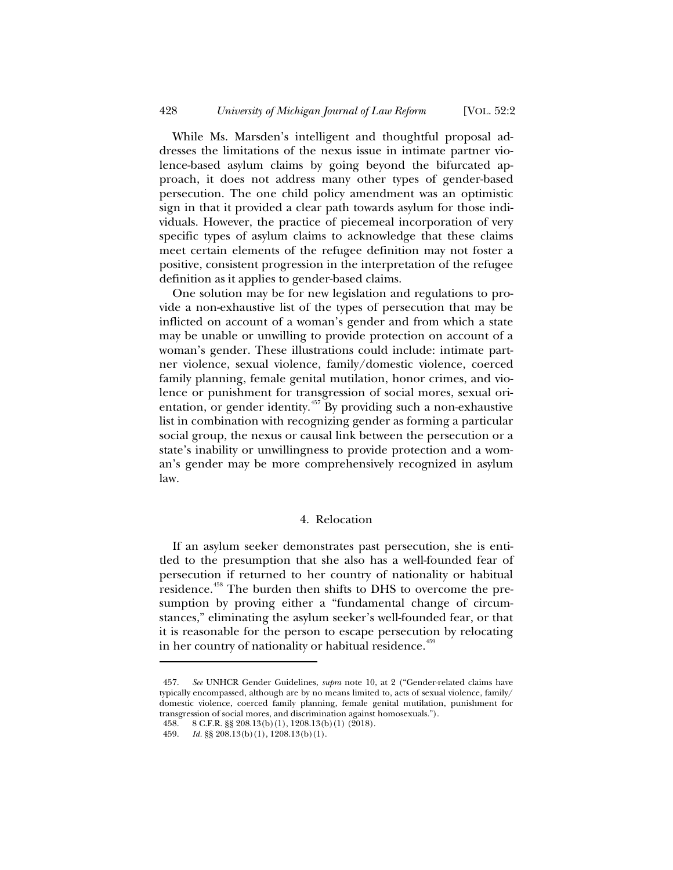While Ms. Marsden's intelligent and thoughtful proposal addresses the limitations of the nexus issue in intimate partner violence-based asylum claims by going beyond the bifurcated approach, it does not address many other types of gender-based persecution. The one child policy amendment was an optimistic sign in that it provided a clear path towards asylum for those individuals. However, the practice of piecemeal incorporation of very specific types of asylum claims to acknowledge that these claims meet certain elements of the refugee definition may not foster a positive, consistent progression in the interpretation of the refugee definition as it applies to gender-based claims.

One solution may be for new legislation and regulations to provide a non-exhaustive list of the types of persecution that may be inflicted on account of a woman's gender and from which a state may be unable or unwilling to provide protection on account of a woman's gender. These illustrations could include: intimate partner violence, sexual violence, family/domestic violence, coerced family planning, female genital mutilation, honor crimes, and violence or punishment for transgression of social mores, sexual orientation, or gender identity.<sup>457</sup> By providing such a non-exhaustive list in combination with recognizing gender as forming a particular social group, the nexus or causal link between the persecution or a state's inability or unwillingness to provide protection and a woman's gender may be more comprehensively recognized in asylum law.

### 4. Relocation

If an asylum seeker demonstrates past persecution, she is entitled to the presumption that she also has a well-founded fear of persecution if returned to her country of nationality or habitual residence.<sup>458</sup> The burden then shifts to DHS to overcome the presumption by proving either a "fundamental change of circumstances," eliminating the asylum seeker's well-founded fear, or that it is reasonable for the person to escape persecution by relocating in her country of nationality or habitual residence.<sup>459</sup>

<sup>457.</sup> *See* UNHCR Gender Guidelines, *supra* note 10, at 2 ("Gender-related claims have typically encompassed, although are by no means limited to, acts of sexual violence, family/ domestic violence, coerced family planning, female genital mutilation, punishment for transgression of social mores, and discrimination against homosexuals.").

<sup>458. 8</sup> C.F.R. §§ 208.13(b)(1), 1208.13(b)(1) (2018).

<sup>459.</sup> *Id.* §§ 208.13(b)(1), 1208.13(b)(1).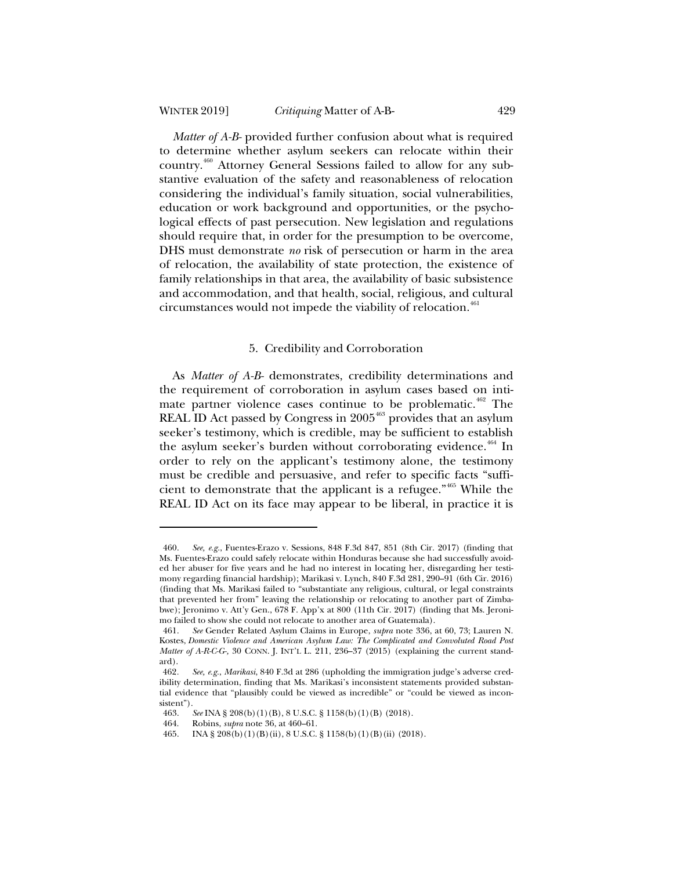*Matter of A-B-* provided further confusion about what is required to determine whether asylum seekers can relocate within their country.<sup>460</sup> Attorney General Sessions failed to allow for any substantive evaluation of the safety and reasonableness of relocation considering the individual's family situation, social vulnerabilities, education or work background and opportunities, or the psychological effects of past persecution. New legislation and regulations should require that, in order for the presumption to be overcome, DHS must demonstrate *no* risk of persecution or harm in the area of relocation, the availability of state protection, the existence of family relationships in that area, the availability of basic subsistence and accommodation, and that health, social, religious, and cultural circumstances would not impede the viability of relocation.<sup>461</sup>

#### 5. Credibility and Corroboration

As *Matter of A-B-* demonstrates, credibility determinations and the requirement of corroboration in asylum cases based on intimate partner violence cases continue to be problematic.<sup>462</sup> The REAL ID Act passed by Congress in  $2005<sup>463</sup>$  provides that an asylum seeker's testimony, which is credible, may be sufficient to establish the asylum seeker's burden without corroborating evidence.<sup>464</sup> In order to rely on the applicant's testimony alone, the testimony must be credible and persuasive, and refer to specific facts "sufficient to demonstrate that the applicant is a refugee."<sup>465</sup> While the REAL ID Act on its face may appear to be liberal, in practice it is

<sup>460.</sup> *See, e.g.*, Fuentes-Erazo v. Sessions, 848 F.3d 847, 851 (8th Cir. 2017) (finding that Ms. Fuentes-Erazo could safely relocate within Honduras because she had successfully avoided her abuser for five years and he had no interest in locating her, disregarding her testimony regarding financial hardship); Marikasi v. Lynch, 840 F.3d 281, 290–91 (6th Cir. 2016) (finding that Ms. Marikasi failed to "substantiate any religious, cultural, or legal constraints that prevented her from" leaving the relationship or relocating to another part of Zimbabwe); Jeronimo v. Att'y Gen., 678 F. App'x at 800 (11th Cir. 2017) (finding that Ms. Jeronimo failed to show she could not relocate to another area of Guatemala).

<sup>461.</sup> *See* Gender Related Asylum Claims in Europe, *supra* note 336, at 60, 73; Lauren N. Kostes, *Domestic Violence and American Asylum Law: The Complicated and Convoluted Road Post Matter of A-R-C-G-,* 30 CONN. J. INT'L L. 211, 236–37 (2015) (explaining the current standard).

<sup>462</sup>*. See, e.g.*, *Marikasi*, 840 F.3d at 286 (upholding the immigration judge's adverse credibility determination, finding that Ms. Marikasi's inconsistent statements provided substantial evidence that "plausibly could be viewed as incredible" or "could be viewed as incon- $\frac{\text{sistent"}}{463}$ .

<sup>463.</sup> *See* INA § 208(b)(1)(B), 8 U.S.C. § 1158(b)(1)(B) (2018).

<sup>464.</sup> Robins, *supra* note 36, at 460–61.

<sup>465.</sup> INA § 208(b)(1)(B)(ii), 8 U.S.C. § 1158(b)(1)(B)(ii) (2018).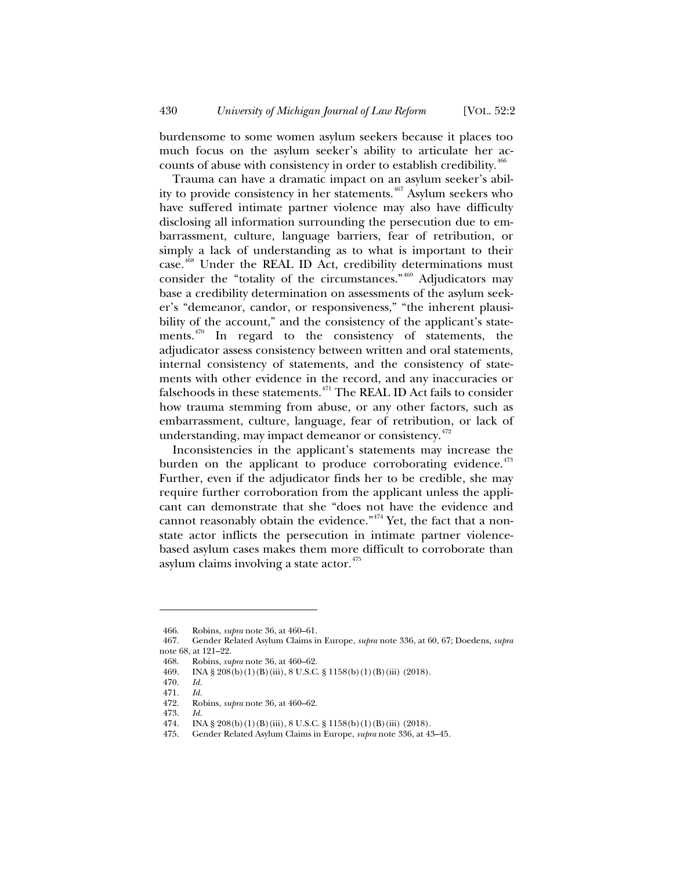burdensome to some women asylum seekers because it places too much focus on the asylum seeker's ability to articulate her accounts of abuse with consistency in order to establish credibility.<sup>466</sup>

Trauma can have a dramatic impact on an asylum seeker's ability to provide consistency in her statements.<sup>467</sup> Asylum seekers who have suffered intimate partner violence may also have difficulty disclosing all information surrounding the persecution due to embarrassment, culture, language barriers, fear of retribution, or simply a lack of understanding as to what is important to their case.<sup>468</sup> Under the REAL ID Act, credibility determinations must consider the "totality of the circumstances."<sup>469</sup> Adjudicators may base a credibility determination on assessments of the asylum seeker's "demeanor, candor, or responsiveness," "the inherent plausibility of the account," and the consistency of the applicant's statements. $470$  In regard to the consistency of statements, the adjudicator assess consistency between written and oral statements, internal consistency of statements, and the consistency of statements with other evidence in the record, and any inaccuracies or falsehoods in these statements. $471$  The REAL ID Act fails to consider how trauma stemming from abuse, or any other factors, such as embarrassment, culture, language, fear of retribution, or lack of understanding, may impact demeanor or consistency.<sup>472</sup>

Inconsistencies in the applicant's statements may increase the burden on the applicant to produce corroborating evidence. $473$ Further, even if the adjudicator finds her to be credible, she may require further corroboration from the applicant unless the applicant can demonstrate that she "does not have the evidence and cannot reasonably obtain the evidence."<sup> $474$ </sup> Yet, the fact that a nonstate actor inflicts the persecution in intimate partner violencebased asylum cases makes them more difficult to corroborate than asylum claims involving a state  $\arctan^{475}$ 

<sup>466.</sup> Robins, *supra* note 36, at 460–61.

<sup>467.</sup> Gender Related Asylum Claims in Europe, *supra* note 336, at 60, 67; Doedens, *supra* note 68, at 121–22.

<sup>468.</sup> Robins, *supra* note 36, at 460–62.

<sup>469.</sup> INA § 208(b)(1)(B)(iii), 8 U.S.C. § 1158(b)(1)(B)(iii) (2018).

<sup>470.</sup> *Id.*

<sup>471.</sup> *Id.*

<sup>472.</sup> Robins, *supra* note 36, at 460–62.

<sup>473.</sup> *Id.*

<sup>474.</sup> INA § 208(b)(1)(B)(iii), 8 U.S.C. § 1158(b)(1)(B)(iii) (2018).

<sup>475.</sup> Gender Related Asylum Claims in Europe, *supra* note 336, at 43–45.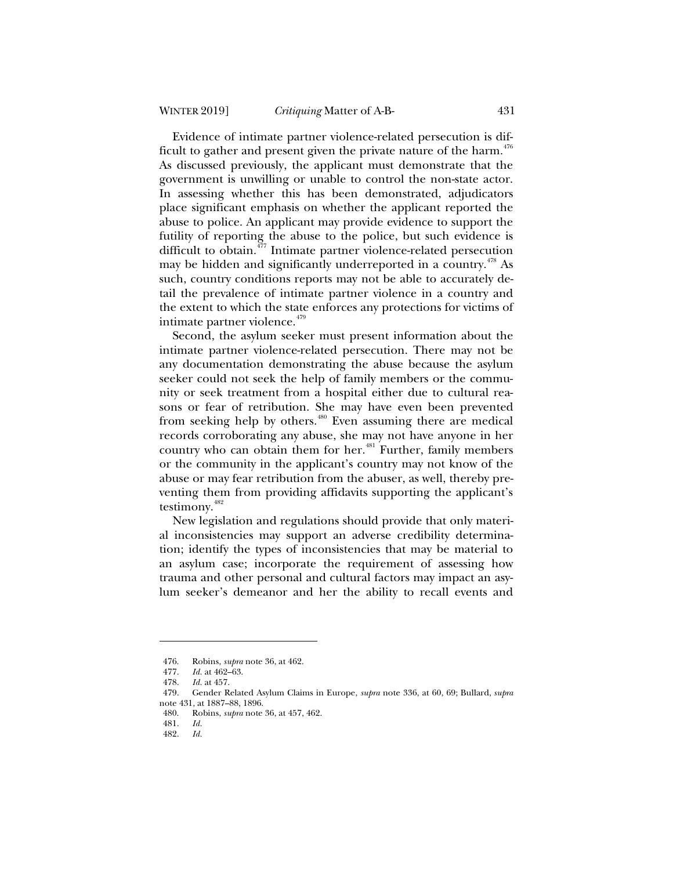Evidence of intimate partner violence-related persecution is difficult to gather and present given the private nature of the harm. $476$ As discussed previously, the applicant must demonstrate that the government is unwilling or unable to control the non-state actor. In assessing whether this has been demonstrated, adjudicators place significant emphasis on whether the applicant reported the abuse to police. An applicant may provide evidence to support the futility of reporting the abuse to the police, but such evidence is difficult to obtain.<sup>477</sup> Intimate partner violence-related persecution may be hidden and significantly underreported in a country.<sup>478</sup> As such, country conditions reports may not be able to accurately detail the prevalence of intimate partner violence in a country and the extent to which the state enforces any protections for victims of intimate partner violence.<sup>479</sup>

Second, the asylum seeker must present information about the intimate partner violence-related persecution. There may not be any documentation demonstrating the abuse because the asylum seeker could not seek the help of family members or the community or seek treatment from a hospital either due to cultural reasons or fear of retribution. She may have even been prevented from seeking help by others.<sup>480</sup> Even assuming there are medical records corroborating any abuse, she may not have anyone in her country who can obtain them for her.<sup>481</sup> Further, family members or the community in the applicant's country may not know of the abuse or may fear retribution from the abuser, as well, thereby preventing them from providing affidavits supporting the applicant's testimony.<sup>482</sup>

New legislation and regulations should provide that only material inconsistencies may support an adverse credibility determination; identify the types of inconsistencies that may be material to an asylum case; incorporate the requirement of assessing how trauma and other personal and cultural factors may impact an asylum seeker's demeanor and her the ability to recall events and

<sup>476.</sup> Robins, *supra* note 36, at 462.

<sup>477.</sup> *Id.* at 462–63.

<sup>478.</sup> *Id.* at 457.

<sup>479.</sup> Gender Related Asylum Claims in Europe, *supra* note 336, at 60, 69; Bullard, *supra* note 431, at 1887–88, 1896.<br>480. Robins. *subra* note

<sup>480.</sup> Robins, *supra* note 36, at 457, 462.

<sup>481.</sup> *Id.*

<sup>482.</sup> *Id.*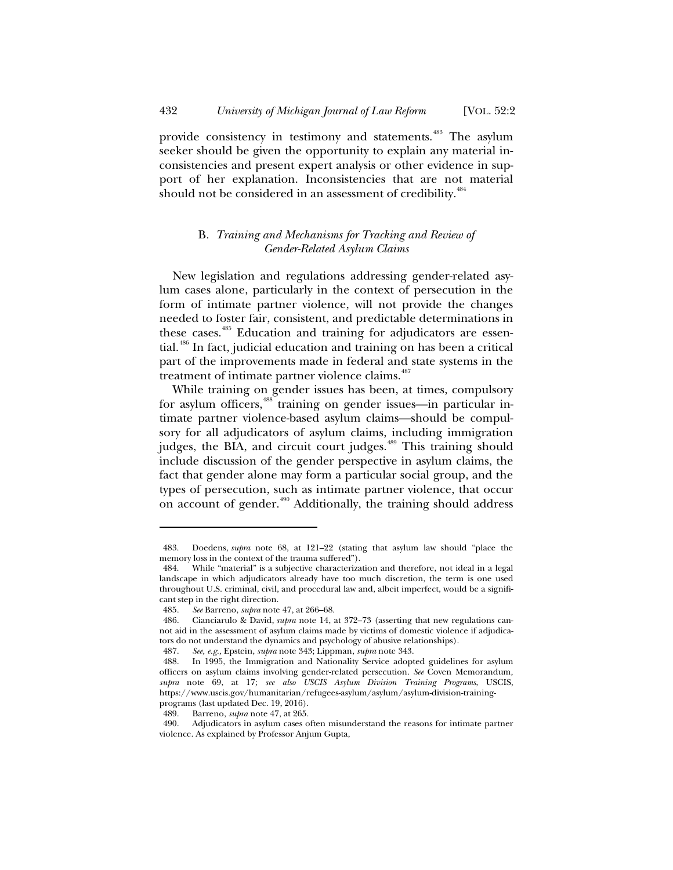provide consistency in testimony and statements.<sup>483</sup> The asylum seeker should be given the opportunity to explain any material inconsistencies and present expert analysis or other evidence in support of her explanation. Inconsistencies that are not material should not be considered in an assessment of credibility.<sup>484</sup>

### B*. Training and Mechanisms for Tracking and Review of Gender-Related Asylum Claims*

New legislation and regulations addressing gender-related asylum cases alone, particularly in the context of persecution in the form of intimate partner violence, will not provide the changes needed to foster fair, consistent, and predictable determinations in these cases.<sup>485</sup> Education and training for adjudicators are essential.<sup>486</sup> In fact, judicial education and training on has been a critical part of the improvements made in federal and state systems in the treatment of intimate partner violence claims.<sup>487</sup>

While training on gender issues has been, at times, compulsory for asylum officers,<sup>488</sup> training on gender issues—in particular intimate partner violence-based asylum claims—should be compulsory for all adjudicators of asylum claims, including immigration judges, the BIA, and circuit court judges.<sup>489</sup> This training should include discussion of the gender perspective in asylum claims, the fact that gender alone may form a particular social group, and the types of persecution, such as intimate partner violence, that occur on account of gender.<sup>490</sup> Additionally, the training should address

<sup>483.</sup> Doedens, *supra* note 68, at 121–22 (stating that asylum law should "place the memory loss in the context of the trauma suffered").

<sup>484.</sup> While "material" is a subjective characterization and therefore, not ideal in a legal landscape in which adjudicators already have too much discretion, the term is one used throughout U.S. criminal, civil, and procedural law and, albeit imperfect, would be a significant step in the right direction.

<sup>485.</sup> *See* Barreno, *supra* note 47, at 266–68.

<sup>486.</sup> Cianciarulo & David, *supra* note 14, at 372–73 (asserting that new regulations cannot aid in the assessment of asylum claims made by victims of domestic violence if adjudicators do not understand the dynamics and psychology of abusive relationships).

<sup>487.</sup> *See, e.g.,* Epstein, *supra* note 343; Lippman, *supra* note 343.

<sup>488.</sup> In 1995, the Immigration and Nationality Service adopted guidelines for asylum officers on asylum claims involving gender-related persecution. *See* Coven Memorandum*, supra* note 69, at 17; *see also USCIS Asylum Division Training Programs*, USCIS, https://www.uscis.gov/humanitarian/refugees-asylum/asylum/asylum-division-trainingprograms (last updated Dec. 19, 2016).

<sup>489.</sup> Barreno, *supra* note 47, at 265.

<sup>490.</sup> Adjudicators in asylum cases often misunderstand the reasons for intimate partner violence. As explained by Professor Anjum Gupta,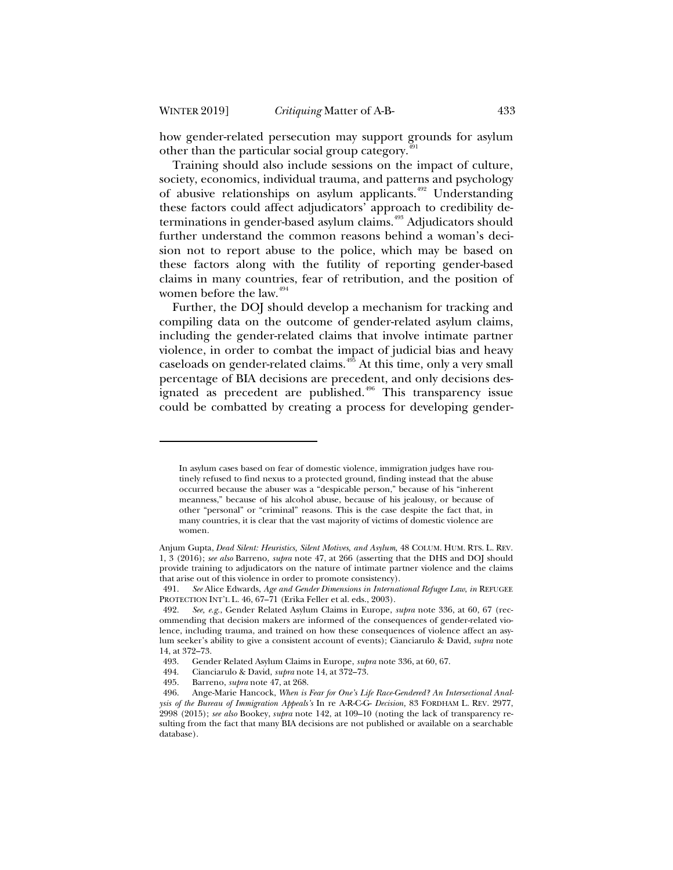how gender-related persecution may support grounds for asylum other than the particular social group category.<sup>4</sup>

Training should also include sessions on the impact of culture, society, economics, individual trauma, and patterns and psychology of abusive relationships on asylum applicants.<sup>492</sup> Understanding these factors could affect adjudicators' approach to credibility determinations in gender-based asylum claims.<sup>493</sup> Adjudicators should further understand the common reasons behind a woman's decision not to report abuse to the police, which may be based on these factors along with the futility of reporting gender-based claims in many countries, fear of retribution, and the position of women before the law. $494$ 

Further, the DOJ should develop a mechanism for tracking and compiling data on the outcome of gender-related asylum claims, including the gender-related claims that involve intimate partner violence, in order to combat the impact of judicial bias and heavy caseloads on gender-related claims.<sup>495</sup> At this time, only a very small percentage of BIA decisions are precedent, and only decisions designated as precedent are published.<sup>496</sup> This transparency issue could be combatted by creating a process for developing gender-

In asylum cases based on fear of domestic violence, immigration judges have routinely refused to find nexus to a protected ground, finding instead that the abuse occurred because the abuser was a "despicable person," because of his "inherent meanness," because of his alcohol abuse, because of his jealousy, or because of other "personal" or "criminal" reasons. This is the case despite the fact that, in many countries, it is clear that the vast majority of victims of domestic violence are women.

Anjum Gupta, *Dead Silent: Heuristics, Silent Motives, and Asylum,* 48 COLUM. HUM. RTS. L. REV. 1, 3 (2016); *see also* Barreno, *supra* note 47, at 266 (asserting that the DHS and DOJ should provide training to adjudicators on the nature of intimate partner violence and the claims that arise out of this violence in order to promote consistency).

<sup>491.</sup> *See* Alice Edwards, *Age and Gender Dimensions in International Refugee Law*, *in* REFUGEE PROTECTION INT'L L. 46, 67–71 (Erika Feller et al. eds., 2003).

<sup>492.</sup> *See, e.g.*, Gender Related Asylum Claims in Europe, *supra* note 336, at 60, 67 (recommending that decision makers are informed of the consequences of gender-related violence, including trauma, and trained on how these consequences of violence affect an asylum seeker's ability to give a consistent account of events); Cianciarulo & David, *supra* note 14, at 372–73.

<sup>493.</sup> Gender Related Asylum Claims in Europe, *supra* note 336, at 60, 67.

<sup>494.</sup> Cianciarulo & David, *supra* note 14, at 372–73.

<sup>495.</sup> Barreno, *supra* note 47, at 268.

<sup>496.</sup> Ange-Marie Hancock, *When is Fear for One's Life Race-Gendered? An Intersectional Analysis of the Bureau of Immigration Appeals's* In re A-R-C-G- *Decision,* 83 FORDHAM L. REV. 2977, 2998 (2015); *see also* Bookey, *supra* note 142, at 109–10 (noting the lack of transparency resulting from the fact that many BIA decisions are not published or available on a searchable database).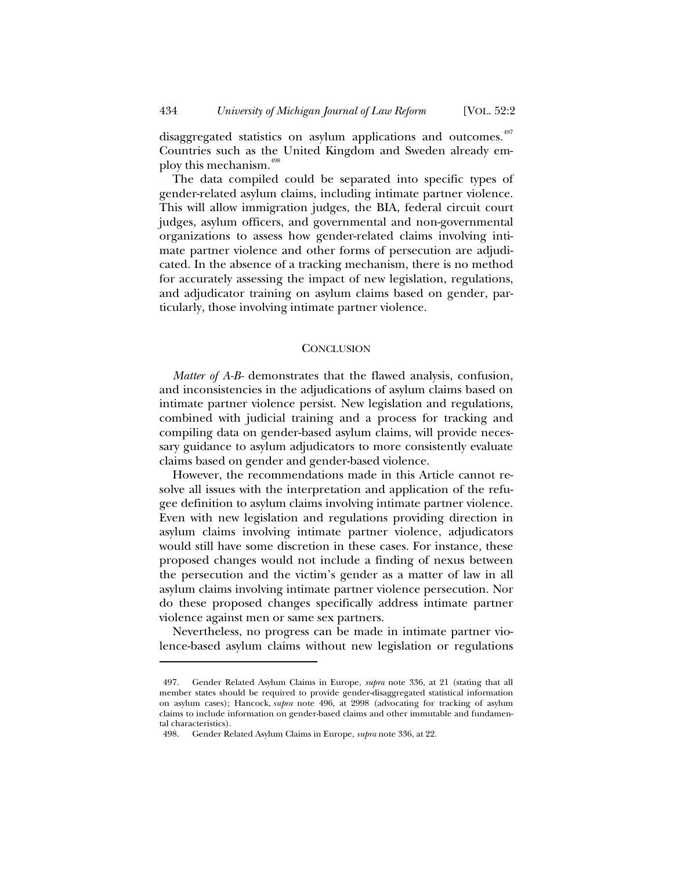disaggregated statistics on asylum applications and outcomes.<sup>497</sup> Countries such as the United Kingdom and Sweden already employ this mechanism.<sup>498</sup>

The data compiled could be separated into specific types of gender-related asylum claims, including intimate partner violence. This will allow immigration judges, the BIA, federal circuit court judges, asylum officers, and governmental and non-governmental organizations to assess how gender-related claims involving intimate partner violence and other forms of persecution are adjudicated. In the absence of a tracking mechanism, there is no method for accurately assessing the impact of new legislation, regulations, and adjudicator training on asylum claims based on gender, particularly, those involving intimate partner violence.

#### **CONCLUSION**

*Matter of A-B-* demonstrates that the flawed analysis, confusion, and inconsistencies in the adjudications of asylum claims based on intimate partner violence persist. New legislation and regulations, combined with judicial training and a process for tracking and compiling data on gender-based asylum claims, will provide necessary guidance to asylum adjudicators to more consistently evaluate claims based on gender and gender-based violence.

However, the recommendations made in this Article cannot resolve all issues with the interpretation and application of the refugee definition to asylum claims involving intimate partner violence. Even with new legislation and regulations providing direction in asylum claims involving intimate partner violence, adjudicators would still have some discretion in these cases. For instance, these proposed changes would not include a finding of nexus between the persecution and the victim's gender as a matter of law in all asylum claims involving intimate partner violence persecution. Nor do these proposed changes specifically address intimate partner violence against men or same sex partners.

Nevertheless, no progress can be made in intimate partner violence-based asylum claims without new legislation or regulations

<sup>497.</sup> Gender Related Asylum Claims in Europe, *supra* note 336, at 21 (stating that all member states should be required to provide gender-disaggregated statistical information on asylum cases); Hancock, *supra* note 496, at 2998 (advocating for tracking of asylum claims to include information on gender-based claims and other immutable and fundamental characteristics).

<sup>498.</sup> Gender Related Asylum Claims in Europe, *supra* note 336, at 22.